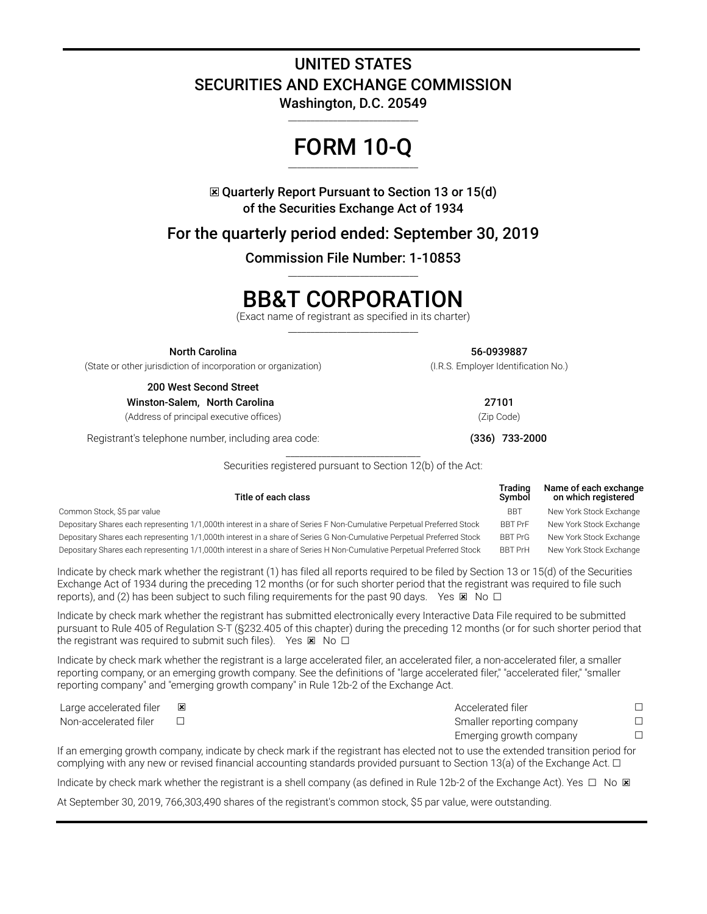## **UNITED STATES SECURITIES AND EXCHANGE COMMISSION**

**Washington, D.C. 20549** \_\_\_\_\_\_\_\_\_\_\_\_\_\_\_\_\_\_\_\_\_\_\_\_\_\_\_\_\_

## **FORM 10-Q** \_\_\_\_\_\_\_\_\_\_\_\_\_\_\_\_\_\_\_\_\_\_\_\_\_\_\_\_\_

☒ **Quarterly Report Pursuant to Section 13 or 15(d) of the Securities Exchange Act of 1934**

**For the quarterly period ended: September 30, 2019**

**Commission File Number: 1-10853** \_\_\_\_\_\_\_\_\_\_\_\_\_\_\_\_\_\_\_\_\_\_\_\_\_\_\_\_\_

# **BB&T CORPORATION**

(Exact name of registrant as specified in its charter)  $\overline{\phantom{a}}$  , and the set of the set of the set of the set of the set of the set of the set of the set of the set of the set of the set of the set of the set of the set of the set of the set of the set of the set of the s

**North Carolina 56-0939887**

(State or other jurisdiction of incorporation or organization) (I.R.S. Employer Identification No.)

**200 West Second Street Winston-Salem, North Carolina 27101**

(Address of principal executive offices) (Zip Code)

Registrant's telephone number, including area code: **(336) 733-2000**

\_\_\_\_\_\_\_\_\_\_\_\_\_\_\_\_\_\_\_\_\_\_\_\_\_\_\_\_\_\_ Securities registered pursuant to Section 12(b) of the Act:

| Title of each class                                                                                                    | Trading<br>Symbol | Name of each exchange<br>on which registered |
|------------------------------------------------------------------------------------------------------------------------|-------------------|----------------------------------------------|
| Common Stock, \$5 par value                                                                                            | <b>BBT</b>        | New York Stock Exchange                      |
| Depositary Shares each representing 1/1,000th interest in a share of Series F Non-Cumulative Perpetual Preferred Stock | <b>BBT PrF</b>    | New York Stock Exchange                      |
| Depositary Shares each representing 1/1,000th interest in a share of Series G Non-Cumulative Perpetual Preferred Stock | <b>BBT PrG</b>    | New York Stock Exchange                      |
| Depositary Shares each representing 1/1,000th interest in a share of Series H Non-Cumulative Perpetual Preferred Stock | <b>BBT PrH</b>    | New York Stock Exchange                      |

Indicate by check mark whether the registrant (1) has filed all reports required to be filed by Section 13 or 15(d) of the Securities Exchange Act of 1934 during the preceding 12 months (or for such shorter period that the registrant was required to file such reports), and (2) has been subject to such filing requirements for the past 90 days. Yes  $\boxtimes$  No  $\Box$ 

Indicate by check mark whether the registrant has submitted electronically every Interactive Data File required to be submitted pursuant to Rule 405 of Regulation S-T (§232.405 of this chapter) during the preceding 12 months (or for such shorter period that the registrant was required to submit such files). Yes  $\times$  No  $\Box$ 

Indicate by check mark whether the registrant is a large accelerated filer, an accelerated filer, a non-accelerated filer, a smaller reporting company, or an emerging growth company. See the definitions of "large accelerated filer," "accelerated filer," "smaller reporting company" and "emerging growth company" in Rule 12b-2 of the Exchange Act.

| Large accelerated filer | Accelerated filer         |  |
|-------------------------|---------------------------|--|
| Non-accelerated filer   | Smaller reporting company |  |
|                         | Emerging growth company   |  |

If an emerging growth company, indicate by check mark if the registrant has elected not to use the extended transition period for complying with any new or revised financial accounting standards provided pursuant to Section 13(a) of the Exchange Act. □

Indicate by check mark whether the registrant is a shell company (as defined in Rule 12b-2 of the Exchange Act). Yes  $\Box$  No  $\boxtimes$ 

At September 30, 2019, 766,303,490 shares of the registrant's common stock, \$5 par value, were outstanding.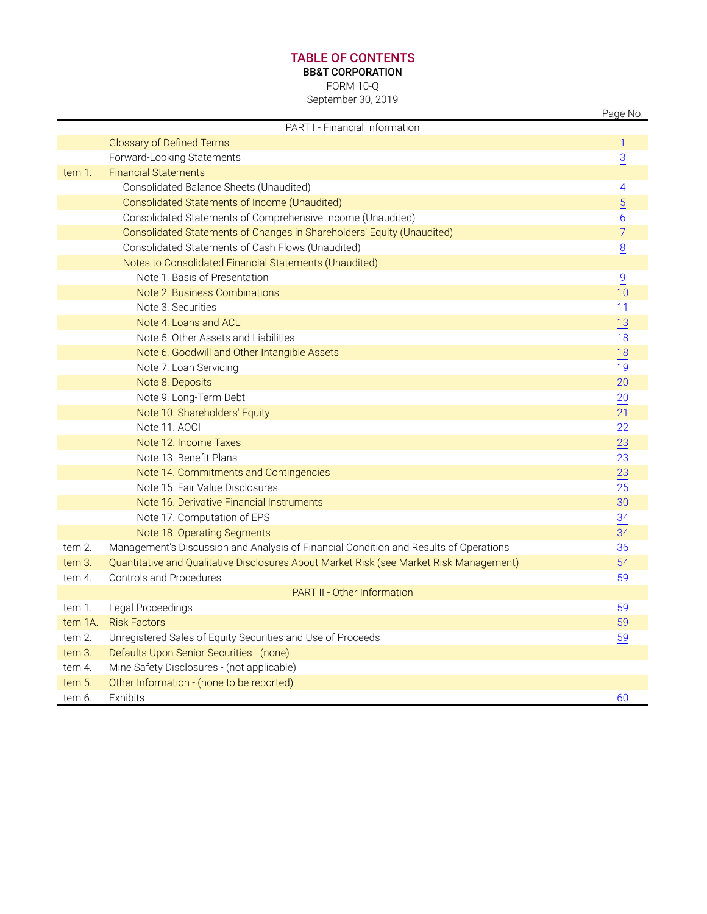### **TABLE OF CONTENTS**

**BB&T CORPORATION**

FORM 10-Q

September 30, 2019

|          |                                                                                         | Page No.                                                                |
|----------|-----------------------------------------------------------------------------------------|-------------------------------------------------------------------------|
|          | PART I - Financial Information                                                          |                                                                         |
|          | <b>Glossary of Defined Terms</b>                                                        | $\overline{1}$                                                          |
|          | Forward-Looking Statements                                                              | $\overline{3}$                                                          |
| Item 1.  | <b>Financial Statements</b>                                                             |                                                                         |
|          | Consolidated Balance Sheets (Unaudited)                                                 |                                                                         |
|          | Consolidated Statements of Income (Unaudited)                                           |                                                                         |
|          | Consolidated Statements of Comprehensive Income (Unaudited)                             |                                                                         |
|          | Consolidated Statements of Changes in Shareholders' Equity (Unaudited)                  | $\frac{4}{5}$ $\frac{5}{6}$ $\frac{7}{7}$                               |
|          | Consolidated Statements of Cash Flows (Unaudited)                                       | 8                                                                       |
|          | Notes to Consolidated Financial Statements (Unaudited)                                  |                                                                         |
|          | Note 1. Basis of Presentation                                                           | $\overline{9}$                                                          |
|          | Note 2. Business Combinations                                                           | 10                                                                      |
|          | Note 3. Securities                                                                      | 11                                                                      |
|          | Note 4. Loans and ACL                                                                   | 13                                                                      |
|          | Note 5. Other Assets and Liabilities                                                    | 18                                                                      |
|          | Note 6. Goodwill and Other Intangible Assets                                            | 18                                                                      |
|          | Note 7. Loan Servicing                                                                  | $\frac{19}{1}$                                                          |
|          | Note 8. Deposits                                                                        | $\underline{20}$                                                        |
|          | Note 9. Long-Term Debt                                                                  |                                                                         |
|          | Note 10. Shareholders' Equity                                                           | $\frac{20}{21} \frac{21}{23} \frac{23}{23} \frac{23}{25} \frac{25}{30}$ |
|          | Note 11, AOCI                                                                           |                                                                         |
|          | Note 12. Income Taxes                                                                   |                                                                         |
|          | Note 13. Benefit Plans                                                                  |                                                                         |
|          | Note 14. Commitments and Contingencies                                                  |                                                                         |
|          | Note 15, Fair Value Disclosures                                                         |                                                                         |
|          | Note 16. Derivative Financial Instruments                                               |                                                                         |
|          | Note 17. Computation of EPS                                                             | $\frac{34}{1}$                                                          |
|          | Note 18. Operating Segments                                                             | 34                                                                      |
| Item 2.  | Management's Discussion and Analysis of Financial Condition and Results of Operations   | $\overline{36}$                                                         |
| Item 3.  | Quantitative and Qualitative Disclosures About Market Risk (see Market Risk Management) | 54                                                                      |
| Item 4.  | <b>Controls and Procedures</b>                                                          | 59                                                                      |
|          | PART II - Other Information                                                             |                                                                         |
| Item 1.  | Legal Proceedings                                                                       | 59                                                                      |
| Item 1A. | <b>Risk Factors</b>                                                                     | 59                                                                      |
| Item 2.  | Unregistered Sales of Equity Securities and Use of Proceeds                             | 59                                                                      |
| Item 3.  | Defaults Upon Senior Securities - (none)                                                |                                                                         |
| Item 4.  | Mine Safety Disclosures - (not applicable)                                              |                                                                         |
| Item 5.  | Other Information - (none to be reported)                                               |                                                                         |
| Item 6.  | Exhibits                                                                                | 60                                                                      |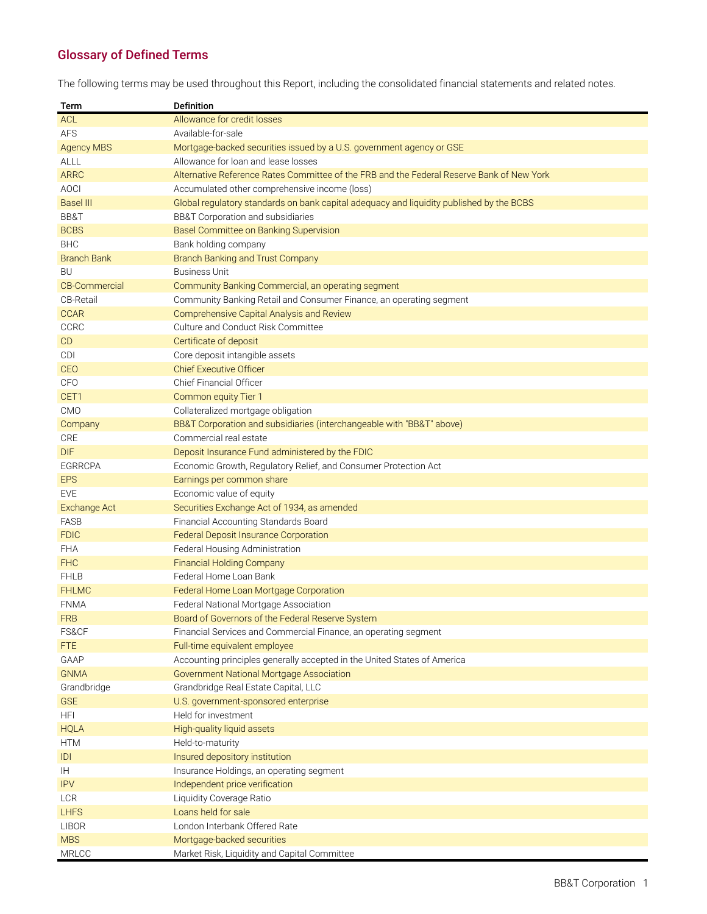## <span id="page-2-0"></span>**Glossary of Defined Terms**

The following terms may be used throughout this Report, including the consolidated financial statements and related notes.

| Term                 | <b>Definition</b>                                                                         |
|----------------------|-------------------------------------------------------------------------------------------|
| <b>ACL</b>           | Allowance for credit losses                                                               |
| <b>AFS</b>           | Available-for-sale                                                                        |
| <b>Agency MBS</b>    | Mortgage-backed securities issued by a U.S. government agency or GSE                      |
| ALLL                 | Allowance for loan and lease losses                                                       |
| <b>ARRC</b>          | Alternative Reference Rates Committee of the FRB and the Federal Reserve Bank of New York |
| <b>AOCI</b>          | Accumulated other comprehensive income (loss)                                             |
| <b>Basel III</b>     | Global regulatory standards on bank capital adequacy and liquidity published by the BCBS  |
| BB&T                 | BB&T Corporation and subsidiaries                                                         |
| <b>BCBS</b>          | Basel Committee on Banking Supervision                                                    |
| <b>BHC</b>           | Bank holding company                                                                      |
| <b>Branch Bank</b>   | Branch Banking and Trust Company                                                          |
| BU                   | <b>Business Unit</b>                                                                      |
| <b>CB-Commercial</b> | Community Banking Commercial, an operating segment                                        |
| <b>CB-Retail</b>     | Community Banking Retail and Consumer Finance, an operating segment                       |
| <b>CCAR</b>          | Comprehensive Capital Analysis and Review                                                 |
| <b>CCRC</b>          | Culture and Conduct Risk Committee                                                        |
| CD                   | Certificate of deposit                                                                    |
| <b>CDI</b>           | Core deposit intangible assets                                                            |
| CEO                  | <b>Chief Executive Officer</b>                                                            |
| <b>CFO</b>           | Chief Financial Officer                                                                   |
| CET1                 | Common equity Tier 1                                                                      |
| <b>CMO</b>           | Collateralized mortgage obligation                                                        |
| Company              | BB&T Corporation and subsidiaries (interchangeable with "BB&T" above)                     |
| CRE                  | Commercial real estate                                                                    |
| <b>DIF</b>           | Deposit Insurance Fund administered by the FDIC                                           |
| <b>EGRRCPA</b>       | Economic Growth, Regulatory Relief, and Consumer Protection Act                           |
| <b>EPS</b>           | Earnings per common share                                                                 |
| <b>EVE</b>           | Economic value of equity                                                                  |
| <b>Exchange Act</b>  | Securities Exchange Act of 1934, as amended                                               |
| <b>FASB</b>          | Financial Accounting Standards Board                                                      |
| <b>FDIC</b>          | <b>Federal Deposit Insurance Corporation</b>                                              |
| <b>FHA</b>           | Federal Housing Administration                                                            |
| <b>FHC</b>           | <b>Financial Holding Company</b>                                                          |
| <b>FHLB</b>          | Federal Home Loan Bank                                                                    |
| <b>FHLMC</b>         | Federal Home Loan Mortgage Corporation                                                    |
| <b>FNMA</b>          | Federal National Mortgage Association                                                     |
| <b>FRB</b>           | Board of Governors of the Federal Reserve System                                          |
| FS&CF                | Financial Services and Commercial Finance, an operating segment                           |
| FTE                  | Full-time equivalent employee                                                             |
| GAAP                 | Accounting principles generally accepted in the United States of America                  |
| <b>GNMA</b>          | Government National Mortgage Association                                                  |
| Grandbridge          | Grandbridge Real Estate Capital, LLC                                                      |
| <b>GSE</b>           | U.S. government-sponsored enterprise                                                      |
| <b>HFI</b>           | Held for investment                                                                       |
| <b>HQLA</b>          | High-quality liquid assets                                                                |
| <b>HTM</b>           | Held-to-maturity                                                                          |
| IDI                  | Insured depository institution                                                            |
| IH.                  | Insurance Holdings, an operating segment                                                  |
| <b>IPV</b>           | Independent price verification                                                            |
| <b>LCR</b>           | Liquidity Coverage Ratio                                                                  |
| <b>LHFS</b>          | Loans held for sale                                                                       |
| <b>LIBOR</b>         | London Interbank Offered Rate                                                             |
| <b>MBS</b>           | Mortgage-backed securities                                                                |
| <b>MRLCC</b>         | Market Risk, Liquidity and Capital Committee                                              |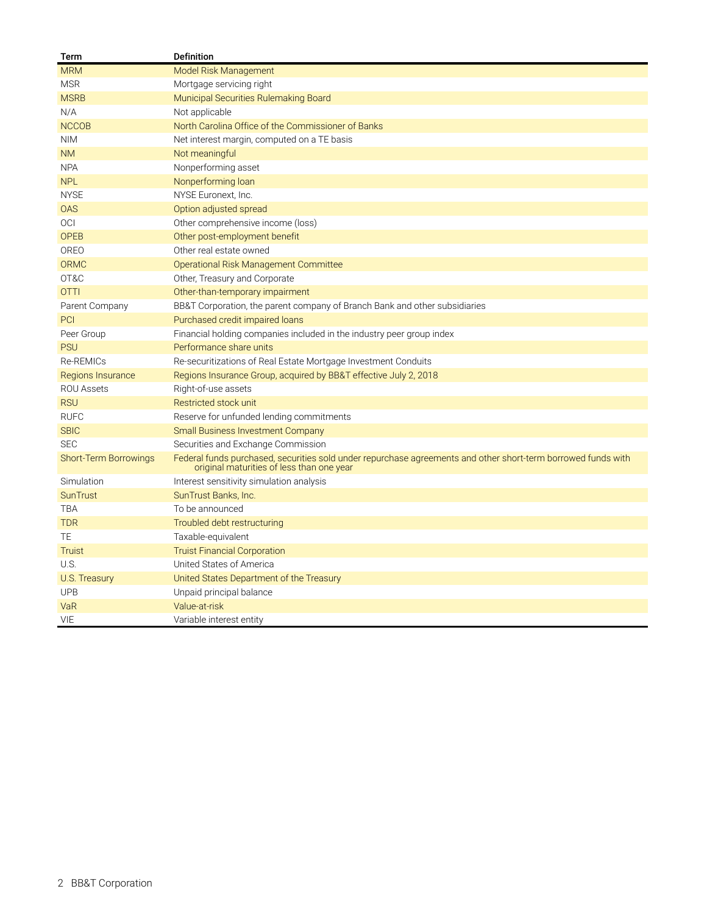| Term                         | <b>Definition</b>                                                                                                                                          |
|------------------------------|------------------------------------------------------------------------------------------------------------------------------------------------------------|
| <b>MRM</b>                   | Model Risk Management                                                                                                                                      |
| <b>MSR</b>                   | Mortgage servicing right                                                                                                                                   |
| <b>MSRB</b>                  | Municipal Securities Rulemaking Board                                                                                                                      |
| N/A                          | Not applicable                                                                                                                                             |
| <b>NCCOB</b>                 | North Carolina Office of the Commissioner of Banks                                                                                                         |
| <b>NIM</b>                   | Net interest margin, computed on a TE basis                                                                                                                |
| <b>NM</b>                    | Not meaningful                                                                                                                                             |
| <b>NPA</b>                   | Nonperforming asset                                                                                                                                        |
| <b>NPL</b>                   | Nonperforming loan                                                                                                                                         |
| <b>NYSE</b>                  | NYSE Euronext, Inc.                                                                                                                                        |
| <b>OAS</b>                   | Option adjusted spread                                                                                                                                     |
| <b>OCI</b>                   | Other comprehensive income (loss)                                                                                                                          |
| <b>OPEB</b>                  | Other post-employment benefit                                                                                                                              |
| OREO                         | Other real estate owned                                                                                                                                    |
| <b>ORMC</b>                  | Operational Risk Management Committee                                                                                                                      |
| OT&C                         | Other, Treasury and Corporate                                                                                                                              |
| <b>OTTI</b>                  | Other-than-temporary impairment                                                                                                                            |
| Parent Company               | BB&T Corporation, the parent company of Branch Bank and other subsidiaries                                                                                 |
| PCI                          | Purchased credit impaired loans                                                                                                                            |
| Peer Group                   | Financial holding companies included in the industry peer group index                                                                                      |
| <b>PSU</b>                   | Performance share units                                                                                                                                    |
| Re-REMICs                    | Re-securitizations of Real Estate Mortgage Investment Conduits                                                                                             |
| Regions Insurance            | Regions Insurance Group, acquired by BB&T effective July 2, 2018                                                                                           |
| <b>ROU Assets</b>            | Right-of-use assets                                                                                                                                        |
| <b>RSU</b>                   | Restricted stock unit                                                                                                                                      |
| <b>RUFC</b>                  | Reserve for unfunded lending commitments                                                                                                                   |
| <b>SBIC</b>                  | <b>Small Business Investment Company</b>                                                                                                                   |
| <b>SEC</b>                   | Securities and Exchange Commission                                                                                                                         |
| <b>Short-Term Borrowings</b> | Federal funds purchased, securities sold under repurchase agreements and other short-term borrowed funds with<br>original maturities of less than one year |
| Simulation                   | Interest sensitivity simulation analysis                                                                                                                   |
| <b>SunTrust</b>              | SunTrust Banks, Inc.                                                                                                                                       |
| TBA                          | To be announced                                                                                                                                            |
| <b>TDR</b>                   | Troubled debt restructuring                                                                                                                                |
| TE                           | Taxable-equivalent                                                                                                                                         |
| <b>Truist</b>                | <b>Truist Financial Corporation</b>                                                                                                                        |
| U.S.                         | United States of America                                                                                                                                   |
| U.S. Treasury                | United States Department of the Treasury                                                                                                                   |
| <b>UPB</b>                   | Unpaid principal balance                                                                                                                                   |
| VaR                          | Value-at-risk                                                                                                                                              |
| VIE                          | Variable interest entity                                                                                                                                   |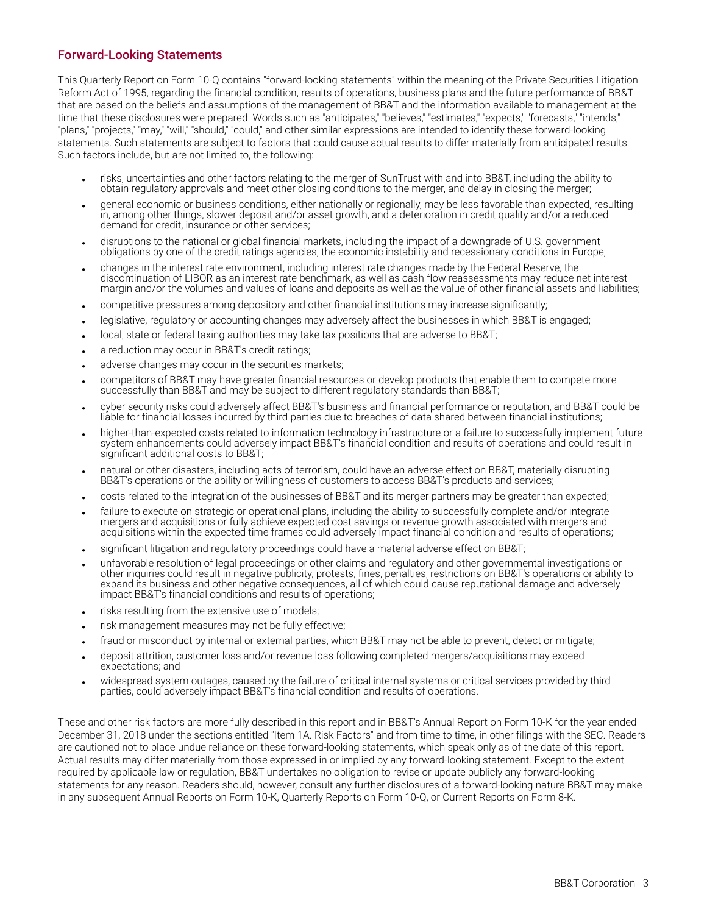### <span id="page-4-0"></span>**Forward-Looking Statements**

This Quarterly Report on Form 10-Q contains "forward-looking statements" within the meaning of the Private Securities Litigation Reform Act of 1995, regarding the financial condition, results of operations, business plans and the future performance of BB&T that are based on the beliefs and assumptions of the management of BB&T and the information available to management at the time that these disclosures were prepared. Words such as "anticipates," "believes," "estimates," expects," "forecasts," "intends," "plans," "projects," "may," "will," "should," "could," and other similar expressions are intended to identify these forward-looking statements. Such statements are subject to factors that could cause actual results to differ materially from anticipated results. Such factors include, but are not limited to, the following:

- risks, uncertainties and other factors relating to the merger of SunTrust with and into BB&T, including the ability to obtain regulatory approvals and meet other closing conditions to the merger, and delay in closing the merger;
- general economic or business conditions, either nationally or regionally, may be less favorable than expected, resulting in, among other things, slower deposit and/or asset growth, and a deterioration in credit quality and/or a reduced demand for credit, insurance or other services;
- disruptions to the national or global financial markets, including the impact of a downgrade of U.S. government obligations by one of the credit ratings agencies, the economic instability and recessionary conditions in Europe;
- <sup>l</sup> changes in the interest rate environment, including interest rate changes made by the Federal Reserve, the discontinuation of LIBOR as an interest rate benchmark, as well as cash flow reassessments may reduce net interest margin and/or the volumes and values of loans and deposits as well as the value of other financial assets and liabilities;
- competitive pressures among depository and other financial institutions may increase significantly;
- legislative, regulatory or accounting changes may adversely affect the businesses in which BB&T is engaged;
- local, state or federal taxing authorities may take tax positions that are adverse to BB&T;
- a reduction may occur in BB&T's credit ratings;
- adverse changes may occur in the securities markets;
- competitors of BB&T may have greater financial resources or develop products that enable them to compete more successfully than BB&T and may be subject to different regulatory standards than BB&T;
- cyber security risks could adversely affect BB&T's business and financial performance or reputation, and BB&T could be liable for financial losses incurred by third parties due to breaches of data shared between financial institutions;
- higher-than-expected costs related to information technology infrastructure or a failure to successfully implement future system enhancements could adversely impact BB&T's financial condition and results of operations and could result in significant additional costs to BB&T;
- natural or other disasters, including acts of terrorism, could have an adverse effect on BB&T, materially disrupting BB&T's operations or the ability or willingness of customers to access BB&T's products and services;
- costs related to the integration of the businesses of BB&T and its merger partners may be greater than expected;
- failure to execute on strategic or operational plans, including the ability to successfully complete and/or integrate mergers and acquisitions or fully achieve expected cost savings or revenue growth associated with mergers and acquisitions within the expected time frames could adversely impact financial condition and results of operations;
- significant litigation and regulatory proceedings could have a material adverse effect on BB&T;
- <sup>l</sup> unfavorable resolution of legal proceedings or other claims and regulatory and other governmental investigations or other inquiries could result in negative publicity, protests, fines, penalties, restrictions on BB&T's operations or ability to expand its business and other negative consequences, all of which could cause reputational damage and adversely impact BB&T's financial conditions and results of operations;
- risks resulting from the extensive use of models;
- risk management measures may not be fully effective;
- fraud or misconduct by internal or external parties, which BB&T may not be able to prevent, detect or mitigate;
- deposit attrition, customer loss and/or revenue loss following completed mergers/acquisitions may exceed expectations; and
- widespread system outages, caused by the failure of critical internal systems or critical services provided by third parties, could adversely impact BB&T's financial condition and results of operations.

These and other risk factors are more fully described in this report and in BB&T's Annual Report on Form 10-K for the year ended December 31, 2018 under the sections entitled "Item 1A. Risk Factors" and from time to time, in other filings with the SEC. Readers are cautioned not to place undue reliance on these forward-looking statements, which speak only as of the date of this report. Actual results may differ materially from those expressed in or implied by any forward-looking statement. Except to the extent required by applicable law or regulation, BB&T undertakes no obligation to revise or update publicly any forward-looking statements for any reason. Readers should, however, consult any further disclosures of a forward-looking nature BB&T may make in any subsequent Annual Reports on Form 10‑K, Quarterly Reports on Form 10‑Q, or Current Reports on Form 8‑K.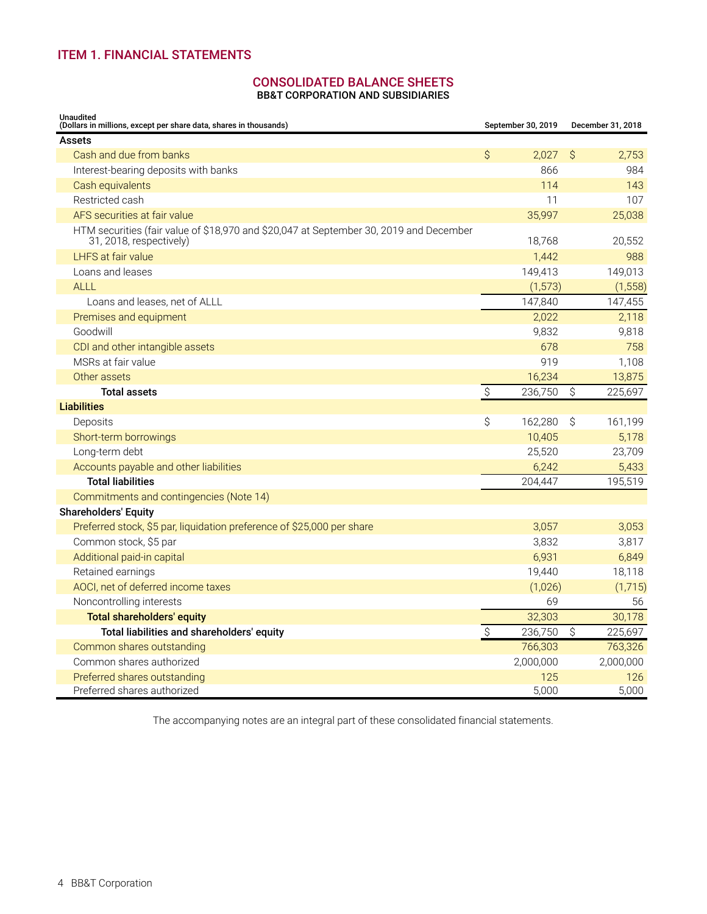### <span id="page-5-0"></span>**ITEM 1. FINANCIAL STATEMENTS**

## **CONSOLIDATED BALANCE SHEETS**

**BB&T CORPORATION AND SUBSIDIARIES**

| <b>Unaudited</b><br>(Dollars in millions, except per share data, shares in thousands)                             |                           | September 30, 2019 |    | December 31, 2018 |
|-------------------------------------------------------------------------------------------------------------------|---------------------------|--------------------|----|-------------------|
| <b>Assets</b>                                                                                                     |                           |                    |    |                   |
| Cash and due from banks                                                                                           | \$                        | 2,027              | Ŝ  | 2,753             |
| Interest-bearing deposits with banks                                                                              |                           | 866                |    | 984               |
| Cash equivalents                                                                                                  |                           | 114                |    | 143               |
| Restricted cash                                                                                                   |                           | 11                 |    | 107               |
| AFS securities at fair value                                                                                      |                           | 35,997             |    | 25,038            |
| HTM securities (fair value of \$18,970 and \$20,047 at September 30, 2019 and December<br>31, 2018, respectively) |                           | 18,768             |    | 20,552            |
| LHFS at fair value                                                                                                |                           | 1,442              |    | 988               |
| Loans and leases                                                                                                  |                           | 149,413            |    | 149,013           |
| <b>ALLL</b>                                                                                                       |                           | (1, 573)           |    | (1, 558)          |
| Loans and leases, net of ALLL                                                                                     |                           | 147,840            |    | 147,455           |
| Premises and equipment                                                                                            |                           | 2,022              |    | 2,118             |
| Goodwill                                                                                                          |                           | 9,832              |    | 9,818             |
| CDI and other intangible assets                                                                                   |                           | 678                |    | 758               |
| MSRs at fair value                                                                                                |                           | 919                |    | 1,108             |
| Other assets                                                                                                      |                           | 16,234             |    | 13,875            |
| <b>Total assets</b>                                                                                               | $\hat{S}$                 | 236,750            | \$ | 225,697           |
| <b>Liabilities</b>                                                                                                |                           |                    |    |                   |
| Deposits                                                                                                          | \$                        | 162,280            | Ŝ  | 161,199           |
| Short-term borrowings                                                                                             |                           | 10,405             |    | 5,178             |
| Long-term debt                                                                                                    |                           | 25,520             |    | 23,709            |
| Accounts payable and other liabilities                                                                            |                           | 6,242              |    | 5,433             |
| <b>Total liabilities</b>                                                                                          |                           | 204,447            |    | 195,519           |
| Commitments and contingencies (Note 14)                                                                           |                           |                    |    |                   |
| <b>Shareholders' Equity</b>                                                                                       |                           |                    |    |                   |
| Preferred stock, \$5 par, liquidation preference of \$25,000 per share                                            |                           | 3,057              |    | 3,053             |
| Common stock, \$5 par                                                                                             |                           | 3,832              |    | 3,817             |
| Additional paid-in capital                                                                                        |                           | 6,931              |    | 6,849             |
| Retained earnings                                                                                                 |                           | 19,440             |    | 18,118            |
| AOCI, net of deferred income taxes                                                                                |                           | (1,026)            |    | (1,715)           |
| Noncontrolling interests                                                                                          |                           | 69                 |    | 56                |
| <b>Total shareholders' equity</b>                                                                                 |                           | 32,303             |    | 30.178            |
| Total liabilities and shareholders' equity                                                                        | $\boldsymbol{\mathsf{S}}$ | 236,750            | \$ | 225,697           |
| Common shares outstanding                                                                                         |                           | 766,303            |    | 763,326           |
| Common shares authorized                                                                                          |                           | 2,000,000          |    | 2,000,000         |
| Preferred shares outstanding                                                                                      |                           | 125                |    | 126               |
| Preferred shares authorized                                                                                       |                           | 5,000              |    | 5,000             |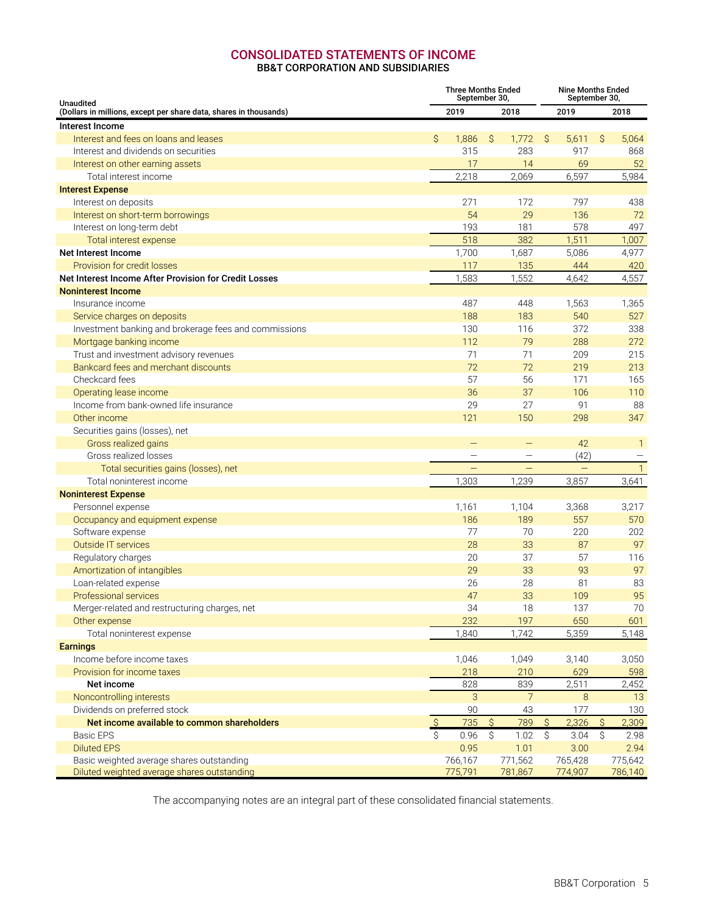### **CONSOLIDATED STATEMENTS OF INCOME BB&T CORPORATION AND SUBSIDIARIES**

<span id="page-6-0"></span>

| <b>Unaudited</b>                                                  | <b>Three Months Ended</b><br>September 30, |                          |                  |                   |                  | <b>Nine Months Ended</b><br>September 30, |                  |                   |  |  |  |  |
|-------------------------------------------------------------------|--------------------------------------------|--------------------------|------------------|-------------------|------------------|-------------------------------------------|------------------|-------------------|--|--|--|--|
| (Dollars in millions, except per share data, shares in thousands) |                                            | 2019                     |                  | 2018              |                  | 2019                                      |                  | 2018              |  |  |  |  |
| Interest Income                                                   |                                            |                          |                  |                   |                  |                                           |                  |                   |  |  |  |  |
| Interest and fees on loans and leases                             | Ŝ.                                         | 1,886                    | Ŝ.               | 1,772             | - S              | 5,611                                     | Ŝ.               | 5,064             |  |  |  |  |
| Interest and dividends on securities                              |                                            | 315                      |                  | 283               |                  | 917                                       |                  | 868               |  |  |  |  |
| Interest on other earning assets                                  |                                            | 17                       |                  | 14                |                  | 69                                        |                  | 52                |  |  |  |  |
| Total interest income                                             |                                            | 2,218                    |                  | 2,069             |                  | 6,597                                     |                  | 5,984             |  |  |  |  |
| <b>Interest Expense</b>                                           |                                            |                          |                  |                   |                  |                                           |                  |                   |  |  |  |  |
| Interest on deposits                                              |                                            | 271                      |                  | 172               |                  | 797                                       |                  | 438               |  |  |  |  |
| Interest on short-term borrowings                                 |                                            | 54                       |                  | 29                |                  | 136                                       |                  | 72                |  |  |  |  |
| Interest on long-term debt                                        |                                            | 193                      |                  | 181               |                  | 578                                       |                  | 497               |  |  |  |  |
| Total interest expense                                            |                                            | 518                      |                  | 382               |                  | 1,511                                     |                  | 1,007             |  |  |  |  |
| Net Interest Income                                               |                                            | 1,700                    |                  | 1,687             |                  | 5,086                                     |                  | 4,977             |  |  |  |  |
| Provision for credit losses                                       |                                            | 117                      |                  | 135               |                  | 444                                       |                  | 420               |  |  |  |  |
| Net Interest Income After Provision for Credit Losses             |                                            | 1,583                    |                  | 1,552             |                  | 4,642                                     |                  | 4,557             |  |  |  |  |
| <b>Noninterest Income</b>                                         |                                            |                          |                  |                   |                  |                                           |                  |                   |  |  |  |  |
| Insurance income                                                  |                                            | 487                      |                  | 448               |                  | 1,563                                     |                  | 1,365             |  |  |  |  |
| Service charges on deposits                                       |                                            | 188                      |                  | 183               |                  | 540                                       |                  | 527               |  |  |  |  |
| Investment banking and brokerage fees and commissions             |                                            | 130                      |                  | 116               |                  | 372                                       |                  | 338               |  |  |  |  |
| Mortgage banking income                                           |                                            | 112                      |                  | 79                |                  | 288                                       |                  | 272               |  |  |  |  |
| Trust and investment advisory revenues                            |                                            | 71                       |                  | 71                |                  | 209                                       |                  | 215               |  |  |  |  |
| Bankcard fees and merchant discounts                              |                                            | 72                       |                  | 72                |                  | 219                                       |                  | 213               |  |  |  |  |
| Checkcard fees                                                    |                                            | 57                       |                  | 56                |                  | 171                                       |                  | 165               |  |  |  |  |
| Operating lease income                                            |                                            | 36                       |                  | 37                |                  | 106                                       |                  | 110               |  |  |  |  |
| Income from bank-owned life insurance                             |                                            | 29                       |                  | 27                |                  | 91                                        |                  | 88                |  |  |  |  |
| Other income                                                      |                                            | 121                      |                  | 150               |                  | 298                                       |                  | 347               |  |  |  |  |
| Securities gains (losses), net                                    |                                            |                          |                  |                   |                  |                                           |                  |                   |  |  |  |  |
| Gross realized gains                                              |                                            |                          |                  |                   |                  | 42                                        |                  | $\mathbf{1}$      |  |  |  |  |
| Gross realized losses                                             |                                            | $\overline{\phantom{m}}$ |                  | $\qquad \qquad -$ |                  | (42)                                      |                  | $\qquad \qquad -$ |  |  |  |  |
| Total securities gains (losses), net                              |                                            | $\qquad \qquad -$        |                  |                   |                  | -                                         |                  | $\mathbf{1}$      |  |  |  |  |
| Total noninterest income                                          |                                            | 1,303                    |                  | 1,239             |                  | 3,857                                     |                  | 3,641             |  |  |  |  |
| <b>Noninterest Expense</b>                                        |                                            |                          |                  |                   |                  |                                           |                  |                   |  |  |  |  |
| Personnel expense                                                 |                                            | 1,161                    |                  | 1,104             |                  | 3,368                                     |                  | 3,217             |  |  |  |  |
| Occupancy and equipment expense                                   |                                            | 186                      |                  | 189               |                  | 557                                       |                  | 570               |  |  |  |  |
| Software expense                                                  |                                            | 77                       |                  | 70                |                  | 220                                       |                  | 202               |  |  |  |  |
| <b>Outside IT services</b>                                        |                                            | 28                       |                  | 33                |                  | 87                                        |                  | 97                |  |  |  |  |
| Regulatory charges                                                |                                            | 20                       |                  | 37                |                  | 57                                        |                  | 116               |  |  |  |  |
| Amortization of intangibles                                       |                                            | 29                       |                  | 33                |                  | 93                                        |                  | 97                |  |  |  |  |
| Loan-related expense                                              |                                            | 26                       |                  | 28                |                  | 81                                        |                  | 83                |  |  |  |  |
| <b>Professional services</b>                                      |                                            | 47                       |                  | 33                |                  | 109                                       |                  | 95                |  |  |  |  |
| Merger-related and restructuring charges, net                     |                                            | 34                       |                  | 18                |                  | 137                                       |                  | 70                |  |  |  |  |
| Other expense                                                     |                                            | 232                      |                  | 197               |                  | 650                                       |                  | 601               |  |  |  |  |
| Total noninterest expense                                         |                                            | 1,840                    |                  | 1,742             |                  | 5,359                                     |                  | 5,148             |  |  |  |  |
| <b>Earnings</b>                                                   |                                            |                          |                  |                   |                  |                                           |                  |                   |  |  |  |  |
| Income before income taxes                                        |                                            | 1,046                    |                  | 1,049             |                  | 3,140                                     |                  | 3,050             |  |  |  |  |
| Provision for income taxes                                        |                                            | 218                      |                  | 210               |                  | 629                                       |                  | 598               |  |  |  |  |
| Net income                                                        |                                            | 828                      |                  | 839               |                  | 2,511                                     |                  | 2,452             |  |  |  |  |
| Noncontrolling interests                                          |                                            | 3                        |                  | $\overline{7}$    |                  | 8                                         |                  | 13                |  |  |  |  |
| Dividends on preferred stock                                      |                                            | 90                       |                  | 43                |                  | 177                                       |                  | 130               |  |  |  |  |
| Net income available to common shareholders                       | $\mathsf{S}$                               | 735                      | \$               | 789               | Ŝ                | 2,326                                     | Ŝ                | 2,309             |  |  |  |  |
| <b>Basic EPS</b>                                                  | Ŝ.                                         | 0.96                     | $\overline{\xi}$ | 1.02              | $\overline{\xi}$ | 3.04                                      | $\overline{\xi}$ | 2.98              |  |  |  |  |
| <b>Diluted EPS</b>                                                |                                            | 0.95                     |                  | 1.01              |                  | 3.00                                      |                  | 2.94              |  |  |  |  |
| Basic weighted average shares outstanding                         |                                            | 766,167                  |                  | 771,562           |                  | 765,428                                   |                  | 775,642           |  |  |  |  |
| Diluted weighted average shares outstanding                       |                                            | 775,791                  |                  | 781,867           |                  | 774,907                                   |                  | 786,140           |  |  |  |  |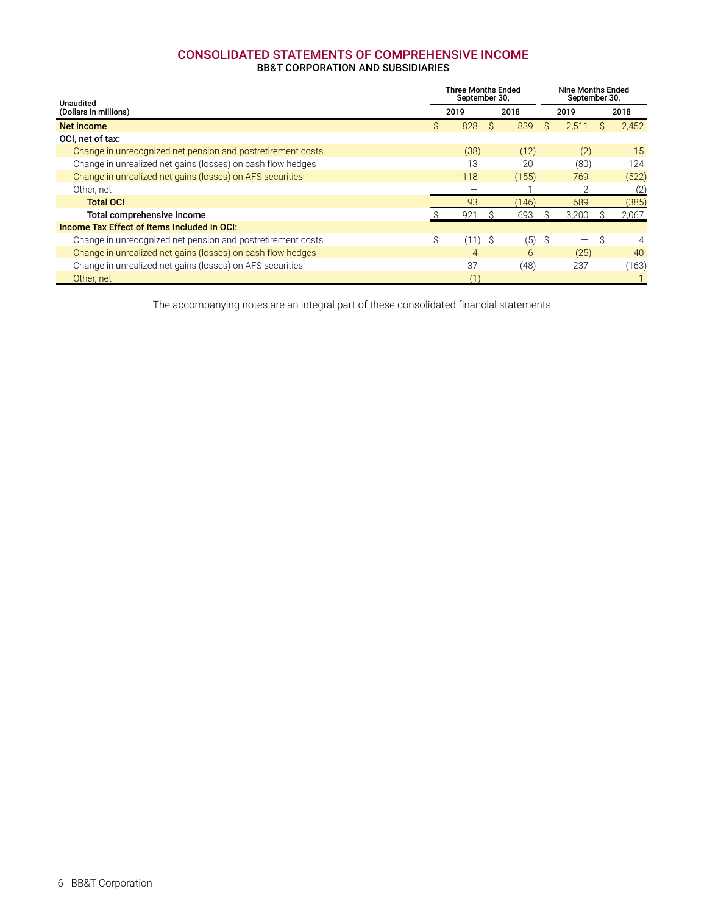## **CONSOLIDATED STATEMENTS OF COMPREHENSIVE INCOME**

### **BB&T CORPORATION AND SUBSIDIARIES**

<span id="page-7-0"></span>

| Unaudited                                                   |    | Three Months Ended<br>September 30, |   |       |   | <b>Nine Months Ended</b><br>September 30, |    |       |
|-------------------------------------------------------------|----|-------------------------------------|---|-------|---|-------------------------------------------|----|-------|
| (Dollars in millions)                                       |    | 2019                                |   | 2018  |   | 2019                                      |    | 2018  |
| <b>Net income</b>                                           | S. | 828                                 | S | 839   | S | 2,511                                     | S  | 2,452 |
| OCI, net of tax:                                            |    |                                     |   |       |   |                                           |    |       |
| Change in unrecognized net pension and postretirement costs |    | (38)                                |   | (12)  |   | (2)                                       |    | 15    |
| Change in unrealized net gains (losses) on cash flow hedges |    | 13                                  |   | 20    |   | (80)                                      |    | 124   |
| Change in unrealized net gains (losses) on AFS securities   |    | 118                                 |   | (155) |   | 769                                       |    | (522) |
| Other, net                                                  |    |                                     |   |       |   | $\mathfrak{D}$                            |    | (2)   |
| <b>Total OCI</b>                                            |    | 93                                  |   | (146) |   | 689                                       |    | (385) |
| Total comprehensive income                                  |    | 921                                 |   | 693   |   | 3,200                                     |    | 2,067 |
| Income Tax Effect of Items Included in OCI:                 |    |                                     |   |       |   |                                           |    |       |
| Change in unrecognized net pension and postretirement costs | Ś. | (11                                 | Ŝ | (5)   | Ŝ |                                           | S. | 4     |
| Change in unrealized net gains (losses) on cash flow hedges |    | 4                                   |   | 6     |   | (25)                                      |    | 40    |
| Change in unrealized net gains (losses) on AFS securities   |    | 37                                  |   | (48)  |   | 237                                       |    | (163) |
| Other, net                                                  |    |                                     |   |       |   |                                           |    |       |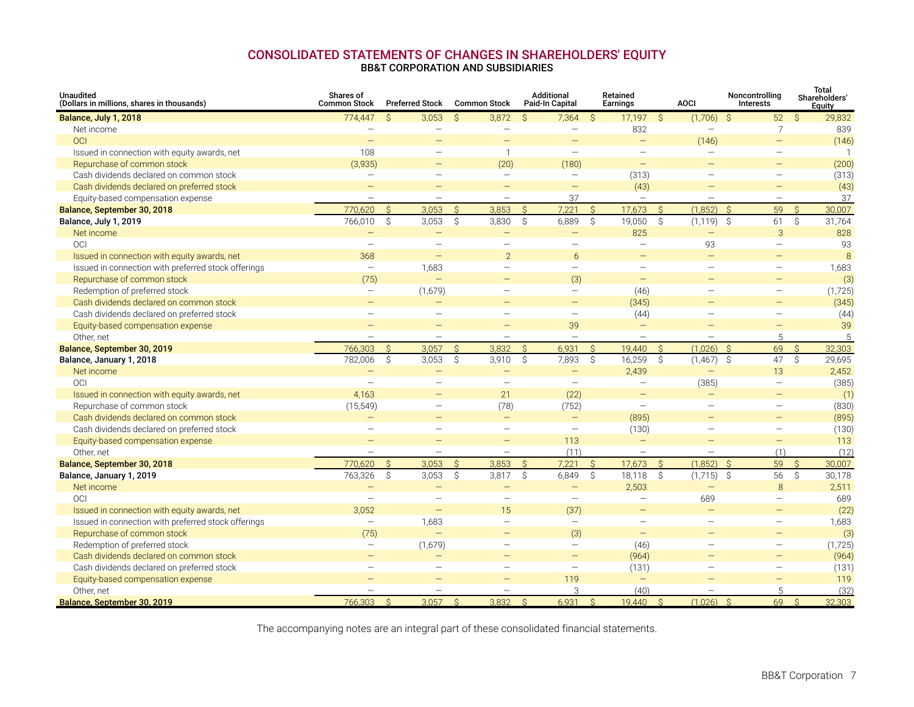#### **CONSOLIDATED STATEMENTS OF CHANGES IN SHAREHOLDERS' EQUITY BB&T CORPORATION AND SUBSIDIARIES**

<span id="page-8-0"></span>

| <b>Unaudited</b><br>(Dollars in millions, shares in thousands) | Shares of<br><b>Common Stock</b> |               | <b>Preferred Stock</b>   | <b>Common Stock</b> |                          |               | <b>Additional</b><br>Paid-In Capital |               | Retained<br><b>Earnings</b> |               | <b>AOCI</b>              | Noncontrolling<br>Interests |                    | Total<br>Shareholders'<br>Equity |
|----------------------------------------------------------------|----------------------------------|---------------|--------------------------|---------------------|--------------------------|---------------|--------------------------------------|---------------|-----------------------------|---------------|--------------------------|-----------------------------|--------------------|----------------------------------|
| Balance, July 1, 2018                                          | 774,447                          | $\mathcal{S}$ | 3,053                    | S.                  | 3,872                    | $\mathcal{S}$ | 7,364                                | S.            | 17,197                      | S.            | $(1,706)$ \$             | 52                          | S.                 | 29,832                           |
| Net income                                                     | $\overline{\phantom{0}}$         |               |                          |                     | $\overline{\phantom{m}}$ |               | $\overline{\phantom{0}}$             |               | 832                         |               | $\overline{\phantom{0}}$ | $\overline{7}$              |                    | 839                              |
| OCI                                                            | $\qquad \qquad -$                |               |                          |                     | $\qquad \qquad -$        |               |                                      |               | $\overline{\phantom{m}}$    |               | (146)                    | $\overline{\phantom{m}}$    |                    | (146)                            |
| Issued in connection with equity awards, net                   | 108                              |               | $\equiv$                 |                     | $\mathbf{1}$             |               | $\overline{\phantom{0}}$             |               | $\overline{\phantom{m}}$    |               | $\equiv$                 | $\sim$                      |                    | $\overline{1}$                   |
| Repurchase of common stock                                     | (3,935)                          |               | $=$                      |                     | (20)                     |               | (180)                                |               | $\overline{\phantom{m}}$    |               | $=$                      | $\equiv$                    |                    | (200)                            |
| Cash dividends declared on common stock                        | $\overline{\phantom{m}}$         |               | $\equiv$                 |                     | $\overline{\phantom{m}}$ |               |                                      |               | (313)                       |               | $\equiv$                 | $\overline{\phantom{m}}$    |                    | (313)                            |
| Cash dividends declared on preferred stock                     | $\equiv$                         |               | $\overline{\phantom{0}}$ |                     | $\equiv$                 |               | $\equiv$                             |               | (43)                        |               | $\equiv$                 | $\equiv$                    |                    | (43)                             |
| Equity-based compensation expense                              | $\overline{\phantom{m}}$         |               | $\overline{\phantom{m}}$ |                     | $\overline{\phantom{m}}$ |               | 37                                   |               |                             |               | $\overline{\phantom{0}}$ | $\equiv$                    |                    | 37                               |
| Balance, September 30, 2018                                    | 770.620                          | $\mathcal{S}$ | 3.053                    | $\mathcal{S}$       | 3.853                    | $\mathcal{S}$ | 7.221                                | $\mathcal{S}$ | 17.673                      | $\mathcal{S}$ | (1.852)                  | $\mathcal{S}$<br>59         | $\mathcal{S}$      | 30.007                           |
| Balance, July 1, 2019                                          | 766,010                          | Ŝ.            | 3,053                    | S.                  | 3,830                    | Ŝ.            | 6,889                                | $\hat{S}$     | 19,050                      | Ŝ.            | $(1, 119)$ \$            | 61                          | \$                 | 31,764                           |
| Net income                                                     |                                  |               |                          |                     |                          |               |                                      |               | 825                         |               | $\qquad \qquad -$        | 3                           |                    | 828                              |
| <b>OCI</b>                                                     | $\equiv$                         |               | $\overline{\phantom{0}}$ |                     | $\overline{\phantom{0}}$ |               | $\equiv$                             |               | $\overline{\phantom{a}}$    |               | 93                       | $\sim$                      |                    | 93                               |
| Issued in connection with equity awards, net                   | 368                              |               | $\equiv$                 |                     | $\overline{2}$           |               | 6                                    |               | $\overline{\phantom{m}}$    |               | $\equiv$                 | $\qquad \qquad -$           |                    | $\mathcal{B}$                    |
| Issued in connection with preferred stock offerings            | $\overline{\phantom{m}}$         |               | 1,683                    |                     | $\overline{\phantom{m}}$ |               | $\overline{\phantom{0}}$             |               | $\overline{\phantom{m}}$    |               | $\overline{\phantom{0}}$ | $\overline{\phantom{m}}$    |                    | 1,683                            |
| Repurchase of common stock                                     | (75)                             |               |                          |                     |                          |               | (3)                                  |               | $\frac{1}{2}$               |               |                          | $\overline{\phantom{m}}$    |                    | (3)                              |
| Redemption of preferred stock                                  | $\overline{\phantom{m}}$         |               | (1,679)                  |                     | $\overline{\phantom{m}}$ |               |                                      |               | (46)                        |               | $\overline{\phantom{0}}$ | $\overline{\phantom{m}}$    |                    | (1,725)                          |
| Cash dividends declared on common stock                        |                                  |               |                          |                     |                          |               | $\qquad \qquad -$                    |               | (345)                       |               |                          | $\overline{\phantom{m}}$    |                    | (345)                            |
| Cash dividends declared on preferred stock                     | $\equiv$                         |               | $\equiv$                 |                     | $\qquad \qquad -$        |               | $\overline{\phantom{m}}$             |               | (44)                        |               | $\equiv$                 | $\sim$                      |                    | (44)                             |
| Equity-based compensation expense                              | $\qquad \qquad -$                |               | $\equiv$                 |                     | $\equiv$                 |               | 39                                   |               | $\overline{\phantom{m}}$    |               | $=$                      | $\equiv$                    |                    | 39                               |
| Other, net                                                     |                                  |               |                          |                     |                          |               |                                      |               |                             |               | $\overline{\phantom{0}}$ | 5                           |                    | 5                                |
| Balance, September 30, 2019                                    | 766,303                          | $\mathsf{S}$  | 3,057                    | $\mathcal{S}$       | 3.832                    | $\hat{S}$     | 6.931                                | $\mathsf{S}$  | 19,440                      | $\mathsf{S}$  | (1,026)                  | $\mathcal{S}$<br>69         | $\mathsf{S}$       | 32,303                           |
| Balance, January 1, 2018                                       | 782,006                          | Ŝ.            | 3,053                    | S.                  | 3,910                    | Ŝ.            | 7,893                                | \$            | 16,259                      | Ŝ.            | $(1,467)$ \$             | 47                          | \$                 | 29,695                           |
| Net income                                                     |                                  |               |                          |                     |                          |               |                                      |               | 2,439                       |               | $\equiv$                 | 13                          |                    | 2,452                            |
| <b>OCI</b>                                                     | $\sim$                           |               | $\equiv$                 |                     | $\overline{\phantom{m}}$ |               | $\equiv$                             |               | $\overline{\phantom{m}}$    |               | (385)                    | $\overline{\phantom{m}}$    |                    | (385)                            |
| Issued in connection with equity awards, net                   | 4,163                            |               |                          |                     | 21                       |               | (22)                                 |               | $\qquad \qquad -$           |               | $\qquad \qquad$          |                             |                    | (1)                              |
| Repurchase of common stock                                     | (15, 549)                        |               |                          |                     | (78)                     |               | (752)                                |               | $\overline{\phantom{m}}$    |               | $\equiv$                 | $\overline{\phantom{m}}$    |                    | (830)                            |
| Cash dividends declared on common stock                        |                                  |               | $\equiv$                 |                     | $\overline{\phantom{m}}$ |               | $\qquad \qquad -$                    |               | (895)                       |               | $=$                      | $\qquad \qquad -$           |                    | (895)                            |
| Cash dividends declared on preferred stock                     | $\overline{\phantom{0}}$         |               | $\qquad \qquad -$        |                     | $\overline{\phantom{m}}$ |               | $\equiv$                             |               | (130)                       |               | $\overline{\phantom{0}}$ | $\overline{\phantom{m}}$    |                    | (130)                            |
| Equity-based compensation expense                              | $\equiv$                         |               | $\qquad \qquad$          |                     | $\overline{\phantom{m}}$ |               | 113                                  |               |                             |               | $\equiv$                 | $\qquad \qquad -$           |                    | 113                              |
| Other, net                                                     | $\overline{\phantom{m}}$         |               | $\overline{\phantom{m}}$ |                     | $\overline{\phantom{m}}$ |               | (11)                                 |               | $\overline{\phantom{m}}$    |               | $\equiv$                 | (1)                         |                    | (12)                             |
| Balance, September 30, 2018                                    | 770.620                          | $\mathcal{S}$ | 3.053                    | $\mathcal{S}$       | 3,853                    | $\mathcal{S}$ | 7.221                                | $\mathcal{S}$ | 17.673                      | $\mathcal{S}$ | (1,852)                  | $\mathcal{S}$<br>59         | $\mathcal{S}$      | 30,007                           |
| Balance, January 1, 2019                                       | 763,326                          | Ŝ.            | 3,053                    | S.                  | 3,817                    | Ŝ.            | 6,849                                | \$            | 18,118                      | Ŝ.            | $(1,715)$ \$             | 56                          | Ŝ.                 | 30,178                           |
| Net income                                                     |                                  |               |                          |                     |                          |               | —                                    |               | 2,503                       |               |                          | 8                           |                    | 2,511                            |
| OCI                                                            | $\overline{\phantom{m}}$         |               | $\equiv$                 |                     | $\overline{\phantom{m}}$ |               | $\overline{\phantom{0}}$             |               | $\overline{\phantom{m}}$    |               | 689                      | $\overline{\phantom{m}}$    |                    | 689                              |
| Issued in connection with equity awards, net                   | 3,052                            |               | $\qquad \qquad -$        |                     | 15                       |               | (37)                                 |               | $\overline{\phantom{m}}$    |               | $\equiv$                 | $\overline{\phantom{m}}$    |                    | (22)                             |
| Issued in connection with preferred stock offerings            | $\overline{\phantom{m}}$         |               | 1,683                    |                     | $\overline{\phantom{m}}$ |               | $\overline{\phantom{m}}$             |               | $\overline{\phantom{m}}$    |               | $\overline{\phantom{0}}$ | $\overline{\phantom{m}}$    |                    | 1,683                            |
| Repurchase of common stock                                     | (75)                             |               | $\equiv$                 |                     | $=$                      |               | (3)                                  |               | $\overline{\phantom{m}}$    |               |                          | $\overline{\phantom{a}}$    |                    | (3)                              |
| Redemption of preferred stock                                  | $\overline{\phantom{m}}$         |               | (1,679)                  |                     | $\overline{\phantom{0}}$ |               | $\overline{\phantom{0}}$             |               | (46)                        |               | $\equiv$                 | $\sim$                      |                    | (1,725)                          |
| Cash dividends declared on common stock                        | $\overline{\phantom{m}}$         |               |                          |                     |                          |               | $\qquad \qquad -$                    |               | (964)                       |               |                          | $\overline{\phantom{m}}$    |                    | (964)                            |
| Cash dividends declared on preferred stock                     | $\overline{\phantom{m}}$         |               | $\equiv$                 |                     | $\overline{\phantom{m}}$ |               | $\equiv$                             |               | (131)                       |               | $\overline{\phantom{0}}$ | $\overline{\phantom{m}}$    |                    | (131)                            |
| Equity-based compensation expense                              |                                  |               |                          |                     | $\equiv$                 |               | 119                                  |               |                             |               |                          | $\equiv$                    |                    | 119                              |
| Other, net                                                     | $\overline{\phantom{0}}$         |               | $\overline{\phantom{0}}$ |                     | $\overline{\phantom{m}}$ |               | 3                                    |               | (40)                        |               | $\overline{\phantom{0}}$ | 5                           |                    | (32)                             |
| Balance. September 30, 2019                                    | 766,303                          | $\hat{S}$     | 3.057                    | $\hat{S}$           | 3.832                    | $\mathcal{S}$ | 6.931                                | $\mathcal{S}$ | 19.440                      | $\hat{S}$     | $(1.026)$ \$             | 69                          | $\hat{\mathbf{S}}$ | 32.303                           |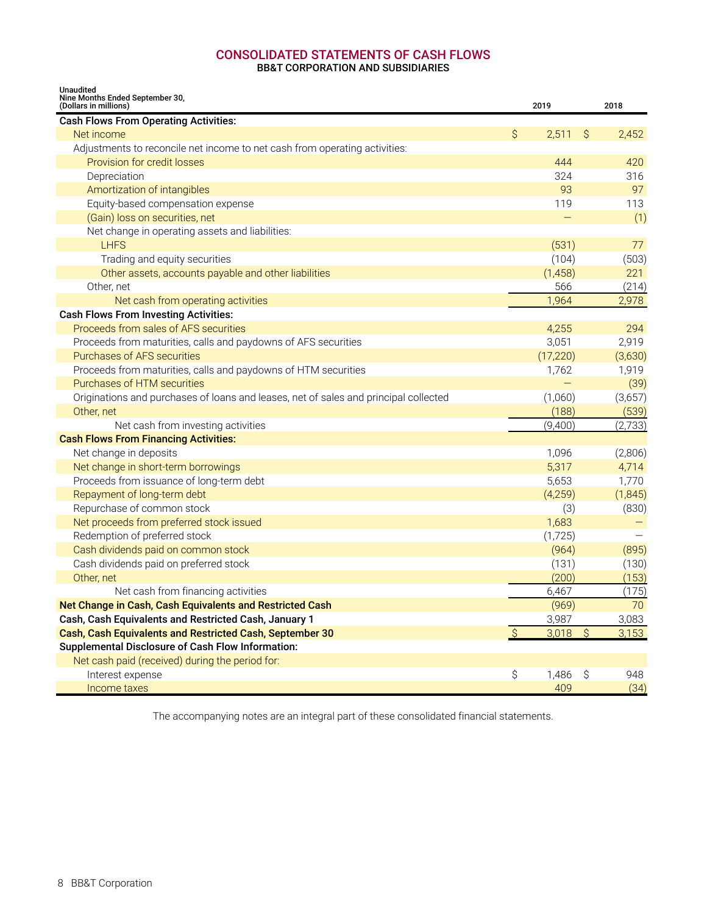## **CONSOLIDATED STATEMENTS OF CASH FLOWS**

**BB&T CORPORATION AND SUBSIDIARIES**

<span id="page-9-0"></span>

| <b>Unaudited</b><br>Nine Months Ended September 30,<br>(Dollars in millions)         |               | 2019      |                     | 2018     |
|--------------------------------------------------------------------------------------|---------------|-----------|---------------------|----------|
| <b>Cash Flows From Operating Activities:</b>                                         |               |           |                     |          |
| Net income                                                                           | Ŝ             | 2,511     | -Ŝ                  | 2,452    |
| Adjustments to reconcile net income to net cash from operating activities:           |               |           |                     |          |
| Provision for credit losses                                                          |               | 444       |                     | 420      |
| Depreciation                                                                         |               | 324       |                     | 316      |
| Amortization of intangibles                                                          |               | 93        |                     | 97       |
| Equity-based compensation expense                                                    |               | 119       |                     | 113      |
| (Gain) loss on securities, net                                                       |               |           |                     | (1)      |
| Net change in operating assets and liabilities:                                      |               |           |                     |          |
| <b>LHFS</b>                                                                          |               | (531)     |                     | 77       |
| Trading and equity securities                                                        |               | (104)     |                     | (503)    |
| Other assets, accounts payable and other liabilities                                 |               | (1,458)   |                     | 221      |
| Other, net                                                                           |               | 566       |                     | (214)    |
| Net cash from operating activities                                                   |               | 1,964     |                     | 2,978    |
| <b>Cash Flows From Investing Activities:</b>                                         |               |           |                     |          |
| Proceeds from sales of AFS securities                                                |               | 4,255     |                     | 294      |
| Proceeds from maturities, calls and paydowns of AFS securities                       |               | 3,051     |                     | 2,919    |
| Purchases of AFS securities                                                          |               | (17, 220) |                     | (3,630)  |
| Proceeds from maturities, calls and paydowns of HTM securities                       |               | 1,762     |                     | 1,919    |
| Purchases of HTM securities                                                          |               |           |                     | (39)     |
| Originations and purchases of loans and leases, net of sales and principal collected |               | (1,060)   |                     | (3,657)  |
| Other, net                                                                           |               | (188)     |                     | (539)    |
| Net cash from investing activities                                                   |               | (9,400)   |                     | (2,733)  |
| <b>Cash Flows From Financing Activities:</b>                                         |               |           |                     |          |
| Net change in deposits                                                               |               | 1,096     |                     | (2,806)  |
| Net change in short-term borrowings                                                  |               | 5,317     |                     | 4,714    |
| Proceeds from issuance of long-term debt                                             |               | 5,653     |                     | 1,770    |
| Repayment of long-term debt                                                          |               | (4,259)   |                     | (1, 845) |
| Repurchase of common stock                                                           |               | (3)       |                     | (830)    |
| Net proceeds from preferred stock issued                                             |               | 1,683     |                     |          |
| Redemption of preferred stock                                                        |               | (1,725)   |                     |          |
| Cash dividends paid on common stock                                                  |               | (964)     |                     | (895)    |
| Cash dividends paid on preferred stock                                               |               | (131)     |                     | (130)    |
| Other, net                                                                           |               | (200)     |                     | (153)    |
| Net cash from financing activities                                                   |               | 6,467     |                     | (175)    |
| Net Change in Cash, Cash Equivalents and Restricted Cash                             |               | (969)     |                     | 70       |
| Cash, Cash Equivalents and Restricted Cash, January 1                                |               | 3,987     |                     | 3,083    |
| Cash, Cash Equivalents and Restricted Cash, September 30                             | $\mathcal{S}$ | 3,018     | $\ddot{\mathsf{S}}$ | 3,153    |
| <b>Supplemental Disclosure of Cash Flow Information:</b>                             |               |           |                     |          |
| Net cash paid (received) during the period for:                                      |               |           |                     |          |
| Interest expense                                                                     | \$            | 1,486     | $\mathcal{S}$       | 948      |
| Income taxes                                                                         |               | 409       |                     | (34)     |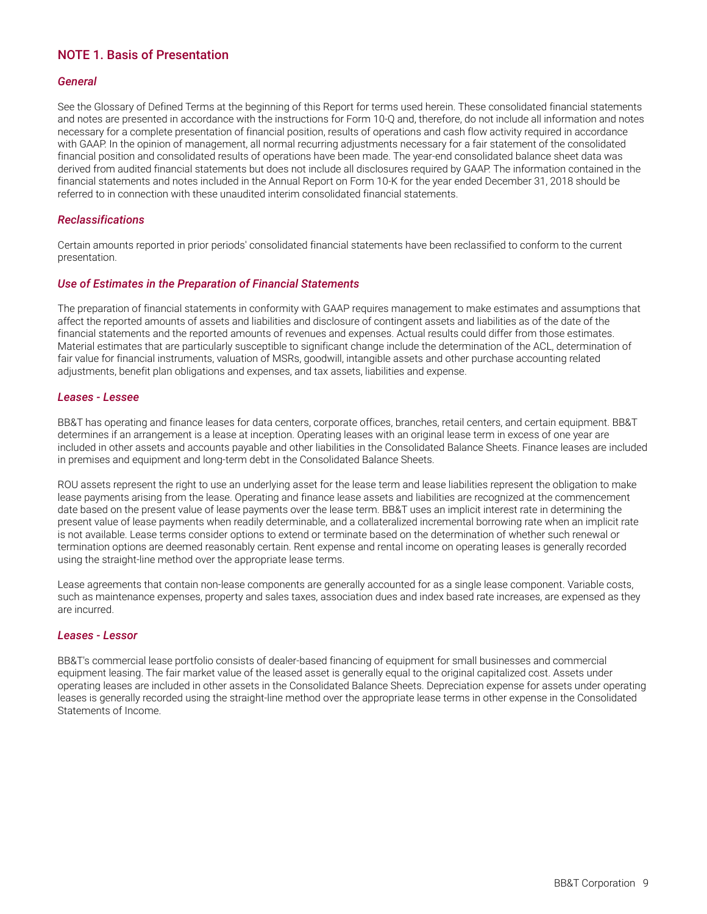### <span id="page-10-0"></span>**NOTE 1. Basis of Presentation**

#### *General*

See the Glossary of Defined Terms at the beginning of this Report for terms used herein. These consolidated financial statements and notes are presented in accordance with the instructions for Form 10-Q and, therefore, do not include all information and notes necessary for a complete presentation of financial position, results of operations and cash flow activity required in accordance with GAAP. In the opinion of management, all normal recurring adjustments necessary for a fair statement of the consolidated financial position and consolidated results of operations have been made. The year-end consolidated balance sheet data was derived from audited financial statements but does not include all disclosures required by GAAP. The information contained in the financial statements and notes included in the Annual Report on Form 10-K for the year ended December 31, 2018 should be referred to in connection with these unaudited interim consolidated financial statements.

#### *Reclassifications*

Certain amounts reported in prior periods' consolidated financial statements have been reclassified to conform to the current presentation.

#### *Use of Estimates in the Preparation of Financial Statements*

The preparation of financial statements in conformity with GAAP requires management to make estimates and assumptions that affect the reported amounts of assets and liabilities and disclosure of contingent assets and liabilities as of the date of the financial statements and the reported amounts of revenues and expenses. Actual results could differ from those estimates. Material estimates that are particularly susceptible to significant change include the determination of the ACL, determination of fair value for financial instruments, valuation of MSRs, goodwill, intangible assets and other purchase accounting related adjustments, benefit plan obligations and expenses, and tax assets, liabilities and expense.

#### *Leases - Lessee*

BB&T has operating and finance leases for data centers, corporate offices, branches, retail centers, and certain equipment. BB&T determines if an arrangement is a lease at inception. Operating leases with an original lease term in excess of one year are included in other assets and accounts payable and other liabilities in the Consolidated Balance Sheets. Finance leases are included in premises and equipment and long-term debt in the Consolidated Balance Sheets.

ROU assets represent the right to use an underlying asset for the lease term and lease liabilities represent the obligation to make lease payments arising from the lease. Operating and finance lease assets and liabilities are recognized at the commencement date based on the present value of lease payments over the lease term. BB&T uses an implicit interest rate in determining the present value of lease payments when readily determinable, and a collateralized incremental borrowing rate when an implicit rate is not available. Lease terms consider options to extend or terminate based on the determination of whether such renewal or termination options are deemed reasonably certain. Rent expense and rental income on operating leases is generally recorded using the straight-line method over the appropriate lease terms.

Lease agreements that contain non-lease components are generally accounted for as a single lease component. Variable costs, such as maintenance expenses, property and sales taxes, association dues and index based rate increases, are expensed as they are incurred.

#### *Leases - Lessor*

BB&T's commercial lease portfolio consists of dealer-based financing of equipment for small businesses and commercial equipment leasing. The fair market value of the leased asset is generally equal to the original capitalized cost. Assets under operating leases are included in other assets in the Consolidated Balance Sheets. Depreciation expense for assets under operating leases is generally recorded using the straight-line method over the appropriate lease terms in other expense in the Consolidated Statements of Income.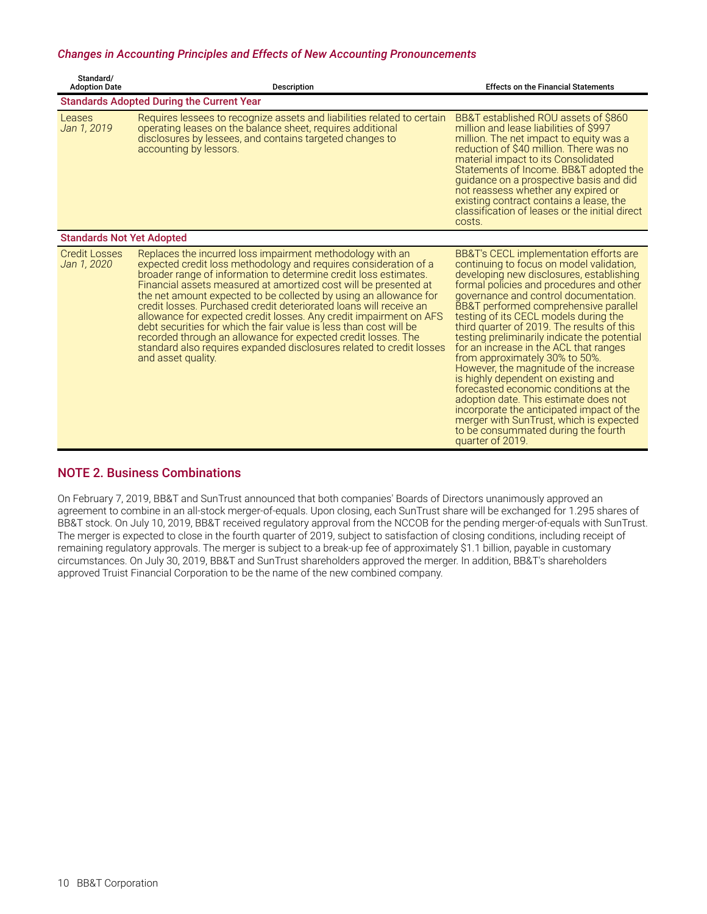#### <span id="page-11-0"></span>*Changes in Accounting Principles and Effects of New Accounting Pronouncements*

| Standard/<br><b>Adoption Date</b>   | Description                                                                                                                                                                                                                                                                                                                                                                                                                                                                                                                                                                                                                                                                                                                 | <b>Effects on the Financial Statements</b>                                                                                                                                                                                                                                                                                                                                                                                                                                                                                                                                                                                                                                                                                                                                                            |
|-------------------------------------|-----------------------------------------------------------------------------------------------------------------------------------------------------------------------------------------------------------------------------------------------------------------------------------------------------------------------------------------------------------------------------------------------------------------------------------------------------------------------------------------------------------------------------------------------------------------------------------------------------------------------------------------------------------------------------------------------------------------------------|-------------------------------------------------------------------------------------------------------------------------------------------------------------------------------------------------------------------------------------------------------------------------------------------------------------------------------------------------------------------------------------------------------------------------------------------------------------------------------------------------------------------------------------------------------------------------------------------------------------------------------------------------------------------------------------------------------------------------------------------------------------------------------------------------------|
|                                     | <b>Standards Adopted During the Current Year</b>                                                                                                                                                                                                                                                                                                                                                                                                                                                                                                                                                                                                                                                                            |                                                                                                                                                                                                                                                                                                                                                                                                                                                                                                                                                                                                                                                                                                                                                                                                       |
| Leases<br>Jan 1, 2019               | Requires lessees to recognize assets and liabilities related to certain<br>operating leases on the balance sheet, requires additional<br>disclosures by lessees, and contains targeted changes to<br>accounting by lessors.                                                                                                                                                                                                                                                                                                                                                                                                                                                                                                 | BB&T established ROU assets of \$860<br>million and lease liabilities of \$997<br>million. The net impact to equity was a<br>reduction of \$40 million. There was no<br>material impact to its Consolidated<br>Statements of Income. BB&T adopted the<br>quidance on a prospective basis and did<br>not reassess whether any expired or<br>existing contract contains a lease, the<br>classification of leases or the initial direct<br>costs.                                                                                                                                                                                                                                                                                                                                                        |
| <b>Standards Not Yet Adopted</b>    |                                                                                                                                                                                                                                                                                                                                                                                                                                                                                                                                                                                                                                                                                                                             |                                                                                                                                                                                                                                                                                                                                                                                                                                                                                                                                                                                                                                                                                                                                                                                                       |
| <b>Credit Losses</b><br>Jan 1, 2020 | Replaces the incurred loss impairment methodology with an<br>expected credit loss methodology and requires consideration of a<br>broader range of information to determine credit loss estimates.<br>Financial assets measured at amortized cost will be presented at<br>the net amount expected to be collected by using an allowance for<br>credit losses. Purchased credit deteriorated loans will receive an<br>allowance for expected credit losses. Any credit impairment on AFS<br>debt securities for which the fair value is less than cost will be<br>recorded through an allowance for expected credit losses. The<br>standard also requires expanded disclosures related to credit losses<br>and asset quality. | BB&T's CECL implementation efforts are<br>continuing to focus on model validation.<br>developing new disclosures, establishing<br>formal policies and procedures and other<br>governance and control documentation.<br>BB&T performed comprehensive parallel<br>testing of its CECL models during the<br>third quarter of 2019. The results of this<br>testing preliminarily indicate the potential<br>for an increase in the ACL that ranges<br>from approximately 30% to 50%.<br>However, the magnitude of the increase<br>is highly dependent on existing and<br>forecasted economic conditions at the<br>adoption date. This estimate does not<br>incorporate the anticipated impact of the<br>merger with SunTrust, which is expected<br>to be consummated during the fourth<br>quarter of 2019. |

### **NOTE 2. Business Combinations**

On February 7, 2019, BB&T and SunTrust announced that both companies' Boards of Directors unanimously approved an agreement to combine in an all-stock merger-of-equals. Upon closing, each SunTrust share will be exchanged for 1.295 shares of BB&T stock. On July 10, 2019, BB&T received regulatory approval from the NCCOB for the pending merger-of-equals with SunTrust. The merger is expected to close in the fourth quarter of 2019, subject to satisfaction of closing conditions, including receipt of remaining regulatory approvals. The merger is subject to a break-up fee of approximately \$1.1 billion, payable in customary circumstances. On July 30, 2019, BB&T and SunTrust shareholders approved the merger. In addition, BB&T's shareholders approved Truist Financial Corporation to be the name of the new combined company.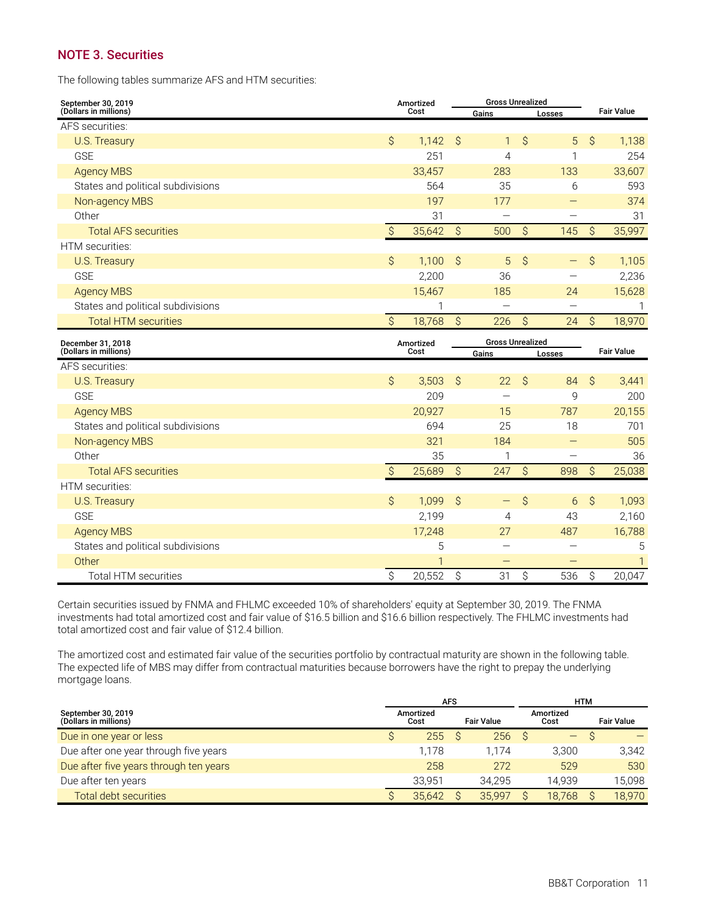### <span id="page-12-0"></span>**NOTE 3. Securities**

The following tables summarize AFS and HTM securities:

| September 30, 2019                |                     | Amortized    |                     | <b>Gross Unrealized</b>  |                     |                          |                     |                   |  |
|-----------------------------------|---------------------|--------------|---------------------|--------------------------|---------------------|--------------------------|---------------------|-------------------|--|
| (Dollars in millions)             |                     | Cost         |                     | Gains                    |                     | Losses                   | <b>Fair Value</b>   |                   |  |
| AFS securities:                   |                     |              |                     |                          |                     |                          |                     |                   |  |
| U.S. Treasury                     | \$                  | 1,142        | Ŝ                   | $\mathbf{1}$             | \$                  | 5                        | $\hat{S}$           | 1,138             |  |
| <b>GSE</b>                        |                     | 251          |                     | 4                        |                     | 1                        |                     | 254               |  |
| <b>Agency MBS</b>                 |                     | 33,457       |                     | 283                      |                     | 133                      |                     | 33,607            |  |
| States and political subdivisions |                     | 564          |                     | 35                       |                     | 6                        |                     | 593               |  |
| Non-agency MBS                    |                     | 197          |                     | 177                      |                     |                          |                     | 374               |  |
| Other                             |                     | 31           |                     |                          |                     | -                        |                     | 31                |  |
| <b>Total AFS securities</b>       | $\mathcal{S}$       | 35,642       | $\mathcal{S}$       | 500                      | \$                  | 145                      | \$                  | 35,997            |  |
| HTM securities:                   |                     |              |                     |                          |                     |                          |                     |                   |  |
| U.S. Treasury                     | \$                  | 1,100        | Ŝ                   | $\overline{5}$           | $\hat{S}$           |                          | \$                  | 1,105             |  |
| <b>GSE</b>                        |                     | 2,200        |                     | 36                       |                     | $\overline{\phantom{0}}$ |                     | 2,236             |  |
| <b>Agency MBS</b>                 |                     | 15,467       |                     | 185                      |                     | 24                       |                     | 15,628            |  |
| States and political subdivisions |                     | 1            |                     | $\overline{\phantom{0}}$ |                     |                          |                     | 1                 |  |
| <b>Total HTM securities</b>       | $\hat{S}$           | 18,768       | $\hat{S}$           | 226                      | $\hat{S}$           | 24                       | $\hat{S}$           | 18,970            |  |
|                                   |                     |              |                     |                          |                     |                          |                     |                   |  |
| December 31, 2018                 |                     | Amortized    |                     | <b>Gross Unrealized</b>  |                     |                          |                     |                   |  |
| (Dollars in millions)             |                     | Cost         |                     | Gains                    |                     | Losses                   |                     | <b>Fair Value</b> |  |
| AFS securities:                   |                     |              |                     |                          |                     |                          |                     |                   |  |
| <b>U.S. Treasury</b>              | \$                  | 3,503        | $\hat{\mathcal{S}}$ | 22                       | \$                  | 84                       | \$                  | 3,441             |  |
| <b>GSE</b>                        |                     | 209          |                     |                          |                     | 9                        |                     | 200               |  |
| <b>Agency MBS</b>                 |                     | 20,927       |                     | 15                       |                     | 787                      |                     | 20,155            |  |
| States and political subdivisions |                     | 694          |                     | 25                       |                     | 18                       |                     | 701               |  |
| Non-agency MBS                    |                     | 321          |                     | 184                      |                     |                          |                     | 505               |  |
| Other                             |                     | 35           |                     | 1                        |                     |                          |                     | 36                |  |
| <b>Total AFS securities</b>       | $\hat{\mathcal{S}}$ | 25,689       | $\hat{S}$           | 247                      | $\hat{\mathcal{S}}$ | 898                      | $\hat{\mathcal{S}}$ | 25,038            |  |
| HTM securities:                   |                     |              |                     |                          |                     |                          |                     |                   |  |
| U.S. Treasury                     | \$                  | 1,099        | $\mathsf{S}$        | $\qquad \qquad -$        | \$                  | 6                        | \$                  | 1,093             |  |
| <b>GSE</b>                        |                     | 2,199        |                     | 4                        |                     | 43                       |                     | 2,160             |  |
| <b>Agency MBS</b>                 |                     | 17,248       |                     | 27                       |                     | 487                      |                     | 16,788            |  |
| States and political subdivisions |                     | 5            |                     | $\overline{\phantom{0}}$ |                     |                          |                     | 5                 |  |
| Other                             |                     | $\mathbf{1}$ |                     |                          |                     |                          |                     | $\mathbf{1}$      |  |

Certain securities issued by FNMA and FHLMC exceeded 10% of shareholders' equity at September 30, 2019. The FNMA investments had total amortized cost and fair value of \$16.5 billion and \$16.6 billion respectively. The FHLMC investments had total amortized cost and fair value of \$12.4 billion.

The amortized cost and estimated fair value of the securities portfolio by contractual maturity are shown in the following table. The expected life of MBS may differ from contractual maturities because borrowers have the right to prepay the underlying mortgage loans.

|                                             |                   | <b>AFS</b> |                   | <b>HTM</b>        |                   |
|---------------------------------------------|-------------------|------------|-------------------|-------------------|-------------------|
| September 30, 2019<br>(Dollars in millions) | Amortized<br>Cost |            | <b>Fair Value</b> | Amortized<br>Cost | <b>Fair Value</b> |
| Due in one year or less                     | 255               |            | 256               | —                 |                   |
| Due after one year through five years       | 1.178             |            | 1.174             | 3,300             | 3,342             |
| Due after five years through ten years      | 258               |            | 272               | 529               | 530               |
| Due after ten years                         | 33.951            |            | 34.295            | 14.939            | 15.098            |
| Total debt securities                       | 35.642            |            | 35.997            | 18.768            | 18.970            |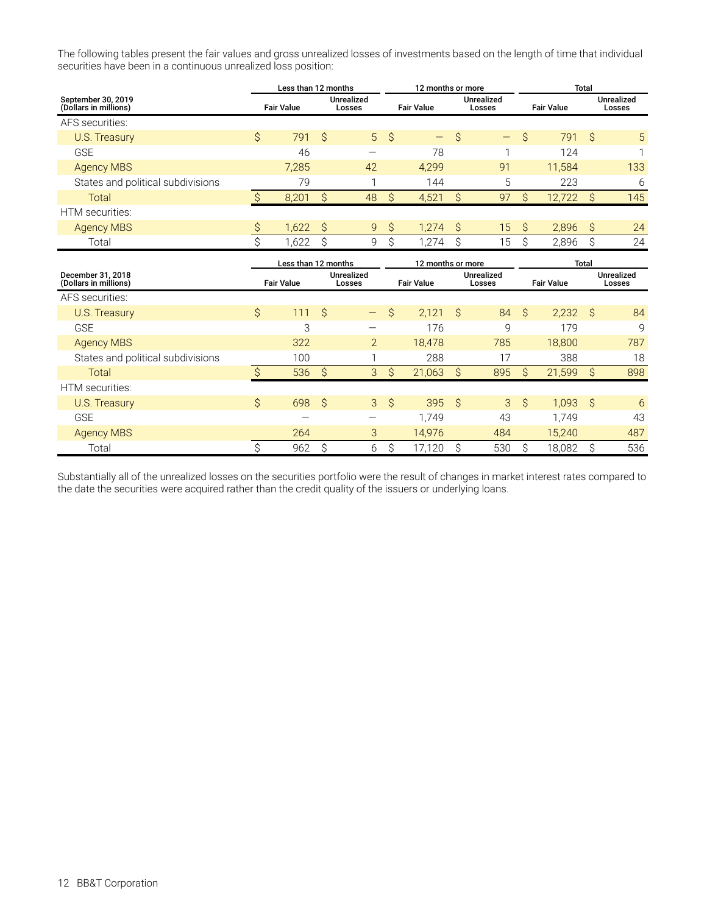The following tables present the fair values and gross unrealized losses of investments based on the length of time that individual securities have been in a continuous unrealized loss position:

|                                             | Less than 12 months |                   |     |                             |                   | 12 months or more |                             |                   | <b>Total</b>      |        |    |                      |  |
|---------------------------------------------|---------------------|-------------------|-----|-----------------------------|-------------------|-------------------|-----------------------------|-------------------|-------------------|--------|----|----------------------|--|
| September 30, 2019<br>(Dollars in millions) |                     | <b>Fair Value</b> |     | <b>Unrealized</b><br>Losses | <b>Fair Value</b> |                   | <b>Unrealized</b><br>Losses |                   | <b>Fair Value</b> |        |    | Unrealized<br>Losses |  |
| AFS securities:                             |                     |                   |     |                             |                   |                   |                             |                   |                   |        |    |                      |  |
| <b>U.S. Treasury</b>                        | Ŝ                   | 791               | - S |                             | $5 \quad$         | $\equiv$          | S                           | $\qquad \qquad -$ | S                 | 791    | -Ŝ | 5                    |  |
| <b>GSE</b>                                  |                     | 46                |     |                             |                   | 78                |                             |                   |                   | 124    |    |                      |  |
| <b>Agency MBS</b>                           |                     | 7,285             |     | 42                          |                   | 4,299             |                             | 91                |                   | 11,584 |    | 133                  |  |
| States and political subdivisions           |                     | 79                |     |                             |                   | 144               |                             | 5                 |                   | 223    |    | 6                    |  |
| <b>Total</b>                                |                     | 8,201             | Ŝ.  | 48                          | S.                | 4,521             |                             | 97                |                   | 12,722 | S  | 145                  |  |
| HTM securities:                             |                     |                   |     |                             |                   |                   |                             |                   |                   |        |    |                      |  |
| <b>Agency MBS</b>                           | \$.                 | 1,622             | ∣ S | 9                           | Ŝ                 | 1.274             | -Ŝ                          | 15                | -Ŝ                | 2.896  | S. | 24                   |  |
| Total                                       |                     | 1,622             |     | 9                           | ⌒                 | 1,274             |                             | 15                |                   | 2,896  | S  | 24                   |  |

|                                            | Less than 12 months |                   |     |                          | 12 months or more |                             |                   | <b>Total</b>   |    |                             |     |                   |                             |  |
|--------------------------------------------|---------------------|-------------------|-----|--------------------------|-------------------|-----------------------------|-------------------|----------------|----|-----------------------------|-----|-------------------|-----------------------------|--|
| December 31, 2018<br>(Dollars in millions) |                     | <b>Fair Value</b> |     |                          |                   | <b>Unrealized</b><br>Losses | <b>Fair Value</b> |                |    | <b>Unrealized</b><br>Losses |     | <b>Fair Value</b> | <b>Unrealized</b><br>Losses |  |
| AFS securities:                            |                     |                   |     |                          |                   |                             |                   |                |    |                             |     |                   |                             |  |
| U.S. Treasury                              | $\mathsf{S}$        | 111               | S S | $\overline{\phantom{m}}$ | $\mathsf{S}$      | 2,121                       | - Ŝ               | 84             | Ŝ. | 2,232                       | S.  | 84                |                             |  |
| <b>GSE</b>                                 |                     | 3                 |     |                          |                   | 176                         |                   | $\mathsf{Q}$   |    | 179                         |     | 9                 |                             |  |
| <b>Agency MBS</b>                          |                     | 322               |     | $2^{\circ}$              |                   | 18,478                      |                   | 785            |    | 18,800                      |     | 787               |                             |  |
| States and political subdivisions          |                     | 100               |     |                          |                   | 288                         |                   | 17             |    | 388                         |     | 18                |                             |  |
| Total                                      |                     | 536               | S.  | 3                        | Ŝ                 | 21,063                      | <sub>S</sub>      | 895            | S  | 21,599                      | S   | 898               |                             |  |
| HTM securities:                            |                     |                   |     |                          |                   |                             |                   |                |    |                             |     |                   |                             |  |
| U.S. Treasury                              | \$                  | 698 <sup>°</sup>  |     | $\mathbf{3}$             | $\mathcal{S}$     | 395S                        |                   | 3 <sup>1</sup> | Ŝ. | 1.093                       | - S | 6                 |                             |  |
| <b>GSE</b>                                 |                     | -                 |     | —                        |                   | 1.749                       |                   | 43             |    | 1.749                       |     | 43                |                             |  |
| <b>Agency MBS</b>                          |                     | 264               |     | 3                        |                   | 14.976                      |                   | 484            |    | 15,240                      |     | 487               |                             |  |
| Total                                      |                     | 962               | Ŝ   | 6                        | Ŝ                 | 17.120                      |                   | 530            |    | 18.082                      | Ŝ   | 536               |                             |  |

Substantially all of the unrealized losses on the securities portfolio were the result of changes in market interest rates compared to the date the securities were acquired rather than the credit quality of the issuers or underlying loans.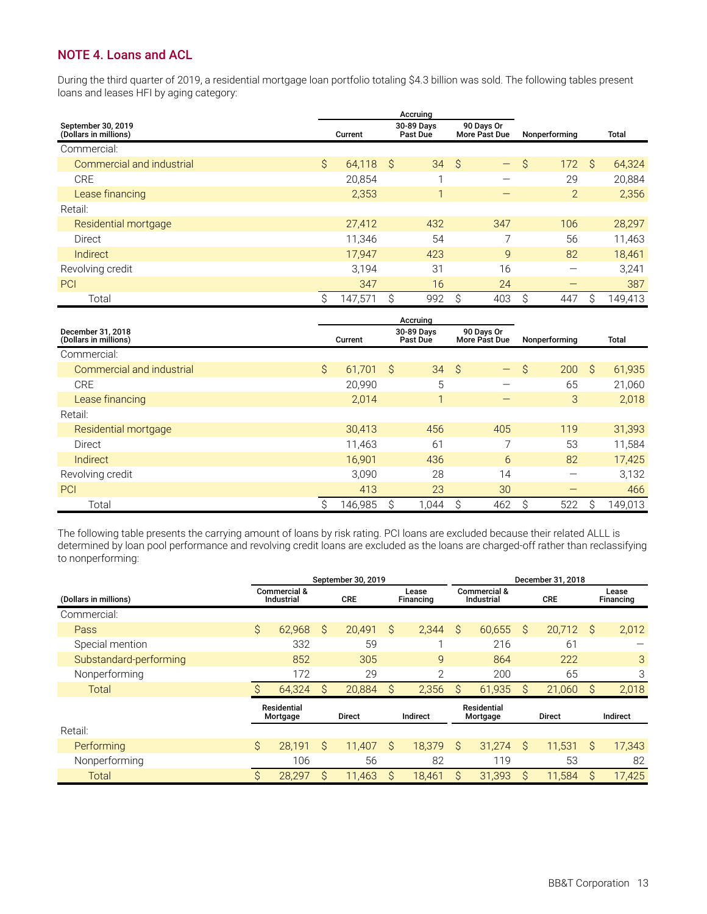### <span id="page-14-0"></span>**NOTE 4. Loans and ACL**

During the third quarter of 2019, a residential mortgage loan portfolio totaling \$4.3 billion was sold. The following tables present loans and leases HFI by aging category:

|                                             |    |             |   | Accruing               |                             |                   |                |    |         |
|---------------------------------------------|----|-------------|---|------------------------|-----------------------------|-------------------|----------------|----|---------|
| September 30, 2019<br>(Dollars in millions) |    | Current     |   | 30-89 Days<br>Past Due | 90 Days Or<br>More Past Due |                   | Nonperforming  |    | Total   |
| Commercial:                                 |    |             |   |                        |                             |                   |                |    |         |
| Commercial and industrial                   | \$ | $64,118$ \$ |   | 34                     | -Ŝ                          | $\qquad \qquad -$ | \$<br>172      | Ŝ. | 64,324  |
| CRE                                         |    | 20.854      |   |                        |                             | -                 | 29             |    | 20,884  |
| Lease financing                             |    | 2,353       |   |                        |                             |                   | $\overline{2}$ |    | 2,356   |
| Retail:                                     |    |             |   |                        |                             |                   |                |    |         |
| Residential mortgage                        |    | 27,412      |   | 432                    |                             | 347               | 106            |    | 28,297  |
| Direct                                      |    | 11,346      |   | 54                     |                             | ⇁                 | 56             |    | 11,463  |
| <b>Indirect</b>                             |    | 17,947      |   | 423                    |                             | 9                 | 82             |    | 18,461  |
| Revolving credit                            |    | 3.194       |   | 31                     |                             | 16                |                |    | 3,241   |
| PCI                                         |    | 347         |   | 16                     |                             | 24                |                |    | 387     |
| Total                                       | Ŝ  | 147,571     | S | 992                    |                             | 403               | 447            | S  | 149,413 |

|                                            |           |         |                        | Accruing |                             |                          |               |               |               |         |
|--------------------------------------------|-----------|---------|------------------------|----------|-----------------------------|--------------------------|---------------|---------------|---------------|---------|
| December 31, 2018<br>(Dollars in millions) |           | Current | 30-89 Days<br>Past Due |          | 90 Days Or<br>More Past Due |                          |               | Nonperforming |               | Total   |
| Commercial:                                |           |         |                        |          |                             |                          |               |               |               |         |
| Commercial and industrial                  | $\hat{S}$ | 61,701  | S,                     | 34       | - \$                        | $\qquad \qquad -$        | $\mathcal{S}$ | 200           | $\mathcal{S}$ | 61,935  |
| <b>CRE</b>                                 |           | 20,990  |                        | 5        |                             | –                        |               | 65            |               | 21,060  |
| Lease financing                            |           | 2,014   |                        | h        |                             |                          |               | 3             |               | 2,018   |
| Retail:                                    |           |         |                        |          |                             |                          |               |               |               |         |
| Residential mortgage                       |           | 30,413  |                        | 456      |                             | 405                      |               | 119           |               | 31,393  |
| Direct                                     |           | 11,463  |                        | 61       |                             | $\overline{\phantom{0}}$ |               | 53            |               | 11,584  |
| <b>Indirect</b>                            |           | 16,901  |                        | 436      |                             | 6                        |               | 82            |               | 17,425  |
| Revolving credit                           |           | 3,090   |                        | 28       |                             | 14                       |               |               |               | 3,132   |
| PCI                                        |           | 413     |                        | 23       |                             | 30                       |               |               |               | 466     |
| Total                                      | Ŝ         | 146,985 | Ŝ                      | 1,044    |                             | 462                      |               | 522           | Ŝ             | 149.013 |

The following table presents the carrying amount of loans by risk rating. PCI loans are excluded because their related ALLL is determined by loan pool performance and revolving credit loans are excluded as the loans are charged-off rather than reclassifying to nonperforming:

|                        | September 30, 2019 |                                          |    |               |                    |                |                                       | December 31, 2018 |            |        |                    |          |  |                                |  |               |  |          |
|------------------------|--------------------|------------------------------------------|----|---------------|--------------------|----------------|---------------------------------------|-------------------|------------|--------|--------------------|----------|--|--------------------------------|--|---------------|--|----------|
| (Dollars in millions)  |                    | Commercial &<br><b>CRE</b><br>Industrial |    |               | Lease<br>Financing |                | <b>Commercial &amp;</b><br>Industrial |                   | <b>CRE</b> |        | Lease<br>Financing |          |  |                                |  |               |  |          |
| Commercial:            |                    |                                          |    |               |                    |                |                                       |                   |            |        |                    |          |  |                                |  |               |  |          |
| Pass                   | $\mathsf{S}$       | 62.968                                   | Ŝ. | 20,491        | Ŝ                  | 2,344          | Ŝ.                                    | 60,655            | Ŝ.         | 20,712 | -Ŝ                 | 2,012    |  |                                |  |               |  |          |
| Special mention        |                    | 332                                      |    | 59            |                    |                |                                       | 216               |            | 61     |                    |          |  |                                |  |               |  |          |
| Substandard-performing |                    | 852                                      |    | 305           |                    | 9              |                                       | 864               |            | 222    |                    | 3        |  |                                |  |               |  |          |
| Nonperforming          |                    | 172                                      |    | 29            |                    | $\overline{2}$ |                                       | 200               |            | 65     |                    | 3        |  |                                |  |               |  |          |
| Total                  |                    | 64,324                                   | S  | 20,884        | Ŝ                  | 2,356          | Ŝ                                     | 61,935            | S          | 21,060 | Ŝ                  | 2,018    |  |                                |  |               |  |          |
|                        |                    | <b>Residential</b><br>Mortgage           |    | <b>Direct</b> |                    |                |                                       |                   |            |        |                    | Indirect |  | <b>Residential</b><br>Mortgage |  | <b>Direct</b> |  | Indirect |
| Retail:                |                    |                                          |    |               |                    |                |                                       |                   |            |        |                    |          |  |                                |  |               |  |          |
| Performing             | \$                 | 28.191                                   | Ŝ  | 11,407        | Ŝ                  | 18.379         | Ŝ.                                    | 31,274            | Ŝ          | 11.531 | S.                 | 17,343   |  |                                |  |               |  |          |
| Nonperforming          |                    | 106                                      |    | 56            |                    | 82             |                                       | 119               |            | 53     |                    | 82       |  |                                |  |               |  |          |
| Total                  | Ŝ                  | 28.297                                   | S  | 11.463        | Ŝ                  | 18.461         | S                                     | 31,393            | S          | 11.584 | S                  | 17.425   |  |                                |  |               |  |          |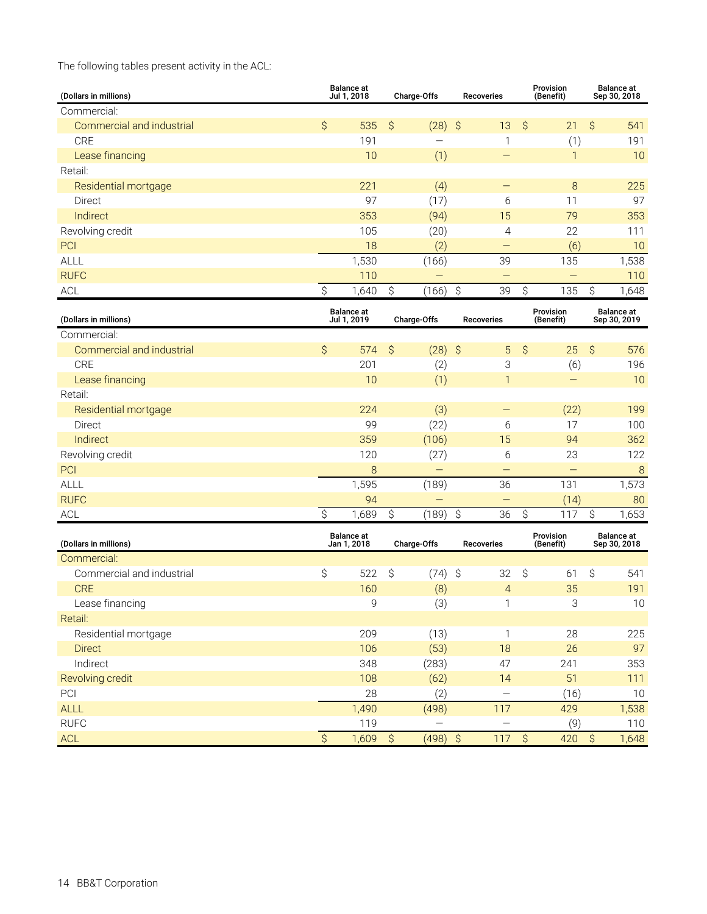The following tables present activity in the ACL:

| (Dollars in millions)     | <b>Balance</b> at<br>Jul 1, 2018 |                                  |               | Charge-Offs       | <b>Recoveries</b>         |                                | Provision<br>(Benefit) | <b>Balance at</b><br>Sep 30, 2018 |
|---------------------------|----------------------------------|----------------------------------|---------------|-------------------|---------------------------|--------------------------------|------------------------|-----------------------------------|
| Commercial:               |                                  |                                  |               |                   |                           |                                |                        |                                   |
| Commercial and industrial | \$                               | 535                              | $\varsigma$   | (28)              | $\zeta$<br>13             | $\hat{\mathcal{S}}$            | 21                     | \$<br>541                         |
| <b>CRE</b>                |                                  | 191                              |               |                   |                           | 1                              | (1)                    | 191                               |
| Lease financing           |                                  | 10                               |               | (1)               |                           |                                | $\mathbf{1}$           | 10                                |
| Retail:                   |                                  |                                  |               |                   |                           |                                |                        |                                   |
| Residential mortgage      |                                  | 221                              |               | (4)               |                           |                                | 8                      | 225                               |
| Direct                    |                                  | 97                               |               | (17)              |                           | 6                              | 11                     | 97                                |
| Indirect                  |                                  | 353                              |               | (94)              | 15                        |                                | 79                     | 353                               |
| Revolving credit          |                                  | 105                              |               | (20)              |                           | 4                              | 22                     | 111                               |
| PCI                       |                                  | 18                               |               | (2)               |                           |                                | (6)                    | 10                                |
| ALLL                      |                                  | 1,530                            |               | (166)             | 39                        |                                | 135                    | 1,538                             |
| <b>RUFC</b>               |                                  | 110                              |               | $\qquad \qquad -$ |                           | -                              | -                      | 110                               |
| <b>ACL</b>                | \$                               | 1,640                            | \$            | (166)             | $\hat{\mathcal{S}}$<br>39 | \$                             | 135                    | $\hat{\mathcal{S}}$<br>1,648      |
|                           |                                  |                                  |               |                   |                           |                                |                        |                                   |
| (Dollars in millions)     |                                  | <b>Balance</b> at<br>Jul 1, 2019 |               | Charge-Offs       | <b>Recoveries</b>         |                                | Provision<br>(Benefit) | <b>Balance</b> at<br>Sep 30, 2019 |
| Commercial:               |                                  |                                  |               |                   |                           |                                |                        |                                   |
| Commercial and industrial | \$                               | 574                              | $\mathcal{S}$ | $(28)$ \$         |                           | $\boldsymbol{\mathsf{S}}$<br>5 | 25                     | \$<br>576                         |
| <b>CRE</b>                |                                  | 201                              |               | (2)               |                           | 3                              | (6)                    | 196                               |
| Lease financing           |                                  | 10                               |               | (1)               |                           | 1                              | $\qquad \qquad -$      | 10                                |
| Retail:                   |                                  |                                  |               |                   |                           |                                |                        |                                   |
| Residential mortgage      |                                  | 224                              |               | (3)               |                           |                                | (22)                   | 199                               |
| Direct                    |                                  | 99                               |               | (22)              |                           | 6                              | 17                     | 100                               |
| Indirect                  |                                  | 359                              |               | (106)             | 15                        |                                | 94                     | 362                               |
| Revolving credit          |                                  | 120                              |               | (27)              |                           | 6                              | 23                     | 122                               |
| PCI                       |                                  | 8                                |               | -                 |                           | -                              | -                      | $\delta$                          |
| <b>ALLL</b>               |                                  | 1,595                            |               | (189)             | 36                        |                                | 131                    | 1,573                             |
| <b>RUFC</b>               |                                  | 94                               |               |                   | $\qquad \qquad -$         |                                | (14)                   | 80                                |
| <b>ACL</b>                | \$                               | 1,689                            | \$            | (189)             | \$<br>36                  | \$                             | 117                    | \$<br>1,653                       |
| (Dollars in millions)     |                                  | <b>Balance</b> at<br>Jan 1, 2018 |               | Charge-Offs       | <b>Recoveries</b>         |                                | Provision<br>(Benefit) | <b>Balance at</b><br>Sep 30, 2018 |
| Commercial:               |                                  |                                  |               |                   |                           |                                |                        |                                   |
| Commercial and industrial | \$                               | 522                              | \$            | (74)              | 32<br>-\$                 | \$                             | 61                     | \$<br>541                         |
| <b>CRE</b>                |                                  | 160                              |               | (8)               |                           | $\overline{4}$                 | 35                     | 191                               |
| Lease financing           |                                  | 9                                |               | (3)               |                           | $\mathbf{1}$                   | 3                      | $10$                              |
| Retail:                   |                                  |                                  |               |                   |                           |                                |                        |                                   |
| Residential mortgage      |                                  | 209                              |               | (13)              |                           | $\mathbf{1}$                   | 28                     | 225                               |
| <b>Direct</b>             |                                  | 106                              |               | (53)              | 18                        |                                | 26                     | 97                                |
| Indirect                  |                                  | 348                              |               | (283)             | 47                        |                                | 241                    | 353                               |
| Revolving credit          |                                  | 108                              |               | (62)              | 14                        |                                | 51                     | 111                               |
| PCI                       |                                  | 28                               |               | (2)               |                           | $\overline{\phantom{0}}$       | (16)                   | 10                                |
| ALLL                      |                                  | 1,490                            |               | (498)             | 117                       |                                | 429                    | 1,538                             |
| <b>RUFC</b>               |                                  | 119                              |               |                   |                           |                                | (9)                    | 110                               |
| ACL                       | $\hat{\mathcal{S}}$              | 1,609                            | \$            | $(498)$ \$        | 117                       | $\boldsymbol{\zeta}$           | 420                    | $\hat{\mathcal{S}}$<br>1,648      |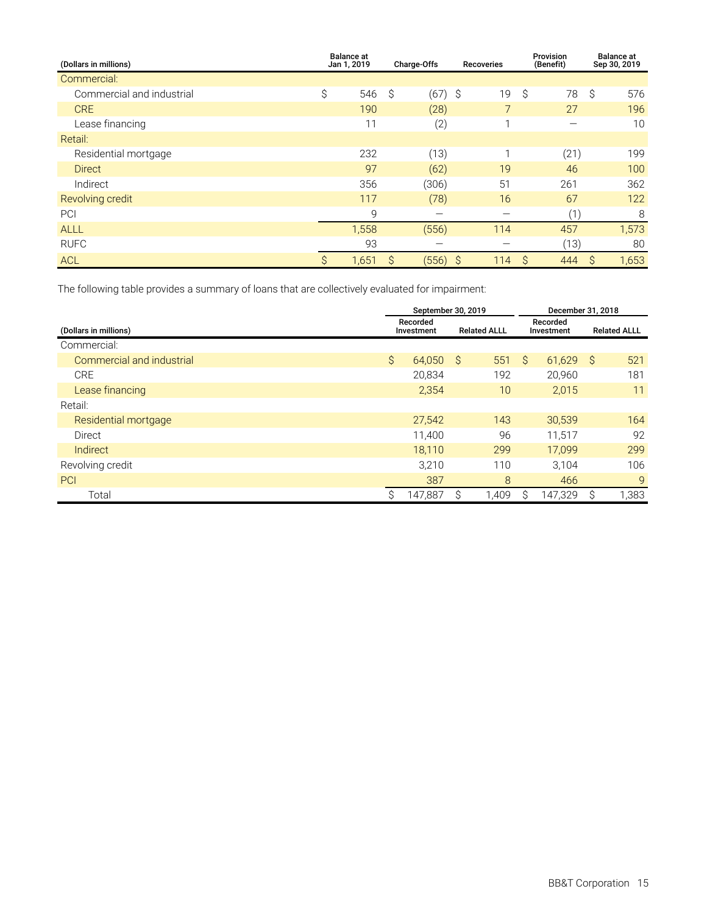| (Dollars in millions)     |    | <b>Balance</b> at<br>Jan 1, 2019 |      | Charge-Offs | <b>Recoveries</b>          | Provision<br>(Benefit) | <b>Balance at</b><br>Sep 30, 2019 |
|---------------------------|----|----------------------------------|------|-------------|----------------------------|------------------------|-----------------------------------|
| Commercial:               |    |                                  |      |             |                            |                        |                                   |
| Commercial and industrial | \$ | 546                              | - \$ | (67)        | $\ddot{\mathcal{S}}$<br>19 | \$<br>78               | \$<br>576                         |
| <b>CRE</b>                |    | 190                              |      | (28)        |                            | 27                     | 196                               |
| Lease financing           |    | 11                               |      | (2)         |                            | -                      | 10                                |
| Retail:                   |    |                                  |      |             |                            |                        |                                   |
| Residential mortgage      |    | 232                              |      | (13)        |                            | (21)                   | 199                               |
| <b>Direct</b>             |    | 97                               |      | (62)        | 19                         | 46                     | 100                               |
| Indirect                  |    | 356                              |      | (306)       | 51                         | 261                    | 362                               |
| Revolving credit          |    | 117                              |      | (78)        | 16                         | 67                     | 122                               |
| PCI                       |    | 9                                |      |             |                            | (1)                    | 8                                 |
| <b>ALLL</b>               |    | 1,558                            |      | (556)       | 114                        | 457                    | 1,573                             |
| <b>RUFC</b>               |    | 93                               |      |             |                            | (13)                   | 80                                |
| <b>ACL</b>                | Ŝ  | 1,651                            | S    | (556)       | 114<br>- S                 | S<br>444               | 1,653<br>S                        |

The following table provides a summary of loans that are collectively evaluated for impairment:

|                           |           | September 30, 2019     |     |                     | December 31, 2018 |                        |                     |      |  |
|---------------------------|-----------|------------------------|-----|---------------------|-------------------|------------------------|---------------------|------|--|
| (Dollars in millions)     |           | Recorded<br>Investment |     | <b>Related ALLL</b> |                   | Recorded<br>Investment | <b>Related ALLL</b> |      |  |
| Commercial:               |           |                        |     |                     |                   |                        |                     |      |  |
| Commercial and industrial | $\hat{S}$ | 64,050                 | - S | 551                 | Ŝ.                | 61.629                 | - S                 | 521  |  |
| <b>CRE</b>                |           | 20,834                 |     | 192                 |                   | 20,960                 |                     | 181  |  |
| Lease financing           |           | 2,354                  |     | 10                  |                   | 2,015                  |                     | 11   |  |
| Retail:                   |           |                        |     |                     |                   |                        |                     |      |  |
| Residential mortgage      |           | 27,542                 |     | 143                 |                   | 30,539                 |                     | 164  |  |
| Direct                    |           | 11,400                 |     | 96                  |                   | 11,517                 |                     | 92   |  |
| Indirect                  |           | 18,110                 |     | 299                 |                   | 17,099                 |                     | 299  |  |
| Revolving credit          |           | 3.210                  |     | 110                 |                   | 3.104                  |                     | 106  |  |
| PCI                       |           | 387                    |     | 8                   |                   | 466                    |                     | 9    |  |
| Total                     | Ŝ.        | 147,887                |     | ,409                | S.                | 147,329                | Ŝ                   | ,383 |  |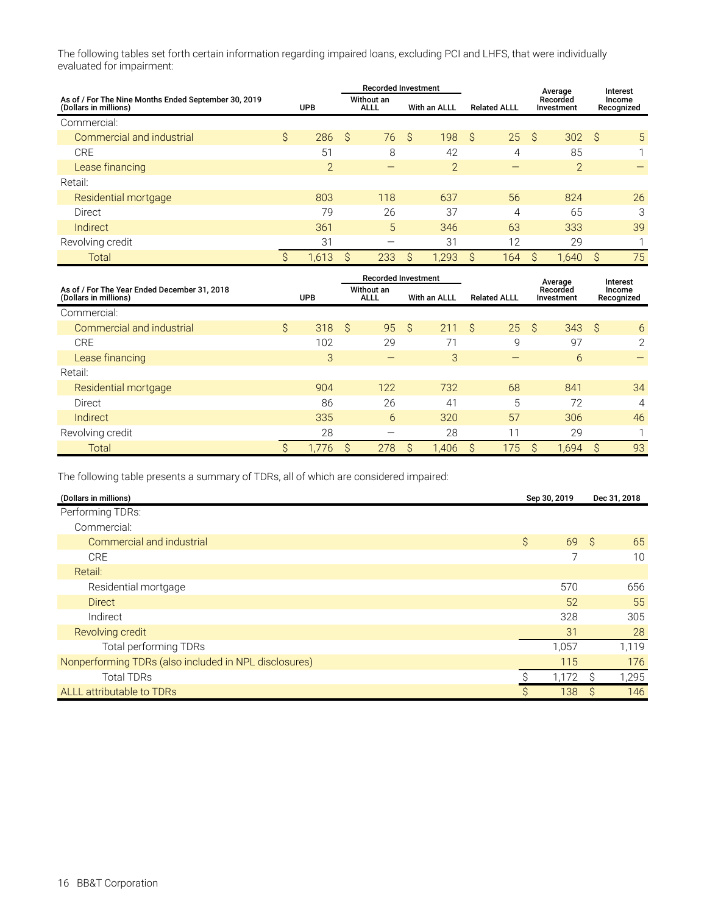The following tables set forth certain information regarding impaired loans, excluding PCI and LHFS, that were individually evaluated for impairment:

|                                                                               |            | <b>Recorded Investment</b> |     |                           |              |                |   |                     |    | Average                |   | Interest             |
|-------------------------------------------------------------------------------|------------|----------------------------|-----|---------------------------|--------------|----------------|---|---------------------|----|------------------------|---|----------------------|
| As of / For The Nine Months Ended September 30, 2019<br>(Dollars in millions) | <b>UPB</b> |                            |     | Without an<br><b>ALLL</b> |              | With an ALLL   |   | <b>Related ALLL</b> |    | Recorded<br>Investment |   | Income<br>Recognized |
| Commercial:                                                                   |            |                            |     |                           |              |                |   |                     |    |                        |   |                      |
| Commercial and industrial                                                     | \$         | 286                        | ∣\$ | 76                        | <sub>S</sub> | 198            | Ŝ | 25                  | S, | 302                    | Ŝ | 5                    |
| <b>CRE</b>                                                                    |            | 51                         |     | 8                         |              | 42             |   | 4                   |    | 85                     |   |                      |
| Lease financing                                                               |            | $\overline{2}$             |     |                           |              | $\overline{2}$ |   |                     |    | $\overline{2}$         |   |                      |
| Retail:                                                                       |            |                            |     |                           |              |                |   |                     |    |                        |   |                      |
| Residential mortgage                                                          |            | 803                        |     | 118                       |              | 637            |   | 56                  |    | 824                    |   | 26                   |
| Direct                                                                        |            | 79                         |     | 26                        |              | 37             |   | 4                   |    | 65                     |   | 3                    |
| Indirect                                                                      |            | 361                        |     | 5                         |              | 346            |   | 63                  |    | 333                    |   | 39                   |
| Revolving credit                                                              |            | 31                         |     |                           |              | 31             |   | 12                  |    | 29                     |   |                      |
| Total                                                                         | S          | 1.613                      | S   | 233                       | S            | 1,293          | S | 164                 | S  | .640                   | S | 75                   |

|                                                                       | <b>Recorded Investment</b> |            |                           |     |    |              |   |                     | Average |                        |              | Interest             |
|-----------------------------------------------------------------------|----------------------------|------------|---------------------------|-----|----|--------------|---|---------------------|---------|------------------------|--------------|----------------------|
| As of / For The Year Ended December 31, 2018<br>(Dollars in millions) |                            | <b>UPB</b> | Without an<br><b>ALLL</b> |     |    | With an ALLL |   | <b>Related ALLL</b> |         | Recorded<br>Investment |              | Income<br>Recognized |
| Commercial:                                                           |                            |            |                           |     |    |              |   |                     |         |                        |              |                      |
| Commercial and industrial                                             | Ŝ                          | 318        | -Ŝ                        | 95  | -Ŝ | 211          | Ŝ | 25                  | -Ŝ      | 343                    | Ŝ            | 6                    |
| <b>CRE</b>                                                            |                            | 102        |                           | 29  |    |              |   | 9                   |         | 97                     |              | 2                    |
| Lease financing                                                       |                            | 3          |                           |     |    | 3            |   |                     |         | 6                      |              |                      |
| Retail:                                                               |                            |            |                           |     |    |              |   |                     |         |                        |              |                      |
| Residential mortgage                                                  |                            | 904        |                           | 122 |    | 732          |   | 68                  |         | 841                    |              | 34                   |
| Direct                                                                |                            | 86         |                           | 26  |    | 41           |   | 5                   |         | 72                     |              | 4                    |
| Indirect                                                              |                            | 335        |                           | 6   |    | 320          |   | 57                  |         | 306                    |              | 46                   |
| Revolving credit                                                      |                            | 28         |                           |     |    | 28           |   | 11                  |         | 29                     |              |                      |
| Total                                                                 | S                          | 1,776      | S                         | 278 | S  | 1.406        | S | 175                 | S       | 1,694                  | <sub>S</sub> | 93                   |

The following table presents a summary of TDRs, all of which are considered impaired:

| (Dollars in millions)                                 |              | Sep 30, 2019 |    | Dec 31, 2018 |
|-------------------------------------------------------|--------------|--------------|----|--------------|
| Performing TDRs:                                      |              |              |    |              |
| Commercial:                                           |              |              |    |              |
| Commercial and industrial                             | $\mathsf{S}$ | 69           | S. | 65           |
| <b>CRE</b>                                            |              |              |    | 10           |
| Retail:                                               |              |              |    |              |
| Residential mortgage                                  |              | 570          |    | 656          |
| <b>Direct</b>                                         |              | 52           |    | 55           |
| Indirect                                              |              | 328          |    | 305          |
| Revolving credit                                      |              | 31           |    | 28           |
| <b>Total performing TDRs</b>                          |              | 1,057        |    | 1,119        |
| Nonperforming TDRs (also included in NPL disclosures) |              | 115          |    | 176          |
| <b>Total TDRs</b>                                     |              | 1,172        | S  | 1,295        |
| ALLL attributable to TDRs                             | Ŝ            | 138          | S  | 146          |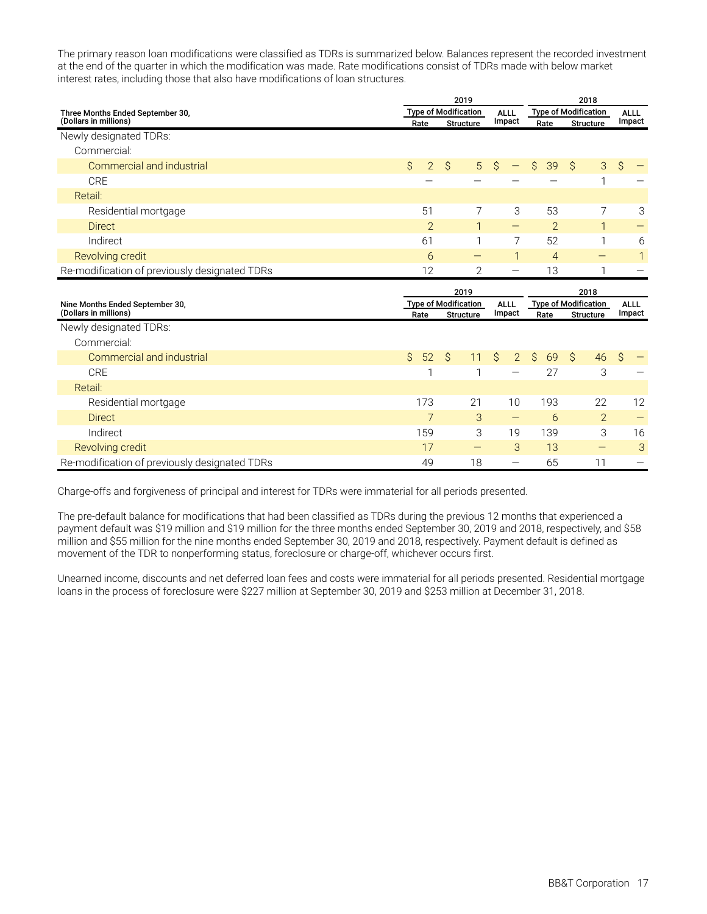The primary reason loan modifications were classified as TDRs is summarized below. Balances represent the recorded investment at the end of the quarter in which the modification was made. Rate modifications consist of TDRs made with below market interest rates, including those that also have modifications of loan structures.

|                                                           |                                 | 2019                        |                                 | 2018                      |                             |                       |  |  |
|-----------------------------------------------------------|---------------------------------|-----------------------------|---------------------------------|---------------------------|-----------------------------|-----------------------|--|--|
| Three Months Ended September 30,<br>(Dollars in millions) |                                 | <b>Type of Modification</b> | <b>ALLL</b><br>Impact           |                           | <b>Type of Modification</b> | <b>ALLL</b><br>Impact |  |  |
|                                                           | Rate<br><b>Structure</b>        |                             |                                 | Rate                      | <b>Structure</b>            |                       |  |  |
| Newly designated TDRs:                                    |                                 |                             |                                 |                           |                             |                       |  |  |
| Commercial:                                               |                                 |                             |                                 |                           |                             |                       |  |  |
| Commercial and industrial                                 | $\mathcal{S}$<br>$\overline{2}$ | $\hat{S}$<br>5              | \$                              | $\hat{\mathcal{S}}$<br>39 | $\hat{S}$<br>3              | \$                    |  |  |
| <b>CRE</b>                                                |                                 |                             |                                 |                           | 1                           |                       |  |  |
| Retail:                                                   |                                 |                             |                                 |                           |                             |                       |  |  |
| Residential mortgage                                      | 51                              | 7                           | 3                               | 53                        | 7                           | 3                     |  |  |
| <b>Direct</b>                                             | $\overline{2}$                  | $\mathbf{1}$                | $\qquad \qquad -$               | $\overline{2}$            | $\mathbf{1}$                |                       |  |  |
| Indirect                                                  | 61                              | 1                           | 7                               | 52                        | 1                           | 6                     |  |  |
| Revolving credit                                          | 6                               | $\qquad \qquad -$           | $\mathbf{1}$                    | $\overline{4}$            | $\qquad \qquad -$           | 1                     |  |  |
| Re-modification of previously designated TDRs             | 12                              | $\mathbf{2}$                | $\overbrace{\phantom{1232211}}$ | 13                        | 1                           |                       |  |  |
|                                                           |                                 |                             |                                 |                           |                             |                       |  |  |
|                                                           |                                 | 2019                        |                                 |                           | 2018                        |                       |  |  |
| Nine Months Ended September 30,<br>(Dollars in millions)  | Rate                            | <b>Type of Modification</b> | <b>ALLL</b><br>Impact           |                           | <b>Type of Modification</b> | <b>ALLL</b><br>Impact |  |  |
| Newly designated TDRs:                                    |                                 | <b>Structure</b>            |                                 | Rate                      | <b>Structure</b>            |                       |  |  |
| Commercial:                                               |                                 |                             |                                 |                           |                             |                       |  |  |
| Commercial and industrial                                 | $\mathcal{S}$<br>52             | $\mathcal{S}$<br>11         | \$<br>$\overline{2}$            | $\hat{S}$<br>69           | Ŝ.<br>46                    | Ŝ                     |  |  |
| <b>CRE</b>                                                | 1                               | 1                           | —                               | 27                        | 3                           |                       |  |  |
| Retail:                                                   |                                 |                             |                                 |                           |                             |                       |  |  |
| Residential mortgage                                      | 173                             | 21                          | 10                              | 193                       | 22                          | 12                    |  |  |
| <b>Direct</b>                                             | $\overline{7}$                  | 3                           | $\qquad \qquad -$               | 6                         | $\overline{2}$              |                       |  |  |
| Indirect                                                  | 159                             | 3                           | 19                              | 139                       | 3                           | 16                    |  |  |
| Revolving credit                                          | 17                              | $\qquad \qquad -$           | 3                               | 13                        |                             | 3                     |  |  |

Charge-offs and forgiveness of principal and interest for TDRs were immaterial for all periods presented.

The pre-default balance for modifications that had been classified as TDRs during the previous 12 months that experienced a payment default was \$19 million and \$19 million for the three months ended September 30, 2019 and 2018, respectively, and \$58 million and \$55 million for the nine months ended September 30, 2019 and 2018, respectively. Payment default is defined as movement of the TDR to nonperforming status, foreclosure or charge-off, whichever occurs first.

Unearned income, discounts and net deferred loan fees and costs were immaterial for all periods presented. Residential mortgage loans in the process of foreclosure were \$227 million at September 30, 2019 and \$253 million at December 31, 2018.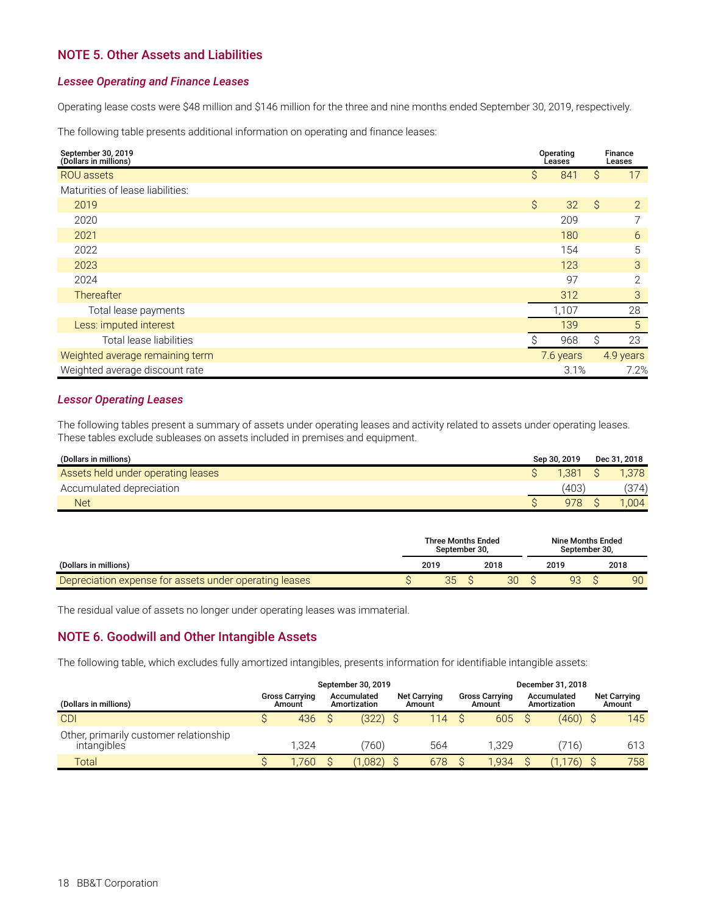### <span id="page-19-0"></span>**NOTE 5. Other Assets and Liabilities**

#### *Lessee Operating and Finance Leases*

Operating lease costs were \$48 million and \$146 million for the three and nine months ended September 30, 2019, respectively.

The following table presents additional information on operating and finance leases:

| September 30, 2019<br>(Dollars in millions) | Operating<br>Leases |                 | Finance<br>Leases |
|---------------------------------------------|---------------------|-----------------|-------------------|
| <b>ROU</b> assets                           | \$                  | Ŝ<br>841        | 17                |
| Maturities of lease liabilities:            |                     |                 |                   |
| 2019                                        | \$                  | $\hat{S}$<br>32 | 2                 |
| 2020                                        |                     | 209             |                   |
| 2021                                        |                     | 180             | 6                 |
| 2022                                        |                     | 154             | 5                 |
| 2023                                        |                     | 123             | 3                 |
| 2024                                        |                     | 97              | $\overline{2}$    |
| Thereafter                                  |                     | 312             | 3                 |
| Total lease payments                        | 1,107               |                 | 28                |
| Less: imputed interest                      |                     | 139             | 5                 |
| Total lease liabilities                     |                     | \$<br>968       | 23                |
| Weighted average remaining term             | 7.6 years           |                 | 4.9 years         |
| Weighted average discount rate              |                     | 3.1%            | 7.2%              |

### *Lessor Operating Leases*

The following tables present a summary of assets under operating leases and activity related to assets under operating leases. These tables exclude subleases on assets included in premises and equipment.

| (Dollars in millions)              | Sep 30, 2019 | Dec 31, 2018 |
|------------------------------------|--------------|--------------|
| Assets held under operating leases | 1.381        | .378         |
| Accumulated depreciation           | 403          | (374)        |
| <b>Net</b>                         | 978          | .004         |

|                                                        | <b>Three Months Ended</b><br>September 30. |  |      | Nine Months Ended<br>September 30. |  |      |
|--------------------------------------------------------|--------------------------------------------|--|------|------------------------------------|--|------|
| (Dollars in millions)                                  | 2019                                       |  | 2018 | 2019                               |  | 2018 |
| Depreciation expense for assets under operating leases | 35                                         |  | 30   | 93                                 |  | 90   |

The residual value of assets no longer under operating leases was immaterial.

### **NOTE 6. Goodwill and Other Intangible Assets**

The following table, which excludes fully amortized intangibles, presents information for identifiable intangible assets:

|                                                       | September 30, 2019<br>December 31, 2018 |                                 |  |                             |  |                               |  |                                 |                             |  |                               |  |
|-------------------------------------------------------|-----------------------------------------|---------------------------------|--|-----------------------------|--|-------------------------------|--|---------------------------------|-----------------------------|--|-------------------------------|--|
| (Dollars in millions)                                 |                                         | <b>Gross Carrying</b><br>Amount |  | Accumulated<br>Amortization |  | <b>Net Carrying</b><br>Amount |  | <b>Gross Carrying</b><br>Amount | Accumulated<br>Amortization |  | <b>Net Carrying</b><br>Amount |  |
| <b>CDI</b>                                            |                                         | 436                             |  | $(322)$ \$                  |  | 114                           |  | 605                             | $(460)$ \$                  |  | 145                           |  |
| Other, primarily customer relationship<br>intangibles |                                         | 1.324                           |  | 760)                        |  | 564                           |  | 1.329                           | 716)                        |  | 613                           |  |
| Total                                                 |                                         | .760                            |  | 1,082)                      |  | 678                           |  | '.934                           | 1.176)                      |  | 758                           |  |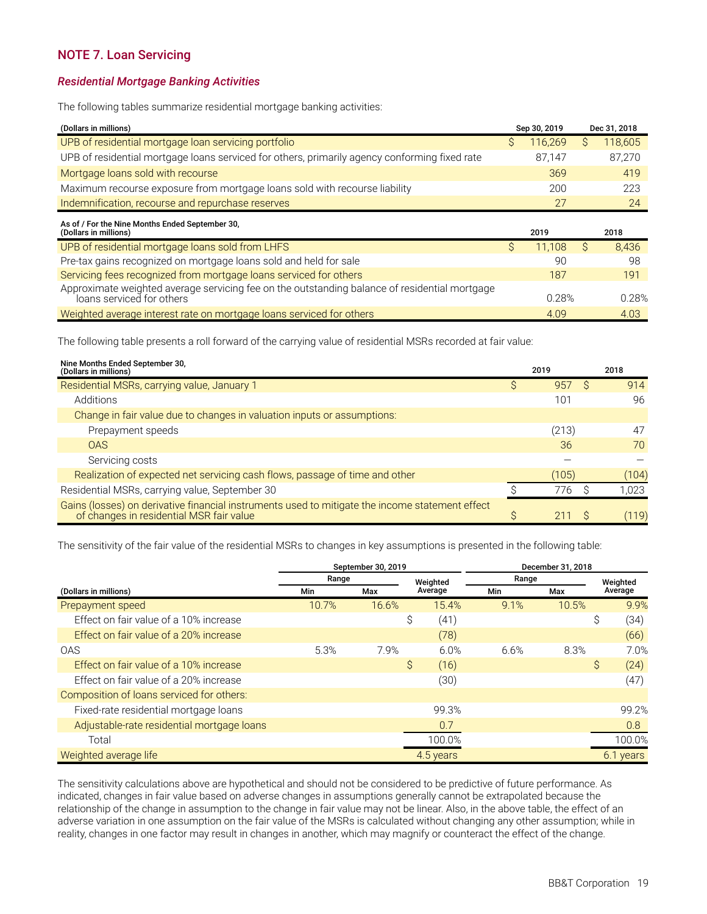### <span id="page-20-0"></span>**NOTE 7. Loan Servicing**

#### *Residential Mortgage Banking Activities*

The following tables summarize residential mortgage banking activities:

| (Dollars in millions)                                                                         | Sep 30, 2019 |         |  | Dec 31, 2018 |
|-----------------------------------------------------------------------------------------------|--------------|---------|--|--------------|
| UPB of residential mortgage loan servicing portfolio                                          |              | 116.269 |  | 118,605      |
| UPB of residential mortgage loans serviced for others, primarily agency conforming fixed rate |              | 87.147  |  | 87,270       |
| Mortgage loans sold with recourse                                                             |              | 369     |  | 419          |
| Maximum recourse exposure from mortgage loans sold with recourse liability                    |              | 200     |  | 223          |
| Indemnification, recourse and repurchase reserves                                             |              | 27      |  | 24           |
|                                                                                               |              |         |  |              |

| As of / For the Nine Months Ended September 30,<br>(Dollars in millions)                                                   | 2019   | 2018  |
|----------------------------------------------------------------------------------------------------------------------------|--------|-------|
| UPB of residential mortgage loans sold from LHFS                                                                           | 11.108 | 8,436 |
| Pre-tax gains recognized on mortgage loans sold and held for sale                                                          | 90     | 98    |
| Servicing fees recognized from mortgage loans serviced for others                                                          | 187    | 191   |
| Approximate weighted average servicing fee on the outstanding balance of residential mortgage<br>loans serviced for others | 0.28%  | 0.28% |
| Weighted average interest rate on mortgage loans serviced for others                                                       | 4.09   | 4.03  |

The following table presents a roll forward of the carrying value of residential MSRs recorded at fair value:

| Nine Months Ended September 30,<br>(Dollars in millions)                                                                                 |    | 2019  | 2018  |
|------------------------------------------------------------------------------------------------------------------------------------------|----|-------|-------|
| Residential MSRs, carrying value, January 1                                                                                              | S  | 957   | 914   |
| Additions                                                                                                                                |    | 101   | 96    |
| Change in fair value due to changes in valuation inputs or assumptions:                                                                  |    |       |       |
| Prepayment speeds                                                                                                                        |    | (213) | 47    |
| <b>OAS</b>                                                                                                                               |    | 36    | 70    |
| Servicing costs                                                                                                                          |    |       |       |
| Realization of expected net servicing cash flows, passage of time and other                                                              |    | (105) | (104) |
| Residential MSRs, carrying value, September 30                                                                                           |    | 776   | ,023  |
| Gains (losses) on derivative financial instruments used to mitigate the income statement effect of changes in residential MSR fair value | S. |       | (119) |

The sensitivity of the fair value of the residential MSRs to changes in key assumptions is presented in the following table:

|                                            | September 30, 2019 |       | December 31, 2018 |                   |      |       |              |           |
|--------------------------------------------|--------------------|-------|-------------------|-------------------|------|-------|--------------|-----------|
|                                            | Range              |       |                   | Range<br>Weighted |      |       |              | Weighted  |
| (Dollars in millions)                      | Min                | Max   |                   | Average           | Min  | Max   |              | Average   |
| Prepayment speed                           | 10.7%              | 16.6% |                   | 15.4%             | 9.1% | 10.5% |              | 9.9%      |
| Effect on fair value of a 10% increase     |                    |       | \$                | (41)              |      |       | \$           | (34)      |
| Effect on fair value of a 20% increase     |                    |       |                   | (78)              |      |       |              | (66)      |
| <b>OAS</b>                                 | 5.3%               | 7.9%  |                   | 6.0%              | 6.6% | 8.3%  |              | 7.0%      |
| Effect on fair value of a 10% increase     |                    |       | \$                | (16)              |      |       | $\mathsf{S}$ | (24)      |
| Effect on fair value of a 20% increase     |                    |       |                   | (30)              |      |       |              | (47)      |
| Composition of loans serviced for others:  |                    |       |                   |                   |      |       |              |           |
| Fixed-rate residential mortgage loans      |                    |       |                   | 99.3%             |      |       |              | 99.2%     |
| Adjustable-rate residential mortgage loans |                    |       |                   | 0.7               |      |       |              | 0.8       |
| Total                                      |                    |       |                   | 100.0%            |      |       |              | 100.0%    |
| Weighted average life                      |                    |       |                   | 4.5 years         |      |       |              | 6.1 years |

The sensitivity calculations above are hypothetical and should not be considered to be predictive of future performance. As indicated, changes in fair value based on adverse changes in assumptions generally cannot be extrapolated because the relationship of the change in assumption to the change in fair value may not be linear. Also, in the above table, the effect of an adverse variation in one assumption on the fair value of the MSRs is calculated without changing any other assumption; while in reality, changes in one factor may result in changes in another, which may magnify or counteract the effect of the change.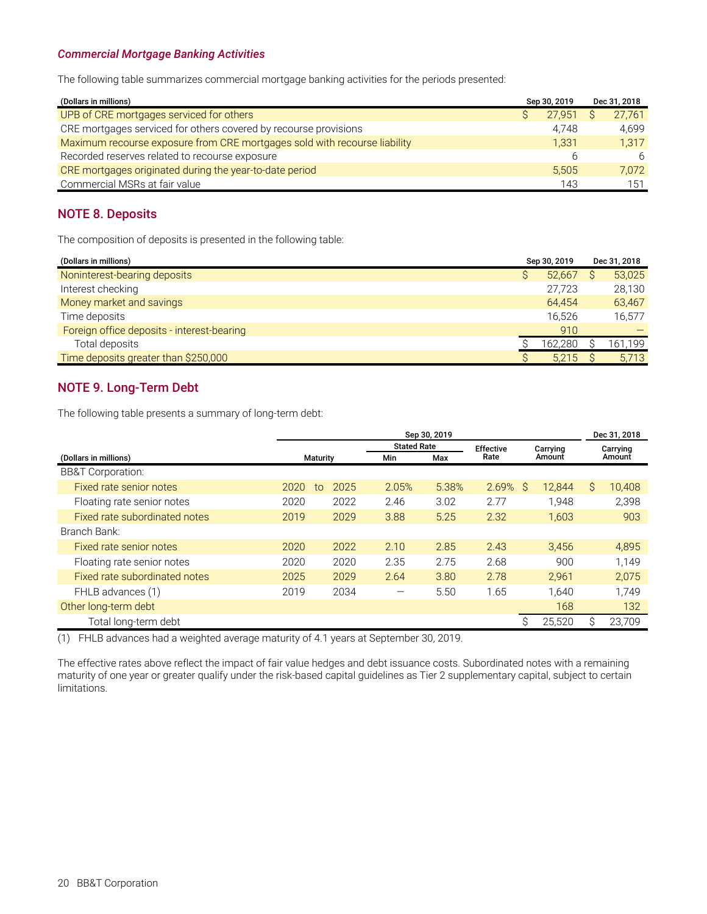#### <span id="page-21-0"></span>*Commercial Mortgage Banking Activities*

The following table summarizes commercial mortgage banking activities for the periods presented:

| (Dollars in millions)                                                     | Sep 30, 2019 |  | Dec 31, 2018 |  |
|---------------------------------------------------------------------------|--------------|--|--------------|--|
| UPB of CRE mortgages serviced for others                                  | 27.951       |  | 27.761       |  |
| CRE mortgages serviced for others covered by recourse provisions          | 4.748        |  | 4.699        |  |
| Maximum recourse exposure from CRE mortgages sold with recourse liability | 1.331        |  | 1.317        |  |
| Recorded reserves related to recourse exposure                            | h            |  | 6            |  |
| CRE mortgages originated during the year-to-date period                   | 5.505        |  | 7.072        |  |
| Commercial MSRs at fair value                                             | 143          |  | 151          |  |

### **NOTE 8. Deposits**

The composition of deposits is presented in the following table:

| (Dollars in millions)                      | Sep 30, 2019 |         | Dec 31, 2018 |         |
|--------------------------------------------|--------------|---------|--------------|---------|
| Noninterest-bearing deposits               |              | 52.667  |              | 53,025  |
| Interest checking                          |              | 27.723  |              | 28,130  |
| Money market and savings                   |              | 64.454  |              | 63,467  |
| Time deposits                              |              | 16.526  |              | 16,577  |
| Foreign office deposits - interest-bearing |              | 910     |              |         |
| Total deposits                             |              | 162,280 |              | 161,199 |
| Time deposits greater than \$250,000       |              | 5,215   |              | 5,713   |

### **NOTE 9. Long-Term Debt**

The following table presents a summary of long-term debt:

|                               | Sep 30, 2019 |                 |                    |       |                  |   |          | Dec 31, 2018 |          |  |
|-------------------------------|--------------|-----------------|--------------------|-------|------------------|---|----------|--------------|----------|--|
|                               |              |                 | <b>Stated Rate</b> |       | <b>Effective</b> |   | Carrying |              | Carrying |  |
| (Dollars in millions)         |              | <b>Maturity</b> |                    | Max   | Rate             |   | Amount   |              | Amount   |  |
| <b>BB&amp;T Corporation:</b>  |              |                 |                    |       |                  |   |          |              |          |  |
| Fixed rate senior notes       | 2020         | 2025<br>to      | 2.05%              | 5.38% | 2.69%            | S | 12.844   | Ŝ            | 10.408   |  |
| Floating rate senior notes    | 2020         | 2022            | 2.46               | 3.02  | 2.77             |   | 1.948    |              | 2,398    |  |
| Fixed rate subordinated notes | 2019         | 2029            | 3.88               | 5.25  | 2.32             |   | 1,603    |              | 903      |  |
| Branch Bank:                  |              |                 |                    |       |                  |   |          |              |          |  |
| Fixed rate senior notes       | 2020         | 2022            | 2.10               | 2.85  | 2.43             |   | 3,456    |              | 4,895    |  |
| Floating rate senior notes    | 2020         | 2020            | 2.35               | 2.75  | 2.68             |   | 900      |              | 1.149    |  |
| Fixed rate subordinated notes | 2025         | 2029            | 2.64               | 3.80  | 2.78             |   | 2.961    |              | 2.075    |  |
| FHLB advances (1)             | 2019         | 2034            |                    | 5.50  | 1.65             |   | 1.640    |              | 1.749    |  |
| Other long-term debt          |              |                 |                    |       |                  |   | 168      |              | 132      |  |
| Total long-term debt          |              |                 |                    |       |                  | S | 25,520   | S            | 23,709   |  |

(1) FHLB advances had a weighted average maturity of 4.1 years at September 30, 2019.

The effective rates above reflect the impact of fair value hedges and debt issuance costs. Subordinated notes with a remaining maturity of one year or greater qualify under the risk-based capital guidelines as Tier 2 supplementary capital, subject to certain limitations.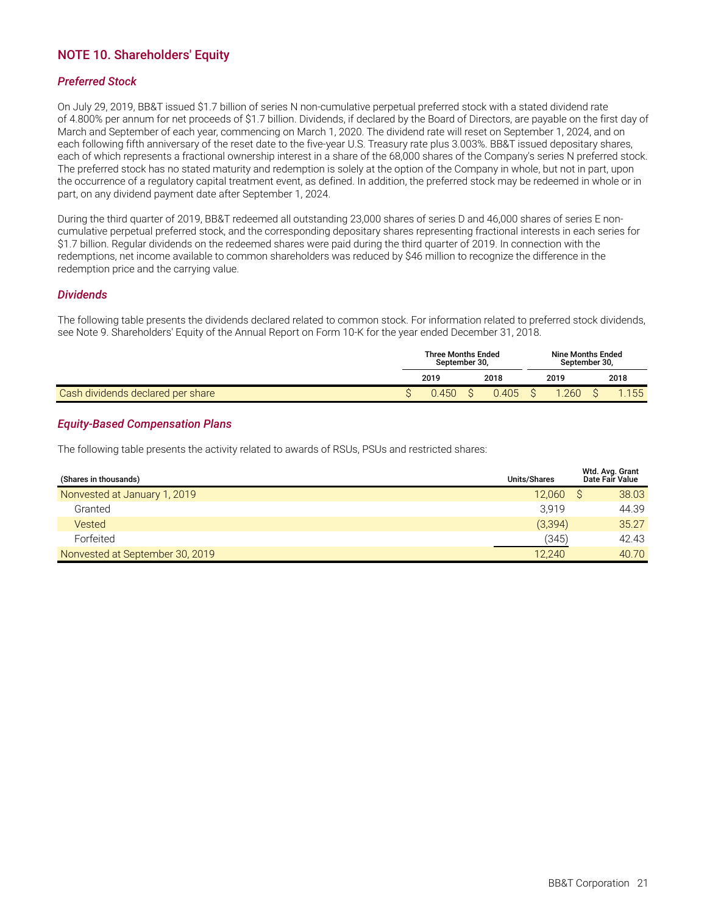### <span id="page-22-0"></span>**NOTE 10. Shareholders' Equity**

#### *Preferred Stock*

On July 29, 2019, BB&T issued \$1.7 billion of series N non-cumulative perpetual preferred stock with a stated dividend rate of 4.800% per annum for net proceeds of \$1.7 billion. Dividends, if declared by the Board of Directors, are payable on the first day of March and September of each year, commencing on March 1, 2020. The dividend rate will reset on September 1, 2024, and on each following fifth anniversary of the reset date to the five-year U.S. Treasury rate plus 3.003%. BB&T issued depositary shares, each of which represents a fractional ownership interest in a share of the 68,000 shares of the Company's series N preferred stock. The preferred stock has no stated maturity and redemption is solely at the option of the Company in whole, but not in part, upon the occurrence of a regulatory capital treatment event, as defined. In addition, the preferred stock may be redeemed in whole or in part, on any dividend payment date after September 1, 2024.

During the third quarter of 2019, BB&T redeemed all outstanding 23,000 shares of series D and 46,000 shares of series E noncumulative perpetual preferred stock, and the corresponding depositary shares representing fractional interests in each series for \$1.7 billion. Regular dividends on the redeemed shares were paid during the third quarter of 2019. In connection with the redemptions, net income available to common shareholders was reduced by \$46 million to recognize the difference in the redemption price and the carrying value.

#### *Dividends*

The following table presents the dividends declared related to common stock. For information related to preferred stock dividends, see Note 9. Shareholders' Equity of the Annual Report on Form 10-K for the year ended December 31, 2018.

|                                          | <b>Three Months Ended</b><br>September 30.<br>2018<br>2019 |       |  |  |  | <b>Nine Months Ended</b><br>September 30, |      |      |  |  |
|------------------------------------------|------------------------------------------------------------|-------|--|--|--|-------------------------------------------|------|------|--|--|
|                                          |                                                            |       |  |  |  | 2019                                      | 2018 |      |  |  |
| <b>Cash dividends declared per share</b> |                                                            | 0.450 |  |  |  | .260                                      |      | .155 |  |  |

#### *Equity-Based Compensation Plans*

The following table presents the activity related to awards of RSUs, PSUs and restricted shares:

| (Shares in thousands)           | Units/Shares | Wtd. Avg. Grant<br>Date Fair Value |
|---------------------------------|--------------|------------------------------------|
| Nonvested at January 1, 2019    | 12.060       | 38.03                              |
| Granted                         | 3.919        | 44.39                              |
| Vested                          | (3, 394)     | 35.27                              |
| Forfeited                       | (345)        | 42.43                              |
| Nonvested at September 30, 2019 | 12.240       | 40.70                              |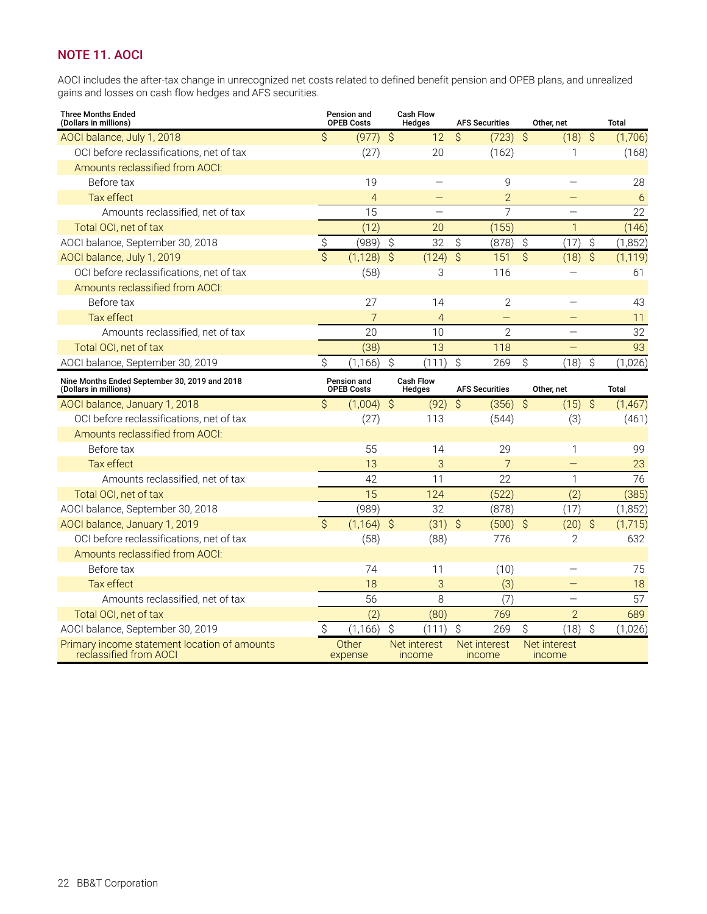### <span id="page-23-0"></span>**NOTE 11. AOCI**

AOCI includes the after-tax change in unrecognized net costs related to defined benefit pension and OPEB plans, and unrealized gains and losses on cash flow hedges and AFS securities.

| <b>Three Months Ended</b><br>(Dollars in millions)                     |                          | Pension and<br><b>OPEB Costs</b> |                          | <b>Cash Flow</b><br>Hedges |                          | <b>AFS Securities</b>    |                          | Other, net               |               | <b>Total</b> |
|------------------------------------------------------------------------|--------------------------|----------------------------------|--------------------------|----------------------------|--------------------------|--------------------------|--------------------------|--------------------------|---------------|--------------|
| AOCI balance, July 1, 2018                                             | \$                       | (977)                            | $\mathcal{S}$            | 12                         | $\mathcal{S}$            | $(723)$ \$               |                          | $(18)$ \$                |               | (1,706)      |
| OCI before reclassifications, net of tax                               |                          | (27)                             |                          | 20                         |                          | (162)                    |                          | 1                        |               | (168)        |
| Amounts reclassified from AOCI:                                        |                          |                                  |                          |                            |                          |                          |                          |                          |               |              |
| Before tax                                                             |                          | 19                               |                          |                            |                          | 9                        |                          |                          |               | 28           |
| Tax effect                                                             |                          | $\overline{4}$                   |                          |                            |                          | $\overline{2}$           |                          |                          |               | 6            |
| Amounts reclassified, net of tax                                       |                          | 15                               |                          |                            |                          | $\overline{7}$           |                          |                          |               | 22           |
| Total OCI, net of tax                                                  |                          | (12)                             |                          | 20                         |                          | (155)                    |                          | $\mathbf{1}$             |               | (146)        |
| AOCI balance, September 30, 2018                                       | \$                       | (989)                            | \$                       | 32                         | \$                       | (878)                    | \$                       | (17)                     | \$            | (1, 852)     |
| AOCI balance, July 1, 2019                                             | $\overline{\mathcal{S}}$ | (1, 128)                         | $\overline{\mathcal{S}}$ | (124)                      | $\overline{\mathcal{S}}$ | 151                      | $\overline{\mathcal{S}}$ | (18)                     | $\mathcal{S}$ | (1, 119)     |
| OCI before reclassifications, net of tax                               |                          | (58)                             |                          | 3                          |                          | 116                      |                          |                          |               | 61           |
| Amounts reclassified from AOCI:                                        |                          |                                  |                          |                            |                          |                          |                          |                          |               |              |
| Before tax                                                             |                          | 27                               |                          | 14                         |                          | $\mathbf{2}$             |                          |                          |               | 43           |
| Tax effect                                                             |                          | 7                                |                          | $\overline{4}$             |                          | $\overline{\phantom{0}}$ |                          |                          |               | 11           |
| Amounts reclassified, net of tax                                       |                          | 20                               |                          | 10                         |                          | $\overline{2}$           |                          | $\overline{\phantom{0}}$ |               | 32           |
| Total OCI, net of tax                                                  |                          | (38)                             |                          | 13                         |                          | 118                      |                          |                          |               | 93           |
| AOCI balance, September 30, 2019                                       | \$                       | (1, 166)                         | \$                       | (111)                      | \$                       | 269                      | \$                       | (18)                     | \$            | (1,026)      |
| Nine Months Ended September 30, 2019 and 2018<br>(Dollars in millions) |                          | Pension and<br><b>OPEB Costs</b> |                          | <b>Cash Flow</b><br>Hedges |                          | <b>AFS Securities</b>    |                          | Other, net               |               | Total        |
| AOCI balance, January 1, 2018                                          | \$                       | $(1,004)$ \$                     |                          | (92)                       | $\mathcal{S}$            | $(356)$ \$               |                          | $(15)$ \$                |               | (1, 467)     |
| OCI before reclassifications, net of tax                               |                          | (27)                             |                          | 113                        |                          | (544)                    |                          | (3)                      |               | (461)        |
| Amounts reclassified from AOCI:                                        |                          |                                  |                          |                            |                          |                          |                          |                          |               |              |
| Before tax                                                             |                          | 55                               |                          | 14                         |                          | 29                       |                          | $\mathbf{1}$             |               | 99           |
| Tax effect                                                             |                          | 13                               |                          | 3                          |                          | 7                        |                          |                          |               | 23           |
| Amounts reclassified, net of tax                                       |                          | 42                               |                          | 11                         |                          | 22                       |                          | $\mathbf{1}$             |               | 76           |
| Total OCI, net of tax                                                  |                          | $\overline{15}$                  |                          | 124                        |                          | (522)                    |                          | (2)                      |               | (385)        |
| AOCI balance, September 30, 2018                                       |                          | (989)                            |                          | 32                         |                          | (878)                    |                          | (17)                     |               | (1, 852)     |
| AOCI balance, January 1, 2019                                          | $\mathsf{S}$             | (1, 164)                         | $\mathcal{S}$            | (31)                       | $\mathcal{S}$            | (500)                    | $\hat{S}$                | (20)                     | $\hat{S}$     | (1,715)      |
| OCI before reclassifications, net of tax                               |                          | (58)                             |                          | (88)                       |                          | 776                      |                          | $\overline{2}$           |               | 632          |
| Amounts reclassified from AOCI:                                        |                          |                                  |                          |                            |                          |                          |                          |                          |               |              |
| Before tax                                                             |                          | 74                               |                          | 11                         |                          | (10)                     |                          |                          |               | 75           |
| Tax effect                                                             |                          | 18                               |                          | 3                          |                          | (3)                      |                          | $\equiv$                 |               | 18           |
| Amounts reclassified, net of tax                                       |                          | 56                               |                          | 8                          |                          | (7)                      |                          | $\overline{\phantom{0}}$ |               | 57           |
| Total OCI, net of tax                                                  |                          | (2)                              |                          | (80)                       |                          | 769                      |                          | $\overline{2}$           |               | 689          |
| AOCI balance, September 30, 2019                                       | Ŝ                        | (1, 166)                         | $\hat{S}$                | (111)                      | $\hat{\mathcal{S}}$      | 269                      | \$                       | (18)                     | \$            | (1,026)      |
| Primary income statement location of amounts<br>reclassified from AOCI |                          | Other<br>expense                 |                          | Net interest<br>income     |                          | Net interest<br>income   |                          | Net interest<br>income   |               |              |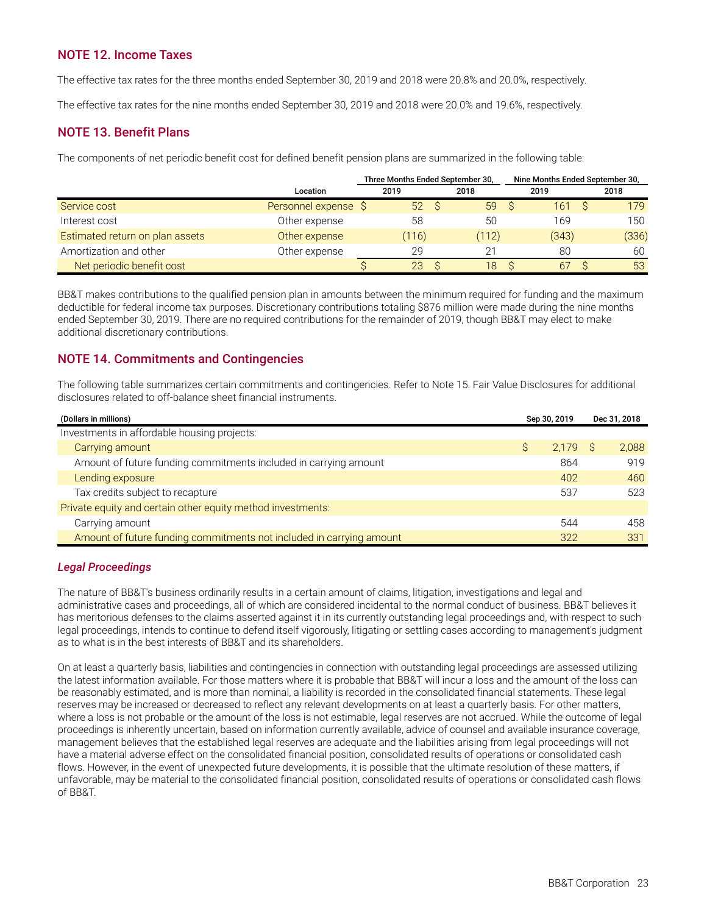### <span id="page-24-0"></span>**NOTE 12. Income Taxes**

The effective tax rates for the three months ended September 30, 2019 and 2018 were 20.8% and 20.0%, respectively.

The effective tax rates for the nine months ended September 30, 2019 and 2018 were 20.0% and 19.6%, respectively.

### **NOTE 13. Benefit Plans**

The components of net periodic benefit cost for defined benefit pension plans are summarized in the following table:

|                                 |                      | Three Months Ended September 30, |       |   | Nine Months Ended September 30, |       |
|---------------------------------|----------------------|----------------------------------|-------|---|---------------------------------|-------|
|                                 | Location             | 2019                             | 2018  |   | 2019                            | 2018  |
| Service cost                    | Personnel expense \$ | $52 \quad$                       | 59    | S | 161                             | 179   |
| Interest cost                   | Other expense        | 58                               | 50    |   | 169                             | 150   |
| Estimated return on plan assets | Other expense        | (116)                            | (112) |   | (343)                           | (336) |
| Amortization and other          | Other expense        | 29                               |       |   | 80                              | 60    |
| Net periodic benefit cost       |                      | 23                               | 18    |   | 67                              | 53    |

BB&T makes contributions to the qualified pension plan in amounts between the minimum required for funding and the maximum deductible for federal income tax purposes. Discretionary contributions totaling \$876 million were made during the nine months ended September 30, 2019. There are no required contributions for the remainder of 2019, though BB&T may elect to make additional discretionary contributions.

### **NOTE 14. Commitments and Contingencies**

The following table summarizes certain commitments and contingencies. Refer to Note 15. Fair Value Disclosures for additional disclosures related to off-balance sheet financial instruments.

| (Dollars in millions)                                                | Sep 30, 2019 | Dec 31, 2018 |       |
|----------------------------------------------------------------------|--------------|--------------|-------|
| Investments in affordable housing projects:                          |              |              |       |
| Carrying amount                                                      | 2.179 S      |              | 2.088 |
| Amount of future funding commitments included in carrying amount     | 864          |              | 919   |
| Lending exposure                                                     | 402          |              | 460   |
| Tax credits subject to recapture                                     | 537          |              | 523   |
| Private equity and certain other equity method investments:          |              |              |       |
| Carrying amount                                                      | 544          |              | 458   |
| Amount of future funding commitments not included in carrying amount | 322          |              | 331   |

### *Legal Proceedings*

The nature of BB&T's business ordinarily results in a certain amount of claims, litigation, investigations and legal and administrative cases and proceedings, all of which are considered incidental to the normal conduct of business. BB&T believes it has meritorious defenses to the claims asserted against it in its currently outstanding legal proceedings and, with respect to such legal proceedings, intends to continue to defend itself vigorously, litigating or settling cases according to management's judgment as to what is in the best interests of BB&T and its shareholders.

On at least a quarterly basis, liabilities and contingencies in connection with outstanding legal proceedings are assessed utilizing the latest information available. For those matters where it is probable that BB&T will incur a loss and the amount of the loss can be reasonably estimated, and is more than nominal, a liability is recorded in the consolidated financial statements. These legal reserves may be increased or decreased to reflect any relevant developments on at least a quarterly basis. For other matters, where a loss is not probable or the amount of the loss is not estimable, legal reserves are not accrued. While the outcome of legal proceedings is inherently uncertain, based on information currently available, advice of counsel and available insurance coverage, management believes that the established legal reserves are adequate and the liabilities arising from legal proceedings will not have a material adverse effect on the consolidated financial position, consolidated results of operations or consolidated cash flows. However, in the event of unexpected future developments, it is possible that the ultimate resolution of these matters, if unfavorable, may be material to the consolidated financial position, consolidated results of operations or consolidated cash flows of BB&T.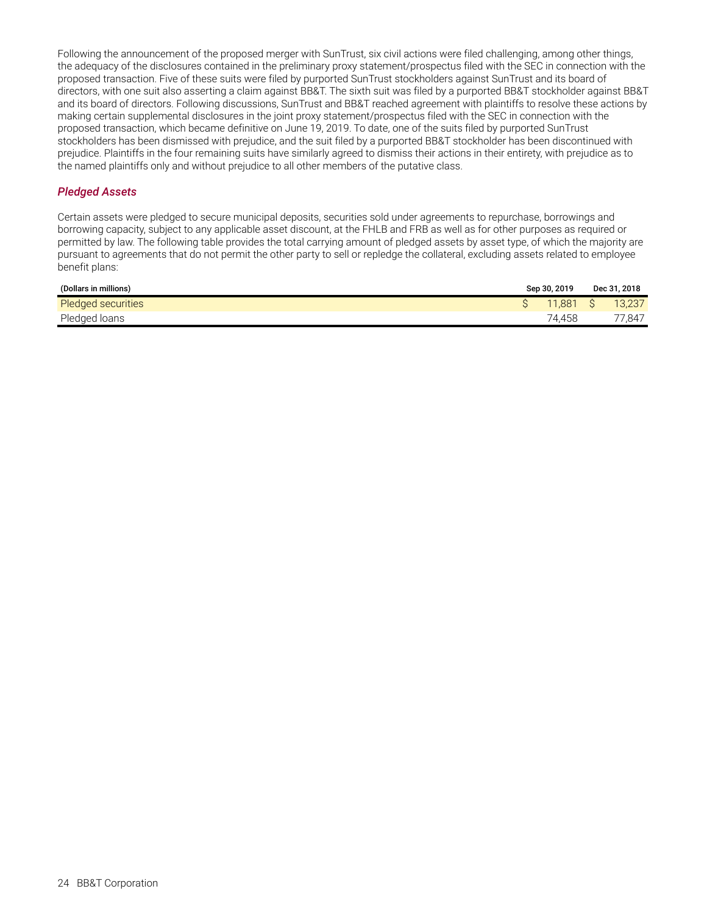Following the announcement of the proposed merger with SunTrust, six civil actions were filed challenging, among other things, the adequacy of the disclosures contained in the preliminary proxy statement/prospectus filed with the SEC in connection with the proposed transaction. Five of these suits were filed by purported SunTrust stockholders against SunTrust and its board of directors, with one suit also asserting a claim against BB&T. The sixth suit was filed by a purported BB&T stockholder against BB&T and its board of directors. Following discussions, SunTrust and BB&T reached agreement with plaintiffs to resolve these actions by making certain supplemental disclosures in the joint proxy statement/prospectus filed with the SEC in connection with the proposed transaction, which became definitive on June 19, 2019. To date, one of the suits filed by purported SunTrust stockholders has been dismissed with prejudice, and the suit filed by a purported BB&T stockholder has been discontinued with prejudice. Plaintiffs in the four remaining suits have similarly agreed to dismiss their actions in their entirety, with prejudice as to the named plaintiffs only and without prejudice to all other members of the putative class.

### *Pledged Assets*

Certain assets were pledged to secure municipal deposits, securities sold under agreements to repurchase, borrowings and borrowing capacity, subject to any applicable asset discount, at the FHLB and FRB as well as for other purposes as required or permitted by law. The following table provides the total carrying amount of pledged assets by asset type, of which the majority are pursuant to agreements that do not permit the other party to sell or repledge the collateral, excluding assets related to employee benefit plans:

| (Dollars in millions) | Sep 30, 2019 | Dec 31, 2018 |
|-----------------------|--------------|--------------|
| Pledged securities    | 11.881       | 13,237       |
| Pledged loans         | 74,458       | 77,847       |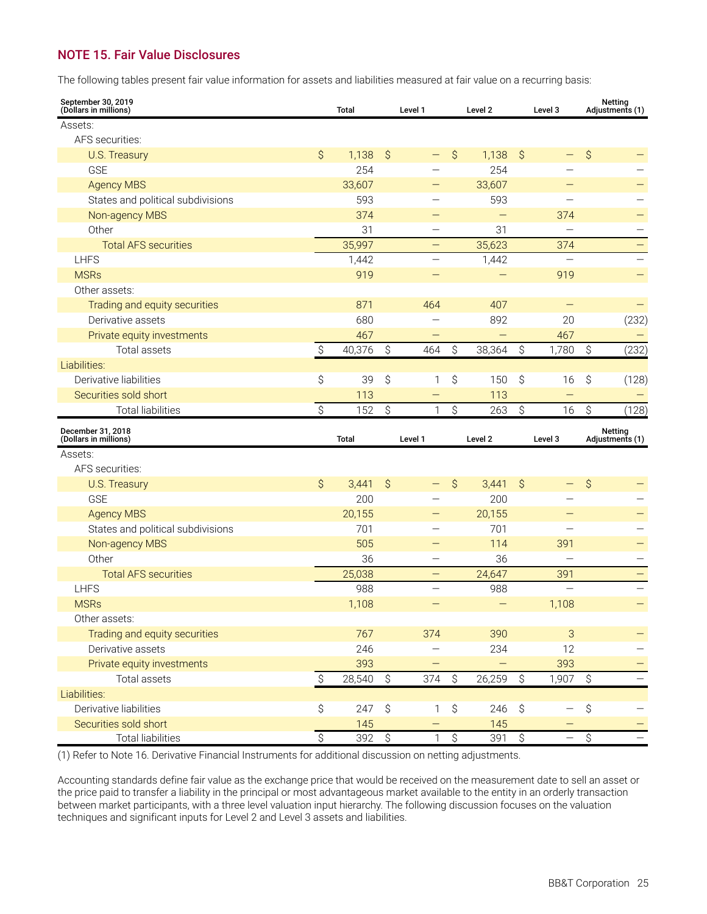### <span id="page-26-0"></span>**NOTE 15. Fair Value Disclosures**

The following tables present fair value information for assets and liabilities measured at fair value on a recurring basis:

| September 30, 2019<br>(Dollars in millions)       |                        | <b>Total</b>            |                  | Level 1                  |                  | Level 2    | Level 3                   |                          |                        | <b>Netting</b><br>Adjustments (1) |
|---------------------------------------------------|------------------------|-------------------------|------------------|--------------------------|------------------|------------|---------------------------|--------------------------|------------------------|-----------------------------------|
| Assets:                                           |                        |                         |                  |                          |                  |            |                           |                          |                        |                                   |
| AFS securities:                                   |                        |                         |                  |                          |                  |            |                           |                          |                        |                                   |
| <b>U.S. Treasury</b>                              | $\mathsf{S}$           | 1,138                   | $\mathcal{S}$    |                          | \$               | 1,138      | Ŝ.                        |                          | \$                     |                                   |
| <b>GSE</b>                                        |                        | 254                     |                  |                          |                  | 254        |                           |                          |                        |                                   |
| <b>Agency MBS</b>                                 |                        | 33,607                  |                  |                          |                  | 33,607     |                           |                          |                        |                                   |
| States and political subdivisions                 |                        | 593                     |                  |                          |                  | 593        |                           |                          |                        |                                   |
| Non-agency MBS                                    |                        | 374                     |                  |                          |                  |            |                           | 374                      |                        |                                   |
| Other                                             |                        | 31                      |                  |                          |                  | 31         |                           |                          |                        |                                   |
| <b>Total AFS securities</b>                       |                        | 35,997                  |                  |                          |                  | 35,623     |                           | 374                      |                        | $\qquad \qquad -$                 |
| <b>LHFS</b>                                       |                        | 1,442                   |                  |                          |                  | 1,442      |                           |                          |                        |                                   |
| <b>MSRs</b>                                       |                        | 919                     |                  |                          |                  |            |                           | 919                      |                        |                                   |
| Other assets:                                     |                        |                         |                  |                          |                  |            |                           |                          |                        |                                   |
| Trading and equity securities                     |                        | 871                     |                  | 464                      |                  | 407        |                           | $\qquad \qquad -$        |                        |                                   |
| Derivative assets                                 |                        | 680                     |                  |                          |                  | 892        |                           | 20                       |                        | (232)                             |
| Private equity investments                        |                        | 467                     |                  |                          |                  | —          |                           | 467                      |                        |                                   |
| Total assets                                      | \$                     | 40,376                  | \$               | 464                      | \$               | 38,364     | $\hat{\mathcal{S}}$       | 1,780                    | \$                     | (232)                             |
| Liabilities:                                      |                        |                         |                  |                          |                  |            |                           |                          |                        |                                   |
| Derivative liabilities                            | \$                     | 39                      | \$               | 1                        | \$               | 150        | \$                        | 16                       | \$                     | (128)                             |
| Securities sold short                             |                        | 113                     |                  |                          |                  | 113        |                           | $\overline{\phantom{0}}$ |                        |                                   |
| <b>Total liabilities</b>                          | \$                     | 152                     | \$               | 1                        | \$               | 263        | \$                        | 16                       | \$                     | (128)                             |
|                                                   |                        |                         |                  |                          |                  |            |                           |                          |                        |                                   |
| December 31, 2018<br>(Dollars in millions)        |                        | <b>Total</b>            |                  | Level 1                  |                  | Level 2    |                           | Level 3                  |                        | Netting<br>Adjustments (1)        |
| Assets:                                           |                        |                         |                  |                          |                  |            |                           |                          |                        |                                   |
| AFS securities:                                   |                        |                         |                  |                          |                  |            |                           |                          |                        |                                   |
| U.S. Treasury                                     | $\mathcal{S}$          | 3,441                   | Ŝ.               |                          | \$               | 3,441      | \$                        | —                        | \$                     |                                   |
| <b>GSE</b>                                        |                        | 200                     |                  |                          |                  | 200        |                           |                          |                        |                                   |
| <b>Agency MBS</b>                                 |                        | 20,155                  |                  |                          |                  | 20,155     |                           |                          |                        |                                   |
| States and political subdivisions                 |                        | 701                     |                  |                          |                  | 701        |                           |                          |                        |                                   |
| Non-agency MBS                                    |                        | 505                     |                  |                          |                  | 114        |                           | 391                      |                        |                                   |
| Other                                             |                        | 36                      |                  |                          |                  | 36         |                           |                          |                        |                                   |
| <b>Total AFS securities</b>                       |                        | 25,038                  |                  | $\qquad \qquad -$        |                  | 24,647     |                           | 391                      |                        | $\qquad \qquad -$                 |
| <b>LHFS</b>                                       |                        | 988                     |                  | $\overline{\phantom{0}}$ |                  | 988        |                           | $\overline{\phantom{0}}$ |                        |                                   |
| <b>MSRs</b>                                       |                        | 1,108                   |                  |                          |                  |            |                           | 1,108                    |                        |                                   |
| Other assets:                                     |                        |                         |                  |                          |                  |            |                           |                          |                        |                                   |
| Trading and equity securities                     |                        | 767                     |                  | 374                      |                  | 390        |                           | 3                        |                        |                                   |
| Derivative assets                                 |                        | 246                     |                  |                          |                  | 234        |                           | 12                       |                        |                                   |
| Private equity investments                        |                        | 393                     |                  | $\qquad \qquad -$        |                  | —          |                           | 393                      |                        |                                   |
| Total assets                                      | Ŝ.                     | 28,540                  | $\mathcal{S}$    | 374                      | $\mathcal{S}$    | 26,259     | $\mathcal{S}$             | 1,907                    | \$                     |                                   |
| Liabilities:                                      |                        |                         |                  |                          |                  |            |                           |                          |                        |                                   |
| Derivative liabilities                            | \$                     | 247                     | \$               | 1                        | \$               | 246        | $\boldsymbol{\mathsf{S}}$ | —                        | \$                     |                                   |
| Securities sold short<br><b>Total liabilities</b> | $\overline{\varsigma}$ | 145<br>$\overline{392}$ | $\overline{\xi}$ | $\mathbf{1}$             | $\overline{\xi}$ | 145<br>391 | $\overline{\mathcal{S}}$  |                          | $\overline{\varsigma}$ |                                   |

(1) Refer to Note 16. Derivative Financial Instruments for additional discussion on netting adjustments.

Accounting standards define fair value as the exchange price that would be received on the measurement date to sell an asset or the price paid to transfer a liability in the principal or most advantageous market available to the entity in an orderly transaction between market participants, with a three level valuation input hierarchy. The following discussion focuses on the valuation techniques and significant inputs for Level 2 and Level 3 assets and liabilities.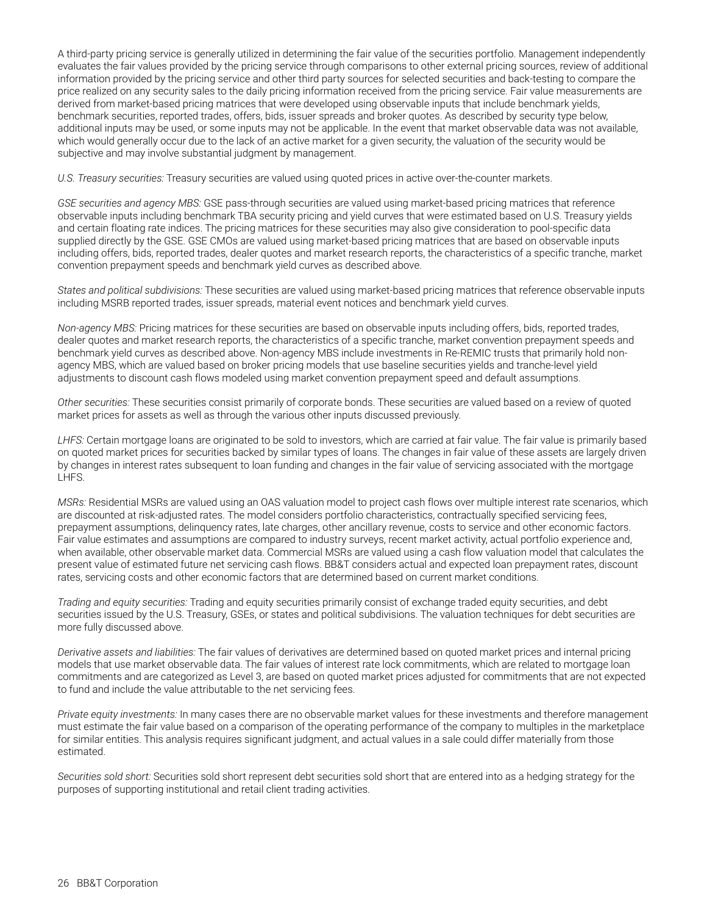A third-party pricing service is generally utilized in determining the fair value of the securities portfolio. Management independently evaluates the fair values provided by the pricing service through comparisons to other external pricing sources, review of additional information provided by the pricing service and other third party sources for selected securities and back-testing to compare the price realized on any security sales to the daily pricing information received from the pricing service. Fair value measurements are derived from market-based pricing matrices that were developed using observable inputs that include benchmark yields, benchmark securities, reported trades, offers, bids, issuer spreads and broker quotes. As described by security type below, additional inputs may be used, or some inputs may not be applicable. In the event that market observable data was not available, which would generally occur due to the lack of an active market for a given security, the valuation of the security would be subjective and may involve substantial judgment by management.

*U.S. Treasury securities:* Treasury securities are valued using quoted prices in active over-the-counter markets.

*GSE securities and agency MBS:* GSE pass-through securities are valued using market-based pricing matrices that reference observable inputs including benchmark TBA security pricing and yield curves that were estimated based on U.S. Treasury yields and certain floating rate indices. The pricing matrices for these securities may also give consideration to pool-specific data supplied directly by the GSE. GSE CMOs are valued using market-based pricing matrices that are based on observable inputs including offers, bids, reported trades, dealer quotes and market research reports, the characteristics of a specific tranche, market convention prepayment speeds and benchmark yield curves as described above.

*States and political subdivisions:* These securities are valued using market-based pricing matrices that reference observable inputs including MSRB reported trades, issuer spreads, material event notices and benchmark yield curves.

*Non-agency MBS:* Pricing matrices for these securities are based on observable inputs including offers, bids, reported trades, dealer quotes and market research reports, the characteristics of a specific tranche, market convention prepayment speeds and benchmark yield curves as described above. Non-agency MBS include investments in Re-REMIC trusts that primarily hold nonagency MBS, which are valued based on broker pricing models that use baseline securities yields and tranche-level yield adjustments to discount cash flows modeled using market convention prepayment speed and default assumptions.

*Other securities:* These securities consist primarily of corporate bonds. These securities are valued based on a review of quoted market prices for assets as well as through the various other inputs discussed previously.

*LHFS:* Certain mortgage loans are originated to be sold to investors, which are carried at fair value. The fair value is primarily based on quoted market prices for securities backed by similar types of loans. The changes in fair value of these assets are largely driven by changes in interest rates subsequent to loan funding and changes in the fair value of servicing associated with the mortgage LHFS.

*MSRs:* Residential MSRs are valued using an OAS valuation model to project cash flows over multiple interest rate scenarios, which are discounted at risk-adjusted rates. The model considers portfolio characteristics, contractually specified servicing fees, prepayment assumptions, delinquency rates, late charges, other ancillary revenue, costs to service and other economic factors. Fair value estimates and assumptions are compared to industry surveys, recent market activity, actual portfolio experience and, when available, other observable market data. Commercial MSRs are valued using a cash flow valuation model that calculates the present value of estimated future net servicing cash flows. BB&T considers actual and expected loan prepayment rates, discount rates, servicing costs and other economic factors that are determined based on current market conditions.

*Trading and equity securities:* Trading and equity securities primarily consist of exchange traded equity securities, and debt securities issued by the U.S. Treasury, GSEs, or states and political subdivisions. The valuation techniques for debt securities are more fully discussed above.

*Derivative assets and liabilities:* The fair values of derivatives are determined based on quoted market prices and internal pricing models that use market observable data. The fair values of interest rate lock commitments, which are related to mortgage loan commitments and are categorized as Level 3, are based on quoted market prices adjusted for commitments that are not expected to fund and include the value attributable to the net servicing fees.

*Private equity investments:* In many cases there are no observable market values for these investments and therefore management must estimate the fair value based on a comparison of the operating performance of the company to multiples in the marketplace for similar entities. This analysis requires significant judgment, and actual values in a sale could differ materially from those estimated.

*Securities sold short:* Securities sold short represent debt securities sold short that are entered into as a hedging strategy for the purposes of supporting institutional and retail client trading activities.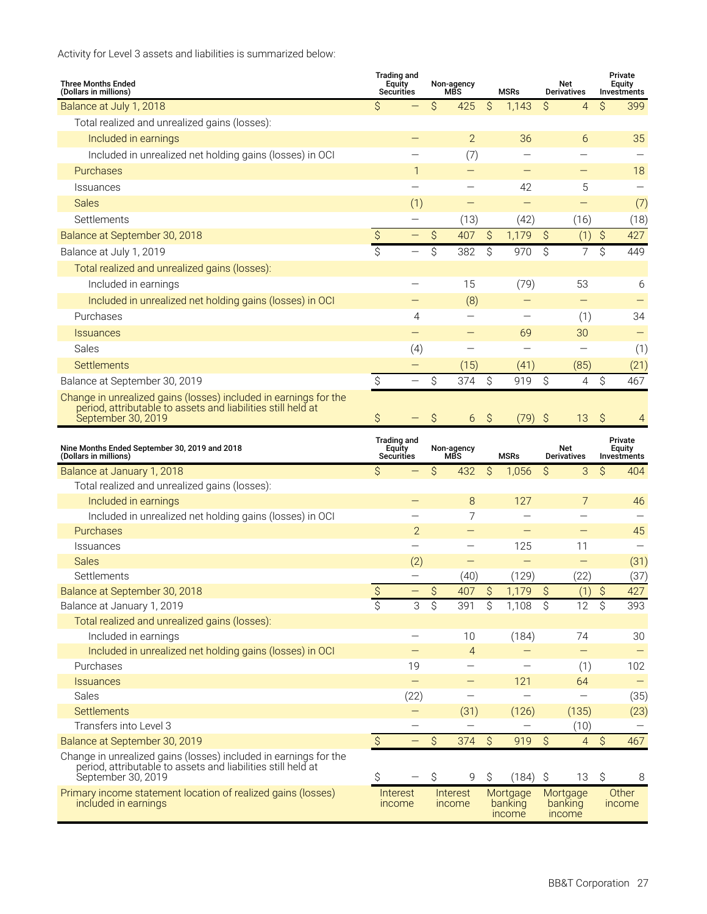Activity for Level 3 assets and liabilities is summarized below:

| <b>Three Months Ended</b><br>(Dollars in millions)                                                                                                     |                     | <b>Trading and</b><br><b>Equity</b><br><b>Securities</b> |                          | Non-agency<br><b>MBS</b> |                          | <b>MSRs</b>                   |                          | Net<br><b>Derivatives</b>     |                          | Private<br>Equity<br>Investments |
|--------------------------------------------------------------------------------------------------------------------------------------------------------|---------------------|----------------------------------------------------------|--------------------------|--------------------------|--------------------------|-------------------------------|--------------------------|-------------------------------|--------------------------|----------------------------------|
| Balance at July 1, 2018                                                                                                                                | Ś                   |                                                          | Ŝ                        | 425                      | \$                       | 1,143                         | Ś.                       | $\overline{4}$                | Ś                        | 399                              |
| Total realized and unrealized gains (losses):                                                                                                          |                     |                                                          |                          |                          |                          |                               |                          |                               |                          |                                  |
| Included in earnings                                                                                                                                   |                     |                                                          |                          | $\overline{2}$           |                          | 36                            |                          | 6                             |                          | 35                               |
| Included in unrealized net holding gains (losses) in OCI                                                                                               |                     |                                                          |                          | (7)                      |                          |                               |                          |                               |                          |                                  |
| Purchases                                                                                                                                              |                     | 1                                                        |                          |                          |                          |                               |                          |                               |                          | 18                               |
| <b>Issuances</b>                                                                                                                                       |                     | $\overline{\phantom{0}}$                                 |                          |                          |                          | 42                            |                          | 5                             |                          |                                  |
| <b>Sales</b>                                                                                                                                           |                     | (1)                                                      |                          |                          |                          | $\qquad \qquad -$             |                          | —                             |                          | (7)                              |
| Settlements                                                                                                                                            |                     |                                                          |                          | (13)                     |                          | (42)                          |                          | (16)                          |                          | (18)                             |
| Balance at September 30, 2018                                                                                                                          | \$                  |                                                          | \$                       | 407                      | \$                       | 1,179                         | $\mathcal{S}$            | (1)                           | $\boldsymbol{\zeta}$     | 427                              |
| Balance at July 1, 2019                                                                                                                                | $\mathsf{S}$        | $\overline{\phantom{0}}$                                 | \$                       | 382                      | Ŝ                        | 970                           | Ŝ                        | $\overline{7}$                | $\mathsf S$              | 449                              |
|                                                                                                                                                        |                     |                                                          |                          |                          |                          |                               |                          |                               |                          |                                  |
| Total realized and unrealized gains (losses):                                                                                                          |                     |                                                          |                          |                          |                          |                               |                          |                               |                          |                                  |
| Included in earnings                                                                                                                                   |                     |                                                          |                          | 15                       |                          | (79)                          |                          | 53                            |                          | 6                                |
| Included in unrealized net holding gains (losses) in OCI                                                                                               |                     |                                                          |                          | (8)                      |                          | $\overline{\phantom{0}}$      |                          | $\qquad \qquad -$             |                          |                                  |
| Purchases                                                                                                                                              |                     | 4                                                        |                          |                          |                          |                               |                          | (1)                           |                          | 34                               |
| <b>Issuances</b>                                                                                                                                       |                     | $\overline{\phantom{0}}$                                 |                          | -                        |                          | 69                            |                          | 30                            |                          |                                  |
| Sales                                                                                                                                                  |                     | (4)                                                      |                          |                          |                          | $\overline{\phantom{0}}$      |                          |                               |                          | (1)                              |
| Settlements                                                                                                                                            |                     |                                                          |                          | (15)                     |                          | (41)                          |                          | (85)                          |                          | (21)                             |
| Balance at September 30, 2019                                                                                                                          | \$                  | $\qquad \qquad -$                                        | \$                       | 374                      | Ŝ                        | 919                           | Ŝ.                       | $\overline{4}$                | \$                       | 467                              |
| Change in unrealized gains (losses) included in earnings for the<br>period, attributable to assets and liabilities still held at<br>September 30, 2019 | \$                  |                                                          | \$                       | 6                        | \$                       | (79)                          | $\mathcal{S}$            | 13                            | \$                       | 4                                |
| Nine Months Ended September 30, 2019 and 2018<br>(Dollars in millions)                                                                                 |                     | <b>Trading and</b><br><b>Equity</b><br>Securities        |                          | Non-agency<br>MBS        |                          | <b>MSRs</b>                   |                          | Net<br><b>Derivatives</b>     |                          | Private<br>Equity<br>Investments |
| Balance at January 1, 2018                                                                                                                             | \$                  |                                                          | \$                       | 432                      | Ŝ                        | 1,056                         | Ŝ                        | 3                             | \$                       | 404                              |
| Total realized and unrealized gains (losses):                                                                                                          |                     |                                                          |                          |                          |                          |                               |                          |                               |                          |                                  |
| Included in earnings                                                                                                                                   |                     |                                                          |                          | 8                        |                          | 127                           |                          | 7                             |                          | 46                               |
| Included in unrealized net holding gains (losses) in OCI                                                                                               |                     |                                                          |                          | 7                        |                          |                               |                          |                               |                          |                                  |
| Purchases                                                                                                                                              |                     | $\overline{2}$                                           |                          |                          |                          |                               |                          |                               |                          | 45                               |
| Issuances                                                                                                                                              |                     |                                                          |                          | —                        |                          | 125                           |                          | 11                            |                          |                                  |
| <b>Sales</b>                                                                                                                                           |                     | (2)                                                      |                          | $\overline{\phantom{0}}$ |                          | $\equiv$                      |                          | $\overline{\phantom{0}}$      |                          | (31)                             |
| Settlements                                                                                                                                            |                     |                                                          |                          | (40)                     |                          | (129)                         |                          | (22)                          |                          | (37)                             |
| Balance at September 30, 2018                                                                                                                          |                     |                                                          | \$                       | 407                      | \$                       | 1,179                         | $\boldsymbol{\zeta}$     | (1)                           | \$                       | 427                              |
| Balance at January 1, 2019                                                                                                                             | $rac{S}{\varsigma}$ | 3                                                        | $\overline{\mathcal{S}}$ | 391                      | $\overline{\mathcal{S}}$ | 1,108                         | $\overline{\mathcal{S}}$ | 12                            | $\overline{\mathcal{S}}$ | 393                              |
| Total realized and unrealized gains (losses):                                                                                                          |                     |                                                          |                          |                          |                          |                               |                          |                               |                          |                                  |
| Included in earnings                                                                                                                                   |                     |                                                          |                          | 10                       |                          | (184)                         |                          | 74                            |                          | 30                               |
| Included in unrealized net holding gains (losses) in OCI                                                                                               |                     |                                                          |                          | $\overline{4}$           |                          | $\qquad \qquad -$             |                          | $\overline{\phantom{0}}$      |                          |                                  |
| Purchases                                                                                                                                              |                     | 19                                                       |                          |                          |                          |                               |                          | (1)                           |                          | 102                              |
| <b>Issuances</b>                                                                                                                                       |                     | $\qquad \qquad -$                                        |                          |                          |                          | 121                           |                          | 64                            |                          |                                  |
| Sales                                                                                                                                                  |                     | (22)                                                     |                          | $\overline{\phantom{0}}$ |                          |                               |                          |                               |                          | (35)                             |
| Settlements                                                                                                                                            |                     |                                                          |                          | (31)                     |                          | (126)                         |                          | (135)                         |                          | (23)                             |
| Transfers into Level 3                                                                                                                                 |                     | —                                                        |                          |                          |                          |                               |                          | (10)                          |                          |                                  |
| Balance at September 30, 2019                                                                                                                          | $\hat{\mathcal{S}}$ | -                                                        | $\hat{\mathcal{S}}$      | 374                      | \$                       | 919                           | $\hat{\mathcal{S}}$      | $\overline{4}$                | \$                       | 467                              |
| Change in unrealized gains (losses) included in earnings for the<br>period, attributable to assets and liabilities still held at<br>September 30, 2019 | Ŝ                   |                                                          | \$                       | 9                        | \$                       | (184)                         | \$                       | 13                            | \$                       | 8                                |
| Primary income statement location of realized gains (losses)<br>included in earnings                                                                   |                     | Interest<br>income                                       |                          | Interest<br>income       |                          | Mortgage<br>banking<br>income |                          | Mortgage<br>banking<br>income |                          | Other<br>income                  |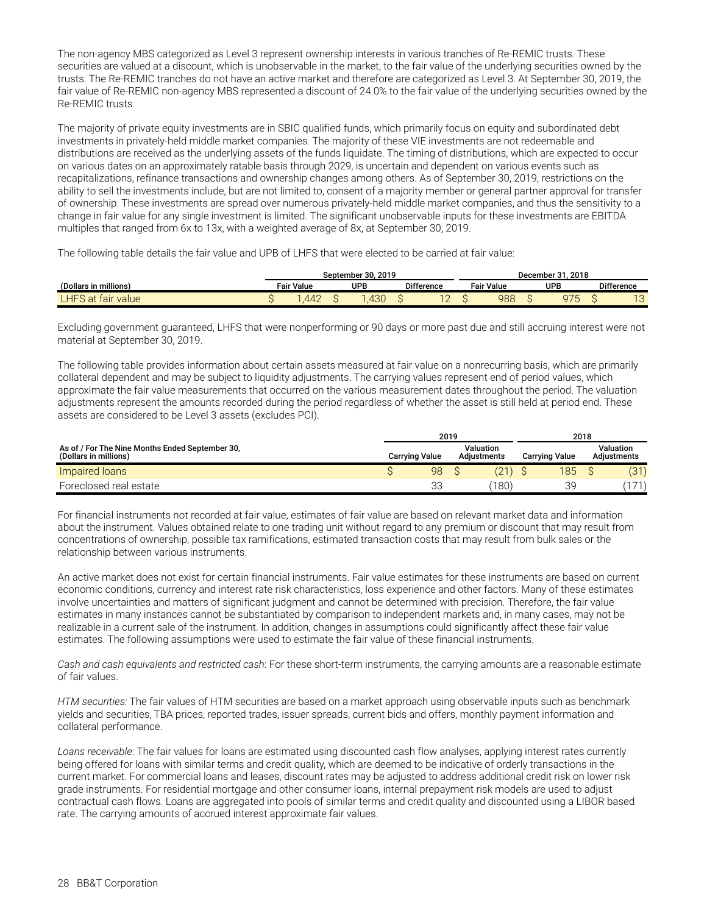The non-agency MBS categorized as Level 3 represent ownership interests in various tranches of Re-REMIC trusts. These securities are valued at a discount, which is unobservable in the market, to the fair value of the underlying securities owned by the trusts. The Re-REMIC tranches do not have an active market and therefore are categorized as Level 3. At September 30, 2019, the fair value of Re-REMIC non-agency MBS represented a discount of 24.0% to the fair value of the underlying securities owned by the Re-REMIC trusts.

The majority of private equity investments are in SBIC qualified funds, which primarily focus on equity and subordinated debt investments in privately-held middle market companies. The majority of these VIE investments are not redeemable and distributions are received as the underlying assets of the funds liquidate. The timing of distributions, which are expected to occur on various dates on an approximately ratable basis through 2029, is uncertain and dependent on various events such as recapitalizations, refinance transactions and ownership changes among others. As of September 30, 2019, restrictions on the ability to sell the investments include, but are not limited to, consent of a majority member or general partner approval for transfer of ownership. These investments are spread over numerous privately-held middle market companies, and thus the sensitivity to a change in fair value for any single investment is limited. The significant unobservable inputs for these investments are EBITDA multiples that ranged from 6x to 13x, with a weighted average of 8x, at September 30, 2019.

The following table details the fair value and UPB of LHFS that were elected to be carried at fair value:

|                              |                   | September 30. 2019 |                          | December 31.<br>. 2018 |  |                                          |  |                   |  |
|------------------------------|-------------------|--------------------|--------------------------|------------------------|--|------------------------------------------|--|-------------------|--|
| (Dollars in millions)        | <b>Fair Value</b> | <b>UPB</b>         | <b>Difference</b>        | <b>Fair Value</b>      |  | <b>UPB</b>                               |  | <b>Difference</b> |  |
| $L$ HFS at $f$<br>tair value | 447<br>$\sim$     | 430                | $\overline{1}$<br>$\sim$ | 988                    |  | $\cap \neg r$<br>$\overline{\mathbf{v}}$ |  | 10<br>ں ا         |  |

Excluding government guaranteed, LHFS that were nonperforming or 90 days or more past due and still accruing interest were not material at September 30, 2019.

The following table provides information about certain assets measured at fair value on a nonrecurring basis, which are primarily collateral dependent and may be subject to liquidity adjustments. The carrying values represent end of period values, which approximate the fair value measurements that occurred on the various measurement dates throughout the period. The valuation adjustments represent the amounts recorded during the period regardless of whether the asset is still held at period end. These assets are considered to be Level 3 assets (excludes PCI).

|                                                                          | 2019 |                       |  |                                 |  | 2018                  |                                 |       |  |
|--------------------------------------------------------------------------|------|-----------------------|--|---------------------------------|--|-----------------------|---------------------------------|-------|--|
| As of / For The Nine Months Ended September 30.<br>(Dollars in millions) |      | <b>Carrying Value</b> |  | Valuation<br><b>Adiustments</b> |  | <b>Carrying Value</b> | Valuation<br><b>Adiustments</b> |       |  |
| Impaired loans                                                           |      | 98                    |  |                                 |  | 185                   |                                 | (31)  |  |
| Foreclosed real estate                                                   |      | 33                    |  | $^{\prime}180)$                 |  | 3d                    |                                 | (171) |  |

For financial instruments not recorded at fair value, estimates of fair value are based on relevant market data and information about the instrument. Values obtained relate to one trading unit without regard to any premium or discount that may result from concentrations of ownership, possible tax ramifications, estimated transaction costs that may result from bulk sales or the relationship between various instruments.

An active market does not exist for certain financial instruments. Fair value estimates for these instruments are based on current economic conditions, currency and interest rate risk characteristics, loss experience and other factors. Many of these estimates involve uncertainties and matters of significant judgment and cannot be determined with precision. Therefore, the fair value estimates in many instances cannot be substantiated by comparison to independent markets and, in many cases, may not be realizable in a current sale of the instrument. In addition, changes in assumptions could significantly affect these fair value estimates. The following assumptions were used to estimate the fair value of these financial instruments.

*Cash and cash equivalents and restricted cash*: For these short-term instruments, the carrying amounts are a reasonable estimate of fair values.

*HTM securities:* The fair values of HTM securities are based on a market approach using observable inputs such as benchmark yields and securities, TBA prices, reported trades, issuer spreads, current bids and offers, monthly payment information and collateral performance.

*Loans receivable*: The fair values for loans are estimated using discounted cash flow analyses, applying interest rates currently being offered for loans with similar terms and credit quality, which are deemed to be indicative of orderly transactions in the current market. For commercial loans and leases, discount rates may be adjusted to address additional credit risk on lower risk grade instruments. For residential mortgage and other consumer loans, internal prepayment risk models are used to adjust contractual cash flows. Loans are aggregated into pools of similar terms and credit quality and discounted using a LIBOR based rate. The carrying amounts of accrued interest approximate fair values.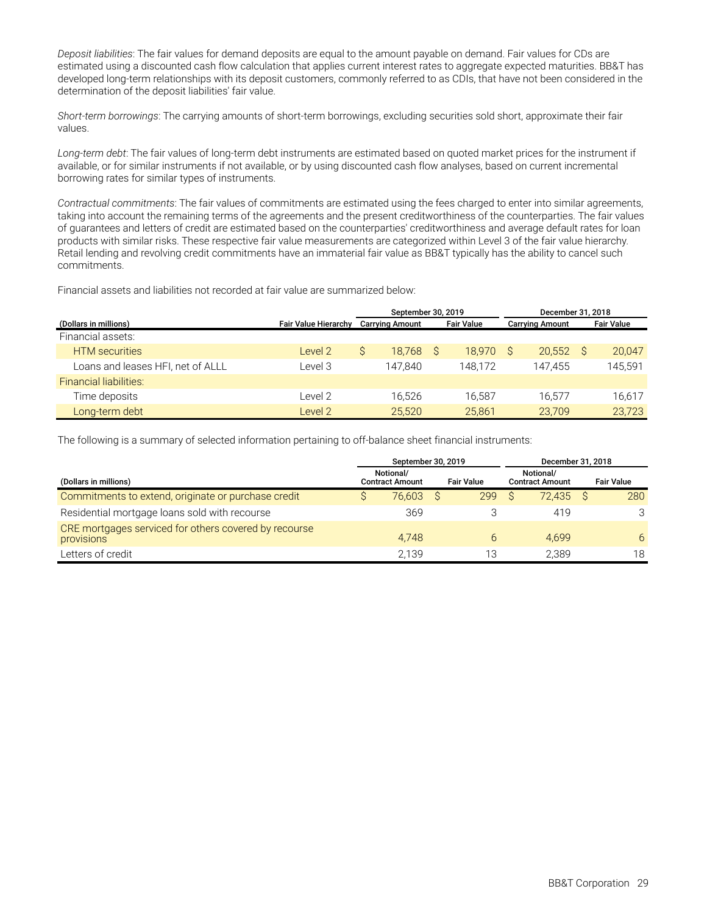*Deposit liabilities*: The fair values for demand deposits are equal to the amount payable on demand. Fair values for CDs are estimated using a discounted cash flow calculation that applies current interest rates to aggregate expected maturities. BB&T has developed long-term relationships with its deposit customers, commonly referred to as CDIs, that have not been considered in the determination of the deposit liabilities' fair value.

*Short-term borrowings*: The carrying amounts of short-term borrowings, excluding securities sold short, approximate their fair values.

*Long-term debt*: The fair values of long-term debt instruments are estimated based on quoted market prices for the instrument if available, or for similar instruments if not available, or by using discounted cash flow analyses, based on current incremental borrowing rates for similar types of instruments.

*Contractual commitments*: The fair values of commitments are estimated using the fees charged to enter into similar agreements, taking into account the remaining terms of the agreements and the present creditworthiness of the counterparties. The fair values of guarantees and letters of credit are estimated based on the counterparties' creditworthiness and average default rates for loan products with similar risks. These respective fair value measurements are categorized within Level 3 of the fair value hierarchy. Retail lending and revolving credit commitments have an immaterial fair value as BB&T typically has the ability to cancel such commitments.

Financial assets and liabilities not recorded at fair value are summarized below:

|                                   |                             |                                             | September 30, 2019 |  |         | December 31, 2018      |                   |
|-----------------------------------|-----------------------------|---------------------------------------------|--------------------|--|---------|------------------------|-------------------|
| (Dollars in millions)             | <b>Fair Value Hierarchy</b> | <b>Fair Value</b><br><b>Carrying Amount</b> |                    |  |         | <b>Carrying Amount</b> | <b>Fair Value</b> |
| Financial assets:                 |                             |                                             |                    |  |         |                        |                   |
| <b>HTM</b> securities             | Level 2                     |                                             | 18.768 S           |  | 18.970  | 20.552                 | 20,047            |
| Loans and leases HFI, net of ALLL | Level 3                     |                                             | 147.840            |  | 148.172 | 147.455                | 145,591           |
| <b>Financial liabilities:</b>     |                             |                                             |                    |  |         |                        |                   |
| Time deposits                     | Level 2                     |                                             | 16,526             |  | 16.587  | 16.577                 | 16,617            |
| Long-term debt                    | Level 2                     |                                             | 25,520             |  | 25,861  | 23.709                 | 23,723            |

The following is a summary of selected information pertaining to off-balance sheet financial instruments:

|                                                                     | September 30, 2019                                       | December 31, 2018 |  |     |                                     |  |                   |
|---------------------------------------------------------------------|----------------------------------------------------------|-------------------|--|-----|-------------------------------------|--|-------------------|
| (Dollars in millions)                                               | Notional/<br><b>Fair Value</b><br><b>Contract Amount</b> |                   |  |     | Notional/<br><b>Contract Amount</b> |  | <b>Fair Value</b> |
| Commitments to extend, originate or purchase credit                 |                                                          | 76.603            |  | 299 | 72.435 S                            |  | 280               |
| Residential mortgage loans sold with recourse                       |                                                          | 369               |  |     | 419                                 |  | 3                 |
| CRE mortgages serviced for others covered by recourse<br>provisions |                                                          | 4.748             |  | 6   | 4.699                               |  | 6                 |
| Letters of credit                                                   |                                                          | 2.139             |  | 13  | 2.389                               |  | 18                |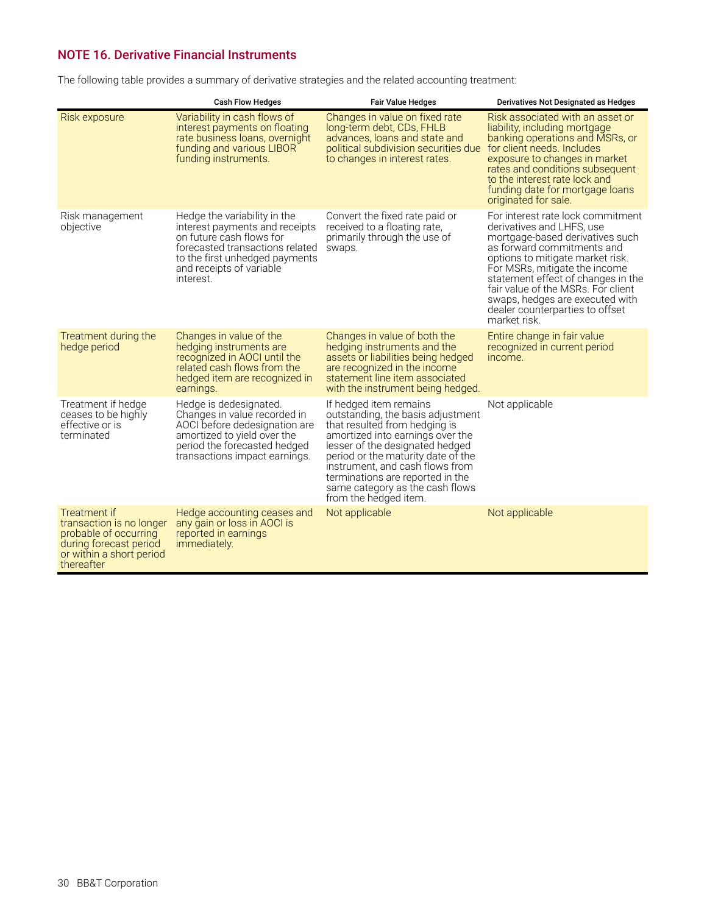### <span id="page-31-0"></span>**NOTE 16. Derivative Financial Instruments**

The following table provides a summary of derivative strategies and the related accounting treatment:

|                                                                                                                                              | <b>Cash Flow Hedges</b>                                                                                                                                                                                  | <b>Fair Value Hedges</b>                                                                                                                                                                                                                                                                                                                     | Derivatives Not Designated as Hedges                                                                                                                                                                                                                                                                                                                                   |
|----------------------------------------------------------------------------------------------------------------------------------------------|----------------------------------------------------------------------------------------------------------------------------------------------------------------------------------------------------------|----------------------------------------------------------------------------------------------------------------------------------------------------------------------------------------------------------------------------------------------------------------------------------------------------------------------------------------------|------------------------------------------------------------------------------------------------------------------------------------------------------------------------------------------------------------------------------------------------------------------------------------------------------------------------------------------------------------------------|
| Risk exposure                                                                                                                                | Variability in cash flows of<br>interest payments on floating<br>rate business loans, overnight<br>funding and various LIBOR<br>funding instruments.                                                     | Changes in value on fixed rate<br>long-term debt, CDs, FHLB<br>advances, loans and state and<br>political subdivision securities due<br>to changes in interest rates.                                                                                                                                                                        | Risk associated with an asset or<br>liability, including mortgage<br>banking operations and MSRs, or<br>for client needs. Includes<br>exposure to changes in market<br>rates and conditions subsequent<br>to the interest rate lock and<br>funding date for mortgage loans<br>originated for sale.                                                                     |
| Risk management<br>objective                                                                                                                 | Hedge the variability in the<br>interest payments and receipts<br>on future cash flows for<br>forecasted transactions related<br>to the first unhedged payments<br>and receipts of variable<br>interest. | Convert the fixed rate paid or<br>received to a floating rate,<br>primarily through the use of<br>swaps.                                                                                                                                                                                                                                     | For interest rate lock commitment<br>derivatives and LHFS, use<br>mortgage-based derivatives such<br>as forward commitments and<br>options to mitigate market risk.<br>For MSRs, mitigate the income<br>statement effect of changes in the<br>fair value of the MSRs. For client<br>swaps, hedges are executed with<br>dealer counterparties to offset<br>market risk. |
| Treatment during the<br>hedge period                                                                                                         | Changes in value of the<br>hedging instruments are<br>recognized in AOCI until the<br>related cash flows from the<br>hedged item are recognized in<br>earnings.                                          | Changes in value of both the<br>hedging instruments and the<br>assets or liabilities being hedged<br>are recognized in the income<br>statement line item associated<br>with the instrument being hedged.                                                                                                                                     | Entire change in fair value<br>recognized in current period<br>income.                                                                                                                                                                                                                                                                                                 |
| Treatment if hedge<br>ceases to be highly<br>effective or is<br>terminated                                                                   | Hedge is dedesignated.<br>Changes in value recorded in<br>AOCI before dedesignation are<br>amortized to yield over the<br>period the forecasted hedged<br>transactions impact earnings.                  | If hedged item remains<br>outstanding, the basis adjustment<br>that resulted from hedging is<br>amortized into earnings over the<br>lesser of the designated hedged<br>period or the maturity date of the<br>instrument, and cash flows from<br>terminations are reported in the<br>same category as the cash flows<br>from the hedged item. | Not applicable                                                                                                                                                                                                                                                                                                                                                         |
| <b>Treatment if</b><br>transaction is no longer<br>probable of occurring<br>during forecast period<br>or within a short period<br>thereafter | Hedge accounting ceases and<br>any gain or loss in AOCI is<br>reported in earnings<br><i>immediately.</i>                                                                                                | Not applicable                                                                                                                                                                                                                                                                                                                               | Not applicable                                                                                                                                                                                                                                                                                                                                                         |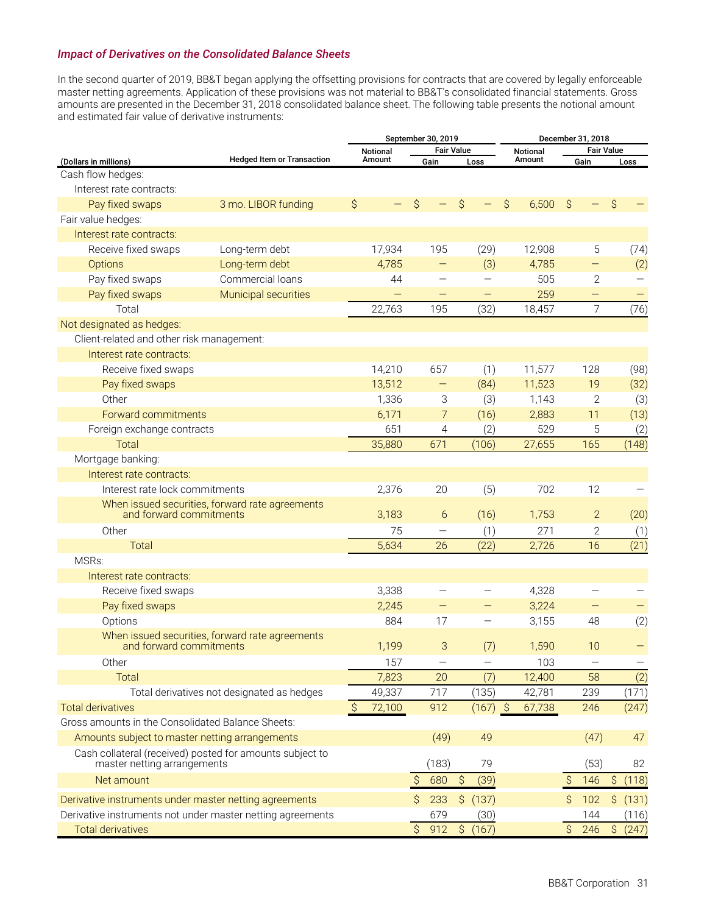### *Impact of Derivatives on the Consolidated Balance Sheets*

In the second quarter of 2019, BB&T began applying the offsetting provisions for contracts that are covered by legally enforceable master netting agreements. Application of these provisions was not material to BB&T's consolidated financial statements. Gross amounts are presented in the December 31, 2018 consolidated balance sheet. The following table presents the notional amount and estimated fair value of derivative instruments:

|                                                            | September 30, 2019                              |               |                          |                     |                   |                     |            |    | December 31, 2018 |               |                   |                     |          |
|------------------------------------------------------------|-------------------------------------------------|---------------|--------------------------|---------------------|-------------------|---------------------|------------|----|-------------------|---------------|-------------------|---------------------|----------|
|                                                            |                                                 |               | <b>Notional</b>          |                     | <b>Fair Value</b> |                     |            |    | Notional          |               | <b>Fair Value</b> |                     |          |
| (Dollars in millions)                                      | <b>Hedged Item or Transaction</b>               |               | Amount                   |                     | Gain              |                     | Loss       |    | Amount            |               | Gain              |                     | Loss     |
| Cash flow hedges:                                          |                                                 |               |                          |                     |                   |                     |            |    |                   |               |                   |                     |          |
| Interest rate contracts:                                   |                                                 |               |                          |                     |                   |                     |            |    |                   |               |                   |                     |          |
| Pay fixed swaps                                            | 3 mo. LIBOR funding                             | \$            |                          | \$                  |                   | $\hat{\mathcal{S}}$ |            | \$ | 6,500             | $\hat{S}$     |                   | $\varsigma$         |          |
| Fair value hedges:                                         |                                                 |               |                          |                     |                   |                     |            |    |                   |               |                   |                     |          |
| Interest rate contracts:                                   |                                                 |               |                          |                     |                   |                     |            |    |                   |               |                   |                     |          |
| Receive fixed swaps                                        | Long-term debt                                  |               | 17,934                   |                     | 195               |                     | (29)       |    | 12,908            |               | 5                 |                     | (74)     |
| <b>Options</b>                                             | Long-term debt                                  |               | 4,785                    |                     |                   |                     | (3)        |    | 4,785             |               |                   |                     | (2)      |
| Pay fixed swaps                                            | Commercial loans                                |               | 44                       |                     |                   |                     |            |    | 505               |               | 2                 |                     |          |
| Pay fixed swaps                                            | Municipal securities                            |               | $\overline{\phantom{0}}$ |                     |                   |                     | -          |    | 259               |               | —                 |                     |          |
| Total                                                      |                                                 |               | 22,763                   |                     | 195               |                     | (32)       |    | 18,457            |               | $\overline{7}$    |                     | (76)     |
| Not designated as hedges:                                  |                                                 |               |                          |                     |                   |                     |            |    |                   |               |                   |                     |          |
| Client-related and other risk management:                  |                                                 |               |                          |                     |                   |                     |            |    |                   |               |                   |                     |          |
| Interest rate contracts:                                   |                                                 |               |                          |                     |                   |                     |            |    |                   |               |                   |                     |          |
| Receive fixed swaps                                        |                                                 |               | 14,210                   |                     | 657               |                     | (1)        |    | 11,577            |               | 128               |                     | (98)     |
|                                                            |                                                 |               | 13,512                   |                     |                   |                     |            |    | 11,523            |               |                   |                     |          |
| Pay fixed swaps                                            |                                                 |               |                          |                     |                   |                     | (84)       |    |                   |               | 19                |                     | (32)     |
| Other                                                      |                                                 |               | 1,336                    |                     | 3                 |                     | (3)        |    | 1,143             |               | $\mathbf{2}$      |                     | (3)      |
| Forward commitments                                        |                                                 |               | 6,171                    |                     | $\overline{7}$    |                     | (16)       |    | 2,883             |               | 11                |                     | (13)     |
| Foreign exchange contracts                                 |                                                 |               | 651                      |                     | 4                 |                     | (2)        |    | 529               |               | 5                 |                     | (2)      |
| <b>Total</b>                                               |                                                 |               | 35,880                   |                     | 671               |                     | (106)      |    | 27,655            |               | 165               |                     | (148)    |
| Mortgage banking:                                          |                                                 |               |                          |                     |                   |                     |            |    |                   |               |                   |                     |          |
| Interest rate contracts:                                   |                                                 |               |                          |                     |                   |                     |            |    |                   |               |                   |                     |          |
| Interest rate lock commitments                             |                                                 |               | 2,376                    |                     | 20                |                     | (5)        |    | 702               |               | 12                |                     |          |
| and forward commitments                                    | When issued securities, forward rate agreements |               | 3,183                    |                     | 6                 |                     | (16)       |    | 1,753             |               | $\overline{2}$    |                     | (20)     |
| Other                                                      |                                                 |               | 75                       |                     | $\qquad \qquad -$ |                     | (1)        |    | 271               |               | 2                 |                     | (1)      |
| <b>Total</b>                                               |                                                 |               | 5,634                    |                     | 26                |                     | (22)       |    | 2,726             |               | 16                |                     | (21)     |
| MSRs:                                                      |                                                 |               |                          |                     |                   |                     |            |    |                   |               |                   |                     |          |
| Interest rate contracts:                                   |                                                 |               |                          |                     |                   |                     |            |    |                   |               |                   |                     |          |
| Receive fixed swaps                                        |                                                 |               | 3,338                    |                     |                   |                     |            |    | 4,328             |               |                   |                     |          |
| Pay fixed swaps                                            |                                                 |               | 2,245                    |                     |                   |                     |            |    | 3,224             |               | —                 |                     |          |
| Options                                                    |                                                 |               | 884                      |                     | 17                |                     | -          |    | 3,155             |               | 48                |                     | (2)      |
| and forward commitments                                    | When issued securities, forward rate agreements |               | 1,199                    |                     | 3                 |                     | (7)        |    | 1,590             |               | 10                |                     |          |
| Other                                                      |                                                 |               | 157                      |                     | $\qquad \qquad -$ |                     | —          |    | 103               |               | $\qquad \qquad -$ |                     |          |
| <b>Total</b>                                               |                                                 |               | 7,823                    |                     | 20                |                     | (7)        |    | 12,400            |               | 58                |                     | (2)      |
|                                                            | Total derivatives not designated as hedges      |               | 49,337                   |                     | 717               |                     | (135)      |    | 42,781            |               | 239               |                     | (171)    |
| <b>Total derivatives</b>                                   |                                                 | $\mathcal{S}$ | 72,100                   |                     | 912               |                     | $(167)$ \$ |    | 67,738            |               | 246               |                     | (247)    |
| Gross amounts in the Consolidated Balance Sheets:          |                                                 |               |                          |                     |                   |                     |            |    |                   |               |                   |                     |          |
| Amounts subject to master netting arrangements             |                                                 |               |                          |                     | (49)              |                     | 49         |    |                   |               | (47)              |                     | 47       |
| Cash collateral (received) posted for amounts subject to   |                                                 |               |                          |                     |                   |                     |            |    |                   |               |                   |                     |          |
| master netting arrangements                                |                                                 |               |                          |                     | (183)             |                     | 79         |    |                   |               | (53)              |                     | 82       |
| Net amount                                                 |                                                 |               |                          | $\hat{\mathcal{S}}$ | 680               | $\hat{\mathcal{S}}$ | (39)       |    |                   | $\mathsf{S}$  | 146               | $\hat{\mathcal{S}}$ | (118)    |
| Derivative instruments under master netting agreements     |                                                 |               |                          | Ŝ.                  | 233               | $\mathsf{S}$        | (137)      |    |                   | $\mathcal{S}$ | 102               |                     | \$ (131) |
| Derivative instruments not under master netting agreements |                                                 |               |                          |                     | 679               |                     | (30)       |    |                   |               | 144               |                     | (116)    |
| <b>Total derivatives</b>                                   |                                                 |               |                          |                     | \$912             | $\mathsf{S}$        | (167)      |    |                   | $\hat{S}$     | 246               |                     | \$ (247) |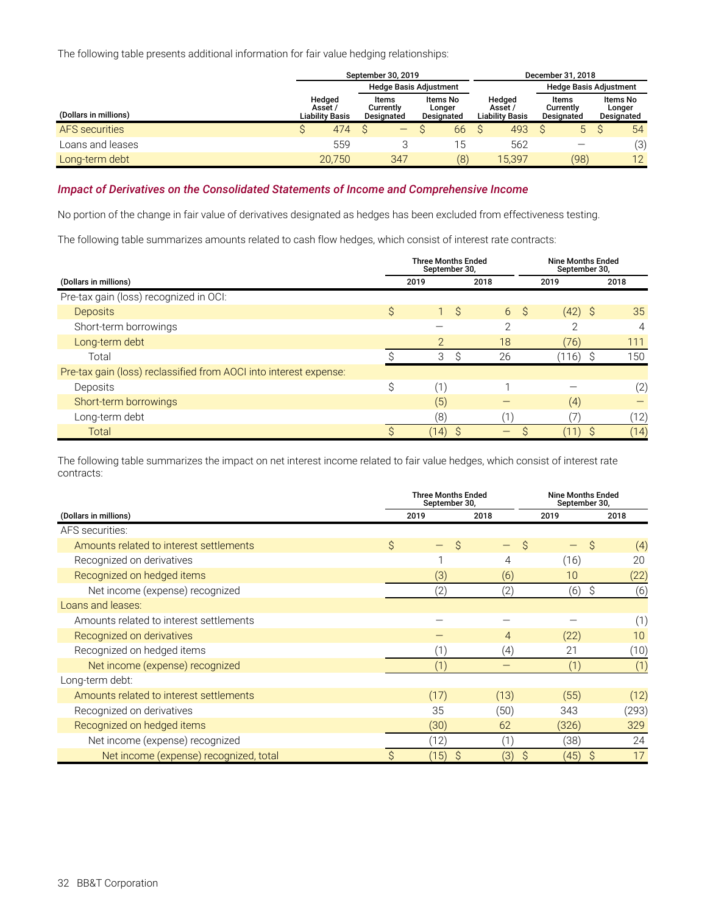The following table presents additional information for fair value hedging relationships:

|                       | December 31, 2018                           |                                  |                                  |                                             |                                  |                                  |  |  |  |
|-----------------------|---------------------------------------------|----------------------------------|----------------------------------|---------------------------------------------|----------------------------------|----------------------------------|--|--|--|
|                       |                                             |                                  | <b>Hedge Basis Adjustment</b>    |                                             | <b>Hedge Basis Adjustment</b>    |                                  |  |  |  |
| (Dollars in millions) | Hedged<br>Asset /<br><b>Liability Basis</b> | Items<br>Currently<br>Designated | Items No<br>Longer<br>Designated | Hedged<br>Asset /<br><b>Liability Basis</b> | Items<br>Currently<br>Designated | Items No<br>Longer<br>Designated |  |  |  |
| <b>AFS</b> securities | 474                                         | —                                | 66                               | 493                                         | 5                                | 54                               |  |  |  |
| Loans and leases      | 559                                         |                                  | ! 5                              | 562                                         |                                  | (3)                              |  |  |  |
| Long-term debt        | 20,750                                      | 347                              | (8)                              | 15,397                                      | (98)                             | 12                               |  |  |  |

#### *Impact of Derivatives on the Consolidated Statements of Income and Comprehensive Income*

No portion of the change in fair value of derivatives designated as hedges has been excluded from effectiveness testing.

The following table summarizes amounts related to cash flow hedges, which consist of interest rate contracts:

|                                                                   | <b>Three Months Ended</b><br>September 30, |                | <b>Nine Months Ended</b><br>September 30, |      |  |  |  |  |
|-------------------------------------------------------------------|--------------------------------------------|----------------|-------------------------------------------|------|--|--|--|--|
| (Dollars in millions)                                             | 2019                                       | 2018           | 2019                                      | 2018 |  |  |  |  |
| Pre-tax gain (loss) recognized in OCI:                            |                                            |                |                                           |      |  |  |  |  |
| <b>Deposits</b>                                                   | \$<br>$1 \S$                               | 6 <sup>°</sup> | $(42)$ \$                                 | 35   |  |  |  |  |
| Short-term borrowings                                             |                                            | $\Omega$       | ◠                                         | 4    |  |  |  |  |
| Long-term debt                                                    | $\mathcal{P}$                              | 18             | (76)                                      | 111  |  |  |  |  |
| Total                                                             | 3<br>ς                                     | 26             | (116)                                     | 150  |  |  |  |  |
| Pre-tax gain (loss) reclassified from AOCI into interest expense: |                                            |                |                                           |      |  |  |  |  |
| Deposits                                                          | \$<br>(1)                                  |                |                                           | (2)  |  |  |  |  |
| Short-term borrowings                                             | (5)                                        |                | (4)                                       |      |  |  |  |  |
| Long-term debt                                                    | (8)                                        |                |                                           | (12) |  |  |  |  |
| Total                                                             | (14)                                       |                |                                           | (14) |  |  |  |  |

The following table summarizes the impact on net interest income related to fair value hedges, which consist of interest rate contracts:

|                                         | <b>Three Months Ended</b><br>September 30, |           | <b>Nine Months Ended</b><br>September 30, |                    |  |  |  |  |  |
|-----------------------------------------|--------------------------------------------|-----------|-------------------------------------------|--------------------|--|--|--|--|--|
| (Dollars in millions)                   | 2019                                       | 2018      | 2019                                      | 2018               |  |  |  |  |  |
| AFS securities:                         |                                            |           |                                           |                    |  |  |  |  |  |
| Amounts related to interest settlements | \$<br>Ŝ                                    | Ŝ         |                                           | (4)<br>Ŝ           |  |  |  |  |  |
| Recognized on derivatives               |                                            | 4         | (16)                                      | 20                 |  |  |  |  |  |
| Recognized on hedged items              | (3)                                        | (6)       | 10                                        | (22)               |  |  |  |  |  |
| Net income (expense) recognized         | (2)                                        | (2)       | (6)                                       | Ŝ<br>(6)           |  |  |  |  |  |
| Loans and leases:                       |                                            |           |                                           |                    |  |  |  |  |  |
| Amounts related to interest settlements |                                            |           |                                           | (1)                |  |  |  |  |  |
| Recognized on derivatives               |                                            | 4         | (22)                                      | 10                 |  |  |  |  |  |
| Recognized on hedged items              | (1)                                        | (4)       | 21                                        | (10)               |  |  |  |  |  |
| Net income (expense) recognized         | (1)                                        |           | (1)                                       | (1)                |  |  |  |  |  |
| Long-term debt:                         |                                            |           |                                           |                    |  |  |  |  |  |
| Amounts related to interest settlements | (17)                                       | (13)      | (55)                                      | (12)               |  |  |  |  |  |
| Recognized on derivatives               | 35                                         | (50)      | 343                                       | (293)              |  |  |  |  |  |
| Recognized on hedged items              | (30)                                       | 62        | (326)                                     | 329                |  |  |  |  |  |
| Net income (expense) recognized         | (12)                                       | (1)       | (38)                                      | 24                 |  |  |  |  |  |
| Net income (expense) recognized, total  | (15)<br>S                                  | (3)<br>Ŝ. | (45)                                      | 17<br><sub>S</sub> |  |  |  |  |  |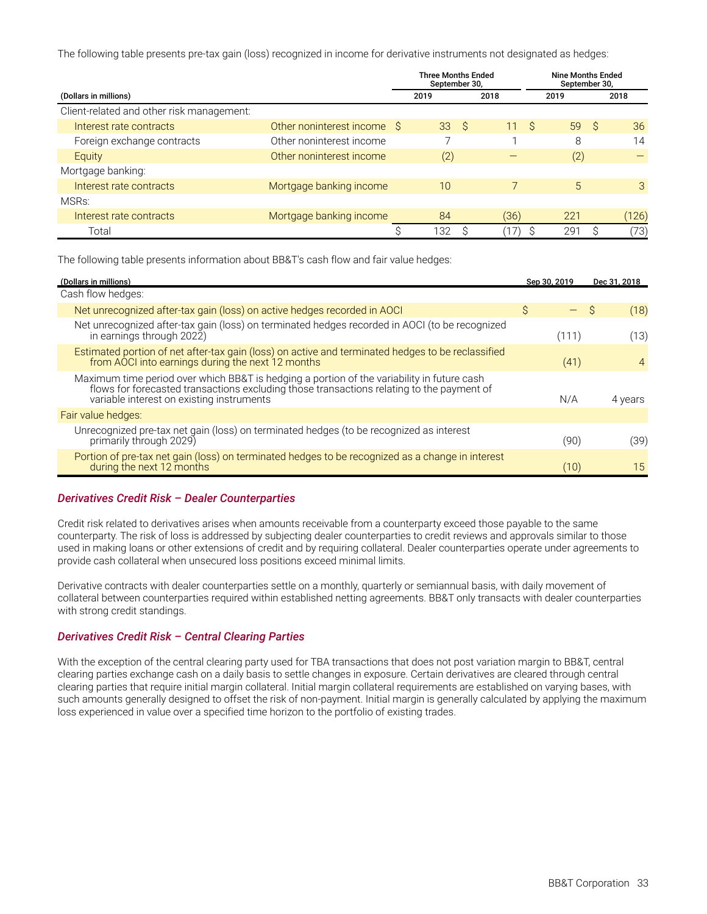The following table presents pre-tax gain (loss) recognized in income for derivative instruments not designated as hedges:

|                                           |                            | <b>Three Months Ended</b><br>September 30. |     |      | <b>Nine Months Ended</b><br>September 30, |  |       |
|-------------------------------------------|----------------------------|--------------------------------------------|-----|------|-------------------------------------------|--|-------|
| (Dollars in millions)                     |                            | 2019                                       |     | 2018 | 2019                                      |  | 2018  |
| Client-related and other risk management: |                            |                                            |     |      |                                           |  |       |
| Interest rate contracts                   | Other noninterest income S | 33                                         | - S | 11S  | 59S                                       |  | 36    |
| Foreign exchange contracts                | Other noninterest income   |                                            |     |      | 8                                         |  | 14    |
| Equity                                    | Other noninterest income   | (2)                                        |     |      | (2)                                       |  |       |
| Mortgage banking:                         |                            |                                            |     |      |                                           |  |       |
| Interest rate contracts                   | Mortgage banking income    | 10                                         |     |      | 5                                         |  | 3     |
| MSR <sub>S</sub> :                        |                            |                                            |     |      |                                           |  |       |
| Interest rate contracts                   | Mortgage banking income    | 84                                         |     | (36) | 221                                       |  | (126) |
| Total                                     |                            | 132                                        |     |      | 291                                       |  | 73)   |

The following table presents information about BB&T's cash flow and fair value hedges:

| (Dollars in millions)                                                                                                                                                                                                                | Sep 30, 2019 | Dec 31, 2018   |  |  |
|--------------------------------------------------------------------------------------------------------------------------------------------------------------------------------------------------------------------------------------|--------------|----------------|--|--|
| Cash flow hedges:                                                                                                                                                                                                                    |              |                |  |  |
| Net unrecognized after-tax gain (loss) on active hedges recorded in AOCI                                                                                                                                                             | S.           | (18)<br>S      |  |  |
| Net unrecognized after-tax gain (loss) on terminated hedges recorded in AOCI (to be recognized<br>in earnings through 2022)                                                                                                          | (111)        | (13)           |  |  |
| Estimated portion of net after-tax gain (loss) on active and terminated hedges to be reclassified<br>from AOCI into earnings during the next 12 months                                                                               | (41)         | $\overline{4}$ |  |  |
| Maximum time period over which BB&T is hedging a portion of the variability in future cash<br>flows for forecasted transactions excluding those transactions relating to the payment of<br>variable interest on existing instruments | N/A          | 4 years        |  |  |
| Fair value hedges:                                                                                                                                                                                                                   |              |                |  |  |
| Unrecognized pre-tax net gain (loss) on terminated hedges (to be recognized as interest<br>primarily through 2029)                                                                                                                   | (90)         | (39)           |  |  |
| Portion of pre-tax net gain (loss) on terminated hedges to be recognized as a change in interest<br>during the next 12 months                                                                                                        | (10)         | 15             |  |  |

#### *Derivatives Credit Risk – Dealer Counterparties*

Credit risk related to derivatives arises when amounts receivable from a counterparty exceed those payable to the same counterparty. The risk of loss is addressed by subjecting dealer counterparties to credit reviews and approvals similar to those used in making loans or other extensions of credit and by requiring collateral. Dealer counterparties operate under agreements to provide cash collateral when unsecured loss positions exceed minimal limits.

Derivative contracts with dealer counterparties settle on a monthly, quarterly or semiannual basis, with daily movement of collateral between counterparties required within established netting agreements. BB&T only transacts with dealer counterparties with strong credit standings.

#### *Derivatives Credit Risk – Central Clearing Parties*

With the exception of the central clearing party used for TBA transactions that does not post variation margin to BB&T, central clearing parties exchange cash on a daily basis to settle changes in exposure. Certain derivatives are cleared through central clearing parties that require initial margin collateral. Initial margin collateral requirements are established on varying bases, with such amounts generally designed to offset the risk of non-payment. Initial margin is generally calculated by applying the maximum loss experienced in value over a specified time horizon to the portfolio of existing trades.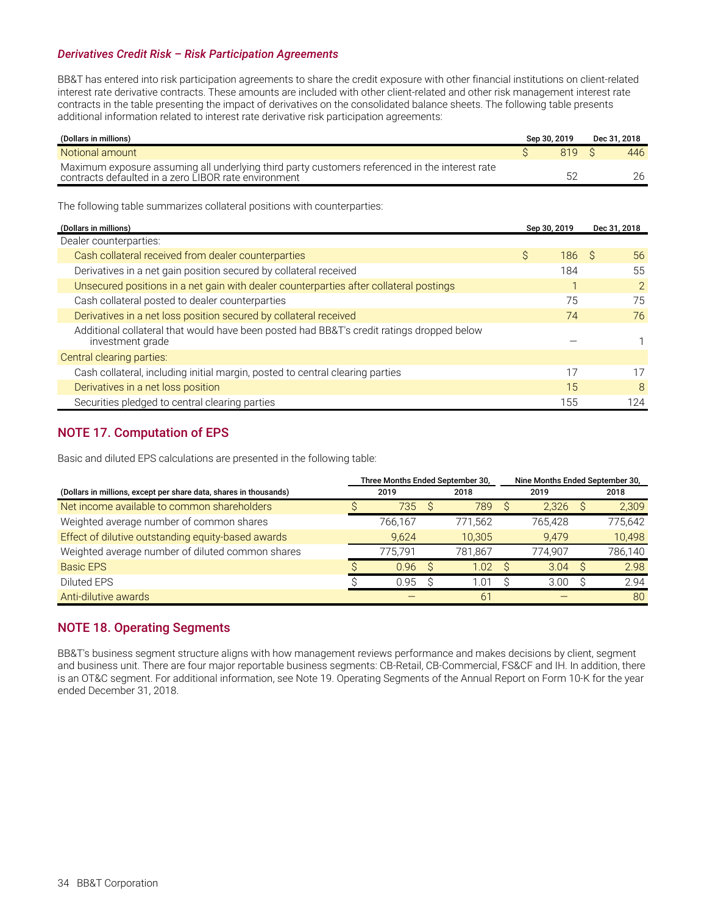#### <span id="page-35-0"></span>*Derivatives Credit Risk – Risk Participation Agreements*

BB&T has entered into risk participation agreements to share the credit exposure with other financial institutions on client-related interest rate derivative contracts. These amounts are included with other client-related and other risk management interest rate contracts in the table presenting the impact of derivatives on the consolidated balance sheets. The following table presents additional information related to interest rate derivative risk participation agreements:

| (Dollars in millions)                                                                                                                                  | Sep 30, 2019 | Dec 31. 2018 |
|--------------------------------------------------------------------------------------------------------------------------------------------------------|--------------|--------------|
| Notional amount                                                                                                                                        | 819          | 446          |
| Maximum exposure assuming all underlying third party customers referenced in the interest rate<br>contracts defaulted in a zero LIBOR rate environment |              | 26           |

The following table summarizes collateral positions with counterparties:

| (Dollars in millions)                                                                                         |   | Sep 30, 2019 | Dec 31, 2018  |
|---------------------------------------------------------------------------------------------------------------|---|--------------|---------------|
| Dealer counterparties:                                                                                        |   |              |               |
| Cash collateral received from dealer counterparties                                                           | Ŝ | 186          | 56<br>- S     |
| Derivatives in a net gain position secured by collateral received                                             |   | 184          | 55            |
| Unsecured positions in a net gain with dealer counterparties after collateral postings                        |   |              | 2             |
| Cash collateral posted to dealer counterparties                                                               |   | 75           | 75            |
| Derivatives in a net loss position secured by collateral received                                             |   | 74           | 76            |
| Additional collateral that would have been posted had BB&T's credit ratings dropped below<br>investment grade |   |              |               |
| Central clearing parties:                                                                                     |   |              |               |
| Cash collateral, including initial margin, posted to central clearing parties                                 |   |              | 17            |
| Derivatives in a net loss position                                                                            |   | 15           | $\mathcal{B}$ |
| Securities pledged to central clearing parties                                                                |   | 155          | 124           |

### **NOTE 17. Computation of EPS**

Basic and diluted EPS calculations are presented in the following table:

|                                                                   |      |         |  | Three Months Ended September 30, |         | Nine Months Ended September 30, |         |  |  |
|-------------------------------------------------------------------|------|---------|--|----------------------------------|---------|---------------------------------|---------|--|--|
| (Dollars in millions, except per share data, shares in thousands) | 2019 |         |  | 2018                             | 2019    |                                 | 2018    |  |  |
| Net income available to common shareholders                       |      | 735     |  | 789                              | 2.326   |                                 | 2,309   |  |  |
| Weighted average number of common shares                          |      | 766.167 |  | 771.562                          | 765.428 |                                 | 775,642 |  |  |
| Effect of dilutive outstanding equity-based awards                |      | 9.624   |  | 10,305                           | 9,479   |                                 | 10,498  |  |  |
| Weighted average number of diluted common shares                  |      | 775.791 |  | 781.867                          | 774.907 |                                 | 786,140 |  |  |
| <b>Basic EPS</b>                                                  |      | 0.96    |  | 1.02                             | 3.04    | <sup>S</sup>                    | 2.98    |  |  |
| Diluted EPS                                                       |      | 0.95    |  | 01. ،                            | 3.00    |                                 | 2.94    |  |  |
| Anti-dilutive awards                                              |      |         |  | 61                               |         |                                 | 80      |  |  |

### **NOTE 18. Operating Segments**

BB&T's business segment structure aligns with how management reviews performance and makes decisions by client, segment and business unit. There are four major reportable business segments: CB-Retail, CB-Commercial, FS&CF and IH. In addition, there is an OT&C segment. For additional information, see Note 19. Operating Segments of the Annual Report on Form 10-K for the year ended December 31, 2018.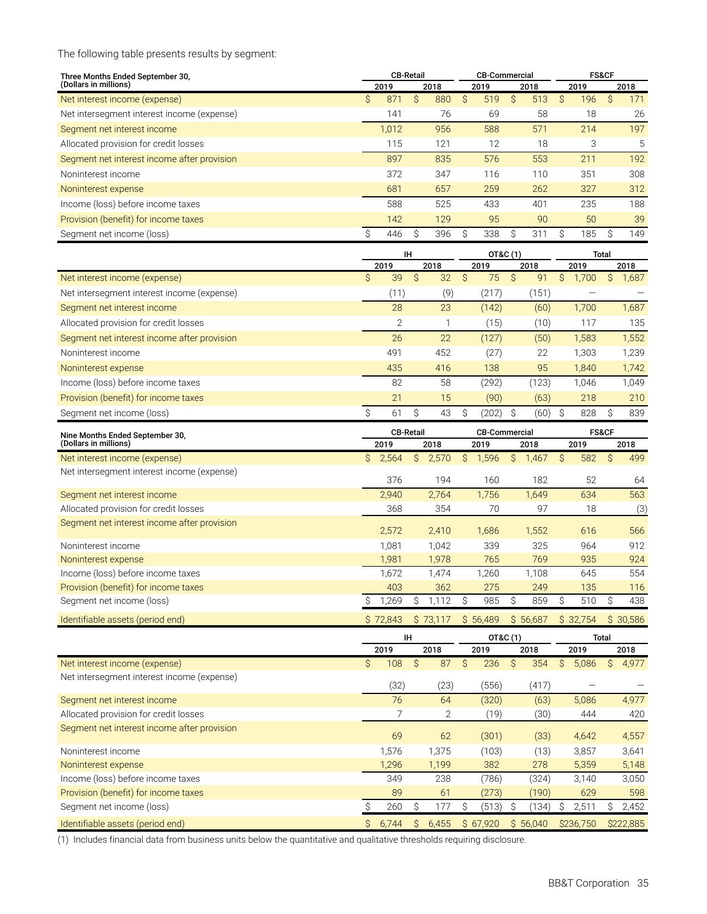The following table presents results by segment:

| <b>CB-Retail</b><br>Three Months Ended September 30, |              |       |      |     | <b>CB-Commercial</b> |     |      | <b>FS&amp;CF</b> |   |      |   |     |
|------------------------------------------------------|--------------|-------|------|-----|----------------------|-----|------|------------------|---|------|---|-----|
| (Dollars in millions)                                | 2018<br>2019 |       | 2019 |     | 2018                 |     | 2019 |                  |   | 2018 |   |     |
| Net interest income (expense)                        | S            | 871   | S    | 880 | S                    | 519 | S    | 513              | S | 196  | S | 171 |
| Net intersegment interest income (expense)           |              | 141   |      | 76  |                      | 69  |      | 58               |   | 18   |   | 26  |
| Segment net interest income                          |              | 1.012 |      | 956 |                      | 588 |      | 571              |   | 214  |   | 197 |
| Allocated provision for credit losses                |              | 115   |      | 121 |                      | 12  |      | 18               |   | 3    |   | 5   |
| Segment net interest income after provision          |              | 897   |      | 835 |                      | 576 |      | 553              |   | 211  |   | 192 |
| Noninterest income                                   |              | 372   |      | 347 |                      | 116 |      | 110              |   | 351  |   | 308 |
| Noninterest expense                                  |              | 681   |      | 657 |                      | 259 |      | 262              |   | 327  |   | 312 |
| Income (loss) before income taxes                    |              | 588   |      | 525 |                      | 433 |      | 401              |   | 235  |   | 188 |
| Provision (benefit) for income taxes                 |              | 142   |      | 129 |                      | 95  |      | 90               |   | 50   |   | 39  |
| Segment net income (loss)                            |              | 446   | S    | 396 |                      | 338 | S.   | 311              | S | 185  | Ŝ | 149 |

|                                             | ΙH   |               |      |     |      | OT&C (1) |      | Total |      |       |  |       |
|---------------------------------------------|------|---------------|------|-----|------|----------|------|-------|------|-------|--|-------|
|                                             | 2019 |               | 2018 |     | 2019 |          | 2018 |       | 2019 |       |  | 2018  |
| Net interest income (expense)               | S    | 39            | S    | 32  | S    | 75       | S    | 91    | S    | 1,700 |  | 1,687 |
| Net intersegment interest income (expense)  |      | (11)          |      | (9) |      | (217)    |      | (151) |      |       |  |       |
| Segment net interest income                 |      | 28            |      | 23  |      | (142)    |      | (60)  |      | 1,700 |  | 1,687 |
| Allocated provision for credit losses       |      | $\mathcal{P}$ |      |     |      | (15)     |      | (10)  |      | 117   |  | 135   |
| Segment net interest income after provision |      | 26            |      | 22  |      | (127)    |      | (50)  |      | 1,583 |  | 1,552 |
| Noninterest income                          |      | 491           |      | 452 |      | (27)     |      | 22    |      | 1,303 |  | 1,239 |
| Noninterest expense                         |      | 435           |      | 416 |      | 138      |      | 95    |      | 1,840 |  | 1,742 |
| Income (loss) before income taxes           |      | 82            |      | 58  |      | (292)    |      | (123  |      | 1,046 |  | 1.049 |
| Provision (benefit) for income taxes        |      | 21            |      | 15  |      | (90)     |      | (63)  |      | 218   |  | 210   |
| Segment net income (loss)                   | S    | 61            |      | 43  | S    | (202)    |      | (60)  |      | 828   |  | 839   |

| Nine Months Ended September 30.             |             | <b>CB-Retail</b> |            | <b>CB-Commercial</b> | <b>FS&amp;CF</b> |          |  |  |
|---------------------------------------------|-------------|------------------|------------|----------------------|------------------|----------|--|--|
| (Dollars in millions)                       | 2019        | 2018             | 2019       | 2018                 | 2019             | 2018     |  |  |
| Net interest income (expense)               | Ŝ.<br>2,564 | 2,570<br>S       | 1,596<br>S | S<br>1,467           | 582<br>S         | 499<br>S |  |  |
| Net intersegment interest income (expense)  | 376         | 194              | 160        | 182                  | 52               | 64       |  |  |
| Segment net interest income                 | 2.940       | 2.764            | 1,756      | 1,649                | 634              | 563      |  |  |
| Allocated provision for credit losses       | 368         | 354              | 70         | 97                   | 18               | (3)      |  |  |
| Segment net interest income after provision | 2,572       | 2,410            | 1,686      | 1,552                | 616              | 566      |  |  |
| Noninterest income                          | 1.081       | 1,042            | 339        | 325                  | 964              | 912      |  |  |
| Noninterest expense                         | 1.981       | 1,978            | 765        | 769                  | 935              | 924      |  |  |
| Income (loss) before income taxes           | 1,672       | 1,474            | 1,260      | 1,108                | 645              | 554      |  |  |
| Provision (benefit) for income taxes        | 403         | 362              | 275        | 249                  | 135              | 116      |  |  |
| Segment net income (loss)                   | ,269        | 1,112            | 985        | 859                  | 510              | 438      |  |  |
| Identifiable assets (period end)            | S 72.843    | \$73.117         | \$56,489   | \$56,687             | \$32.754         | \$30.586 |  |  |

|                                             | ΙH |       |    |       | OT&C (1) |          |   |          | <b>Total</b> |           |    |           |
|---------------------------------------------|----|-------|----|-------|----------|----------|---|----------|--------------|-----------|----|-----------|
|                                             |    | 2019  |    | 2018  |          | 2019     |   | 2018     |              | 2019      |    | 2018      |
| Net interest income (expense)               | \$ | 108   | Ŝ  | 87    | Ŝ        | 236      | Ŝ | 354      | S            | 5,086     | S. | 4,977     |
| Net intersegment interest income (expense)  |    | (32)  |    | (23)  |          | (556)    |   | (417)    |              |           |    |           |
| Segment net interest income                 |    | 76    |    | 64    |          | (320)    |   | (63)     |              | 5,086     |    | 4,977     |
| Allocated provision for credit losses       |    |       |    | 2     |          | (19)     |   | (30)     |              | 444       |    | 420       |
| Segment net interest income after provision |    | 69    |    | 62    |          | (301)    |   | (33)     |              | 4,642     |    | 4,557     |
| Noninterest income                          |    | 1,576 |    | 1,375 |          | (103)    |   | (13)     |              | 3,857     |    | 3,641     |
| Noninterest expense                         |    | 1,296 |    | 1,199 |          | 382      |   | 278      |              | 5,359     |    | 5,148     |
| Income (loss) before income taxes           |    | 349   |    | 238   |          | (786)    |   | (324)    |              | 3.140     |    | 3,050     |
| Provision (benefit) for income taxes        |    | 89    |    | 61    |          | (273)    |   | (190)    |              | 629       |    | 598       |
| Segment net income (loss)                   |    | 260   | Ŝ  | 177   | Ŝ        | (513)    |   | (134)    | S            | 2,511     |    | 2,452     |
| Identifiable assets (period end)            | Ŝ  | 6,744 | S. | 6,455 |          | \$67.920 |   | \$56.040 |              | \$236.750 |    | \$222,885 |

(1) Includes financial data from business units below the quantitative and qualitative thresholds requiring disclosure.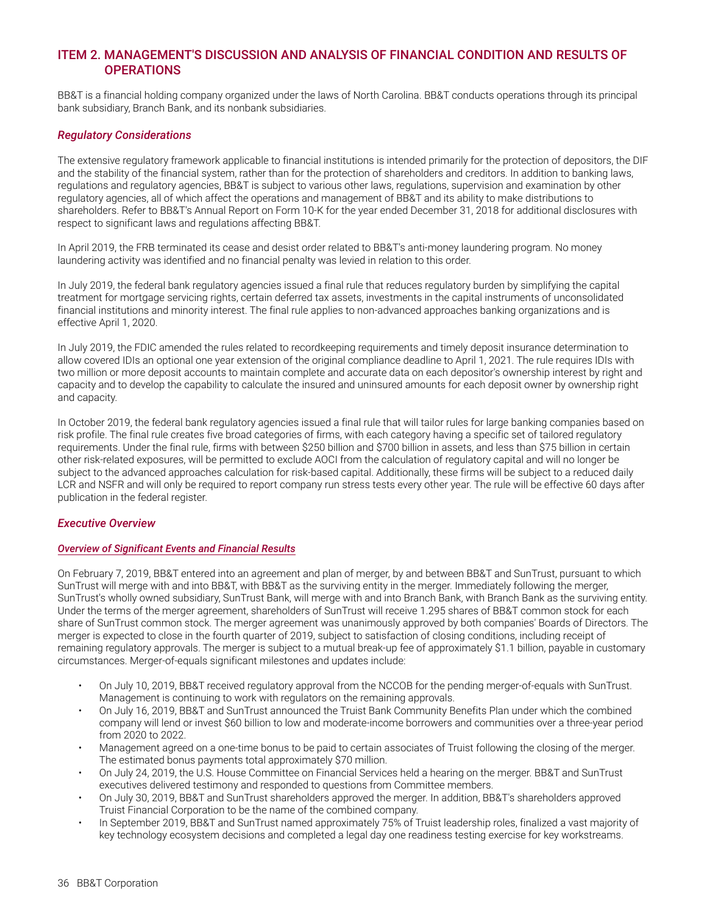### <span id="page-37-0"></span>**ITEM 2. MANAGEMENT'S DISCUSSION AND ANALYSIS OF FINANCIAL CONDITION AND RESULTS OF OPERATIONS**

BB&T is a financial holding company organized under the laws of North Carolina. BB&T conducts operations through its principal bank subsidiary, Branch Bank, and its nonbank subsidiaries.

#### *Regulatory Considerations*

The extensive regulatory framework applicable to financial institutions is intended primarily for the protection of depositors, the DIF and the stability of the financial system, rather than for the protection of shareholders and creditors. In addition to banking laws, regulations and regulatory agencies, BB&T is subject to various other laws, regulations, supervision and examination by other regulatory agencies, all of which affect the operations and management of BB&T and its ability to make distributions to shareholders. Refer to BB&T's Annual Report on Form 10-K for the year ended December 31, 2018 for additional disclosures with respect to significant laws and regulations affecting BB&T.

In April 2019, the FRB terminated its cease and desist order related to BB&T's anti-money laundering program. No money laundering activity was identified and no financial penalty was levied in relation to this order.

In July 2019, the federal bank regulatory agencies issued a final rule that reduces regulatory burden by simplifying the capital treatment for mortgage servicing rights, certain deferred tax assets, investments in the capital instruments of unconsolidated financial institutions and minority interest. The final rule applies to non-advanced approaches banking organizations and is effective April 1, 2020.

In July 2019, the FDIC amended the rules related to recordkeeping requirements and timely deposit insurance determination to allow covered IDIs an optional one year extension of the original compliance deadline to April 1, 2021. The rule requires IDIs with two million or more deposit accounts to maintain complete and accurate data on each depositor's ownership interest by right and capacity and to develop the capability to calculate the insured and uninsured amounts for each deposit owner by ownership right and capacity.

In October 2019, the federal bank regulatory agencies issued a final rule that will tailor rules for large banking companies based on risk profile. The final rule creates five broad categories of firms, with each category having a specific set of tailored regulatory requirements. Under the final rule, firms with between \$250 billion and \$700 billion in assets, and less than \$75 billion in certain other risk-related exposures, will be permitted to exclude AOCI from the calculation of regulatory capital and will no longer be subject to the advanced approaches calculation for risk-based capital. Additionally, these firms will be subject to a reduced daily LCR and NSFR and will only be required to report company run stress tests every other year. The rule will be effective 60 days after publication in the federal register.

#### *Executive Overview*

#### *Overview of Significant Events and Financial Results*

On February 7, 2019, BB&T entered into an agreement and plan of merger, by and between BB&T and SunTrust, pursuant to which SunTrust will merge with and into BB&T, with BB&T as the surviving entity in the merger. Immediately following the merger, SunTrust's wholly owned subsidiary, SunTrust Bank, will merge with and into Branch Bank, with Branch Bank as the surviving entity. Under the terms of the merger agreement, shareholders of SunTrust will receive 1.295 shares of BB&T common stock for each share of SunTrust common stock. The merger agreement was unanimously approved by both companies' Boards of Directors. The merger is expected to close in the fourth quarter of 2019, subject to satisfaction of closing conditions, including receipt of remaining regulatory approvals. The merger is subject to a mutual break-up fee of approximately \$1.1 billion, payable in customary circumstances. Merger-of-equals significant milestones and updates include:

- On July 10, 2019, BB&T received regulatory approval from the NCCOB for the pending merger-of-equals with SunTrust. Management is continuing to work with regulators on the remaining approvals.
- On July 16, 2019, BB&T and SunTrust announced the Truist Bank Community Benefits Plan under which the combined company will lend or invest \$60 billion to low and moderate-income borrowers and communities over a three-year period from 2020 to 2022.
- Management agreed on a one-time bonus to be paid to certain associates of Truist following the closing of the merger. The estimated bonus payments total approximately \$70 million.
- On July 24, 2019, the U.S. House Committee on Financial Services held a hearing on the merger. BB&T and SunTrust executives delivered testimony and responded to questions from Committee members.
- On July 30, 2019, BB&T and SunTrust shareholders approved the merger. In addition, BB&T's shareholders approved Truist Financial Corporation to be the name of the combined company.
- In September 2019, BB&T and SunTrust named approximately 75% of Truist leadership roles, finalized a vast majority of key technology ecosystem decisions and completed a legal day one readiness testing exercise for key workstreams.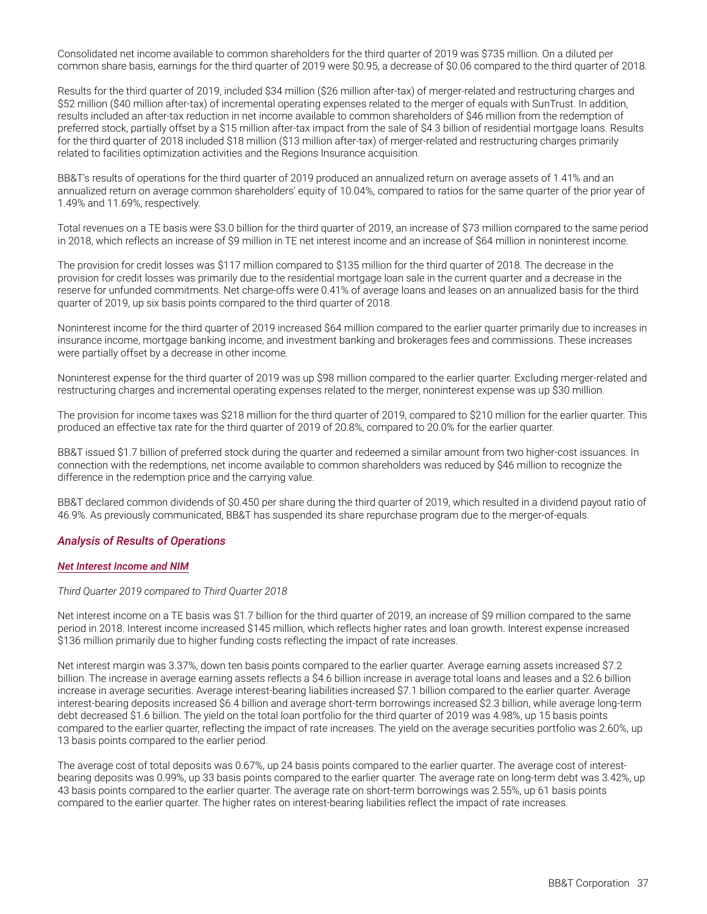Consolidated net income available to common shareholders for the third quarter of 2019 was \$735 million. On a diluted per common share basis, earnings for the third quarter of 2019 were \$0.95, a decrease of \$0.06 compared to the third quarter of 2018.

Results for the third quarter of 2019, included \$34 million (\$26 million after-tax) of merger-related and restructuring charges and \$52 million (\$40 million after-tax) of incremental operating expenses related to the merger of equals with SunTrust. In addition, results included an after-tax reduction in net income available to common shareholders of \$46 million from the redemption of preferred stock, partially offset by a \$15 million after-tax impact from the sale of \$4.3 billion of residential mortgage loans. Results for the third quarter of 2018 included \$18 million (\$13 million after-tax) of merger-related and restructuring charges primarily related to facilities optimization activities and the Regions Insurance acquisition.

BB&T's results of operations for the third quarter of 2019 produced an annualized return on average assets of 1.41% and an annualized return on average common shareholders' equity of 10.04%, compared to ratios for the same quarter of the prior year of 1.49% and 11.69%, respectively.

Total revenues on a TE basis were \$3.0 billion for the third quarter of 2019, an increase of \$73 million compared to the same period in 2018, which reflects an increase of \$9 million in TE net interest income and an increase of \$64 million in noninterest income.

The provision for credit losses was \$117 million compared to \$135 million for the third quarter of 2018. The decrease in the provision for credit losses was primarily due to the residential mortgage loan sale in the current quarter and a decrease in the reserve for unfunded commitments. Net charge-offs were 0.41% of average loans and leases on an annualized basis for the third quarter of 2019, up six basis points compared to the third quarter of 2018.

Noninterest income for the third quarter of 2019 increased \$64 million compared to the earlier quarter primarily due to increases in insurance income, mortgage banking income, and investment banking and brokerages fees and commissions. These increases were partially offset by a decrease in other income.

Noninterest expense for the third quarter of 2019 was up \$98 million compared to the earlier quarter. Excluding merger-related and restructuring charges and incremental operating expenses related to the merger, noninterest expense was up \$30 million.

The provision for income taxes was \$218 million for the third quarter of 2019, compared to \$210 million for the earlier quarter. This produced an effective tax rate for the third quarter of 2019 of 20.8%, compared to 20.0% for the earlier quarter.

BB&T issued \$1.7 billion of preferred stock during the quarter and redeemed a similar amount from two higher-cost issuances. In connection with the redemptions, net income available to common shareholders was reduced by \$46 million to recognize the difference in the redemption price and the carrying value.

BB&T declared common dividends of \$0.450 per share during the third quarter of 2019, which resulted in a dividend payout ratio of 46.9%. As previously communicated, BB&T has suspended its share repurchase program due to the merger-of-equals.

#### *Analysis of Results of Operations*

#### *Net Interest Income and NIM*

#### *Third Quarter 2019 compared to Third Quarter 2018*

Net interest income on a TE basis was \$1.7 billion for the third quarter of 2019, an increase of \$9 million compared to the same period in 2018. Interest income increased \$145 million, which reflects higher rates and loan growth. Interest expense increased \$136 million primarily due to higher funding costs reflecting the impact of rate increases.

Net interest margin was 3.37%, down ten basis points compared to the earlier quarter. Average earning assets increased \$7.2 billion. The increase in average earning assets reflects a \$4.6 billion increase in average total loans and leases and a \$2.6 billion increase in average securities. Average interest-bearing liabilities increased \$7.1 billion compared to the earlier quarter. Average interest-bearing deposits increased \$6.4 billion and average short-term borrowings increased \$2.3 billion, while average long-term debt decreased \$1.6 billion. The yield on the total loan portfolio for the third quarter of 2019 was 4.98%, up 15 basis points compared to the earlier quarter, reflecting the impact of rate increases. The yield on the average securities portfolio was 2.60%, up 13 basis points compared to the earlier period.

The average cost of total deposits was 0.67%, up 24 basis points compared to the earlier quarter. The average cost of interestbearing deposits was 0.99%, up 33 basis points compared to the earlier quarter. The average rate on long-term debt was 3.42%, up 43 basis points compared to the earlier quarter. The average rate on short-term borrowings was 2.55%, up 61 basis points compared to the earlier quarter. The higher rates on interest-bearing liabilities reflect the impact of rate increases.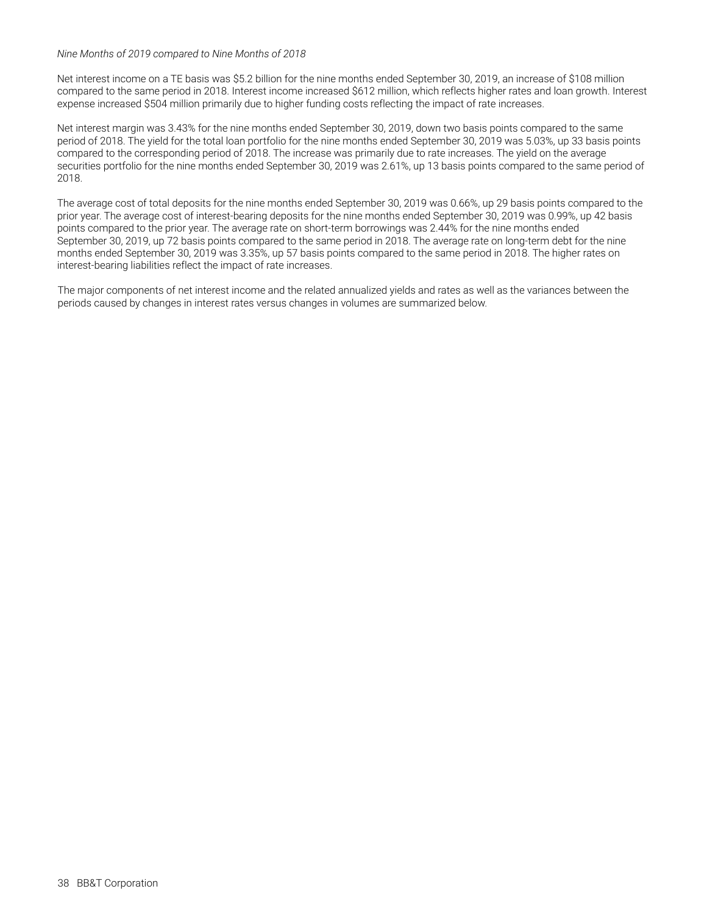#### *Nine Months of 2019 compared to Nine Months of 2018*

Net interest income on a TE basis was \$5.2 billion for the nine months ended September 30, 2019, an increase of \$108 million compared to the same period in 2018. Interest income increased \$612 million, which reflects higher rates and loan growth. Interest expense increased \$504 million primarily due to higher funding costs reflecting the impact of rate increases.

Net interest margin was 3.43% for the nine months ended September 30, 2019, down two basis points compared to the same period of 2018. The yield for the total loan portfolio for the nine months ended September 30, 2019 was 5.03%, up 33 basis points compared to the corresponding period of 2018. The increase was primarily due to rate increases. The yield on the average securities portfolio for the nine months ended September 30, 2019 was 2.61%, up 13 basis points compared to the same period of 2018.

The average cost of total deposits for the nine months ended September 30, 2019 was 0.66%, up 29 basis points compared to the prior year. The average cost of interest-bearing deposits for the nine months ended September 30, 2019 was 0.99%, up 42 basis points compared to the prior year. The average rate on short-term borrowings was 2.44% for the nine months ended September 30, 2019, up 72 basis points compared to the same period in 2018. The average rate on long-term debt for the nine months ended September 30, 2019 was 3.35%, up 57 basis points compared to the same period in 2018. The higher rates on interest-bearing liabilities reflect the impact of rate increases.

The major components of net interest income and the related annualized yields and rates as well as the variances between the periods caused by changes in interest rates versus changes in volumes are summarized below.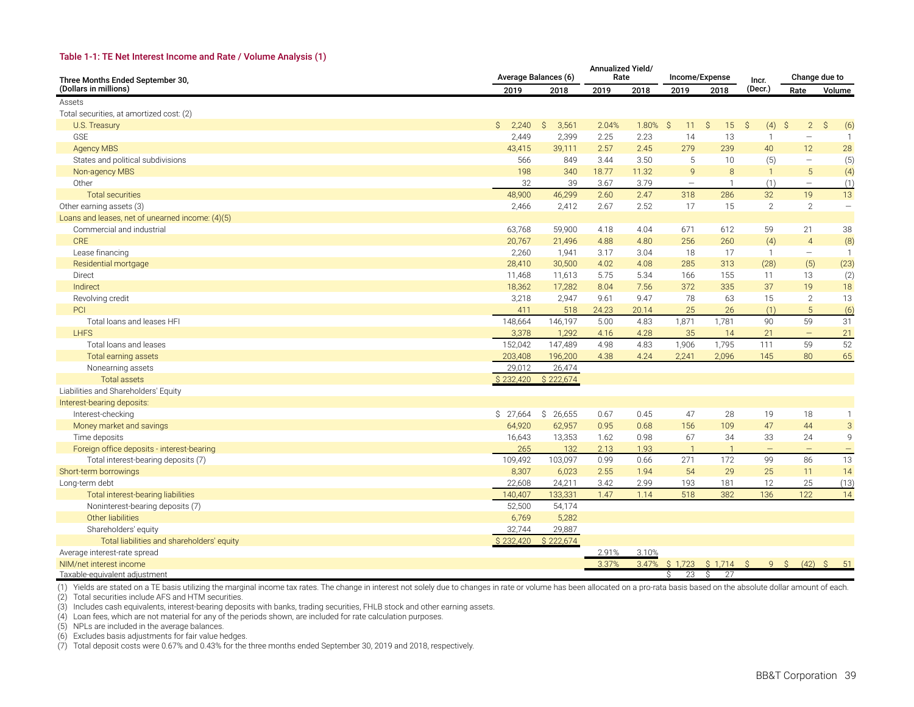#### **Table 1-1: TE Net Interest Income and Rate / Volume Analysis (1)**

| Three Months Ended September 30,                 | Average Balances (6)  |             | Annualized Yield/<br>Rate |       |                          | Income/Expense    | Incr.             |                          | Change due to             |
|--------------------------------------------------|-----------------------|-------------|---------------------------|-------|--------------------------|-------------------|-------------------|--------------------------|---------------------------|
| (Dollars in millions)                            | 2019                  | 2018        | 2019                      | 2018  | 2019                     | 2018              | (Decr.)           | Rate                     | Volume                    |
| Assets                                           |                       |             |                           |       |                          |                   |                   |                          |                           |
| Total securities, at amortized cost: (2)         |                       |             |                           |       |                          |                   |                   |                          |                           |
| U.S. Treasury                                    | $\mathsf{S}$<br>2,240 | S.<br>3,561 | 2.04%                     | 1.80% | - S<br>11                | S.<br>15          | S.<br>(4)         | S.<br>$2^{\circ}$        | Ŝ.<br>(6)                 |
| <b>GSE</b>                                       | 2,449                 | 2,399       | 2.25                      | 2.23  | 14                       | 13                | $\overline{1}$    | $\overline{\phantom{0}}$ | $\mathbf{1}$              |
| <b>Agency MBS</b>                                | 43,415                | 39,111      | 2.57                      | 2.45  | 279                      | 239               | 40                | 12                       | 28                        |
| States and political subdivisions                | 566                   | 849         | 3.44                      | 3.50  | 5                        | 10                | (5)               | $\overline{\phantom{m}}$ | (5)                       |
| Non-agency MBS                                   | 198                   | 340         | 18.77                     | 11.32 | 9                        | 8                 | $\overline{1}$    | 5                        | (4)                       |
| Other                                            | 32                    | 39          | 3.67                      | 3.79  | $\overline{\phantom{m}}$ | $\mathbf{1}$      | (1)               | $\overline{\phantom{m}}$ | (1)                       |
| <b>Total securities</b>                          | 48,900                | 46,299      | 2.60                      | 2.47  | 318                      | 286               | 32                | 19                       | 13                        |
| Other earning assets (3)                         | 2,466                 | 2,412       | 2.67                      | 2.52  | 17                       | 15                | 2                 | $\overline{2}$           | $\overline{\phantom{0}}$  |
| Loans and leases, net of unearned income: (4)(5) |                       |             |                           |       |                          |                   |                   |                          |                           |
| Commercial and industrial                        | 63,768                | 59,900      | 4.18                      | 4.04  | 671                      | 612               | 59                | 21                       | 38                        |
| <b>CRE</b>                                       | 20,767                | 21,496      | 4.88                      | 4.80  | 256                      | 260               | (4)               | $\overline{4}$           | (8)                       |
| Lease financing                                  | 2,260                 | 1,941       | 3.17                      | 3.04  | 18                       | 17                | $\overline{1}$    | $\overline{\phantom{m}}$ | $\mathbf{1}$              |
| Residential mortgage                             | 28,410                | 30,500      | 4.02                      | 4.08  | 285                      | 313               | (28)              | (5)                      | (23)                      |
| Direct                                           | 11,468                | 11,613      | 5.75                      | 5.34  | 166                      | 155               | 11                | 13                       | (2)                       |
| Indirect                                         | 18,362                | 17,282      | 8.04                      | 7.56  | 372                      | 335               | 37                | 19                       | 18                        |
| Revolving credit                                 | 3,218                 | 2,947       | 9.61                      | 9.47  | 78                       | 63                | 15                | 2                        | 13                        |
| <b>PCI</b>                                       | 411                   | 518         | 24.23                     | 20.14 | 25                       | 26                | (1)               | 5                        | (6)                       |
| Total loans and leases HFI                       | 148,664               | 146,197     | 5.00                      | 4.83  | 1,871                    | 1,781             | 90                | 59                       | 31                        |
| <b>LHFS</b>                                      | 3,378                 | 1,292       | 4.16                      | 4.28  | 35                       | 14                | 21                | $\equiv$                 | 21                        |
| Total loans and leases                           | 152,042               | 147,489     | 4.98                      | 4.83  | 1,906                    | 1,795             | 111               | 59                       | 52                        |
| Total earning assets                             | 203,408               | 196,200     | 4.38                      | 4.24  | 2,241                    | 2,096             | 145               | 80                       | 65                        |
| Nonearning assets                                | 29,012                | 26,474      |                           |       |                          |                   |                   |                          |                           |
| <b>Total assets</b>                              | \$232,420             | \$222.674   |                           |       |                          |                   |                   |                          |                           |
| Liabilities and Shareholders' Equity             |                       |             |                           |       |                          |                   |                   |                          |                           |
| Interest-bearing deposits:                       |                       |             |                           |       |                          |                   |                   |                          |                           |
| Interest-checking                                | \$27,664              | \$26,655    | 0.67                      | 0.45  | 47                       | 28                | 19                | 18                       | $\mathbf{1}$              |
| Money market and savings                         | 64,920                | 62,957      | 0.95                      | 0.68  | 156                      | 109               | 47                | 44                       | $\ensuremath{\mathsf{3}}$ |
| Time deposits                                    | 16,643                | 13,353      | 1.62                      | 0.98  | 67                       | 34                | 33                | 24                       | 9                         |
| Foreign office deposits - interest-bearing       | 265                   | 132         | 2.13                      | 1.93  | $\overline{1}$           | $\overline{1}$    | $\qquad \qquad -$ | $\overline{\phantom{0}}$ | $\qquad \qquad -$         |
| Total interest-bearing deposits (7)              | 109,492               | 103,097     | 0.99                      | 0.66  | 271                      | 172               | 99                | 86                       | 13                        |
| Short-term borrowings                            | 8,307                 | 6,023       | 2.55                      | 1.94  | 54                       | 29                | 25                | 11                       | 14                        |
| Long-term debt                                   | 22.608                | 24,211      | 3.42                      | 2.99  | 193                      | 181               | 12                | 25                       | (13)                      |
| Total interest-bearing liabilities               | 140,407               | 133,331     | 1.47                      | 1.14  | 518                      | 382               | 136               | 122                      | 14                        |
| Noninterest-bearing deposits (7)                 | 52,500                | 54,174      |                           |       |                          |                   |                   |                          |                           |
| Other liabilities                                | 6,769                 | 5,282       |                           |       |                          |                   |                   |                          |                           |
| Shareholders' equity                             | 32,744                | 29,887      |                           |       |                          |                   |                   |                          |                           |
| Total liabilities and shareholders' equity       | \$232,420             | \$222,674   |                           |       |                          |                   |                   |                          |                           |
| Average interest-rate spread                     |                       |             | 2.91%                     | 3.10% |                          |                   |                   |                          |                           |
| NIM/net interest income                          |                       |             | 3.37%                     | 3.47% |                          | $$1,723$ $$1,714$ | S.<br>9           | S.<br>(42)               | <sub>S</sub><br>51        |
| Taxable-equivalent adjustment                    |                       |             |                           |       | 23<br>Ŝ.                 | Ŝ.<br>27          |                   |                          |                           |

(1) Yields are stated on a TE basis utilizing the marginal income tax rates. The change in interest not solely due to changes in rate or volume has been allocated on a pro-rata basis based on the absolute dollar amount of

(2) Total securities include AFS and HTM securities.

(3) Includes cash equivalents, interest-bearing deposits with banks, trading securities, FHLB stock and other earning assets.

(4) Loan fees, which are not material for any of the periods shown, are included for rate calculation purposes.

(5) NPLs are included in the average balances.

(6) Excludes basis adjustments for fair value hedges.

(7) Total deposit costs were 0.67% and 0.43% for the three months ended September 30, 2019 and 2018, respectively.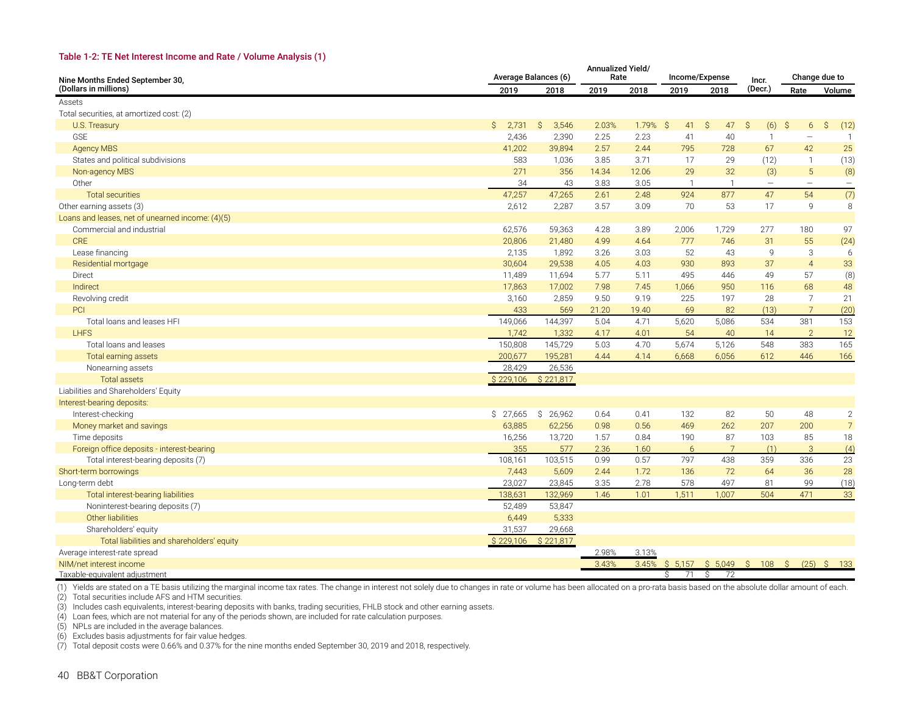#### **Table 1-2: TE Net Interest Income and Rate / Volume Analysis (1)**

| Nine Months Ended September 30,                  | Average Balances (6) |             | Annualized Yield/<br>Rate |            |                | Income/Expense    | Incr.                    | Change due to            |                |
|--------------------------------------------------|----------------------|-------------|---------------------------|------------|----------------|-------------------|--------------------------|--------------------------|----------------|
| (Dollars in millions)                            | 2019                 | 2018        | 2019                      | 2018       | 2019           | 2018              | (Decr.)                  | Rate                     | Volume         |
| Assets                                           |                      |             |                           |            |                |                   |                          |                          |                |
| Total securities, at amortized cost: (2)         |                      |             |                           |            |                |                   |                          |                          |                |
| U.S. Treasury                                    | Ŝ.<br>2,731          | 3,546<br>S. | 2.03%                     | $1.79%$ \$ | 41             | 47<br>S.          | (6)<br>S.                | S,<br>6                  | Ŝ.<br>(12)     |
| <b>GSE</b>                                       | 2,436                | 2,390       | 2.25                      | 2.23       | 41             | 40                | $\mathbf{1}$             |                          | $\mathbf{1}$   |
| <b>Agency MBS</b>                                | 41,202               | 39,894      | 2.57                      | 2.44       | 795            | 728               | 67                       | 42                       | 25             |
| States and political subdivisions                | 583                  | 1,036       | 3.85                      | 3.71       | 17             | 29                | (12)                     | $\overline{1}$           | (13)           |
| Non-agency MBS                                   | 271                  | 356         | 14.34                     | 12.06      | 29             | 32                | (3)                      | $\sqrt{5}$               | (8)            |
| Other                                            | 34                   | 43          | 3.83                      | 3.05       | $\overline{1}$ | $\mathbf{1}$      | $\overline{\phantom{m}}$ | $\overline{\phantom{0}}$ |                |
| <b>Total securities</b>                          | 47,257               | 47,265      | 2.61                      | 2.48       | 924            | 877               | 47                       | 54                       | (7)            |
| Other earning assets (3)                         | 2,612                | 2,287       | 3.57                      | 3.09       | 70             | 53                | 17                       | 9                        | 8              |
| Loans and leases, net of unearned income: (4)(5) |                      |             |                           |            |                |                   |                          |                          |                |
| Commercial and industrial                        | 62,576               | 59,363      | 4.28                      | 3.89       | 2,006          | 1,729             | 277                      | 180                      | 97             |
| <b>CRE</b>                                       | 20,806               | 21,480      | 4.99                      | 4.64       | 777            | 746               | 31                       | 55                       | (24)           |
| Lease financing                                  | 2,135                | 1,892       | 3.26                      | 3.03       | 52             | 43                | 9                        | 3                        | 6              |
| Residential mortgage                             | 30,604               | 29,538      | 4.05                      | 4.03       | 930            | 893               | 37                       | $\overline{4}$           | 33             |
| Direct                                           | 11,489               | 11,694      | 5.77                      | 5.11       | 495            | 446               | 49                       | 57                       | (8)            |
| Indirect                                         | 17,863               | 17,002      | 7.98                      | 7.45       | 1,066          | 950               | 116                      | 68                       | 48             |
| Revolving credit                                 | 3,160                | 2,859       | 9.50                      | 9.19       | 225            | 197               | 28                       | $\overline{7}$           | 21             |
| PCI                                              | 433                  | 569         | 21.20                     | 19.40      | 69             | 82                | (13)                     | 7                        | (20)           |
| Total loans and leases HFI                       | 149,066              | 144,397     | 5.04                      | 4.71       | 5,620          | 5,086             | 534                      | 381                      | 153            |
| <b>I HFS</b>                                     | 1.742                | 1,332       | 4.17                      | 4.01       | 54             | 40                | 14                       | 2                        | 12             |
| Total loans and leases                           | 150,808              | 145,729     | 5.03                      | 4.70       | 5,674          | 5,126             | 548                      | 383                      | 165            |
| Total earning assets                             | 200,677              | 195,281     | 4.44                      | 4.14       | 6,668          | 6,056             | 612                      | 446                      | 166            |
| Nonearning assets                                | 28,429               | 26,536      |                           |            |                |                   |                          |                          |                |
| <b>Total assets</b>                              | \$229,106            | \$221,817   |                           |            |                |                   |                          |                          |                |
| Liabilities and Shareholders' Equity             |                      |             |                           |            |                |                   |                          |                          |                |
| Interest-bearing deposits:                       |                      |             |                           |            |                |                   |                          |                          |                |
| Interest-checking                                | \$27,665             | \$26,962    | 0.64                      | 0.41       | 132            | 82                | 50                       | 48                       | $\sqrt{2}$     |
| Money market and savings                         | 63,885               | 62,256      | 0.98                      | 0.56       | 469            | 262               | 207                      | 200                      | $\overline{7}$ |
| Time deposits                                    | 16,256               | 13,720      | 1.57                      | 0.84       | 190            | 87                | 103                      | 85                       | 18             |
| Foreign office deposits - interest-bearing       | 355                  | 577         | 2.36                      | 1.60       | 6              | 7                 | (1)                      | 3                        | (4)            |
| Total interest-bearing deposits (7)              | 108,161              | 103,515     | 0.99                      | 0.57       | 797            | 438               | 359                      | 336                      | 23             |
| Short-term borrowings                            | 7,443                | 5,609       | 2.44                      | 1.72       | 136            | 72                | 64                       | 36                       | 28             |
| Long-term debt                                   | 23,027               | 23,845      | 3.35                      | 2.78       | 578            | 497               | 81                       | 99                       | (18)           |
| Total interest-bearing liabilities               | 138,631              | 132,969     | 1.46                      | 1.01       | 1,511          | 1,007             | 504                      | 471                      | 33             |
| Noninterest-bearing deposits (7)                 | 52,489               | 53,847      |                           |            |                |                   |                          |                          |                |
| Other liabilities                                | 6,449                | 5,333       |                           |            |                |                   |                          |                          |                |
| Shareholders' equity                             | 31,537               | 29,668      |                           |            |                |                   |                          |                          |                |
| Total liabilities and shareholders' equity       | \$229,106            | \$221,817   |                           |            |                |                   |                          |                          |                |
| Average interest-rate spread                     |                      |             | 2.98%                     | 3.13%      |                |                   |                          |                          |                |
| NIM/net interest income                          |                      |             | 3.43%                     | 3.45%      |                | $$5,157$ $$5,049$ | S<br>108                 | $\mathcal{S}$            | $(25)$ \$ 133  |
| Taxable-equivalent adjustment                    |                      |             |                           |            | $\sqrt{5}$ 71  | $\sin 72$         |                          |                          |                |

(1) Yields are stated on a TE basis utilizing the marginal income tax rates. The change in interest not solely due to changes in rate or volume has been allocated on a pro-rata basis based on the absolute dollar amount of

(2) Total securities include AFS and HTM securities.

(3) Includes cash equivalents, interest-bearing deposits with banks, trading securities, FHLB stock and other earning assets.

(4) Loan fees, which are not material for any of the periods shown, are included for rate calculation purposes.

(5) NPLs are included in the average balances.

(6) Excludes basis adjustments for fair value hedges.

(7) Total deposit costs were 0.66% and 0.37% for the nine months ended September 30, 2019 and 2018, respectively.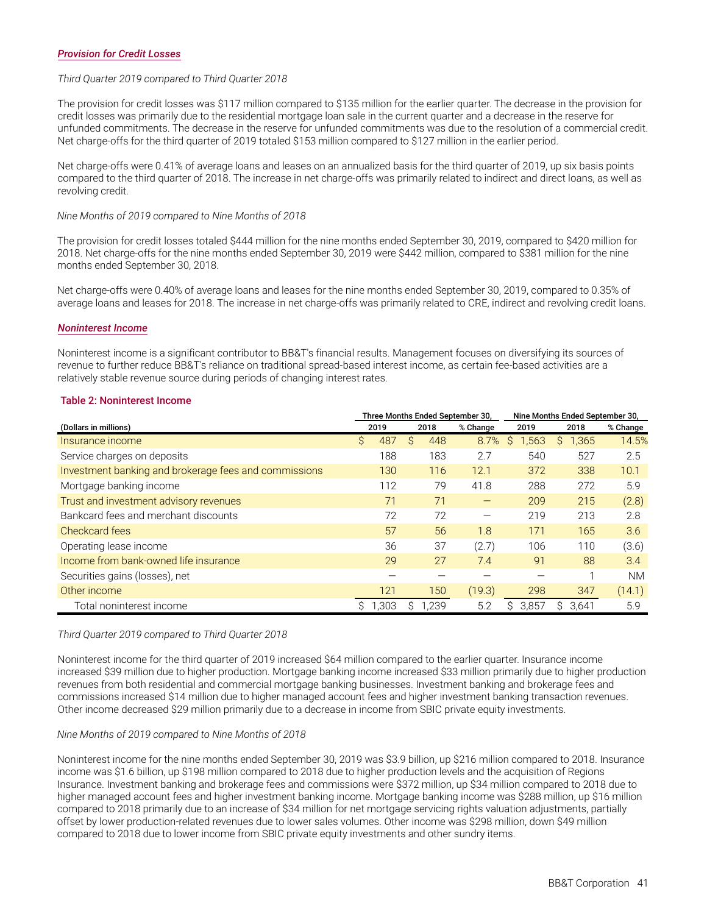#### *Provision for Credit Losses*

#### *Third Quarter 2019 compared to Third Quarter 2018*

The provision for credit losses was \$117 million compared to \$135 million for the earlier quarter. The decrease in the provision for credit losses was primarily due to the residential mortgage loan sale in the current quarter and a decrease in the reserve for unfunded commitments. The decrease in the reserve for unfunded commitments was due to the resolution of a commercial credit. Net charge-offs for the third quarter of 2019 totaled \$153 million compared to \$127 million in the earlier period.

Net charge-offs were 0.41% of average loans and leases on an annualized basis for the third quarter of 2019, up six basis points compared to the third quarter of 2018. The increase in net charge-offs was primarily related to indirect and direct loans, as well as revolving credit.

#### *Nine Months of 2019 compared to Nine Months of 2018*

The provision for credit losses totaled \$444 million for the nine months ended September 30, 2019, compared to \$420 million for 2018. Net charge-offs for the nine months ended September 30, 2019 were \$442 million, compared to \$381 million for the nine months ended September 30, 2018.

Net charge-offs were 0.40% of average loans and leases for the nine months ended September 30, 2019, compared to 0.35% of average loans and leases for 2018. The increase in net charge-offs was primarily related to CRE, indirect and revolving credit loans.

#### *Noninterest Income*

Noninterest income is a significant contributor to BB&T's financial results. Management focuses on diversifying its sources of revenue to further reduce BB&T's reliance on traditional spread-based interest income, as certain fee-based activities are a relatively stable revenue source during periods of changing interest rates.

#### **Table 2: Noninterest Income**

|                                                       |           | Three Months Ended September 30, |          | Nine Months Ended September 30. |            |           |  |  |
|-------------------------------------------------------|-----------|----------------------------------|----------|---------------------------------|------------|-----------|--|--|
| (Dollars in millions)                                 | 2019      | 2018                             | % Change | 2019                            | 2018       | % Change  |  |  |
| Insurance income                                      | S.<br>487 | 448<br>S                         | 8.7%     | .563<br>S                       | 1,365<br>S | 14.5%     |  |  |
| Service charges on deposits                           | 188       | 183                              | 2.7      | 540                             | 527        | 2.5       |  |  |
| Investment banking and brokerage fees and commissions | 130       | 116                              | 12.1     | 372                             | 338        | 10.1      |  |  |
| Mortgage banking income                               | 112       | 79                               | 41.8     | 288                             | 272        | 5.9       |  |  |
| Trust and investment advisory revenues                | 71        | 71                               | —        | 209                             | 215        | (2.8)     |  |  |
| Bankcard fees and merchant discounts                  | 72        | 72                               |          | 219                             | 213        | 2.8       |  |  |
| Checkcard fees                                        | 57        | 56                               | 1.8      | 171                             | 165        | 3.6       |  |  |
| Operating lease income                                | 36        | 37                               | (2.7)    | 106                             | 110        | (3.6)     |  |  |
| Income from bank-owned life insurance                 | 29        | 27                               | 7.4      | 91                              | 88         | 3.4       |  |  |
| Securities gains (losses), net                        |           |                                  |          |                                 |            | <b>NM</b> |  |  |
| Other income                                          | 121       | 150                              | (19.3)   | 298                             | 347        | (14.1)    |  |  |
| Total noninterest income                              | ,303      | 1,239                            | 5.2      | 3,857<br>S.                     | 3,641<br>S | 5.9       |  |  |

#### *Third Quarter 2019 compared to Third Quarter 2018*

Noninterest income for the third quarter of 2019 increased \$64 million compared to the earlier quarter. Insurance income increased \$39 million due to higher production. Mortgage banking income increased \$33 million primarily due to higher production revenues from both residential and commercial mortgage banking businesses. Investment banking and brokerage fees and commissions increased \$14 million due to higher managed account fees and higher investment banking transaction revenues. Other income decreased \$29 million primarily due to a decrease in income from SBIC private equity investments.

#### *Nine Months of 2019 compared to Nine Months of 2018*

Noninterest income for the nine months ended September 30, 2019 was \$3.9 billion, up \$216 million compared to 2018. Insurance income was \$1.6 billion, up \$198 million compared to 2018 due to higher production levels and the acquisition of Regions Insurance. Investment banking and brokerage fees and commissions were \$372 million, up \$34 million compared to 2018 due to higher managed account fees and higher investment banking income. Mortgage banking income was \$288 million, up \$16 million compared to 2018 primarily due to an increase of \$34 million for net mortgage servicing rights valuation adjustments, partially offset by lower production-related revenues due to lower sales volumes. Other income was \$298 million, down \$49 million compared to 2018 due to lower income from SBIC private equity investments and other sundry items.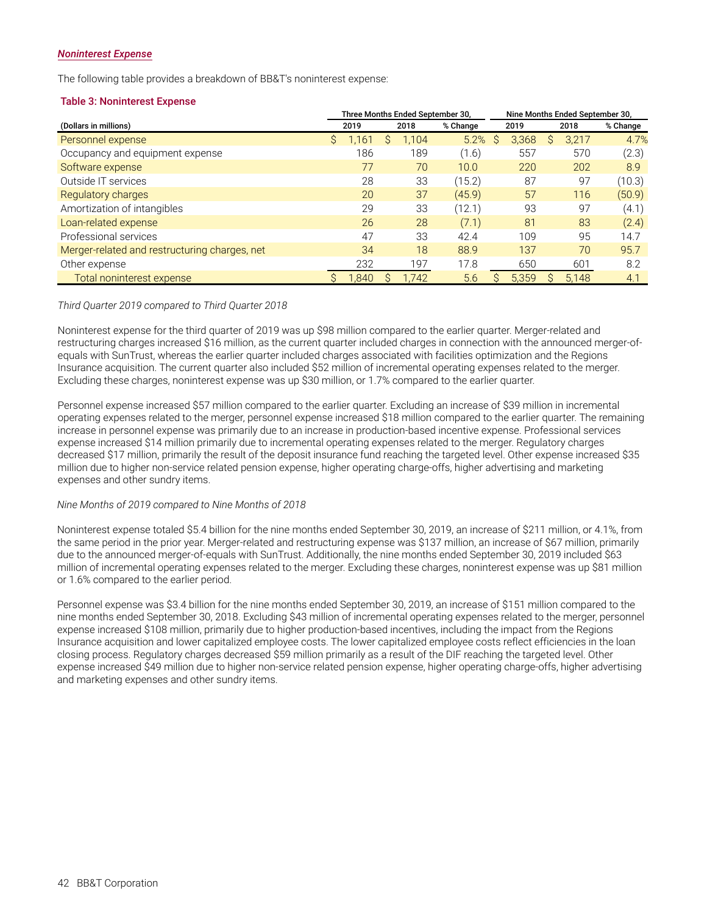#### *Noninterest Expense*

The following table provides a breakdown of BB&T's noninterest expense:

#### **Table 3: Noninterest Expense**

|                                               | Three Months Ended September 30, |       |   |       |          |   | Nine Months Ended September 30, |   |       |          |  |  |
|-----------------------------------------------|----------------------------------|-------|---|-------|----------|---|---------------------------------|---|-------|----------|--|--|
| (Dollars in millions)                         |                                  | 2019  |   | 2018  | % Change |   | 2019                            |   | 2018  | % Change |  |  |
| Personnel expense                             | S.                               | 1.161 | S | 1,104 | 5.2%     | S | 3,368                           | S | 3,217 | 4.7%     |  |  |
| Occupancy and equipment expense               |                                  | 186   |   | 189   | (1.6)    |   | 557                             |   | 570   | (2.3)    |  |  |
| Software expense                              |                                  | 77    |   | 70    | 10.0     |   | 220                             |   | 202   | 8.9      |  |  |
| Outside IT services                           |                                  | 28    |   | 33    | (15.2)   |   | 87                              |   | 97    | (10.3)   |  |  |
| Regulatory charges                            |                                  | 20    |   | 37    | (45.9)   |   | 57                              |   | 116   | (50.9)   |  |  |
| Amortization of intangibles                   |                                  | 29    |   | 33    | (12.1)   |   | 93                              |   | 97    | (4.1)    |  |  |
| Loan-related expense                          |                                  | 26    |   | 28    | (7.1)    |   | 81                              |   | 83    | (2.4)    |  |  |
| Professional services                         |                                  | 47    |   | 33    | 42.4     |   | 109                             |   | 95    | 14.7     |  |  |
| Merger-related and restructuring charges, net |                                  | 34    |   | 18    | 88.9     |   | 137                             |   | 70    | 95.7     |  |  |
| Other expense                                 |                                  | 232   |   | 197   | 17.8     |   | 650                             |   | 601   | 8.2      |  |  |
| Total noninterest expense                     |                                  | 1.840 |   | 1.742 | 5.6      |   | 5.359                           |   | 5.148 | 4.1      |  |  |

#### *Third Quarter 2019 compared to Third Quarter 2018*

Noninterest expense for the third quarter of 2019 was up \$98 million compared to the earlier quarter. Merger-related and restructuring charges increased \$16 million, as the current quarter included charges in connection with the announced merger-ofequals with SunTrust, whereas the earlier quarter included charges associated with facilities optimization and the Regions Insurance acquisition. The current quarter also included \$52 million of incremental operating expenses related to the merger. Excluding these charges, noninterest expense was up \$30 million, or 1.7% compared to the earlier quarter.

Personnel expense increased \$57 million compared to the earlier quarter. Excluding an increase of \$39 million in incremental operating expenses related to the merger, personnel expense increased \$18 million compared to the earlier quarter. The remaining increase in personnel expense was primarily due to an increase in production-based incentive expense. Professional services expense increased \$14 million primarily due to incremental operating expenses related to the merger. Regulatory charges decreased \$17 million, primarily the result of the deposit insurance fund reaching the targeted level. Other expense increased \$35 million due to higher non-service related pension expense, higher operating charge-offs, higher advertising and marketing expenses and other sundry items.

#### *Nine Months of 2019 compared to Nine Months of 2018*

Noninterest expense totaled \$5.4 billion for the nine months ended September 30, 2019, an increase of \$211 million, or 4.1%, from the same period in the prior year. Merger-related and restructuring expense was \$137 million, an increase of \$67 million, primarily due to the announced merger-of-equals with SunTrust. Additionally, the nine months ended September 30, 2019 included \$63 million of incremental operating expenses related to the merger. Excluding these charges, noninterest expense was up \$81 million or 1.6% compared to the earlier period.

Personnel expense was \$3.4 billion for the nine months ended September 30, 2019, an increase of \$151 million compared to the nine months ended September 30, 2018. Excluding \$43 million of incremental operating expenses related to the merger, personnel expense increased \$108 million, primarily due to higher production-based incentives, including the impact from the Regions Insurance acquisition and lower capitalized employee costs. The lower capitalized employee costs reflect efficiencies in the loan closing process. Regulatory charges decreased \$59 million primarily as a result of the DIF reaching the targeted level. Other expense increased \$49 million due to higher non-service related pension expense, higher operating charge-offs, higher advertising and marketing expenses and other sundry items.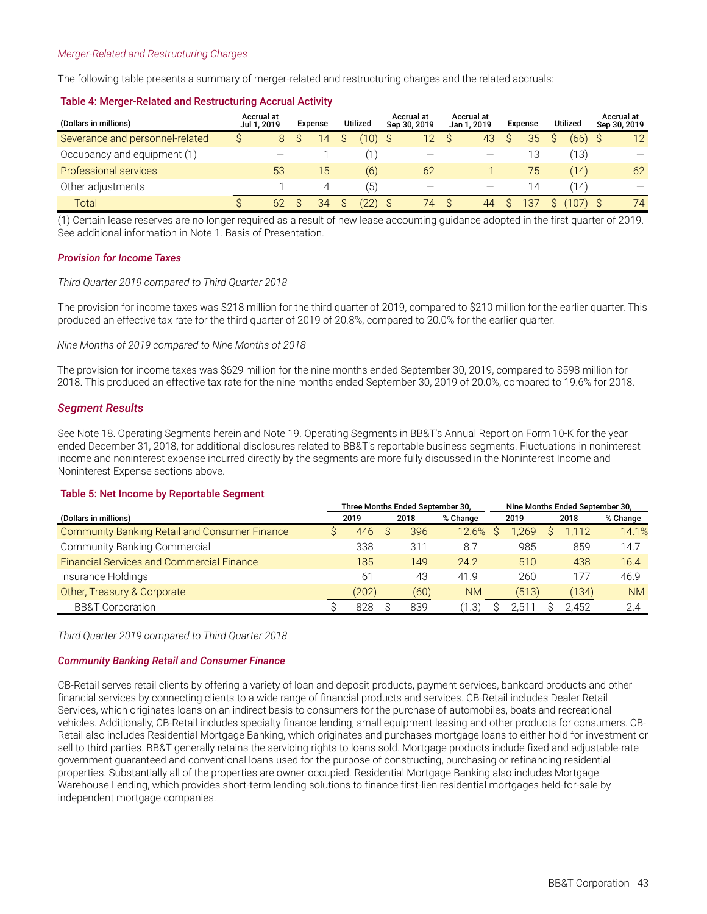#### *Merger-Related and Restructuring Charges*

The following table presents a summary of merger-related and restructuring charges and the related accruals:

| (Dollars in millions)           | Accrual at<br>Jul 1, 2019 |    | Expense | <b>Utilized</b> | Accrual at<br>Sep 30, 2019 | Accrual at<br>Jan 1, 2019 | Expense | <b>Utilized</b> | Accrual at<br>Sep 30, 2019 |
|---------------------------------|---------------------------|----|---------|-----------------|----------------------------|---------------------------|---------|-----------------|----------------------------|
| Severance and personnel-related |                           | 8  | 14      | (10)            | 12 <sup>°</sup>            | 43                        | 35      | (66)            | 12                         |
| Occupancy and equipment (1)     |                           |    |         |                 |                            |                           | 13      | (13)            |                            |
| Professional services           |                           | 53 | 15      | (6)             | 62                         |                           | 75      | (14)            | 62                         |
| Other adjustments               |                           |    | 4       | (5)             |                            |                           | 14      | (14)            | $\overline{\phantom{0}}$   |
| Total                           |                           | 62 | 34      |                 | 74                         | 44                        | 137     | (107)           | 74                         |

#### **Table 4: Merger-Related and Restructuring Accrual Activity**

(1) Certain lease reserves are no longer required as a result of new lease accounting guidance adopted in the first quarter of 2019. See additional information in Note 1. Basis of Presentation.

#### *Provision for Income Taxes*

#### *Third Quarter 2019 compared to Third Quarter 2018*

The provision for income taxes was \$218 million for the third quarter of 2019, compared to \$210 million for the earlier quarter. This produced an effective tax rate for the third quarter of 2019 of 20.8%, compared to 20.0% for the earlier quarter.

#### *Nine Months of 2019 compared to Nine Months of 2018*

The provision for income taxes was \$629 million for the nine months ended September 30, 2019, compared to \$598 million for 2018. This produced an effective tax rate for the nine months ended September 30, 2019 of 20.0%, compared to 19.6% for 2018.

#### *Segment Results*

See Note 18. Operating Segments herein and Note 19. Operating Segments in BB&T's Annual Report on Form 10-K for the year ended December 31, 2018, for additional disclosures related to BB&T's reportable business segments. Fluctuations in noninterest income and noninterest expense incurred directly by the segments are more fully discussed in the Noninterest Income and Noninterest Expense sections above.

#### **Table 5: Net Income by Reportable Segment**

|                                                      | Three Months Ended September 30, |       |  |      |           |  | Nine Months Ended September 30, |  |       |           |  |  |  |
|------------------------------------------------------|----------------------------------|-------|--|------|-----------|--|---------------------------------|--|-------|-----------|--|--|--|
| (Dollars in millions)                                |                                  | 2019  |  | 2018 | % Change  |  | 2019                            |  | 2018  | % Change  |  |  |  |
| <b>Community Banking Retail and Consumer Finance</b> |                                  | 446   |  | 396  | 12.6%     |  | .269                            |  | 1.112 | 14.1%     |  |  |  |
| Community Banking Commercial                         |                                  | 338   |  | 311  | 8.7       |  | 985                             |  | 859   | 14.7      |  |  |  |
| <b>Financial Services and Commercial Finance</b>     |                                  | 185   |  | 149  | 24.2      |  | 510                             |  | 438   | 16.4      |  |  |  |
| Insurance Holdings                                   |                                  | 61    |  | 43   | 41.9      |  | 260                             |  | 177   | 46.9      |  |  |  |
| Other, Treasury & Corporate                          |                                  | (202) |  | (60) | <b>NM</b> |  | (513)                           |  | (134) | <b>NM</b> |  |  |  |
| <b>BB&amp;T</b> Corporation                          |                                  | 828   |  | 839  | 31. ،     |  | ∠.5 °                           |  | 2.452 | 2.4       |  |  |  |

*Third Quarter 2019 compared to Third Quarter 2018*

#### *Community Banking Retail and Consumer Finance*

CB-Retail serves retail clients by offering a variety of loan and deposit products, payment services, bankcard products and other financial services by connecting clients to a wide range of financial products and services. CB-Retail includes Dealer Retail Services, which originates loans on an indirect basis to consumers for the purchase of automobiles, boats and recreational vehicles. Additionally, CB-Retail includes specialty finance lending, small equipment leasing and other products for consumers. CB-Retail also includes Residential Mortgage Banking, which originates and purchases mortgage loans to either hold for investment or sell to third parties. BB&T generally retains the servicing rights to loans sold. Mortgage products include fixed and adjustable-rate government guaranteed and conventional loans used for the purpose of constructing, purchasing or refinancing residential properties. Substantially all of the properties are owner-occupied. Residential Mortgage Banking also includes Mortgage Warehouse Lending, which provides short-term lending solutions to finance first-lien residential mortgages held-for-sale by independent mortgage companies.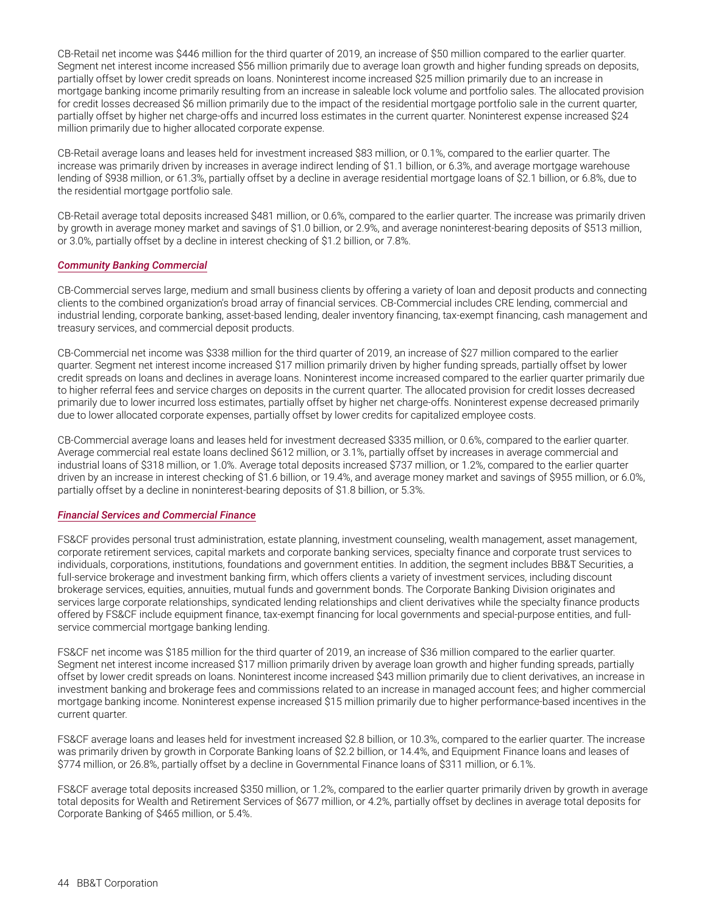CB-Retail net income was \$446 million for the third quarter of 2019, an increase of \$50 million compared to the earlier quarter. Segment net interest income increased \$56 million primarily due to average loan growth and higher funding spreads on deposits, partially offset by lower credit spreads on loans. Noninterest income increased \$25 million primarily due to an increase in mortgage banking income primarily resulting from an increase in saleable lock volume and portfolio sales. The allocated provision for credit losses decreased \$6 million primarily due to the impact of the residential mortgage portfolio sale in the current quarter. partially offset by higher net charge-offs and incurred loss estimates in the current quarter. Noninterest expense increased \$24 million primarily due to higher allocated corporate expense.

CB-Retail average loans and leases held for investment increased \$83 million, or 0.1%, compared to the earlier quarter. The increase was primarily driven by increases in average indirect lending of \$1.1 billion, or 6.3%, and average mortgage warehouse lending of \$938 million, or 61.3%, partially offset by a decline in average residential mortgage loans of \$2.1 billion, or 6.8%, due to the residential mortgage portfolio sale.

CB-Retail average total deposits increased \$481 million, or 0.6%, compared to the earlier quarter. The increase was primarily driven by growth in average money market and savings of \$1.0 billion, or 2.9%, and average noninterest-bearing deposits of \$513 million, or 3.0%, partially offset by a decline in interest checking of \$1.2 billion, or 7.8%.

#### *Community Banking Commercial*

CB-Commercial serves large, medium and small business clients by offering a variety of loan and deposit products and connecting clients to the combined organization's broad array of financial services. CB-Commercial includes CRE lending, commercial and industrial lending, corporate banking, asset-based lending, dealer inventory financing, tax-exempt financing, cash management and treasury services, and commercial deposit products.

CB-Commercial net income was \$338 million for the third quarter of 2019, an increase of \$27 million compared to the earlier quarter. Segment net interest income increased \$17 million primarily driven by higher funding spreads, partially offset by lower credit spreads on loans and declines in average loans. Noninterest income increased compared to the earlier quarter primarily due to higher referral fees and service charges on deposits in the current quarter. The allocated provision for credit losses decreased primarily due to lower incurred loss estimates, partially offset by higher net charge-offs. Noninterest expense decreased primarily due to lower allocated corporate expenses, partially offset by lower credits for capitalized employee costs.

CB-Commercial average loans and leases held for investment decreased \$335 million, or 0.6%, compared to the earlier quarter. Average commercial real estate loans declined \$612 million, or 3.1%, partially offset by increases in average commercial and industrial loans of \$318 million, or 1.0%. Average total deposits increased \$737 million, or 1.2%, compared to the earlier quarter driven by an increase in interest checking of \$1.6 billion, or 19.4%, and average money market and savings of \$955 million, or 6.0%, partially offset by a decline in noninterest-bearing deposits of \$1.8 billion, or 5.3%.

#### *Financial Services and Commercial Finance*

FS&CF provides personal trust administration, estate planning, investment counseling, wealth management, asset management, corporate retirement services, capital markets and corporate banking services, specialty finance and corporate trust services to individuals, corporations, institutions, foundations and government entities. In addition, the segment includes BB&T Securities, a full-service brokerage and investment banking firm, which offers clients a variety of investment services, including discount brokerage services, equities, annuities, mutual funds and government bonds. The Corporate Banking Division originates and services large corporate relationships, syndicated lending relationships and client derivatives while the specialty finance products offered by FS&CF include equipment finance, tax-exempt financing for local governments and special-purpose entities, and fullservice commercial mortgage banking lending.

FS&CF net income was \$185 million for the third quarter of 2019, an increase of \$36 million compared to the earlier quarter. Segment net interest income increased \$17 million primarily driven by average loan growth and higher funding spreads, partially offset by lower credit spreads on loans. Noninterest income increased \$43 million primarily due to client derivatives, an increase in investment banking and brokerage fees and commissions related to an increase in managed account fees; and higher commercial mortgage banking income. Noninterest expense increased \$15 million primarily due to higher performance-based incentives in the current quarter.

FS&CF average loans and leases held for investment increased \$2.8 billion, or 10.3%, compared to the earlier quarter. The increase was primarily driven by growth in Corporate Banking loans of \$2.2 billion, or 14.4%, and Equipment Finance loans and leases of \$774 million, or 26.8%, partially offset by a decline in Governmental Finance loans of \$311 million, or 6.1%.

FS&CF average total deposits increased \$350 million, or 1.2%, compared to the earlier quarter primarily driven by growth in average total deposits for Wealth and Retirement Services of \$677 million, or 4.2%, partially offset by declines in average total deposits for Corporate Banking of \$465 million, or 5.4%.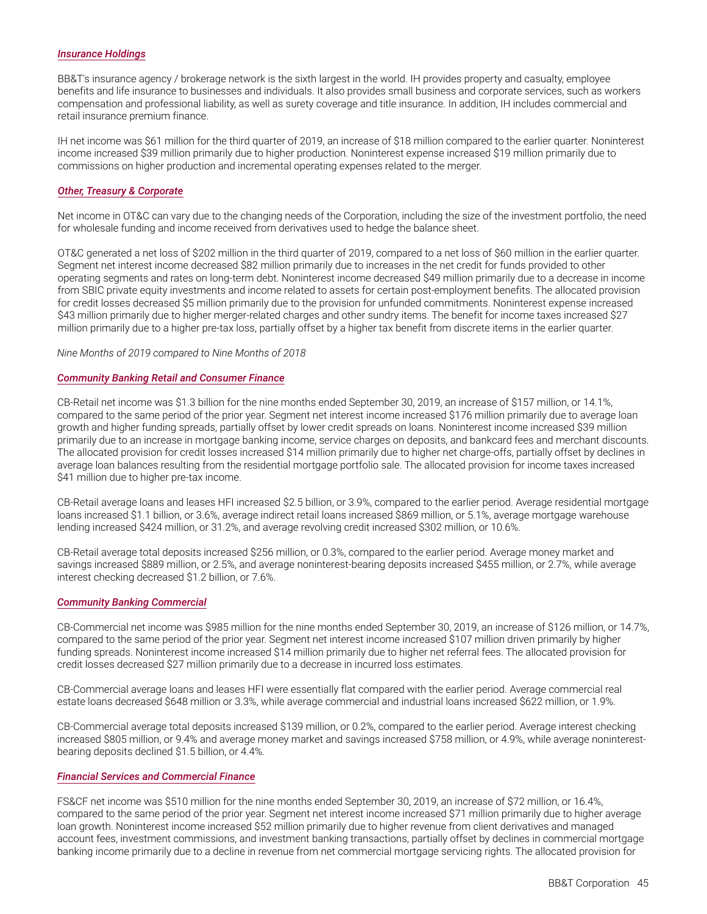#### *Insurance Holdings*

BB&T's insurance agency / brokerage network is the sixth largest in the world. IH provides property and casualty, employee benefits and life insurance to businesses and individuals. It also provides small business and corporate services, such as workers compensation and professional liability, as well as surety coverage and title insurance. In addition, IH includes commercial and retail insurance premium finance.

IH net income was \$61 million for the third quarter of 2019, an increase of \$18 million compared to the earlier quarter. Noninterest income increased \$39 million primarily due to higher production. Noninterest expense increased \$19 million primarily due to commissions on higher production and incremental operating expenses related to the merger.

#### *Other, Treasury & Corporate*

Net income in OT&C can vary due to the changing needs of the Corporation, including the size of the investment portfolio, the need for wholesale funding and income received from derivatives used to hedge the balance sheet.

OT&C generated a net loss of \$202 million in the third quarter of 2019, compared to a net loss of \$60 million in the earlier quarter. Segment net interest income decreased \$82 million primarily due to increases in the net credit for funds provided to other operating segments and rates on long-term debt. Noninterest income decreased \$49 million primarily due to a decrease in income from SBIC private equity investments and income related to assets for certain post-employment benefits. The allocated provision for credit losses decreased \$5 million primarily due to the provision for unfunded commitments. Noninterest expense increased \$43 million primarily due to higher merger-related charges and other sundry items. The benefit for income taxes increased \$27 million primarily due to a higher pre-tax loss, partially offset by a higher tax benefit from discrete items in the earlier quarter.

*Nine Months of 2019 compared to Nine Months of 2018*

#### *Community Banking Retail and Consumer Finance*

CB-Retail net income was \$1.3 billion for the nine months ended September 30, 2019, an increase of \$157 million, or 14.1%, compared to the same period of the prior year. Segment net interest income increased \$176 million primarily due to average loan growth and higher funding spreads, partially offset by lower credit spreads on loans. Noninterest income increased \$39 million primarily due to an increase in mortgage banking income, service charges on deposits, and bankcard fees and merchant discounts. The allocated provision for credit losses increased \$14 million primarily due to higher net charge-offs, partially offset by declines in average loan balances resulting from the residential mortgage portfolio sale. The allocated provision for income taxes increased \$41 million due to higher pre-tax income.

CB-Retail average loans and leases HFI increased \$2.5 billion, or 3.9%, compared to the earlier period. Average residential mortgage loans increased \$1.1 billion, or 3.6%, average indirect retail loans increased \$869 million, or 5.1%, average mortgage warehouse lending increased \$424 million, or 31.2%, and average revolving credit increased \$302 million, or 10.6%.

CB-Retail average total deposits increased \$256 million, or 0.3%, compared to the earlier period. Average money market and savings increased \$889 million, or 2.5%, and average noninterest-bearing deposits increased \$455 million, or 2.7%, while average interest checking decreased \$1.2 billion, or 7.6%.

#### *Community Banking Commercial*

CB-Commercial net income was \$985 million for the nine months ended September 30, 2019, an increase of \$126 million, or 14.7%, compared to the same period of the prior year. Segment net interest income increased \$107 million driven primarily by higher funding spreads. Noninterest income increased \$14 million primarily due to higher net referral fees. The allocated provision for credit losses decreased \$27 million primarily due to a decrease in incurred loss estimates.

CB-Commercial average loans and leases HFI were essentially flat compared with the earlier period. Average commercial real estate loans decreased \$648 million or 3.3%, while average commercial and industrial loans increased \$622 million, or 1.9%.

CB-Commercial average total deposits increased \$139 million, or 0.2%, compared to the earlier period. Average interest checking increased \$805 million, or 9.4% and average money market and savings increased \$758 million, or 4.9%, while average noninterestbearing deposits declined \$1.5 billion, or 4.4%.

#### *Financial Services and Commercial Finance*

FS&CF net income was \$510 million for the nine months ended September 30, 2019, an increase of \$72 million, or 16.4%, compared to the same period of the prior year. Segment net interest income increased \$71 million primarily due to higher average loan growth. Noninterest income increased \$52 million primarily due to higher revenue from client derivatives and managed account fees, investment commissions, and investment banking transactions, partially offset by declines in commercial mortgage banking income primarily due to a decline in revenue from net commercial mortgage servicing rights. The allocated provision for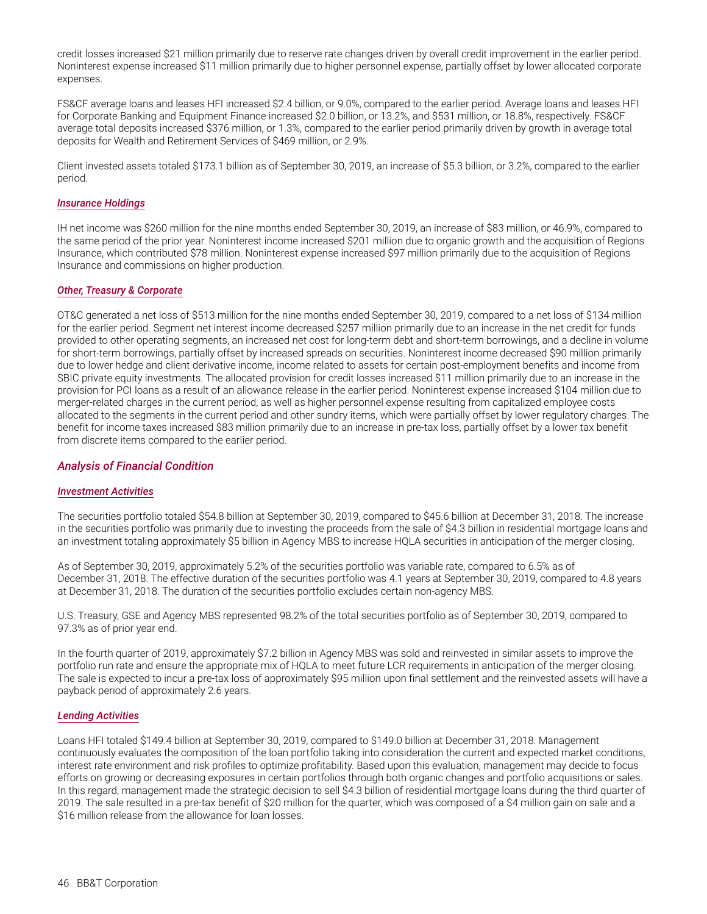credit losses increased \$21 million primarily due to reserve rate changes driven by overall credit improvement in the earlier period. Noninterest expense increased \$11 million primarily due to higher personnel expense, partially offset by lower allocated corporate expenses.

FS&CF average loans and leases HFI increased \$2.4 billion, or 9.0%, compared to the earlier period. Average loans and leases HFI for Corporate Banking and Equipment Finance increased \$2.0 billion, or 13.2%, and \$531 million, or 18.8%, respectively. FS&CF average total deposits increased \$376 million, or 1.3%, compared to the earlier period primarily driven by growth in average total deposits for Wealth and Retirement Services of \$469 million, or 2.9%.

Client invested assets totaled \$173.1 billion as of September 30, 2019, an increase of \$5.3 billion, or 3.2%, compared to the earlier period.

#### *Insurance Holdings*

IH net income was \$260 million for the nine months ended September 30, 2019, an increase of \$83 million, or 46.9%, compared to the same period of the prior year. Noninterest income increased \$201 million due to organic growth and the acquisition of Regions Insurance, which contributed \$78 million. Noninterest expense increased \$97 million primarily due to the acquisition of Regions Insurance and commissions on higher production.

#### *Other, Treasury & Corporate*

OT&C generated a net loss of \$513 million for the nine months ended September 30, 2019, compared to a net loss of \$134 million for the earlier period. Segment net interest income decreased \$257 million primarily due to an increase in the net credit for funds provided to other operating segments, an increased net cost for long-term debt and short-term borrowings, and a decline in volume for short-term borrowings, partially offset by increased spreads on securities. Noninterest income decreased \$90 million primarily due to lower hedge and client derivative income, income related to assets for certain post-employment benefits and income from SBIC private equity investments. The allocated provision for credit losses increased \$11 million primarily due to an increase in the provision for PCI loans as a result of an allowance release in the earlier period. Noninterest expense increased \$104 million due to merger-related charges in the current period, as well as higher personnel expense resulting from capitalized employee costs allocated to the segments in the current period and other sundry items, which were partially offset by lower regulatory charges. The benefit for income taxes increased \$83 million primarily due to an increase in pre-tax loss, partially offset by a lower tax benefit from discrete items compared to the earlier period.

#### *Analysis of Financial Condition*

#### *Investment Activities*

The securities portfolio totaled \$54.8 billion at September 30, 2019, compared to \$45.6 billion at December 31, 2018. The increase in the securities portfolio was primarily due to investing the proceeds from the sale of \$4.3 billion in residential mortgage loans and an investment totaling approximately \$5 billion in Agency MBS to increase HQLA securities in anticipation of the merger closing.

As of September 30, 2019, approximately 5.2% of the securities portfolio was variable rate, compared to 6.5% as of December 31, 2018. The effective duration of the securities portfolio was 4.1 years at September 30, 2019, compared to 4.8 years at December 31, 2018. The duration of the securities portfolio excludes certain non-agency MBS.

U.S. Treasury, GSE and Agency MBS represented 98.2% of the total securities portfolio as of September 30, 2019, compared to 97.3% as of prior year end.

In the fourth quarter of 2019, approximately \$7.2 billion in Agency MBS was sold and reinvested in similar assets to improve the portfolio run rate and ensure the appropriate mix of HQLA to meet future LCR requirements in anticipation of the merger closing. The sale is expected to incur a pre-tax loss of approximately \$95 million upon final settlement and the reinvested assets will have a payback period of approximately 2.6 years.

#### *Lending Activities*

Loans HFI totaled \$149.4 billion at September 30, 2019, compared to \$149.0 billion at December 31, 2018. Management continuously evaluates the composition of the loan portfolio taking into consideration the current and expected market conditions, interest rate environment and risk profiles to optimize profitability. Based upon this evaluation, management may decide to focus efforts on growing or decreasing exposures in certain portfolios through both organic changes and portfolio acquisitions or sales. In this regard, management made the strategic decision to sell \$4.3 billion of residential mortgage loans during the third quarter of 2019. The sale resulted in a pre-tax benefit of \$20 million for the quarter, which was composed of a \$4 million gain on sale and a \$16 million release from the allowance for loan losses.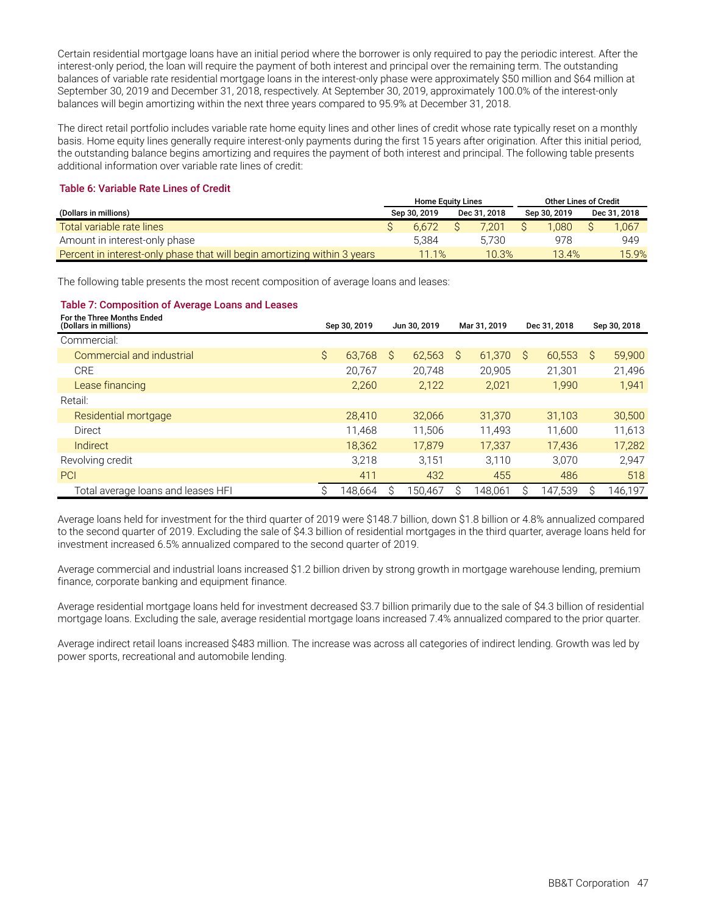Certain residential mortgage loans have an initial period where the borrower is only required to pay the periodic interest. After the interest-only period, the loan will require the payment of both interest and principal over the remaining term. The outstanding balances of variable rate residential mortgage loans in the interest-only phase were approximately \$50 million and \$64 million at September 30, 2019 and December 31, 2018, respectively. At September 30, 2019, approximately 100.0% of the interest-only balances will begin amortizing within the next three years compared to 95.9% at December 31, 2018.

The direct retail portfolio includes variable rate home equity lines and other lines of credit whose rate typically reset on a monthly basis. Home equity lines generally require interest-only payments during the first 15 years after origination. After this initial period, the outstanding balance begins amortizing and requires the payment of both interest and principal. The following table presents additional information over variable rate lines of credit:

#### **Table 6: Variable Rate Lines of Credit**

|                                                                          | <b>Home Equity Lines</b> |              | Other Lines of Credit |              |
|--------------------------------------------------------------------------|--------------------------|--------------|-----------------------|--------------|
| (Dollars in millions)                                                    | Sep 30, 2019             | Dec 31, 2018 | Sep 30, 2019          | Dec 31, 2018 |
| Total variable rate lines                                                | 6.672                    | 7.201        | .080                  | 1.067        |
| Amount in interest-only phase                                            | 5.384                    | 5.730        | 978                   | 949          |
| Percent in interest-only phase that will begin amortizing within 3 years | 11.1%                    | 10.3%        | 13.4%                 | 15.9%        |

The following table presents the most recent composition of average loans and leases:

#### **Table 7: Composition of Average Loans and Leases**

| For the Three Months Ended<br>(Dollars in millions) | Sep 30, 2019 |         | Jun 30, 2019 |         |   | Mar 31, 2019 | Dec 31, 2018 |         |   | Sep 30, 2018 |
|-----------------------------------------------------|--------------|---------|--------------|---------|---|--------------|--------------|---------|---|--------------|
| Commercial:                                         |              |         |              |         |   |              |              |         |   |              |
| Commercial and industrial                           | $\mathsf{S}$ | 63.768  | Ŝ            | 62,563  | S | 61,370       | Ŝ            | 60,553  | Ŝ | 59,900       |
| CRE                                                 |              | 20.767  |              | 20.748  |   | 20.905       |              | 21.301  |   | 21,496       |
| Lease financing                                     |              | 2.260   |              | 2,122   |   | 2,021        |              | 1.990   |   | 1,941        |
| Retail:                                             |              |         |              |         |   |              |              |         |   |              |
| Residential mortgage                                |              | 28,410  |              | 32.066  |   | 31.370       |              | 31.103  |   | 30,500       |
| Direct                                              |              | 11.468  |              | 11.506  |   | 11.493       |              | 11.600  |   | 11,613       |
| Indirect                                            |              | 18,362  |              | 17.879  |   | 17.337       |              | 17.436  |   | 17,282       |
| Revolving credit                                    |              | 3.218   |              | 3.151   |   | 3.110        |              | 3.070   |   | 2,947        |
| <b>PCI</b>                                          |              | 411     |              | 432     |   | 455          |              | 486     |   | 518          |
| Total average loans and leases HFI                  | S            | 148.664 | S            | 150.467 |   | 148.061      |              | 147.539 | S | 146,197      |

Average loans held for investment for the third quarter of 2019 were \$148.7 billion, down \$1.8 billion or 4.8% annualized compared to the second quarter of 2019. Excluding the sale of \$4.3 billion of residential mortgages in the third quarter, average loans held for investment increased 6.5% annualized compared to the second quarter of 2019.

Average commercial and industrial loans increased \$1.2 billion driven by strong growth in mortgage warehouse lending, premium finance, corporate banking and equipment finance.

Average residential mortgage loans held for investment decreased \$3.7 billion primarily due to the sale of \$4.3 billion of residential mortgage loans. Excluding the sale, average residential mortgage loans increased 7.4% annualized compared to the prior quarter.

Average indirect retail loans increased \$483 million. The increase was across all categories of indirect lending. Growth was led by power sports, recreational and automobile lending.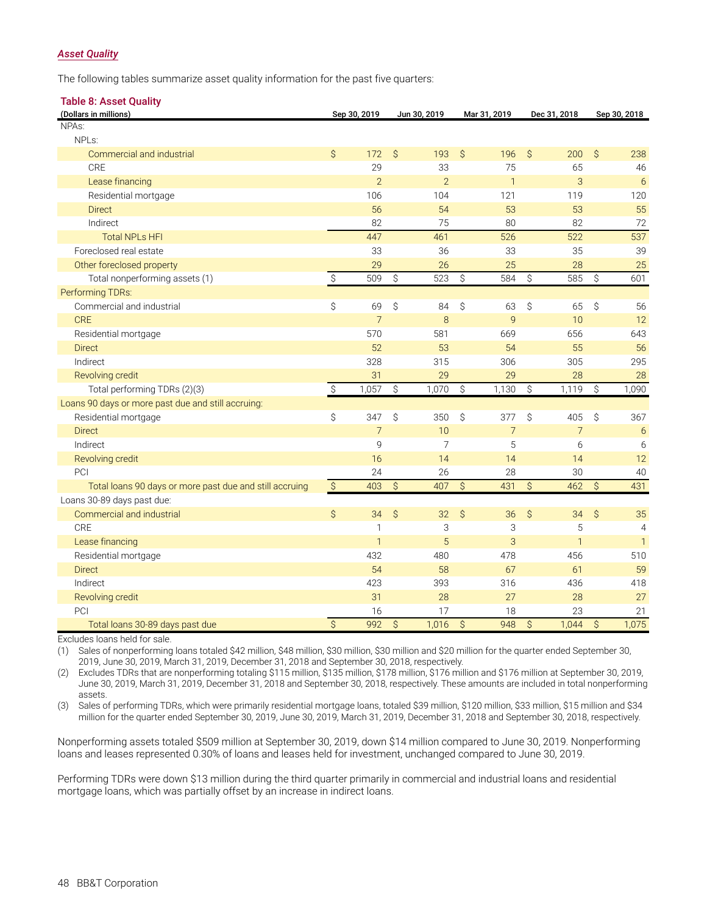#### *Asset Quality*

The following tables summarize asset quality information for the past five quarters:

| <b>Table 8: Asset Quality</b>                           |                           |                |               |                |              |                |               |                |               |                |
|---------------------------------------------------------|---------------------------|----------------|---------------|----------------|--------------|----------------|---------------|----------------|---------------|----------------|
| (Dollars in millions)                                   |                           | Sep 30, 2019   |               | Jun 30, 2019   |              | Mar 31, 2019   |               | Dec 31, 2018   |               | Sep 30, 2018   |
| NPAs:                                                   |                           |                |               |                |              |                |               |                |               |                |
| NPL <sub>s</sub> :                                      |                           |                |               |                |              |                |               |                |               |                |
| Commercial and industrial                               | $\mathsf{S}$              | 172            | $\mathcal{S}$ | 193            | $\mathsf{S}$ | 196            | $\mathcal{S}$ | 200            | \$            | 238            |
| CRE                                                     |                           | 29             |               | 33             |              | 75             |               | 65             |               | 46             |
| Lease financing                                         |                           | $\overline{2}$ |               | $\overline{2}$ |              | $\overline{1}$ |               | 3              |               | 6              |
| Residential mortgage                                    |                           | 106            |               | 104            |              | 121            |               | 119            |               | 120            |
| <b>Direct</b>                                           |                           | 56             |               | 54             |              | 53             |               | 53             |               | 55             |
| Indirect                                                |                           | 82             |               | 75             |              | 80             |               | 82             |               | 72             |
| <b>Total NPLs HFI</b>                                   |                           | 447            |               | 461            |              | 526            |               | 522            |               | 537            |
| Foreclosed real estate                                  |                           | 33             |               | 36             |              | 33             |               | 35             |               | 39             |
| Other foreclosed property                               |                           | 29             |               | 26             |              | 25             |               | 28             |               | 25             |
| Total nonperforming assets (1)                          | $\hat{\mathcal{S}}$       | 509            | \$            | 523            | \$           | 584            | $\hat{S}$     | 585            | \$            | 601            |
| Performing TDRs:                                        |                           |                |               |                |              |                |               |                |               |                |
| Commercial and industrial                               | \$                        | 69             | Ŝ             | 84             | \$           | 63             | \$            | 65             | $\mathcal{S}$ | 56             |
| <b>CRE</b>                                              |                           | $\overline{7}$ |               | 8              |              | $\overline{9}$ |               | 10             |               | 12             |
| Residential mortgage                                    |                           | 570            |               | 581            |              | 669            |               | 656            |               | 643            |
| <b>Direct</b>                                           |                           | 52             |               | 53             |              | 54             |               | 55             |               | 56             |
| Indirect                                                |                           | 328            |               | 315            |              | 306            |               | 305            |               | 295            |
| Revolving credit                                        |                           | 31             |               | 29             |              | 29             |               | 28             |               | 28             |
| Total performing TDRs (2)(3)                            | $\boldsymbol{\mathsf{S}}$ | 1,057          | \$            | 1,070          | \$           | 1,130          | \$            | 1,119          | \$            | 1,090          |
| Loans 90 days or more past due and still accruing:      |                           |                |               |                |              |                |               |                |               |                |
| Residential mortgage                                    | \$                        | 347            | Ŝ             | 350            | Ŝ            | 377            | Ŝ.            | 405            | $\mathcal{S}$ | 367            |
| <b>Direct</b>                                           |                           | $\overline{7}$ |               | 10             |              | $\overline{7}$ |               | $\overline{7}$ |               | 6              |
| Indirect                                                |                           | 9              |               | $\overline{7}$ |              | 5              |               | 6              |               | 6              |
| Revolving credit                                        |                           | 16             |               | 14             |              | 14             |               | 14             |               | 12             |
| PCI                                                     |                           | 24             |               | 26             |              | 28             |               | 30             |               | 40             |
| Total loans 90 days or more past due and still accruing | $\hat{\mathcal{S}}$       | 403            | $\hat{S}$     | 407            | \$           | 431            | $\hat{S}$     | 462            | $\mathsf{S}$  | 431            |
| Loans 30-89 days past due:                              |                           |                |               |                |              |                |               |                |               |                |
| Commercial and industrial                               | $\mathsf{S}$              | 34             | $\mathsf{S}$  | 32             | $\mathsf{S}$ | 36             | $\mathsf{S}$  | 34             | $\mathsf{S}$  | 35             |
| CRE                                                     |                           | $\mathbf{1}$   |               | 3              |              | 3              |               | 5              |               | $\overline{4}$ |
| Lease financing                                         |                           | $\overline{1}$ |               | 5              |              | 3              |               | $\mathbf{1}$   |               | $\mathbf{1}$   |
| Residential mortgage                                    |                           | 432            |               | 480            |              | 478            |               | 456            |               | 510            |
| <b>Direct</b>                                           |                           | 54             |               | 58             |              | 67             |               | 61             |               | 59             |
| Indirect                                                |                           | 423            |               | 393            |              | 316            |               | 436            |               | 418            |
| Revolving credit                                        |                           | 31             |               | 28             |              | 27             |               | 28             |               | 27             |
| PCI                                                     |                           | 16             |               | 17             |              | 18             |               | 23             |               | 21             |
| Total loans 30-89 days past due                         | $\mathsf{S}$              | 992            | $\hat{S}$     | 1,016          | $\mathsf{S}$ | 948            | \$            | 1.044          | \$            | 1,075          |

Excludes loans held for sale.

(1) Sales of nonperforming loans totaled \$42 million, \$48 million, \$30 million, \$30 million and \$20 million for the quarter ended September 30, 2019, June 30, 2019, March 31, 2019, December 31, 2018 and September 30, 2018, respectively.

(2) Excludes TDRs that are nonperforming totaling \$115 million, \$135 million, \$178 million, \$176 million and \$176 million at September 30, 2019, June 30, 2019, March 31, 2019, December 31, 2018 and September 30, 2018, respectively. These amounts are included in total nonperforming assets.

(3) Sales of performing TDRs, which were primarily residential mortgage loans, totaled \$39 million, \$120 million, \$33 million, \$15 million and \$34 million for the quarter ended September 30, 2019, June 30, 2019, March 31, 2019, December 31, 2018 and September 30, 2018, respectively.

Nonperforming assets totaled \$509 million at September 30, 2019, down \$14 million compared to June 30, 2019. Nonperforming loans and leases represented 0.30% of loans and leases held for investment, unchanged compared to June 30, 2019.

Performing TDRs were down \$13 million during the third quarter primarily in commercial and industrial loans and residential mortgage loans, which was partially offset by an increase in indirect loans.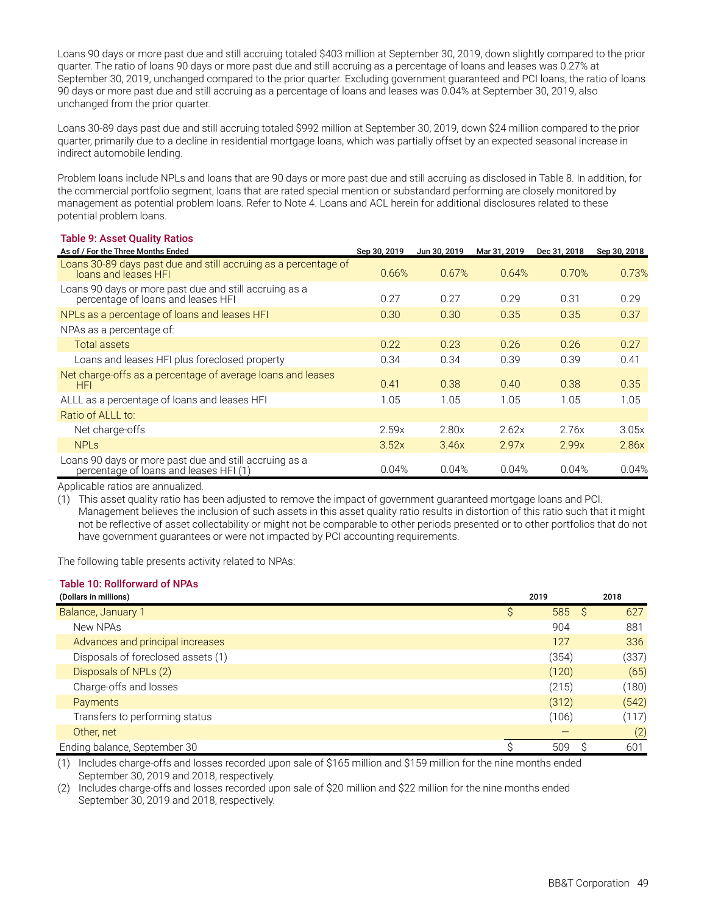Loans 90 days or more past due and still accruing totaled \$403 million at September 30, 2019, down slightly compared to the prior quarter. The ratio of loans 90 days or more past due and still accruing as a percentage of loans and leases was 0.27% at September 30, 2019, unchanged compared to the prior quarter. Excluding government guaranteed and PCI loans, the ratio of loans 90 days or more past due and still accruing as a percentage of loans and leases was 0.04% at September 30, 2019, also unchanged from the prior quarter.

Loans 30-89 days past due and still accruing totaled \$992 million at September 30, 2019, down \$24 million compared to the prior quarter, primarily due to a decline in residential mortgage loans, which was partially offset by an expected seasonal increase in indirect automobile lending.

Problem loans include NPLs and loans that are 90 days or more past due and still accruing as disclosed in Table 8. In addition, for the commercial portfolio segment, loans that are rated special mention or substandard performing are closely monitored by management as potential problem loans. Refer to Note 4. Loans and ACL herein for additional disclosures related to these potential problem loans.

#### **Table 9: Asset Quality Ratios**

| As of / For the Three Months Ended                                                               | Sep 30, 2019 | Jun 30, 2019 | Mar 31, 2019 | Dec 31, 2018 | Sep 30, 2018 |
|--------------------------------------------------------------------------------------------------|--------------|--------------|--------------|--------------|--------------|
| Loans 30-89 days past due and still accruing as a percentage of<br>loans and leases HFI          | 0.66%        | 0.67%        | 0.64%        | 0.70%        | 0.73%        |
| Loans 90 days or more past due and still accruing as a<br>percentage of loans and leases HFI     | 0.27         | 0.27         | 0.29         | 0.31         | 0.29         |
| NPLs as a percentage of loans and leases HFI                                                     | 0.30         | 0.30         | 0.35         | 0.35         | 0.37         |
| NPAs as a percentage of:                                                                         |              |              |              |              |              |
| <b>Total assets</b>                                                                              | 0.22         | 0.23         | 0.26         | 0.26         | 0.27         |
| Loans and leases HFI plus foreclosed property                                                    | 0.34         | 0.34         | 0.39         | 0.39         | 0.41         |
| Net charge-offs as a percentage of average loans and leases<br>HFI                               | 0.41         | 0.38         | 0.40         | 0.38         | 0.35         |
| ALLL as a percentage of loans and leases HFI                                                     | 1.05         | 1.05         | 1.05         | 1.05         | 1.05         |
| Ratio of ALLL to:                                                                                |              |              |              |              |              |
| Net charge-offs                                                                                  | 2.59x        | 2.80x        | 2.62x        | 2.76x        | 3.05x        |
| <b>NPLS</b>                                                                                      | 3.52x        | 3.46x        | 2.97x        | 2.99x        | 2.86x        |
| Loans 90 days or more past due and still accruing as a<br>percentage of loans and leases HFI (1) | 0.04%        | 0.04%        | 0.04%        | 0.04%        | 0.04%        |

Applicable ratios are annualized.

(1) This asset quality ratio has been adjusted to remove the impact of government guaranteed mortgage loans and PCI. Management believes the inclusion of such assets in this asset quality ratio results in distortion of this ratio such that it might not be reflective of asset collectability or might not be comparable to other periods presented or to other portfolios that do not have government guarantees or were not impacted by PCI accounting requirements.

The following table presents activity related to NPAs:

#### **Table 10: Rollforward of NPAs**

| (Dollars in millions)              | 2019     | 2018       |
|------------------------------------|----------|------------|
| Balance, January 1                 | 585<br>S | - S<br>627 |
| New NPAs                           | 904      | 881        |
| Advances and principal increases   | 127      | 336        |
| Disposals of foreclosed assets (1) | (354)    | (337)      |
| Disposals of NPLs (2)              | (120)    | (65)       |
| Charge-offs and losses             | (215)    | (180)      |
| Payments                           | (312)    | (542)      |
| Transfers to performing status     | (106)    | (117)      |
| Other, net                         |          | (2)        |
| Ending balance, September 30       | 509      | 601        |

(1) Includes charge-offs and losses recorded upon sale of \$165 million and \$159 million for the nine months ended September 30, 2019 and 2018, respectively.

(2) Includes charge-offs and losses recorded upon sale of \$20 million and \$22 million for the nine months ended September 30, 2019 and 2018, respectively.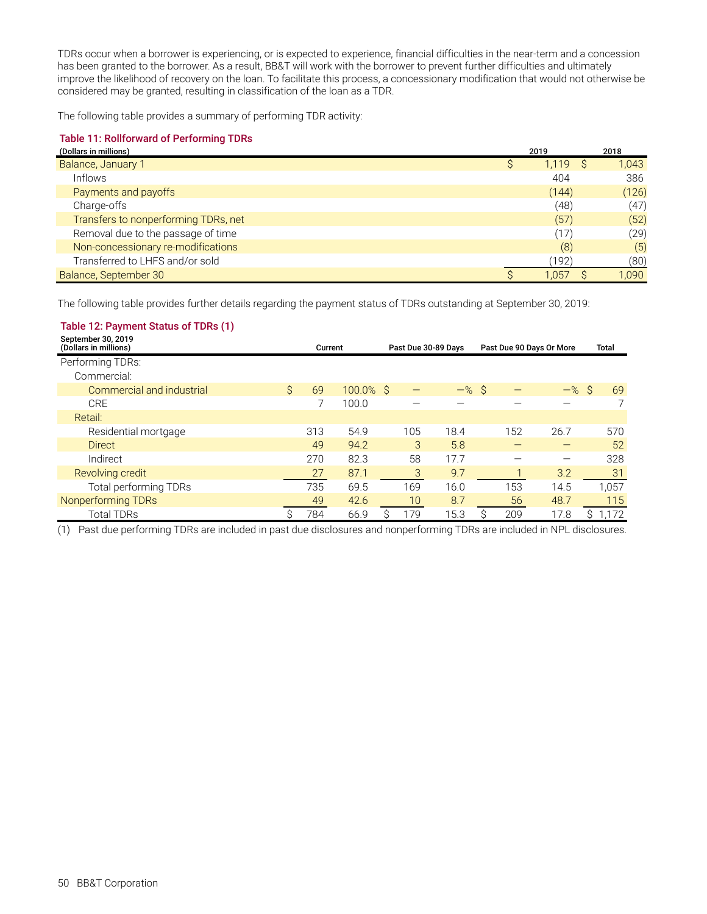TDRs occur when a borrower is experiencing, or is expected to experience, financial difficulties in the near-term and a concession has been granted to the borrower. As a result, BB&T will work with the borrower to prevent further difficulties and ultimately improve the likelihood of recovery on the loan. To facilitate this process, a concessionary modification that would not otherwise be considered may be granted, resulting in classification of the loan as a TDR.

The following table provides a summary of performing TDR activity:

#### **Table 11: Rollforward of Performing TDRs**

| (Dollars in millions)                | 2019  | 2018  |
|--------------------------------------|-------|-------|
| Balance, January 1                   | 1,119 | 1,043 |
| Inflows                              | 404   | 386   |
| Payments and payoffs                 | (144) | (126) |
| Charge-offs                          | (48)  | (47)  |
| Transfers to nonperforming TDRs, net | (57)  | (52)  |
| Removal due to the passage of time   | (17)  | (29)  |
| Non-concessionary re-modifications   | (8)   | (5)   |
| Transferred to LHFS and/or sold      | ้192) | (80)  |
| Balance, September 30                | 1.057 | 1.090 |

The following table provides further details regarding the payment status of TDRs outstanding at September 30, 2019:

#### **Table 12: Payment Status of TDRs (1)**

| September 30, 2019<br>(Dollars in millions) |    | Current |           | Past Due 30-89 Days |     | Past Due 90 Days Or More |  |     | Total              |  |       |
|---------------------------------------------|----|---------|-----------|---------------------|-----|--------------------------|--|-----|--------------------|--|-------|
| Performing TDRs:                            |    |         |           |                     |     |                          |  |     |                    |  |       |
| Commercial:                                 |    |         |           |                     |     |                          |  |     |                    |  |       |
| Commercial and industrial                   | Ś. | 69      | 100.0% \$ |                     |     | $-$ % \$                 |  |     | $-$ % $\mathsf{S}$ |  | 69    |
| <b>CRE</b>                                  |    |         | 100.0     |                     |     |                          |  |     |                    |  |       |
| Retail:                                     |    |         |           |                     |     |                          |  |     |                    |  |       |
| Residential mortgage                        |    | 313     | 54.9      |                     | 105 | 18.4                     |  | 152 | 26.7               |  | 570   |
| <b>Direct</b>                               |    | 49      | 94.2      |                     | 3   | 5.8                      |  |     | _                  |  | 52    |
| Indirect                                    |    | 270     | 82.3      |                     | 58  | 17.7                     |  |     |                    |  | 328   |
| Revolving credit                            |    | 27      | 87.1      |                     | 3   | 9.7                      |  |     | 3.2                |  | 31    |
| Total performing TDRs                       |    | 735     | 69.5      |                     | 169 | 16.0                     |  | 153 | 14.5               |  | 1,057 |
| Nonperforming TDRs                          |    | 49      | 42.6      |                     | 10  | 8.7                      |  | 56  | 48.7               |  | 115   |
| <b>Total TDRs</b>                           |    | 784     | 66.9      |                     | 179 | 15.3                     |  | 209 | 17.8               |  | 172   |

(1) Past due performing TDRs are included in past due disclosures and nonperforming TDRs are included in NPL disclosures.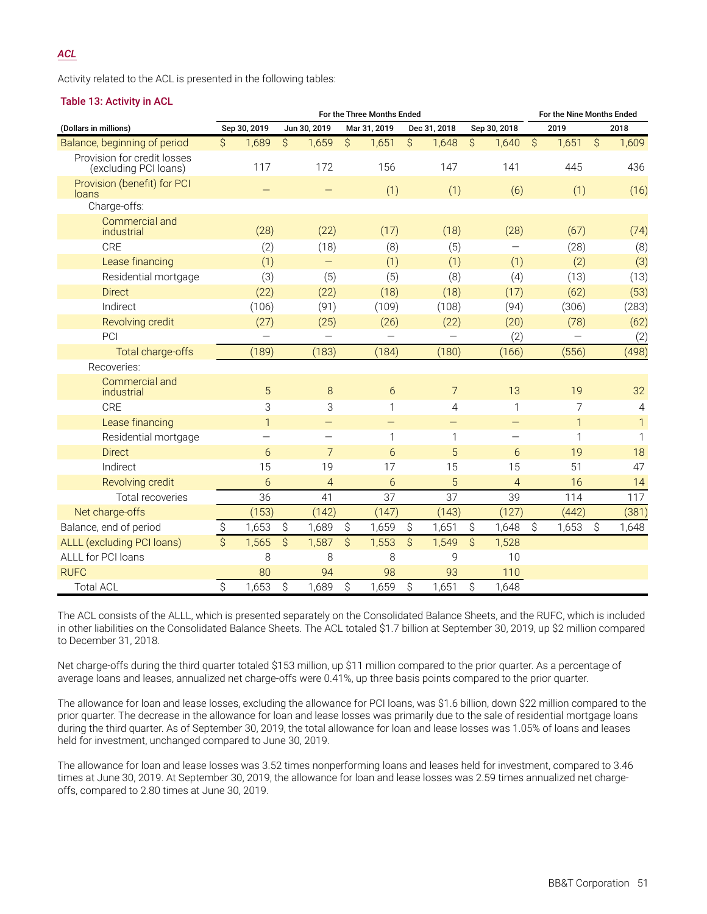#### *ACL*

Activity related to the ACL is presented in the following tables:

#### **Table 13: Activity in ACL**

|                                                      | For the Three Months Ended |                           |                          |                          |                          | For the Nine Months Ended |                          |                |                         |                          |             |              |    |              |
|------------------------------------------------------|----------------------------|---------------------------|--------------------------|--------------------------|--------------------------|---------------------------|--------------------------|----------------|-------------------------|--------------------------|-------------|--------------|----|--------------|
| (Dollars in millions)                                |                            | Sep 30, 2019              |                          | Jun 30, 2019             |                          | Mar 31, 2019              |                          | Dec 31, 2018   |                         | Sep 30, 2018             |             | 2019         |    | 2018         |
| Balance, beginning of period                         | Ś                          | 1,689                     | Ś.                       | 1,659                    | Ŝ.                       | 1,651                     | S.                       | 1,648          | Ś.                      | 1,640                    | Ŝ.          | 1,651        | Ŝ. | 1,609        |
| Provision for credit losses<br>(excluding PCI loans) |                            | 117                       |                          | 172                      |                          | 156                       |                          | 147            |                         | 141                      |             | 445          |    | 436          |
| Provision (benefit) for PCI<br>loans                 |                            | -                         |                          |                          |                          | (1)                       |                          | (1)            |                         | (6)                      |             | (1)          |    | (16)         |
| Charge-offs:                                         |                            |                           |                          |                          |                          |                           |                          |                |                         |                          |             |              |    |              |
| Commercial and<br>industrial                         |                            | (28)                      |                          | (22)                     |                          | (17)                      |                          | (18)           |                         | (28)                     |             | (67)         |    | (74)         |
| <b>CRE</b>                                           |                            | (2)                       |                          | (18)                     |                          | (8)                       |                          | (5)            |                         |                          |             | (28)         |    | (8)          |
| Lease financing                                      |                            | (1)                       |                          | -                        |                          | (1)                       |                          | (1)            |                         | (1)                      |             | (2)          |    | (3)          |
| Residential mortgage                                 |                            | (3)                       |                          | (5)                      |                          | (5)                       |                          | (8)            |                         | (4)                      |             | (13)         |    | (13)         |
| <b>Direct</b>                                        |                            | (22)                      |                          | (22)                     |                          | (18)                      |                          | (18)           |                         | (17)                     |             | (62)         |    | (53)         |
| Indirect                                             |                            | (106)                     |                          | (91)                     |                          | (109)                     |                          | (108)          |                         | (94)                     |             | (306)        |    | (283)        |
| Revolving credit                                     |                            | (27)                      |                          | (25)                     |                          | (26)                      |                          | (22)           |                         | (20)                     |             | (78)         |    | (62)         |
| PCI                                                  |                            |                           |                          |                          |                          |                           |                          |                |                         | (2)                      |             |              |    | (2)          |
| Total charge-offs                                    |                            | (189)                     |                          | (183)                    |                          | (184)                     |                          | (180)          |                         | (166)                    |             | (556)        |    | (498)        |
| Recoveries:                                          |                            |                           |                          |                          |                          |                           |                          |                |                         |                          |             |              |    |              |
| Commercial and<br>industrial                         |                            | 5                         |                          | 8                        |                          | 6                         |                          | $\overline{7}$ |                         | 13                       |             | 19           |    | 32           |
| <b>CRE</b>                                           |                            | $\ensuremath{\mathsf{3}}$ |                          | 3                        |                          | 1                         |                          | $\overline{4}$ |                         | 1                        |             | 7            |    | 4            |
| Lease financing                                      |                            | $\mathbf{1}$              |                          | —                        |                          |                           |                          | —              |                         | —                        |             | $\mathbf{1}$ |    | $\mathbf{1}$ |
| Residential mortgage                                 |                            | —                         |                          | $\overline{\phantom{0}}$ |                          | 1                         |                          | 1              |                         | $\overline{\phantom{0}}$ |             | 1            |    | 1            |
| <b>Direct</b>                                        |                            | 6                         |                          | $\overline{7}$           |                          | 6                         |                          | 5              |                         | 6                        |             | 19           |    | 18           |
| Indirect                                             |                            | 15                        |                          | 19                       |                          | 17                        |                          | 15             |                         | 15                       |             | 51           |    | 47           |
| Revolving credit                                     |                            | 6                         |                          | $\overline{4}$           |                          | 6                         |                          | 5              |                         | $\overline{4}$           |             | 16           |    | 14           |
| Total recoveries                                     |                            | 36                        |                          | 41                       |                          | 37                        |                          | 37             |                         | 39                       |             | 114          |    | 117          |
| Net charge-offs                                      |                            | (153)                     |                          | (142)                    |                          | (147)                     |                          | (143)          |                         | (127)                    |             | (442)        |    | (381)        |
| Balance, end of period                               | \$                         | 1,653                     | \$                       | 1,689                    | $\hat{\mathcal{S}}$      | 1,659                     | \$                       | 1,651          | \$                      | 1,648                    | $\mathsf S$ | 1,653        | \$ | 1,648        |
| ALLL (excluding PCI loans)                           | $\overline{S}$             | 1,565                     | $\overline{\mathcal{S}}$ | 1,587                    | $\overline{\mathcal{S}}$ | 1,553                     | $\overline{\mathcal{S}}$ | 1,549          | $\overline{\mathsf{S}}$ | 1,528                    |             |              |    |              |
| ALLL for PCI loans                                   |                            | 8                         |                          | 8                        |                          | 8                         |                          | 9              |                         | 10                       |             |              |    |              |
| <b>RUFC</b>                                          |                            | 80                        |                          | 94                       |                          | 98                        |                          | 93             |                         | 110                      |             |              |    |              |
| Total ACL                                            | \$                         | 1,653                     | $\hat{S}$                | 1,689                    | \$                       | 1,659                     | \$                       | 1,651          | \$                      | 1,648                    |             |              |    |              |

The ACL consists of the ALLL, which is presented separately on the Consolidated Balance Sheets, and the RUFC, which is included in other liabilities on the Consolidated Balance Sheets. The ACL totaled \$1.7 billion at September 30, 2019, up \$2 million compared to December 31, 2018.

Net charge-offs during the third quarter totaled \$153 million, up \$11 million compared to the prior quarter. As a percentage of average loans and leases, annualized net charge-offs were 0.41%, up three basis points compared to the prior quarter.

The allowance for loan and lease losses, excluding the allowance for PCI loans, was \$1.6 billion, down \$22 million compared to the prior quarter. The decrease in the allowance for loan and lease losses was primarily due to the sale of residential mortgage loans during the third quarter. As of September 30, 2019, the total allowance for loan and lease losses was 1.05% of loans and leases held for investment, unchanged compared to June 30, 2019.

The allowance for loan and lease losses was 3.52 times nonperforming loans and leases held for investment, compared to 3.46 times at June 30, 2019. At September 30, 2019, the allowance for loan and lease losses was 2.59 times annualized net chargeoffs, compared to 2.80 times at June 30, 2019.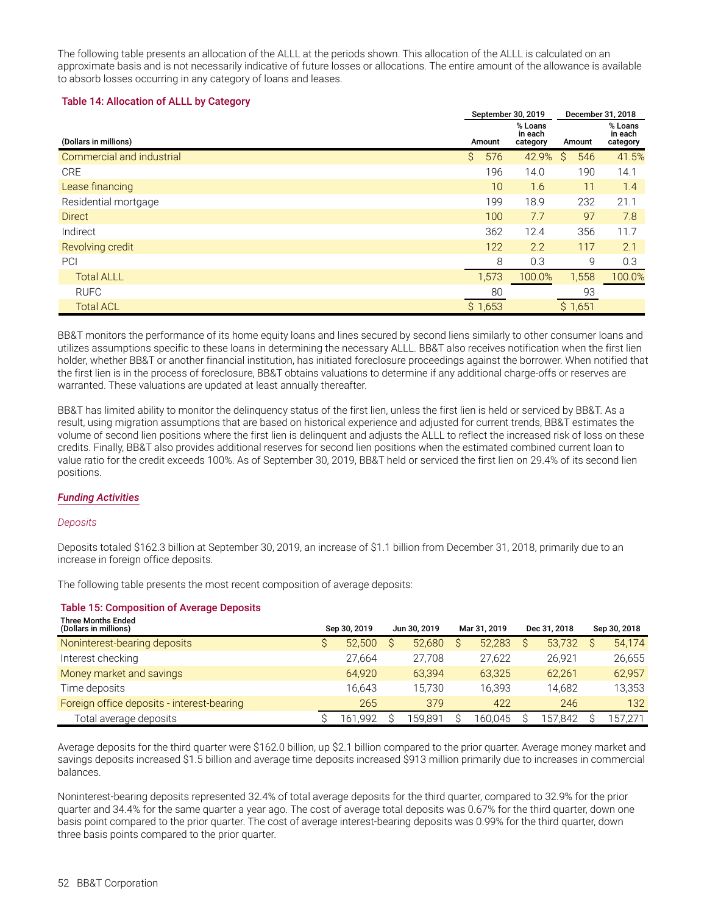The following table presents an allocation of the ALLL at the periods shown. This allocation of the ALLL is calculated on an approximate basis and is not necessarily indicative of future losses or allocations. The entire amount of the allowance is available to absorb losses occurring in any category of loans and leases.

#### **Table 14: Allocation of ALLL by Category**

|                           | September 30, 2019 |         |                                | December 31, 2018 |                                |
|---------------------------|--------------------|---------|--------------------------------|-------------------|--------------------------------|
| (Dollars in millions)     |                    | Amount  | % Loans<br>in each<br>category | Amount            | % Loans<br>in each<br>category |
| Commercial and industrial | \$                 | 576     | 42.9%                          | 546<br>S          | 41.5%                          |
| <b>CRE</b>                |                    | 196     | 14.0                           | 190               | 14.1                           |
| Lease financing           |                    | 10      | 1.6                            | 11                | 1.4                            |
| Residential mortgage      |                    | 199     | 18.9                           | 232               | 21.1                           |
| <b>Direct</b>             |                    | 100     | 7.7                            | 97                | 7.8                            |
| Indirect                  |                    | 362     | 12.4                           | 356               | 11.7                           |
| Revolving credit          |                    | 122     | 2.2                            | 117               | 2.1                            |
| PCI                       |                    | 8       | 0.3                            | 9                 | 0.3                            |
| <b>Total ALLL</b>         |                    | 1,573   | 100.0%                         | 1,558             | 100.0%                         |
| <b>RUFC</b>               |                    | 80      |                                | 93                |                                |
| <b>Total ACL</b>          |                    | \$1,653 |                                | \$1,651           |                                |

BB&T monitors the performance of its home equity loans and lines secured by second liens similarly to other consumer loans and utilizes assumptions specific to these loans in determining the necessary ALLL. BB&T also receives notification when the first lien holder, whether BB&T or another financial institution, has initiated foreclosure proceedings against the borrower. When notified that the first lien is in the process of foreclosure, BB&T obtains valuations to determine if any additional charge-offs or reserves are warranted. These valuations are updated at least annually thereafter.

BB&T has limited ability to monitor the delinquency status of the first lien, unless the first lien is held or serviced by BB&T. As a result, using migration assumptions that are based on historical experience and adjusted for current trends, BB&T estimates the volume of second lien positions where the first lien is delinquent and adjusts the ALLL to reflect the increased risk of loss on these credits. Finally, BB&T also provides additional reserves for second lien positions when the estimated combined current loan to value ratio for the credit exceeds 100%. As of September 30, 2019, BB&T held or serviced the first lien on 29.4% of its second lien positions.

#### *Funding Activities*

#### *Deposits*

Deposits totaled \$162.3 billion at September 30, 2019, an increase of \$1.1 billion from December 31, 2018, primarily due to an increase in foreign office deposits.

The following table presents the most recent composition of average deposits:

#### **Table 15: Composition of Average Deposits**

| <b>Three Months Ended</b><br>(Dollars in millions) | Sep 30, 2019 | Jun 30, 2019 | Mar 31, 2019 | Dec 31, 2018 |   | Sep 30, 2018 |
|----------------------------------------------------|--------------|--------------|--------------|--------------|---|--------------|
| Noninterest-bearing deposits                       | 52,500       | 52.680       | 52,283       | 53.732       | S | 54,174       |
| Interest checking                                  | 27,664       | 27.708       | 27.622       | 26.921       |   | 26,655       |
| Money market and savings                           | 64.920       | 63.394       | 63.325       | 62.261       |   | 62,957       |
| Time deposits                                      | 16.643       | 15.730       | 16.393       | 14.682       |   | 13,353       |
| Foreign office deposits - interest-bearing         | 265          | 379          | 422          | 246          |   | 132          |
| Total average deposits                             | .992<br>l 61 | 159.891      | 160.045      | 157,842      |   | 157,271      |

Average deposits for the third quarter were \$162.0 billion, up \$2.1 billion compared to the prior quarter. Average money market and savings deposits increased \$1.5 billion and average time deposits increased \$913 million primarily due to increases in commercial balances.

Noninterest-bearing deposits represented 32.4% of total average deposits for the third quarter, compared to 32.9% for the prior quarter and 34.4% for the same quarter a year ago. The cost of average total deposits was 0.67% for the third quarter, down one basis point compared to the prior quarter. The cost of average interest-bearing deposits was 0.99% for the third quarter, down three basis points compared to the prior quarter.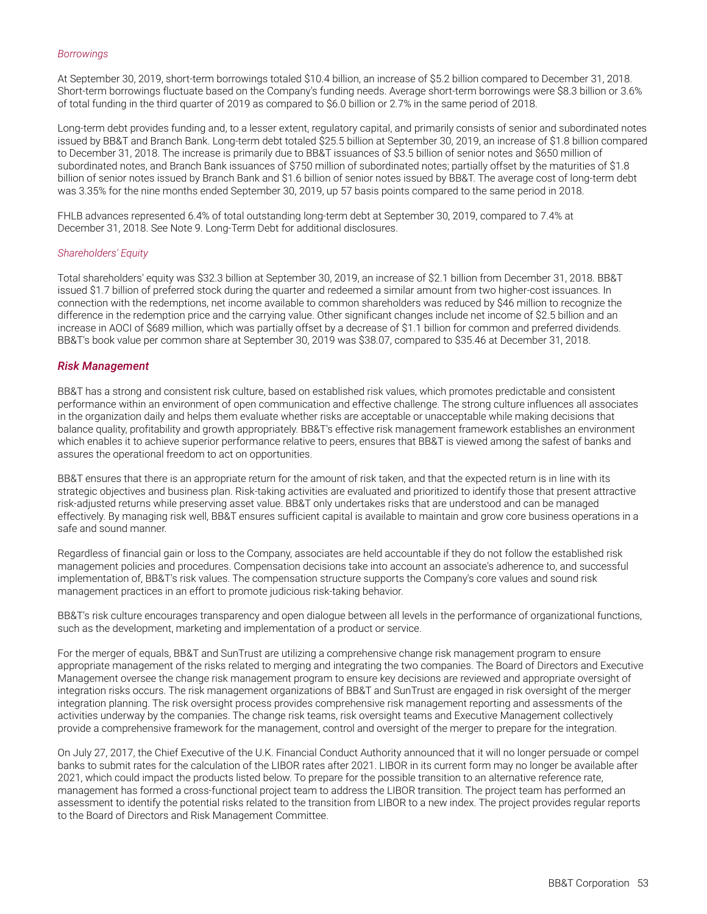#### *Borrowings*

At September 30, 2019, short-term borrowings totaled \$10.4 billion, an increase of \$5.2 billion compared to December 31, 2018. Short-term borrowings fluctuate based on the Company's funding needs. Average short-term borrowings were \$8.3 billion or 3.6% of total funding in the third quarter of 2019 as compared to \$6.0 billion or 2.7% in the same period of 2018.

Long-term debt provides funding and, to a lesser extent, regulatory capital, and primarily consists of senior and subordinated notes issued by BB&T and Branch Bank. Long-term debt totaled \$25.5 billion at September 30, 2019, an increase of \$1.8 billion compared to December 31, 2018. The increase is primarily due to BB&T issuances of \$3.5 billion of senior notes and \$650 million of subordinated notes, and Branch Bank issuances of \$750 million of subordinated notes; partially offset by the maturities of \$1.8 billion of senior notes issued by Branch Bank and \$1.6 billion of senior notes issued by BB&T. The average cost of long-term debt was 3.35% for the nine months ended September 30, 2019, up 57 basis points compared to the same period in 2018.

FHLB advances represented 6.4% of total outstanding long-term debt at September 30, 2019, compared to 7.4% at December 31, 2018. See Note 9. Long-Term Debt for additional disclosures.

#### *Shareholders' Equity*

Total shareholders' equity was \$32.3 billion at September 30, 2019, an increase of \$2.1 billion from December 31, 2018. BB&T issued \$1.7 billion of preferred stock during the quarter and redeemed a similar amount from two higher-cost issuances. In connection with the redemptions, net income available to common shareholders was reduced by \$46 million to recognize the difference in the redemption price and the carrying value. Other significant changes include net income of \$2.5 billion and an increase in AOCI of \$689 million, which was partially offset by a decrease of \$1.1 billion for common and preferred dividends. BB&T's book value per common share at September 30, 2019 was \$38.07, compared to \$35.46 at December 31, 2018.

#### *Risk Management*

BB&T has a strong and consistent risk culture, based on established risk values, which promotes predictable and consistent performance within an environment of open communication and effective challenge. The strong culture influences all associates in the organization daily and helps them evaluate whether risks are acceptable or unacceptable while making decisions that balance quality, profitability and growth appropriately. BB&T's effective risk management framework establishes an environment which enables it to achieve superior performance relative to peers, ensures that BB&T is viewed among the safest of banks and assures the operational freedom to act on opportunities.

BB&T ensures that there is an appropriate return for the amount of risk taken, and that the expected return is in line with its strategic objectives and business plan. Risk-taking activities are evaluated and prioritized to identify those that present attractive risk-adjusted returns while preserving asset value. BB&T only undertakes risks that are understood and can be managed effectively. By managing risk well, BB&T ensures sufficient capital is available to maintain and grow core business operations in a safe and sound manner.

Regardless of financial gain or loss to the Company, associates are held accountable if they do not follow the established risk management policies and procedures. Compensation decisions take into account an associate's adherence to, and successful implementation of, BB&T's risk values. The compensation structure supports the Company's core values and sound risk management practices in an effort to promote judicious risk-taking behavior.

BB&T's risk culture encourages transparency and open dialogue between all levels in the performance of organizational functions, such as the development, marketing and implementation of a product or service.

For the merger of equals, BB&T and SunTrust are utilizing a comprehensive change risk management program to ensure appropriate management of the risks related to merging and integrating the two companies. The Board of Directors and Executive Management oversee the change risk management program to ensure key decisions are reviewed and appropriate oversight of integration risks occurs. The risk management organizations of BB&T and SunTrust are engaged in risk oversight of the merger integration planning. The risk oversight process provides comprehensive risk management reporting and assessments of the activities underway by the companies. The change risk teams, risk oversight teams and Executive Management collectively provide a comprehensive framework for the management, control and oversight of the merger to prepare for the integration.

On July 27, 2017, the Chief Executive of the U.K. Financial Conduct Authority announced that it will no longer persuade or compel banks to submit rates for the calculation of the LIBOR rates after 2021. LIBOR in its current form may no longer be available after 2021, which could impact the products listed below. To prepare for the possible transition to an alternative reference rate, management has formed a cross-functional project team to address the LIBOR transition. The project team has performed an assessment to identify the potential risks related to the transition from LIBOR to a new index. The project provides regular reports to the Board of Directors and Risk Management Committee.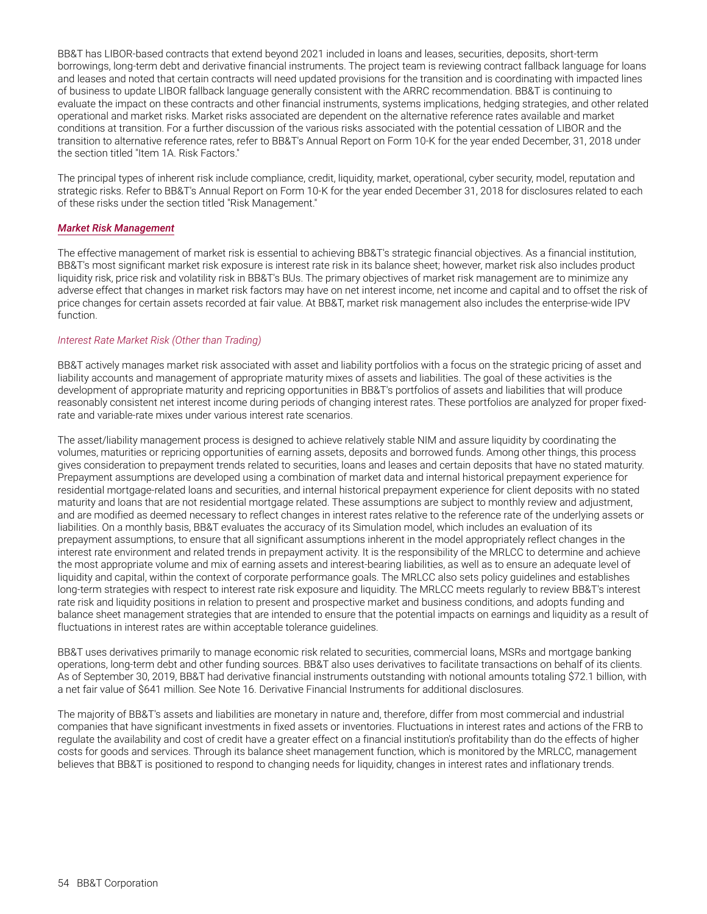<span id="page-55-0"></span>BB&T has LIBOR-based contracts that extend beyond 2021 included in loans and leases, securities, deposits, short-term borrowings, long-term debt and derivative financial instruments. The project team is reviewing contract fallback language for loans and leases and noted that certain contracts will need updated provisions for the transition and is coordinating with impacted lines of business to update LIBOR fallback language generally consistent with the ARRC recommendation. BB&T is continuing to evaluate the impact on these contracts and other financial instruments, systems implications, hedging strategies, and other related operational and market risks. Market risks associated are dependent on the alternative reference rates available and market conditions at transition. For a further discussion of the various risks associated with the potential cessation of LIBOR and the transition to alternative reference rates, refer to BB&T's Annual Report on Form 10-K for the year ended December, 31, 2018 under the section titled "Item 1A. Risk Factors."

The principal types of inherent risk include compliance, credit, liquidity, market, operational, cyber security, model, reputation and strategic risks. Refer to BB&T's Annual Report on Form 10-K for the year ended December 31, 2018 for disclosures related to each of these risks under the section titled "Risk Management."

#### *Market Risk Management*

The effective management of market risk is essential to achieving BB&T's strategic financial objectives. As a financial institution, BB&T's most significant market risk exposure is interest rate risk in its balance sheet; however, market risk also includes product liquidity risk, price risk and volatility risk in BB&T's BUs. The primary objectives of market risk management are to minimize any adverse effect that changes in market risk factors may have on net interest income, net income and capital and to offset the risk of price changes for certain assets recorded at fair value. At BB&T, market risk management also includes the enterprise-wide IPV function.

#### *Interest Rate Market Risk (Other than Trading)*

BB&T actively manages market risk associated with asset and liability portfolios with a focus on the strategic pricing of asset and liability accounts and management of appropriate maturity mixes of assets and liabilities. The goal of these activities is the development of appropriate maturity and repricing opportunities in BB&T's portfolios of assets and liabilities that will produce reasonably consistent net interest income during periods of changing interest rates. These portfolios are analyzed for proper fixedrate and variable-rate mixes under various interest rate scenarios.

The asset/liability management process is designed to achieve relatively stable NIM and assure liquidity by coordinating the volumes, maturities or repricing opportunities of earning assets, deposits and borrowed funds. Among other things, this process gives consideration to prepayment trends related to securities, loans and leases and certain deposits that have no stated maturity. Prepayment assumptions are developed using a combination of market data and internal historical prepayment experience for residential mortgage-related loans and securities, and internal historical prepayment experience for client deposits with no stated maturity and loans that are not residential mortgage related. These assumptions are subject to monthly review and adjustment, and are modified as deemed necessary to reflect changes in interest rates relative to the reference rate of the underlying assets or liabilities. On a monthly basis, BB&T evaluates the accuracy of its Simulation model, which includes an evaluation of its prepayment assumptions, to ensure that all significant assumptions inherent in the model appropriately reflect changes in the interest rate environment and related trends in prepayment activity. It is the responsibility of the MRLCC to determine and achieve the most appropriate volume and mix of earning assets and interest-bearing liabilities, as well as to ensure an adequate level of liquidity and capital, within the context of corporate performance goals. The MRLCC also sets policy guidelines and establishes long-term strategies with respect to interest rate risk exposure and liquidity. The MRLCC meets regularly to review BB&T's interest rate risk and liquidity positions in relation to present and prospective market and business conditions, and adopts funding and balance sheet management strategies that are intended to ensure that the potential impacts on earnings and liquidity as a result of fluctuations in interest rates are within acceptable tolerance guidelines.

BB&T uses derivatives primarily to manage economic risk related to securities, commercial loans, MSRs and mortgage banking operations, long-term debt and other funding sources. BB&T also uses derivatives to facilitate transactions on behalf of its clients. As of September 30, 2019, BB&T had derivative financial instruments outstanding with notional amounts totaling \$72.1 billion, with a net fair value of \$641 million. See Note 16. Derivative Financial Instruments for additional disclosures.

The majority of BB&T's assets and liabilities are monetary in nature and, therefore, differ from most commercial and industrial companies that have significant investments in fixed assets or inventories. Fluctuations in interest rates and actions of the FRB to regulate the availability and cost of credit have a greater effect on a financial institution's profitability than do the effects of higher costs for goods and services. Through its balance sheet management function, which is monitored by the MRLCC, management believes that BB&T is positioned to respond to changing needs for liquidity, changes in interest rates and inflationary trends.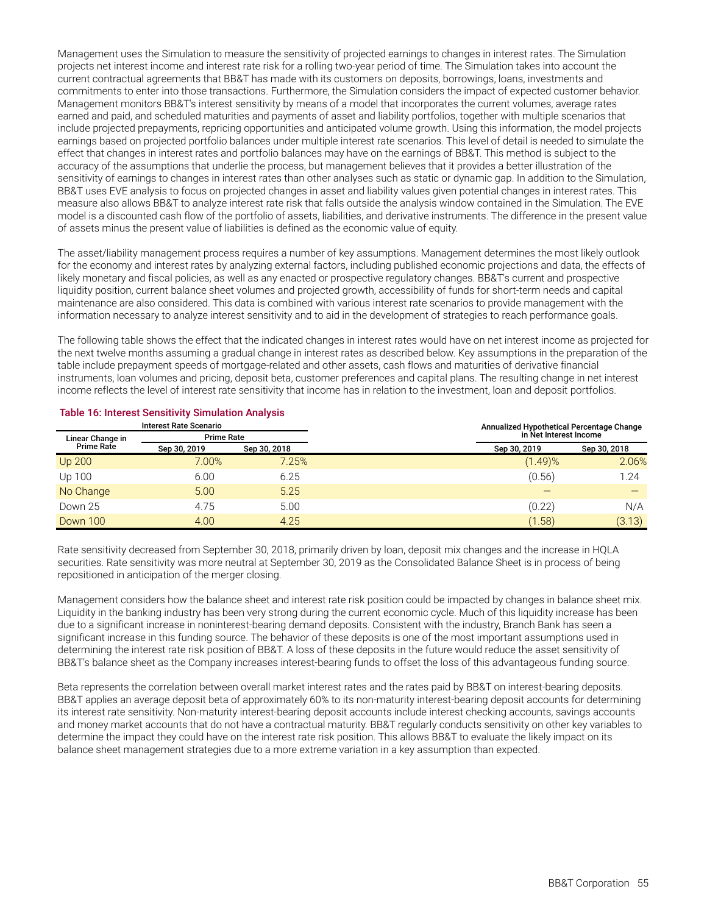Management uses the Simulation to measure the sensitivity of projected earnings to changes in interest rates. The Simulation projects net interest income and interest rate risk for a rolling two-year period of time. The Simulation takes into account the current contractual agreements that BB&T has made with its customers on deposits, borrowings, loans, investments and commitments to enter into those transactions. Furthermore, the Simulation considers the impact of expected customer behavior. Management monitors BB&T's interest sensitivity by means of a model that incorporates the current volumes, average rates earned and paid, and scheduled maturities and payments of asset and liability portfolios, together with multiple scenarios that include projected prepayments, repricing opportunities and anticipated volume growth. Using this information, the model projects earnings based on projected portfolio balances under multiple interest rate scenarios. This level of detail is needed to simulate the effect that changes in interest rates and portfolio balances may have on the earnings of BB&T. This method is subject to the accuracy of the assumptions that underlie the process, but management believes that it provides a better illustration of the sensitivity of earnings to changes in interest rates than other analyses such as static or dynamic gap. In addition to the Simulation, BB&T uses EVE analysis to focus on projected changes in asset and liability values given potential changes in interest rates. This measure also allows BB&T to analyze interest rate risk that falls outside the analysis window contained in the Simulation. The EVE model is a discounted cash flow of the portfolio of assets, liabilities, and derivative instruments. The difference in the present value of assets minus the present value of liabilities is defined as the economic value of equity.

The asset/liability management process requires a number of key assumptions. Management determines the most likely outlook for the economy and interest rates by analyzing external factors, including published economic projections and data, the effects of likely monetary and fiscal policies, as well as any enacted or prospective regulatory changes. BB&T's current and prospective liquidity position, current balance sheet volumes and projected growth, accessibility of funds for short-term needs and capital maintenance are also considered. This data is combined with various interest rate scenarios to provide management with the information necessary to analyze interest sensitivity and to aid in the development of strategies to reach performance goals.

The following table shows the effect that the indicated changes in interest rates would have on net interest income as projected for the next twelve months assuming a gradual change in interest rates as described below. Key assumptions in the preparation of the table include prepayment speeds of mortgage-related and other assets, cash flows and maturities of derivative financial instruments, loan volumes and pricing, deposit beta, customer preferences and capital plans. The resulting change in net interest income reflects the level of interest rate sensitivity that income has in relation to the investment, loan and deposit portfolios.

| <b>Interest Rate Scenario</b>         |              |              | Annualized Hypothetical Percentage Change |              |
|---------------------------------------|--------------|--------------|-------------------------------------------|--------------|
| <b>Prime Rate</b><br>Linear Change in |              |              | in Net Interest Income                    |              |
| <b>Prime Rate</b>                     | Sep 30, 2019 | Sep 30, 2018 | Sep 30, 2019                              | Sep 30, 2018 |
| <b>Up 200</b>                         | 7.00%        | 7.25%        | (1.49)%                                   | 2.06%        |
| Up 100                                | 6.00         | 6.25         | (0.56)                                    | 1.24         |
| No Change                             | 5.00         | 5.25         |                                           |              |
| Down 25                               | 4.75         | 5.00         | (0.22)                                    | N/A          |
| Down 100                              | 4.00         | 4.25         | (1.58)                                    | (3.13)       |

#### **Table 16: Interest Sensitivity Simulation Analysis**

Rate sensitivity decreased from September 30, 2018, primarily driven by loan, deposit mix changes and the increase in HQLA securities. Rate sensitivity was more neutral at September 30, 2019 as the Consolidated Balance Sheet is in process of being repositioned in anticipation of the merger closing.

Management considers how the balance sheet and interest rate risk position could be impacted by changes in balance sheet mix. Liquidity in the banking industry has been very strong during the current economic cycle. Much of this liquidity increase has been due to a significant increase in noninterest-bearing demand deposits. Consistent with the industry, Branch Bank has seen a significant increase in this funding source. The behavior of these deposits is one of the most important assumptions used in determining the interest rate risk position of BB&T. A loss of these deposits in the future would reduce the asset sensitivity of BB&T's balance sheet as the Company increases interest-bearing funds to offset the loss of this advantageous funding source.

Beta represents the correlation between overall market interest rates and the rates paid by BB&T on interest-bearing deposits. BB&T applies an average deposit beta of approximately 60% to its non-maturity interest-bearing deposit accounts for determining its interest rate sensitivity. Non-maturity interest-bearing deposit accounts include interest checking accounts, savings accounts and money market accounts that do not have a contractual maturity. BB&T regularly conducts sensitivity on other key variables to determine the impact they could have on the interest rate risk position. This allows BB&T to evaluate the likely impact on its balance sheet management strategies due to a more extreme variation in a key assumption than expected.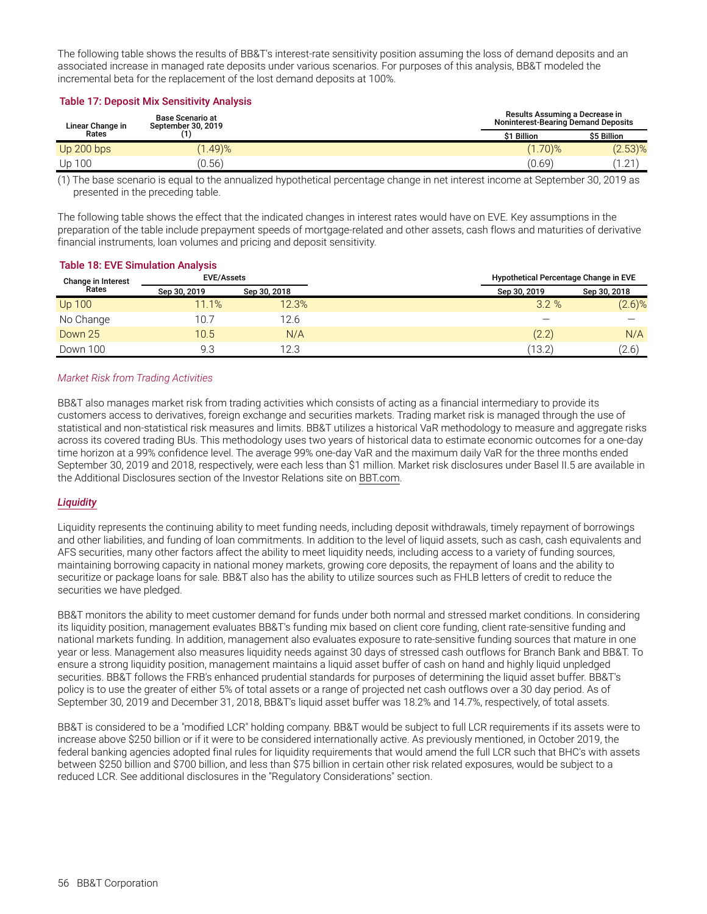The following table shows the results of BB&T's interest-rate sensitivity position assuming the loss of demand deposits and an associated increase in managed rate deposits under various scenarios. For purposes of this analysis, BB&T modeled the incremental beta for the replacement of the lost demand deposits at 100%.

#### **Table 17: Deposit Mix Sensitivity Analysis**

| <b>Base Scenario at</b><br>September 30, 2019<br>Linear Change in |            |             | Results Assuming a Decrease in<br><b>Noninterest-Bearing Demand Deposits</b> |             |
|-------------------------------------------------------------------|------------|-------------|------------------------------------------------------------------------------|-------------|
| Rates                                                             |            | \$1 Billion |                                                                              | \$5 Billion |
| Up $200$ bps                                                      | $(1.49)\%$ |             | $(1.70)$ %                                                                   | $(2.53)\%$  |
| Up 100                                                            | (0.56)     |             | (0.69)                                                                       | 1.21        |

(1) The base scenario is equal to the annualized hypothetical percentage change in net interest income at September 30, 2019 as presented in the preceding table.

The following table shows the effect that the indicated changes in interest rates would have on EVE. Key assumptions in the preparation of the table include prepayment speeds of mortgage-related and other assets, cash flows and maturities of derivative financial instruments, loan volumes and pricing and deposit sensitivity.

### **Table 18: EVE Simulation Analysis**

| <b>EVE/Assets</b><br>Change in Interest |              |              | Hypothetical Percentage Change in EVE |              |
|-----------------------------------------|--------------|--------------|---------------------------------------|--------------|
| Rates                                   | Sep 30, 2019 | Sep 30, 2018 | Sep 30, 2019                          | Sep 30, 2018 |
| <b>Up 100</b>                           | 11.1%        | 12.3%        | 3.2%                                  | $(2.6)\%$    |
| No Change                               | 10.7         | 12.6         |                                       |              |
| Down 25                                 | 10.5         | N/A          | (2.2)                                 | N/A          |
| Down 100                                | 9.3          | 12.3         | (13.2)                                | (2.6)        |

#### *Market Risk from Trading Activities*

BB&T also manages market risk from trading activities which consists of acting as a financial intermediary to provide its customers access to derivatives, foreign exchange and securities markets. Trading market risk is managed through the use of statistical and non-statistical risk measures and limits. BB&T utilizes a historical VaR methodology to measure and aggregate risks across its covered trading BUs. This methodology uses two years of historical data to estimate economic outcomes for a one-day time horizon at a 99% confidence level. The average 99% one-day VaR and the maximum daily VaR for the three months ended September 30, 2019 and 2018, respectively, were each less than \$1 million. Market risk disclosures under Basel II.5 are available in the Additional Disclosures section of the Investor Relations site on BBT.com.

#### *Liquidity*

Liquidity represents the continuing ability to meet funding needs, including deposit withdrawals, timely repayment of borrowings and other liabilities, and funding of loan commitments. In addition to the level of liquid assets, such as cash, cash equivalents and AFS securities, many other factors affect the ability to meet liquidity needs, including access to a variety of funding sources, maintaining borrowing capacity in national money markets, growing core deposits, the repayment of loans and the ability to securitize or package loans for sale. BB&T also has the ability to utilize sources such as FHLB letters of credit to reduce the securities we have pledged.

BB&T monitors the ability to meet customer demand for funds under both normal and stressed market conditions. In considering its liquidity position, management evaluates BB&T's funding mix based on client core funding, client rate-sensitive funding and national markets funding. In addition, management also evaluates exposure to rate-sensitive funding sources that mature in one year or less. Management also measures liquidity needs against 30 days of stressed cash outflows for Branch Bank and BB&T. To ensure a strong liquidity position, management maintains a liquid asset buffer of cash on hand and highly liquid unpledged securities. BB&T follows the FRB's enhanced prudential standards for purposes of determining the liquid asset buffer. BB&T's policy is to use the greater of either 5% of total assets or a range of projected net cash outflows over a 30 day period. As of September 30, 2019 and December 31, 2018, BB&T's liquid asset buffer was 18.2% and 14.7%, respectively, of total assets.

BB&T is considered to be a "modified LCR" holding company. BB&T would be subject to full LCR requirements if its assets were to increase above \$250 billion or if it were to be considered internationally active. As previously mentioned, in October 2019, the federal banking agencies adopted final rules for liquidity requirements that would amend the full LCR such that BHC's with assets between \$250 billion and \$700 billion, and less than \$75 billion in certain other risk related exposures, would be subject to a reduced LCR. See additional disclosures in the "Regulatory Considerations" section.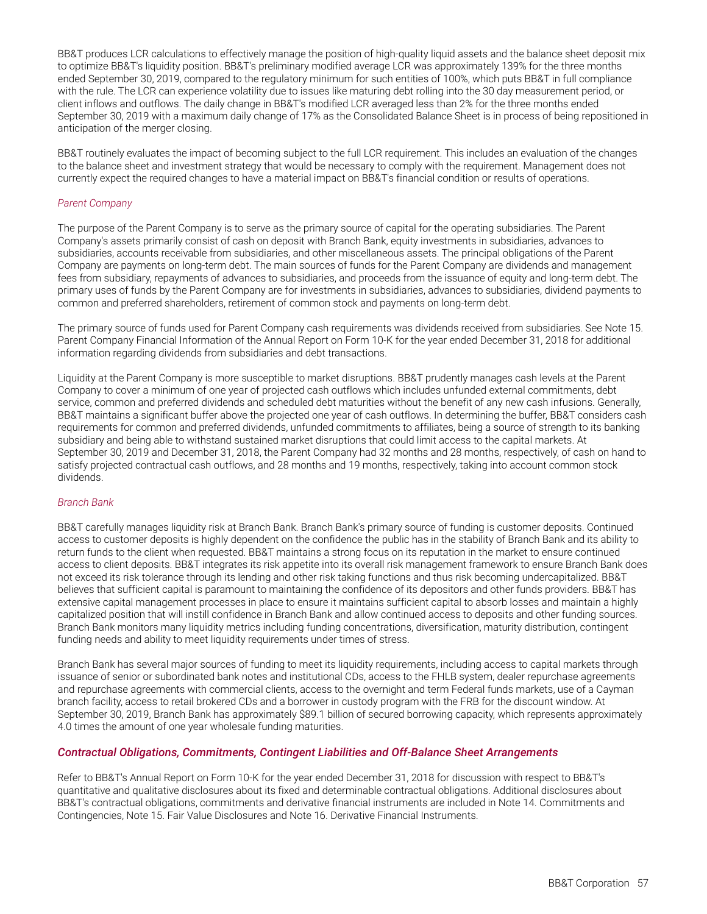BB&T produces LCR calculations to effectively manage the position of high-quality liquid assets and the balance sheet deposit mix to optimize BB&T's liquidity position. BB&T's preliminary modified average LCR was approximately 139% for the three months ended September 30, 2019, compared to the regulatory minimum for such entities of 100%, which puts BB&T in full compliance with the rule. The LCR can experience volatility due to issues like maturing debt rolling into the 30 day measurement period, or client inflows and outflows. The daily change in BB&T's modified LCR averaged less than 2% for the three months ended September 30, 2019 with a maximum daily change of 17% as the Consolidated Balance Sheet is in process of being repositioned in anticipation of the merger closing.

BB&T routinely evaluates the impact of becoming subject to the full LCR requirement. This includes an evaluation of the changes to the balance sheet and investment strategy that would be necessary to comply with the requirement. Management does not currently expect the required changes to have a material impact on BB&T's financial condition or results of operations.

#### *Parent Company*

The purpose of the Parent Company is to serve as the primary source of capital for the operating subsidiaries. The Parent Company's assets primarily consist of cash on deposit with Branch Bank, equity investments in subsidiaries, advances to subsidiaries, accounts receivable from subsidiaries, and other miscellaneous assets. The principal obligations of the Parent Company are payments on long-term debt. The main sources of funds for the Parent Company are dividends and management fees from subsidiary, repayments of advances to subsidiaries, and proceeds from the issuance of equity and long-term debt. The primary uses of funds by the Parent Company are for investments in subsidiaries, advances to subsidiaries, dividend payments to common and preferred shareholders, retirement of common stock and payments on long-term debt.

The primary source of funds used for Parent Company cash requirements was dividends received from subsidiaries. See Note 15. Parent Company Financial Information of the Annual Report on Form 10-K for the year ended December 31, 2018 for additional information regarding dividends from subsidiaries and debt transactions.

Liquidity at the Parent Company is more susceptible to market disruptions. BB&T prudently manages cash levels at the Parent Company to cover a minimum of one year of projected cash outflows which includes unfunded external commitments, debt service, common and preferred dividends and scheduled debt maturities without the benefit of any new cash infusions. Generally, BB&T maintains a significant buffer above the projected one year of cash outflows. In determining the buffer, BB&T considers cash requirements for common and preferred dividends, unfunded commitments to affiliates, being a source of strength to its banking subsidiary and being able to withstand sustained market disruptions that could limit access to the capital markets. At September 30, 2019 and December 31, 2018, the Parent Company had 32 months and 28 months, respectively, of cash on hand to satisfy projected contractual cash outflows, and 28 months and 19 months, respectively, taking into account common stock dividends.

#### *Branch Bank*

BB&T carefully manages liquidity risk at Branch Bank. Branch Bank's primary source of funding is customer deposits. Continued access to customer deposits is highly dependent on the confidence the public has in the stability of Branch Bank and its ability to return funds to the client when requested. BB&T maintains a strong focus on its reputation in the market to ensure continued access to client deposits. BB&T integrates its risk appetite into its overall risk management framework to ensure Branch Bank does not exceed its risk tolerance through its lending and other risk taking functions and thus risk becoming undercapitalized. BB&T believes that sufficient capital is paramount to maintaining the confidence of its depositors and other funds providers. BB&T has extensive capital management processes in place to ensure it maintains sufficient capital to absorb losses and maintain a highly capitalized position that will instill confidence in Branch Bank and allow continued access to deposits and other funding sources. Branch Bank monitors many liquidity metrics including funding concentrations, diversification, maturity distribution, contingent funding needs and ability to meet liquidity requirements under times of stress.

Branch Bank has several major sources of funding to meet its liquidity requirements, including access to capital markets through issuance of senior or subordinated bank notes and institutional CDs, access to the FHLB system, dealer repurchase agreements and repurchase agreements with commercial clients, access to the overnight and term Federal funds markets, use of a Cayman branch facility, access to retail brokered CDs and a borrower in custody program with the FRB for the discount window. At September 30, 2019, Branch Bank has approximately \$89.1 billion of secured borrowing capacity, which represents approximately 4.0 times the amount of one year wholesale funding maturities.

#### *Contractual Obligations, Commitments, Contingent Liabilities and Off-Balance Sheet Arrangements*

Refer to BB&T's Annual Report on Form 10-K for the year ended December 31, 2018 for discussion with respect to BB&T's quantitative and qualitative disclosures about its fixed and determinable contractual obligations. Additional disclosures about BB&T's contractual obligations, commitments and derivative financial instruments are included in Note 14. Commitments and Contingencies, Note 15. Fair Value Disclosures and Note 16. Derivative Financial Instruments.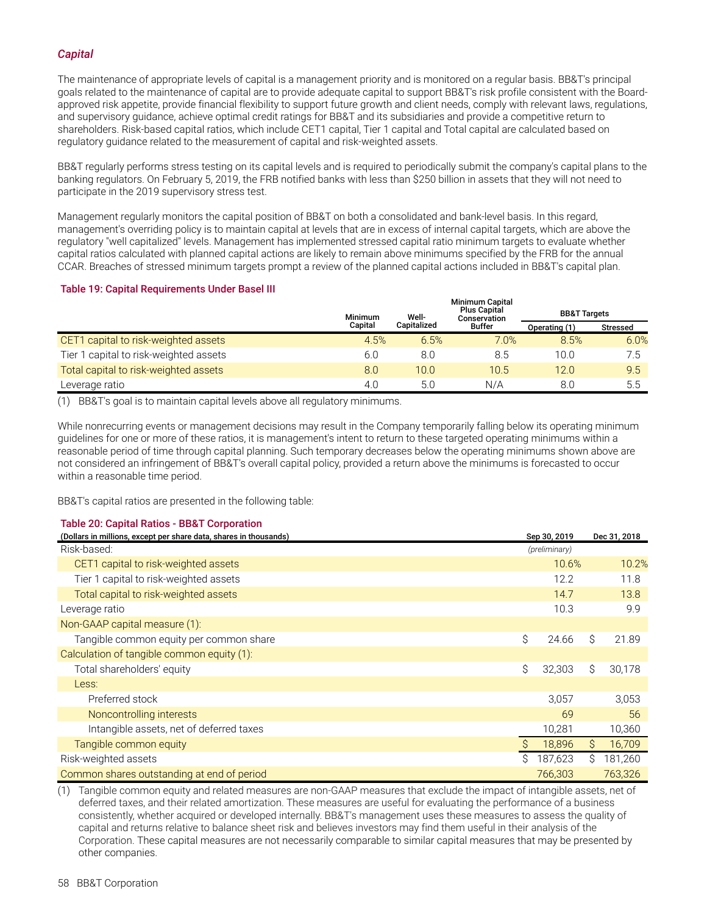#### *Capital*

The maintenance of appropriate levels of capital is a management priority and is monitored on a regular basis. BB&T's principal goals related to the maintenance of capital are to provide adequate capital to support BB&T's risk profile consistent with the Boardapproved risk appetite, provide financial flexibility to support future growth and client needs, comply with relevant laws, regulations, and supervisory guidance, achieve optimal credit ratings for BB&T and its subsidiaries and provide a competitive return to shareholders. Risk-based capital ratios, which include CET1 capital, Tier 1 capital and Total capital are calculated based on regulatory guidance related to the measurement of capital and risk-weighted assets.

BB&T regularly performs stress testing on its capital levels and is required to periodically submit the company's capital plans to the banking regulators. On February 5, 2019, the FRB notified banks with less than \$250 billion in assets that they will not need to participate in the 2019 supervisory stress test.

Management regularly monitors the capital position of BB&T on both a consolidated and bank-level basis. In this regard, management's overriding policy is to maintain capital at levels that are in excess of internal capital targets, which are above the regulatory "well capitalized" levels. Management has implemented stressed capital ratio minimum targets to evaluate whether capital ratios calculated with planned capital actions are likely to remain above minimums specified by the FRB for the annual CCAR. Breaches of stressed minimum targets prompt a review of the planned capital actions included in BB&T's capital plan.

#### **Table 19: Capital Requirements Under Basel III**

|                                        | <b>Minimum</b> | Well-       | <b>Minimum Capital</b><br><b>Plus Capital</b><br>Conservation | <b>BB&amp;T Targets</b> |                 |
|----------------------------------------|----------------|-------------|---------------------------------------------------------------|-------------------------|-----------------|
|                                        | Capital        | Capitalized | <b>Buffer</b>                                                 | Operating (1)           | <b>Stressed</b> |
| CET1 capital to risk-weighted assets   | 4.5%           | 6.5%        | 7.0%                                                          | 8.5%                    | 6.0%            |
| Tier 1 capital to risk-weighted assets | 6.0            | 8.0         | 8.5                                                           | 10.0                    | 7.5             |
| Total capital to risk-weighted assets  | 8.0            | 10.0        | 10.5                                                          | 12.0                    | 9.5             |
| Leverage ratio                         | 4.0            | 5.C         | N/A                                                           | 8.0                     | 5.5             |

(1) BB&T's goal is to maintain capital levels above all regulatory minimums.

While nonrecurring events or management decisions may result in the Company temporarily falling below its operating minimum guidelines for one or more of these ratios, it is management's intent to return to these targeted operating minimums within a reasonable period of time through capital planning. Such temporary decreases below the operating minimums shown above are not considered an infringement of BB&T's overall capital policy, provided a return above the minimums is forecasted to occur within a reasonable time period.

BB&T's capital ratios are presented in the following table:

#### **Table 20: Capital Ratios - BB&T Corporation**

| (Dollars in millions, except per share data, shares in thousands) |    | Sep 30, 2019  |    | Dec 31, 2018 |
|-------------------------------------------------------------------|----|---------------|----|--------------|
| Risk-based:                                                       |    | (preliminary) |    |              |
| CET1 capital to risk-weighted assets                              |    | 10.6%         |    | 10.2%        |
| Tier 1 capital to risk-weighted assets                            |    | 12.2          |    | 11.8         |
| Total capital to risk-weighted assets                             |    | 14.7          |    | 13.8         |
| Leverage ratio                                                    |    | 10.3          |    | 9.9          |
| Non-GAAP capital measure (1):                                     |    |               |    |              |
| Tangible common equity per common share                           | Ŝ. | 24.66         | Ś  | 21.89        |
| Calculation of tangible common equity (1):                        |    |               |    |              |
| Total shareholders' equity                                        | Ŝ. | 32,303        | Ś  | 30,178       |
| Less:                                                             |    |               |    |              |
| Preferred stock                                                   |    | 3,057         |    | 3,053        |
| Noncontrolling interests                                          |    | 69            |    | 56           |
| Intangible assets, net of deferred taxes                          |    | 10,281        |    | 10,360       |
| Tangible common equity                                            |    | 18,896        | Ŝ. | 16,709       |
| Risk-weighted assets                                              | Ŝ  | 187,623       | Ŝ  | 181,260      |
| Common shares outstanding at end of period                        |    | 766,303       |    | 763,326      |

(1) Tangible common equity and related measures are non-GAAP measures that exclude the impact of intangible assets, net of deferred taxes, and their related amortization. These measures are useful for evaluating the performance of a business consistently, whether acquired or developed internally. BB&T's management uses these measures to assess the quality of capital and returns relative to balance sheet risk and believes investors may find them useful in their analysis of the Corporation. These capital measures are not necessarily comparable to similar capital measures that may be presented by other companies.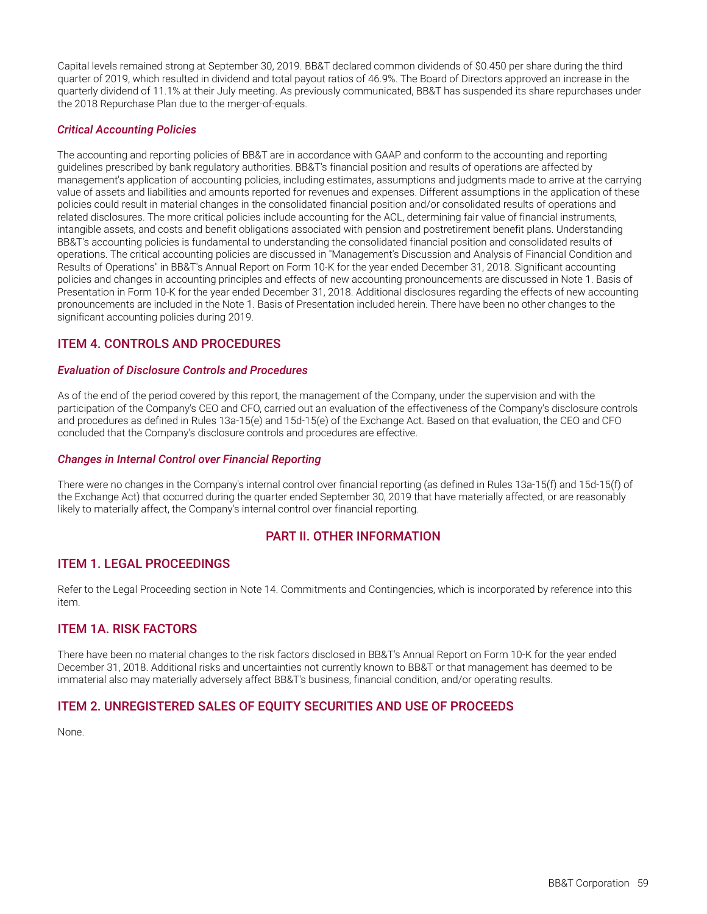<span id="page-60-0"></span>Capital levels remained strong at September 30, 2019. BB&T declared common dividends of \$0.450 per share during the third quarter of 2019, which resulted in dividend and total payout ratios of 46.9%. The Board of Directors approved an increase in the quarterly dividend of 11.1% at their July meeting. As previously communicated, BB&T has suspended its share repurchases under the 2018 Repurchase Plan due to the merger-of-equals.

#### *Critical Accounting Policies*

The accounting and reporting policies of BB&T are in accordance with GAAP and conform to the accounting and reporting guidelines prescribed by bank regulatory authorities. BB&T's financial position and results of operations are affected by management's application of accounting policies, including estimates, assumptions and judgments made to arrive at the carrying value of assets and liabilities and amounts reported for revenues and expenses. Different assumptions in the application of these policies could result in material changes in the consolidated financial position and/or consolidated results of operations and related disclosures. The more critical policies include accounting for the ACL, determining fair value of financial instruments, intangible assets, and costs and benefit obligations associated with pension and postretirement benefit plans. Understanding BB&T's accounting policies is fundamental to understanding the consolidated financial position and consolidated results of operations. The critical accounting policies are discussed in "Management's Discussion and Analysis of Financial Condition and Results of Operations" in BB&T's Annual Report on Form 10-K for the year ended December 31, 2018. Significant accounting policies and changes in accounting principles and effects of new accounting pronouncements are discussed in Note 1. Basis of Presentation in Form 10-K for the year ended December 31, 2018. Additional disclosures regarding the effects of new accounting pronouncements are included in the Note 1. Basis of Presentation included herein. There have been no other changes to the significant accounting policies during 2019.

### **ITEM 4. CONTROLS AND PROCEDURES**

#### *Evaluation of Disclosure Controls and Procedures*

As of the end of the period covered by this report, the management of the Company, under the supervision and with the participation of the Company's CEO and CFO, carried out an evaluation of the effectiveness of the Company's disclosure controls and procedures as defined in Rules 13a-15(e) and 15d-15(e) of the Exchange Act. Based on that evaluation, the CEO and CFO concluded that the Company's disclosure controls and procedures are effective.

#### *Changes in Internal Control over Financial Reporting*

There were no changes in the Company's internal control over financial reporting (as defined in Rules 13a-15(f) and 15d-15(f) of the Exchange Act) that occurred during the quarter ended September 30, 2019 that have materially affected, or are reasonably likely to materially affect, the Company's internal control over financial reporting.

### **PART II. OTHER INFORMATION**

### **ITEM 1. LEGAL PROCEEDINGS**

Refer to the Legal Proceeding section in Note 14. Commitments and Contingencies, which is incorporated by reference into this item.

### **ITEM 1A. RISK FACTORS**

There have been no material changes to the risk factors disclosed in BB&T's Annual Report on Form 10-K for the year ended December 31, 2018. Additional risks and uncertainties not currently known to BB&T or that management has deemed to be immaterial also may materially adversely affect BB&T's business, financial condition, and/or operating results.

### **ITEM 2. UNREGISTERED SALES OF EQUITY SECURITIES AND USE OF PROCEEDS**

None.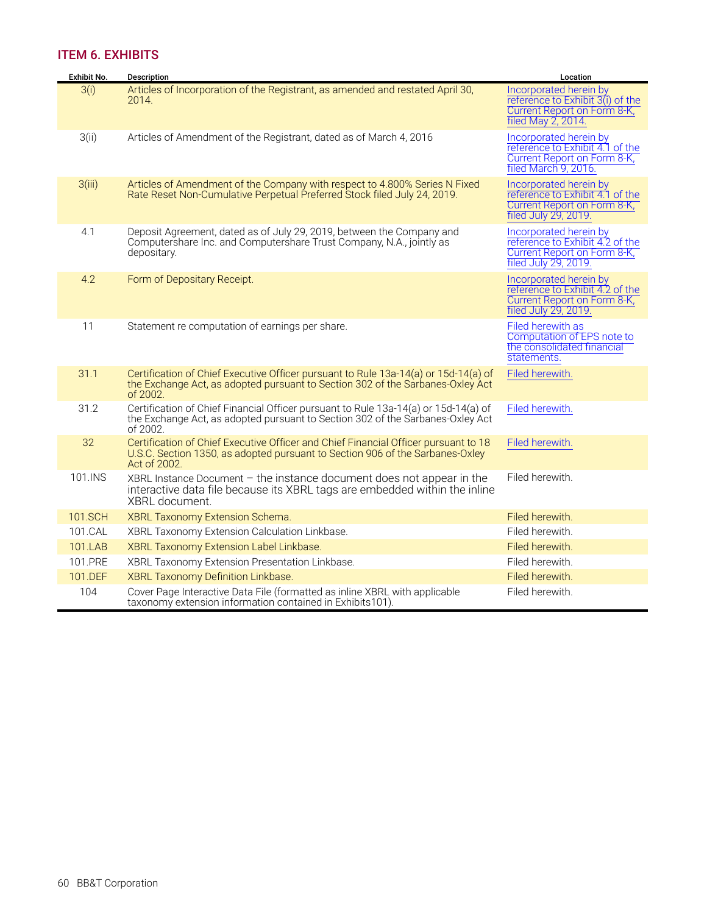### <span id="page-61-0"></span>**ITEM 6. EXHIBITS**

| Exhibit No. | <b>Description</b>                                                                                                                                                                   | Location                                                                                                         |
|-------------|--------------------------------------------------------------------------------------------------------------------------------------------------------------------------------------|------------------------------------------------------------------------------------------------------------------|
| 3(i)        | Articles of Incorporation of the Registrant, as amended and restated April 30,<br>2014.                                                                                              | Incorporated herein by<br>reference to Exhibit 3(i) of the<br>Current Report on Form 8-K,<br>filed May 2, 2014.  |
| 3(ii)       | Articles of Amendment of the Registrant, dated as of March 4, 2016                                                                                                                   | Incorporated herein by<br>reference to Exhibit 4.1 of the<br>Current Report on Form 8-K,<br>filed March 9, 2016. |
| 3(iii)      | Articles of Amendment of the Company with respect to 4.800% Series N Fixed<br>Rate Reset Non-Cumulative Perpetual Preferred Stock filed July 24, 2019.                               | Incorporated herein by<br>reference to Exhibit 4.1 of the<br>Current Report on Form 8-K,<br>filed July 29, 2019. |
| 4.1         | Deposit Agreement, dated as of July 29, 2019, between the Company and<br>Computershare Inc. and Computershare Trust Company, N.A., jointly as<br>depositary.                         | Incorporated herein by<br>reference to Exhibit 4.2 of the<br>Current Report on Form 8-K,<br>filed July 29, 2019. |
| 4.2         | Form of Depositary Receipt.                                                                                                                                                          | Incorporated herein by<br>reference to Exhibit 4.2 of the<br>Current Report on Form 8-K,<br>filed July 29, 2019. |
| 11          | Statement re computation of earnings per share.                                                                                                                                      | Filed herewith as<br>Computation of EPS note to<br>the consolidated financial<br>statements.                     |
| 31.1        | Certification of Chief Executive Officer pursuant to Rule 13a-14(a) or 15d-14(a) of<br>the Exchange Act, as adopted pursuant to Section 302 of the Sarbanes-Oxley Act<br>of 2002.    | Filed herewith.                                                                                                  |
| 31.2        | Certification of Chief Financial Officer pursuant to Rule 13a-14(a) or 15d-14(a) of<br>the Exchange Act, as adopted pursuant to Section 302 of the Sarbanes-Oxley Act<br>of 2002.    | Filed herewith.                                                                                                  |
| 32          | Certification of Chief Executive Officer and Chief Financial Officer pursuant to 18<br>U.S.C. Section 1350, as adopted pursuant to Section 906 of the Sarbanes-Oxley<br>Act of 2002. | Filed herewith.                                                                                                  |
| 101.INS     | $XBRL$ Instance Document - the instance document does not appear in the<br>interactive data file because its XBRL tags are embedded within the inline<br>XBRL document.              | Filed herewith.                                                                                                  |
| 101.SCH     | XBRL Taxonomy Extension Schema.                                                                                                                                                      | Filed herewith.                                                                                                  |
| 101.CAL     | XBRL Taxonomy Extension Calculation Linkbase.                                                                                                                                        | Filed herewith.                                                                                                  |
| 101.LAB     | XBRL Taxonomy Extension Label Linkbase.                                                                                                                                              | Filed herewith.                                                                                                  |
| 101.PRE     | XBRL Taxonomy Extension Presentation Linkbase.                                                                                                                                       | Filed herewith.                                                                                                  |
| 101.DEF     | XBRL Taxonomy Definition Linkbase.                                                                                                                                                   | Filed herewith.                                                                                                  |
| 104         | Cover Page Interactive Data File (formatted as inline XBRL with applicable<br>taxonomy extension information contained in Exhibits 101).                                             | Filed herewith.                                                                                                  |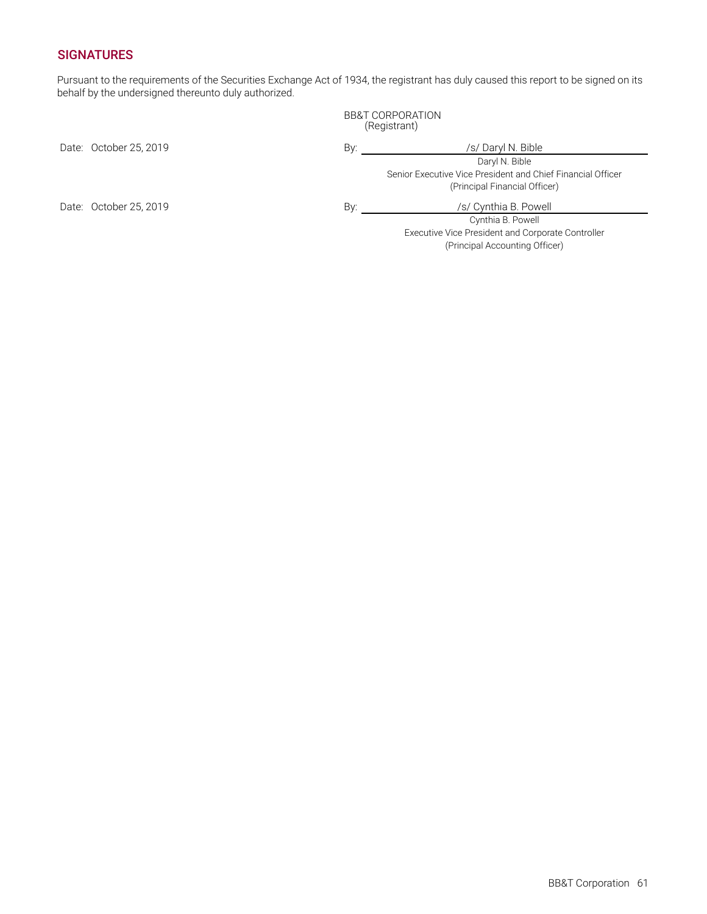### **SIGNATURES**

Pursuant to the requirements of the Securities Exchange Act of 1934, the registrant has duly caused this report to be signed on its behalf by the undersigned thereunto duly authorized.

> BB&T CORPORATION (Registrant)

Date: October 25, 2019 **By:** By: /s/ Daryl N. Bible

Daryl N. Bible Senior Executive Vice President and Chief Financial Officer (Principal Financial Officer)

Cynthia B. Powell Executive Vice President and Corporate Controller (Principal Accounting Officer)

Date: October 25, 2019 **By:** By: *By: By: S/ Cynthia B. Powell*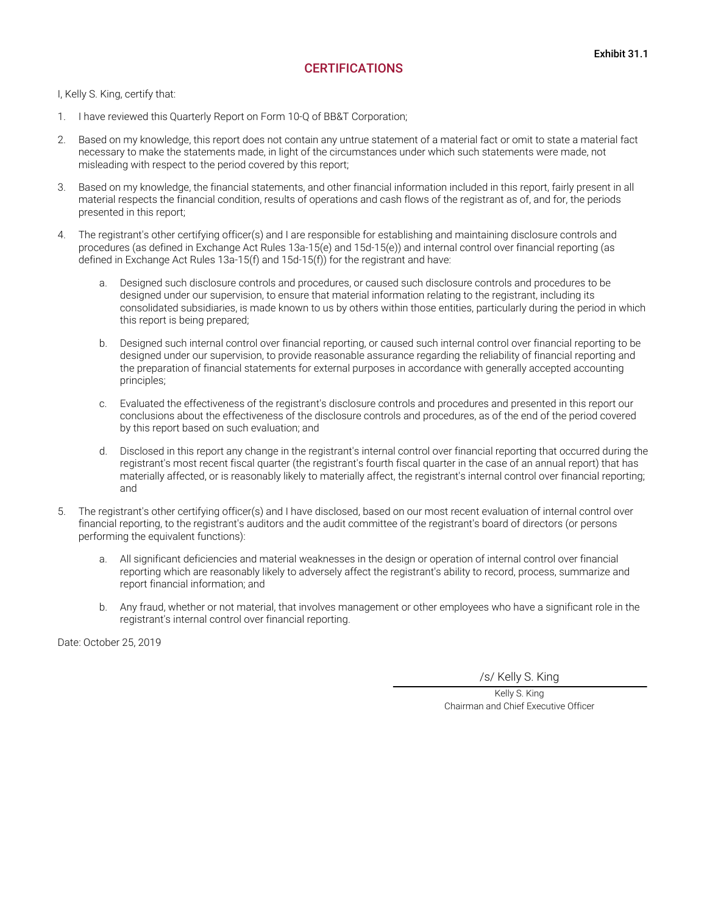### **CERTIFICATIONS**

<span id="page-63-0"></span>I, Kelly S. King, certify that:

- 1. I have reviewed this Quarterly Report on Form 10-Q of BB&T Corporation;
- 2. Based on my knowledge, this report does not contain any untrue statement of a material fact or omit to state a material fact necessary to make the statements made, in light of the circumstances under which such statements were made, not misleading with respect to the period covered by this report;
- 3. Based on my knowledge, the financial statements, and other financial information included in this report, fairly present in all material respects the financial condition, results of operations and cash flows of the registrant as of, and for, the periods presented in this report;
- 4. The registrant's other certifying officer(s) and I are responsible for establishing and maintaining disclosure controls and procedures (as defined in Exchange Act Rules 13a-15(e) and 15d-15(e)) and internal control over financial reporting (as defined in Exchange Act Rules 13a-15(f) and 15d-15(f)) for the registrant and have:
	- a. Designed such disclosure controls and procedures, or caused such disclosure controls and procedures to be designed under our supervision, to ensure that material information relating to the registrant, including its consolidated subsidiaries, is made known to us by others within those entities, particularly during the period in which this report is being prepared;
	- b. Designed such internal control over financial reporting, or caused such internal control over financial reporting to be designed under our supervision, to provide reasonable assurance regarding the reliability of financial reporting and the preparation of financial statements for external purposes in accordance with generally accepted accounting principles;
	- c. Evaluated the effectiveness of the registrant's disclosure controls and procedures and presented in this report our conclusions about the effectiveness of the disclosure controls and procedures, as of the end of the period covered by this report based on such evaluation; and
	- d. Disclosed in this report any change in the registrant's internal control over financial reporting that occurred during the registrant's most recent fiscal quarter (the registrant's fourth fiscal quarter in the case of an annual report) that has materially affected, or is reasonably likely to materially affect, the registrant's internal control over financial reporting; and
- 5. The registrant's other certifying officer(s) and I have disclosed, based on our most recent evaluation of internal control over financial reporting, to the registrant's auditors and the audit committee of the registrant's board of directors (or persons performing the equivalent functions):
	- a. All significant deficiencies and material weaknesses in the design or operation of internal control over financial reporting which are reasonably likely to adversely affect the registrant's ability to record, process, summarize and report financial information; and
	- b. Any fraud, whether or not material, that involves management or other employees who have a significant role in the registrant's internal control over financial reporting.

Date: October 25, 2019

/s/ Kelly S. King

Kelly S. King Chairman and Chief Executive Officer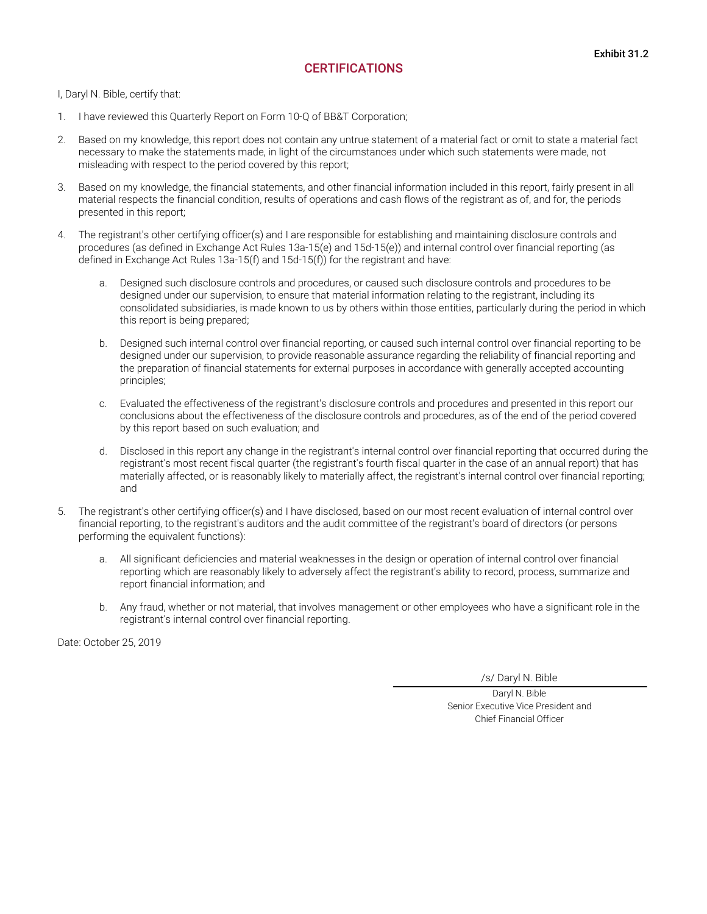### **CERTIFICATIONS**

<span id="page-64-0"></span>I, Daryl N. Bible, certify that:

- 1. I have reviewed this Quarterly Report on Form 10-Q of BB&T Corporation;
- 2. Based on my knowledge, this report does not contain any untrue statement of a material fact or omit to state a material fact necessary to make the statements made, in light of the circumstances under which such statements were made, not misleading with respect to the period covered by this report;
- 3. Based on my knowledge, the financial statements, and other financial information included in this report, fairly present in all material respects the financial condition, results of operations and cash flows of the registrant as of, and for, the periods presented in this report;
- 4. The registrant's other certifying officer(s) and I are responsible for establishing and maintaining disclosure controls and procedures (as defined in Exchange Act Rules 13a-15(e) and 15d-15(e)) and internal control over financial reporting (as defined in Exchange Act Rules 13a-15(f) and 15d-15(f)) for the registrant and have:
	- a. Designed such disclosure controls and procedures, or caused such disclosure controls and procedures to be designed under our supervision, to ensure that material information relating to the registrant, including its consolidated subsidiaries, is made known to us by others within those entities, particularly during the period in which this report is being prepared;
	- b. Designed such internal control over financial reporting, or caused such internal control over financial reporting to be designed under our supervision, to provide reasonable assurance regarding the reliability of financial reporting and the preparation of financial statements for external purposes in accordance with generally accepted accounting principles;
	- c. Evaluated the effectiveness of the registrant's disclosure controls and procedures and presented in this report our conclusions about the effectiveness of the disclosure controls and procedures, as of the end of the period covered by this report based on such evaluation; and
	- d. Disclosed in this report any change in the registrant's internal control over financial reporting that occurred during the registrant's most recent fiscal quarter (the registrant's fourth fiscal quarter in the case of an annual report) that has materially affected, or is reasonably likely to materially affect, the registrant's internal control over financial reporting; and
- 5. The registrant's other certifying officer(s) and I have disclosed, based on our most recent evaluation of internal control over financial reporting, to the registrant's auditors and the audit committee of the registrant's board of directors (or persons performing the equivalent functions):
	- a. All significant deficiencies and material weaknesses in the design or operation of internal control over financial reporting which are reasonably likely to adversely affect the registrant's ability to record, process, summarize and report financial information; and
	- b. Any fraud, whether or not material, that involves management or other employees who have a significant role in the registrant's internal control over financial reporting.

Date: October 25, 2019

/s/ Daryl N. Bible

Daryl N. Bible Senior Executive Vice President and Chief Financial Officer